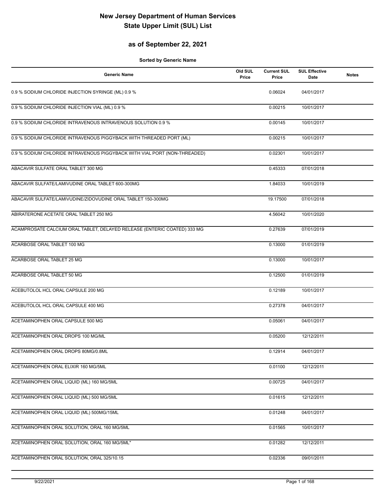### **as of September 22, 2021**

| <b>Generic Name</b>                                                       | Old SUL<br>Price | <b>Current SUL</b><br>Price | <b>SUL Effective</b><br>Date | <b>Notes</b> |
|---------------------------------------------------------------------------|------------------|-----------------------------|------------------------------|--------------|
| 0.9 % SODIUM CHLORIDE INJECTION SYRINGE (ML) 0.9 %                        |                  | 0.06024                     | 04/01/2017                   |              |
| 0.9 % SODIUM CHLORIDE INJECTION VIAL (ML) 0.9 %                           |                  | 0.00215                     | 10/01/2017                   |              |
| 0.9 % SODIUM CHLORIDE INTRAVENOUS INTRAVENOUS SOLUTION 0.9 %              |                  | 0.00145                     | 10/01/2017                   |              |
| 0.9 % SODIUM CHLORIDE INTRAVENOUS PIGGYBACK WITH THREADED PORT (ML)       |                  | 0.00215                     | 10/01/2017                   |              |
| 0.9 % SODIUM CHLORIDE INTRAVENOUS PIGGYBACK WITH VIAL PORT (NON-THREADED) |                  | 0.02301                     | 10/01/2017                   |              |
| ABACAVIR SULFATE ORAL TABLET 300 MG                                       |                  | 0.45333                     | 07/01/2018                   |              |
| ABACAVIR SULFATE/LAMIVUDINE ORAL TABLET 600-300MG                         |                  | 1.84033                     | 10/01/2019                   |              |
| ABACAVIR SULFATE/LAMIVUDINE/ZIDOVUDINE ORAL TABLET 150-300MG              |                  | 19.17500                    | 07/01/2018                   |              |
| ABIRATERONE ACETATE ORAL TABLET 250 MG                                    |                  | 4.56042                     | 10/01/2020                   |              |
| ACAMPROSATE CALCIUM ORAL TABLET, DELAYED RELEASE (ENTERIC COATED) 333 MG  |                  | 0.27639                     | 07/01/2019                   |              |
| ACARBOSE ORAL TABLET 100 MG                                               |                  | 0.13000                     | 01/01/2019                   |              |
| <b>ACARBOSE ORAL TABLET 25 MG</b>                                         |                  | 0.13000                     | 10/01/2017                   |              |
| ACARBOSE ORAL TABLET 50 MG                                                |                  | 0.12500                     | 01/01/2019                   |              |
| ACEBUTOLOL HCL ORAL CAPSULE 200 MG                                        |                  | 0.12189                     | 10/01/2017                   |              |
| ACEBUTOLOL HCL ORAL CAPSULE 400 MG                                        |                  | 0.27378                     | 04/01/2017                   |              |
| ACETAMINOPHEN ORAL CAPSULE 500 MG                                         |                  | 0.05061                     | 04/01/2017                   |              |
| ACETAMINOPHEN ORAL DROPS 100 MG/ML                                        |                  | 0.05200                     | 12/12/2011                   |              |
| ACETAMINOPHEN ORAL DROPS 80MG/0.8ML                                       |                  | 0.12914                     | 04/01/2017                   |              |
| ACETAMINOPHEN ORAL ELIXIR 160 MG/5ML                                      |                  | 0.01100                     | 12/12/2011                   |              |
| ACETAMINOPHEN ORAL LIQUID (ML) 160 MG/5ML                                 |                  | 0.00725                     | 04/01/2017                   |              |
| ACETAMINOPHEN ORAL LIQUID (ML) 500 MG/5ML                                 |                  | 0.01615                     | 12/12/2011                   |              |
| ACETAMINOPHEN ORAL LIQUID (ML) 500MG/15ML                                 |                  | 0.01248                     | 04/01/2017                   |              |
| ACETAMINOPHEN ORAL SOLUTION, ORAL 160 MG/5ML                              |                  | 0.01565                     | 10/01/2017                   |              |
| ACETAMINOPHEN ORAL SOLUTION, ORAL 160 MG/5ML"                             |                  | 0.01282                     | 12/12/2011                   |              |
| ACETAMINOPHEN ORAL SOLUTION, ORAL 325/10.15                               |                  | 0.02336                     | 09/01/2011                   |              |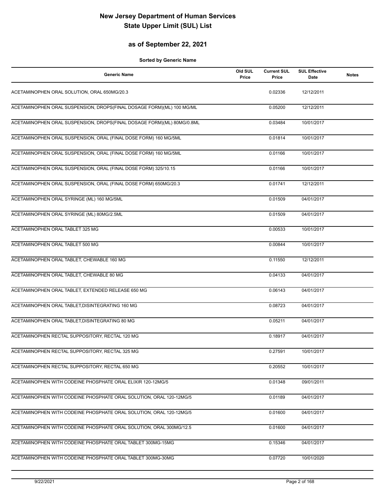### **as of September 22, 2021**

| <b>Generic Name</b>                                                    | Old SUL<br>Price | <b>Current SUL</b><br>Price | <b>SUL Effective</b><br><b>Date</b> | <b>Notes</b> |
|------------------------------------------------------------------------|------------------|-----------------------------|-------------------------------------|--------------|
| ACETAMINOPHEN ORAL SOLUTION, ORAL 650MG/20.3                           |                  | 0.02336                     | 12/12/2011                          |              |
| ACETAMINOPHEN ORAL SUSPENSION, DROPS(FINAL DOSAGE FORM)(ML) 100 MG/ML  |                  | 0.05200                     | 12/12/2011                          |              |
| ACETAMINOPHEN ORAL SUSPENSION, DROPS(FINAL DOSAGE FORM)(ML) 80MG/0.8ML |                  | 0.03484                     | 10/01/2017                          |              |
| ACETAMINOPHEN ORAL SUSPENSION, ORAL (FINAL DOSE FORM) 160 MG/5ML       |                  | 0.01814                     | 10/01/2017                          |              |
| ACETAMINOPHEN ORAL SUSPENSION, ORAL (FINAL DOSE FORM) 160 MG/5ML       |                  | 0.01166                     | 10/01/2017                          |              |
| ACETAMINOPHEN ORAL SUSPENSION, ORAL (FINAL DOSE FORM) 325/10.15        |                  | 0.01166                     | 10/01/2017                          |              |
| ACETAMINOPHEN ORAL SUSPENSION, ORAL (FINAL DOSE FORM) 650MG/20.3       |                  | 0.01741                     | 12/12/2011                          |              |
| ACETAMINOPHEN ORAL SYRINGE (ML) 160 MG/5ML                             |                  | 0.01509                     | 04/01/2017                          |              |
| ACETAMINOPHEN ORAL SYRINGE (ML) 80MG/2.5ML                             |                  | 0.01509                     | 04/01/2017                          |              |
| ACETAMINOPHEN ORAL TABLET 325 MG                                       |                  | 0.00533                     | 10/01/2017                          |              |
| ACETAMINOPHEN ORAL TABLET 500 MG                                       |                  | 0.00844                     | 10/01/2017                          |              |
| ACETAMINOPHEN ORAL TABLET, CHEWABLE 160 MG                             |                  | 0.11550                     | 12/12/2011                          |              |
| ACETAMINOPHEN ORAL TABLET, CHEWABLE 80 MG                              |                  | 0.04133                     | 04/01/2017                          |              |
| ACETAMINOPHEN ORAL TABLET, EXTENDED RELEASE 650 MG                     |                  | 0.06143                     | 04/01/2017                          |              |
| ACETAMINOPHEN ORAL TABLET, DISINTEGRATING 160 MG                       |                  | 0.08723                     | 04/01/2017                          |              |
| ACETAMINOPHEN ORAL TABLET, DISINTEGRATING 80 MG                        |                  | 0.05211                     | 04/01/2017                          |              |
| ACETAMINOPHEN RECTAL SUPPOSITORY, RECTAL 120 MG                        |                  | 0.18917                     | 04/01/2017                          |              |
| ACETAMINOPHEN RECTAL SUPPOSITORY, RECTAL 325 MG                        |                  | 0.27591                     | 10/01/2017                          |              |
| ACETAMINOPHEN RECTAL SUPPOSITORY, RECTAL 650 MG                        |                  | 0.20552                     | 10/01/2017                          |              |
| ACETAMINOPHEN WITH CODEINE PHOSPHATE ORAL ELIXIR 120-12MG/5            |                  | 0.01348                     | 09/01/2011                          |              |
| ACETAMINOPHEN WITH CODEINE PHOSPHATE ORAL SOLUTION, ORAL 120-12MG/5    |                  | 0.01189                     | 04/01/2017                          |              |
| ACETAMINOPHEN WITH CODEINE PHOSPHATE ORAL SOLUTION, ORAL 120-12MG/5    |                  | 0.01600                     | 04/01/2017                          |              |
| ACETAMINOPHEN WITH CODEINE PHOSPHATE ORAL SOLUTION, ORAL 300MG/12.5    |                  | 0.01600                     | 04/01/2017                          |              |
| ACETAMINOPHEN WITH CODEINE PHOSPHATE ORAL TABLET 300MG-15MG            |                  | 0.15346                     | 04/01/2017                          |              |
| ACETAMINOPHEN WITH CODEINE PHOSPHATE ORAL TABLET 300MG-30MG            |                  | 0.07720                     | 10/01/2020                          |              |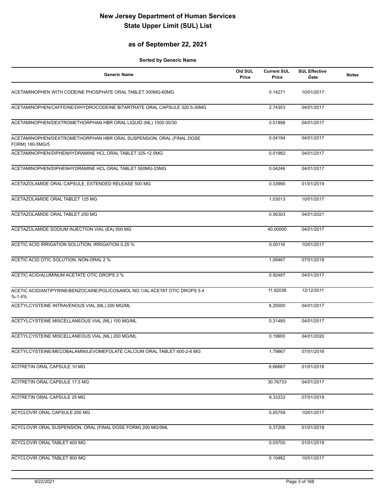### **as of September 22, 2021**

| <b>Generic Name</b>                                                                      | Old SUL<br>Price | <b>Current SUL</b><br>Price | <b>SUL Effective</b><br>Date | <b>Notes</b> |
|------------------------------------------------------------------------------------------|------------------|-----------------------------|------------------------------|--------------|
| ACETAMINOPHEN WITH CODEINE PHOSPHATE ORAL TABLET 300MG-60MG                              |                  | 0.14271                     | 10/01/2017                   |              |
| ACETAMINOPHEN/CAFFEINE/DIHYDROCODEINE BITARTRATE ORAL CAPSULE 320.5-30MG                 |                  | 2.74353                     | 04/01/2017                   |              |
| ACETAMINOPHEN/DEXTROMETHORPHAN HBR ORAL LIQUID (ML) 1000-30/30                           |                  | 0.01898                     | 04/01/2017                   |              |
| ACETAMINOPHEN/DEXTROMETHORPHAN HBR ORAL SUSPENSION, ORAL (FINAL DOSE<br>FORM) 160-5MG/5  |                  | 0.04194                     | 04/01/2017                   |              |
| ACETAMINOPHEN/DIPHENHYDRAMINE HCL ORAL TABLET 325-12.5MG                                 |                  | 0.01982                     | 04/01/2017                   |              |
| ACETAMINOPHEN/DIPHENHYDRAMINE HCL ORAL TABLET 500MG-25MG                                 |                  | 0.04246                     | 04/01/2017                   |              |
| ACETAZOLAMIDE ORAL CAPSULE, EXTENDED RELEASE 500 MG                                      |                  | 0.33990                     | 01/01/2019                   |              |
| ACETAZOLAMIDE ORAL TABLET 125 MG                                                         |                  | 1.03013                     | 10/01/2017                   |              |
| ACETAZOLAMIDE ORAL TABLET 250 MG                                                         |                  | 0.56303                     | 04/01/2021                   |              |
| ACETAZOLAMIDE SODIUM INJECTION VIAL (EA) 500 MG                                          |                  | 40.00000                    | 04/01/2017                   |              |
| ACETIC ACID IRRIGATION SOLUTION, IRRIGATION 0.25 %                                       |                  | 0.00116                     | 10/01/2017                   |              |
| ACETIC ACID OTIC SOLUTION, NON-ORAL 2 %                                                  |                  | 1.05467                     | 07/01/2019                   |              |
| ACETIC ACID/ALUMINUM ACETATE OTIC DROPS 2 %                                              |                  | 0.92487                     | 04/01/2017                   |              |
| ACETIC ACID/ANTIPYRINE/BENZOCAINE/POLICOSANOL NO.1/AL ACETAT OTIC DROPS 5.4<br>$% -1.4%$ |                  | 11.92038                    | 12/12/2011                   |              |
| ACETYLCYSTEINE INTRAVENOUS VIAL (ML) 200 MG/ML                                           |                  | 6.25000                     | 04/01/2017                   |              |
| ACETYLCYSTEINE MISCELLANEOUS VIAL (ML) 100 MG/ML                                         |                  | 0.31485                     | 04/01/2017                   |              |
| ACETYLCYSTEINE MISCELLANEOUS VIAL (ML) 200 MG/ML                                         |                  | 0.19900                     | 04/01/2020                   |              |
| ACETYLCYSTEINE/MECOBALAMIN/LEVOMEFOLATE CALCIUM ORAL TABLET 600-2-6 MG                   |                  | 1.79867                     | 07/01/2016                   |              |
| ACITRETIN ORAL CAPSULE 10 MG                                                             |                  | 6.66667                     | 01/01/2018                   |              |
| ACITRETIN ORAL CAPSULE 17.5 MG                                                           |                  | 30.76733                    | 04/01/2017                   |              |
| ACITRETIN ORAL CAPSULE 25 MG                                                             |                  | 9.33333                     | 07/01/2019                   |              |
| ACYCLOVIR ORAL CAPSULE 200 MG                                                            |                  | 0.05759                     | 10/01/2017                   |              |
| ACYCLOVIR ORAL SUSPENSION, ORAL (FINAL DOSE FORM) 200 MG/5ML                             |                  | 0.37206                     | 01/01/2019                   |              |
| ACYCLOVIR ORAL TABLET 400 MG                                                             |                  | 0.03700                     | 01/01/2019                   |              |
| ACYCLOVIR ORAL TABLET 800 MG                                                             |                  | 0.10462                     | 10/01/2017                   |              |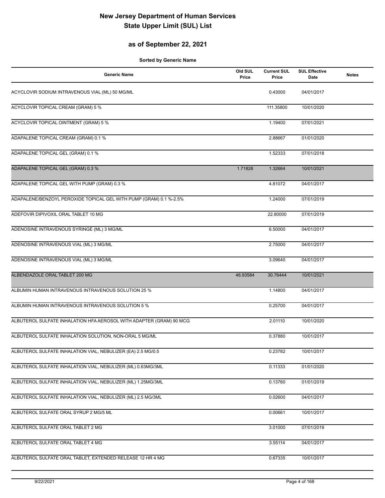### **as of September 22, 2021**

| <b>Generic Name</b>                                                 | Old SUL<br>Price | <b>Current SUL</b><br>Price | <b>SUL Effective</b><br><b>Date</b> | <b>Notes</b> |
|---------------------------------------------------------------------|------------------|-----------------------------|-------------------------------------|--------------|
| ACYCLOVIR SODIUM INTRAVENOUS VIAL (ML) 50 MG/ML                     |                  | 0.43000                     | 04/01/2017                          |              |
| ACYCLOVIR TOPICAL CREAM (GRAM) 5 %                                  |                  | 111.35800                   | 10/01/2020                          |              |
| <b>ACYCLOVIR TOPICAL OINTMENT (GRAM) 5 %</b>                        |                  | 1.19400                     | 07/01/2021                          |              |
| ADAPALENE TOPICAL CREAM (GRAM) 0.1 %                                |                  | 2.88667                     | 01/01/2020                          |              |
| ADAPALENE TOPICAL GEL (GRAM) 0.1 %                                  |                  | 1.52333                     | 07/01/2018                          |              |
| ADAPALENE TOPICAL GEL (GRAM) 0.3 %                                  | 1.71828          | 1.32664                     | 10/01/2021                          |              |
| ADAPALENE TOPICAL GEL WITH PUMP (GRAM) 0.3 %                        |                  | 4.81072                     | 04/01/2017                          |              |
| ADAPALENE/BENZOYL PEROXIDE TOPICAL GEL WITH PUMP (GRAM) 0.1 %-2.5%  |                  | 1.24000                     | 07/01/2019                          |              |
| ADEFOVIR DIPIVOXIL ORAL TABLET 10 MG                                |                  | 22.80000                    | 07/01/2019                          |              |
| ADENOSINE INTRAVENOUS SYRINGE (ML) 3 MG/ML                          |                  | 6.50000                     | 04/01/2017                          |              |
| ADENOSINE INTRAVENOUS VIAL (ML) 3 MG/ML                             |                  | 2.75000                     | 04/01/2017                          |              |
| ADENOSINE INTRAVENOUS VIAL (ML) 3 MG/ML                             |                  | 3.09640                     | 04/01/2017                          |              |
| ALBENDAZOLE ORAL TABLET 200 MG                                      | 46.93584         | 30.76444                    | 10/01/2021                          |              |
| ALBUMIN HUMAN INTRAVENOUS INTRAVENOUS SOLUTION 25 %                 |                  | 1.14800                     | 04/01/2017                          |              |
| ALBUMIN HUMAN INTRAVENOUS INTRAVENOUS SOLUTION 5 %                  |                  | 0.25700                     | 04/01/2017                          |              |
| ALBUTEROL SULFATE INHALATION HFA AEROSOL WITH ADAPTER (GRAM) 90 MCG |                  | 2.01110                     | 10/01/2020                          |              |
| ALBUTEROL SULFATE INHALATION SOLUTION, NON-ORAL 5 MG/ML             |                  | 0.37880                     | 10/01/2017                          |              |
| ALBUTEROL SULFATE INHALATION VIAL, NEBULIZER (EA) 2.5 MG/0.5        |                  | 0.23782                     | 10/01/2017                          |              |
| ALBUTEROL SULFATE INHALATION VIAL, NEBULIZER (ML) 0.63MG/3ML        |                  | 0.11333                     | 01/01/2020                          |              |
| ALBUTEROL SULFATE INHALATION VIAL, NEBULIZER (ML) 1.25MG/3ML        |                  | 0.13760                     | 01/01/2019                          |              |
| ALBUTEROL SULFATE INHALATION VIAL, NEBULIZER (ML) 2.5 MG/3ML        |                  | 0.02600                     | 04/01/2017                          |              |
| ALBUTEROL SULFATE ORAL SYRUP 2 MG/5 ML                              |                  | 0.00661                     | 10/01/2017                          |              |
| ALBUTEROL SULFATE ORAL TABLET 2 MG                                  |                  | 3.01000                     | 07/01/2019                          |              |
| ALBUTEROL SULFATE ORAL TABLET 4 MG                                  |                  | 3.55114                     | 04/01/2017                          |              |
| ALBUTEROL SULFATE ORAL TABLET, EXTENDED RELEASE 12 HR 4 MG          |                  | 0.67335                     | 10/01/2017                          |              |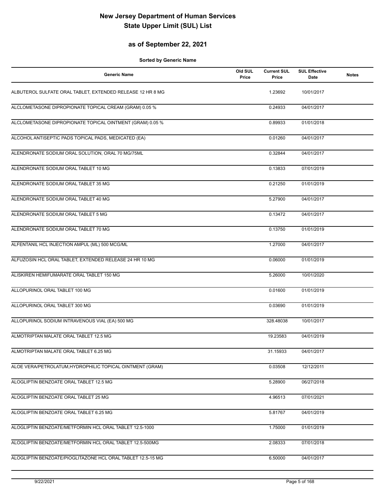### **as of September 22, 2021**

| <b>Generic Name</b>                                         | Old SUL<br>Price | <b>Current SUL</b><br>Price | <b>SUL Effective</b><br>Date | <b>Notes</b> |
|-------------------------------------------------------------|------------------|-----------------------------|------------------------------|--------------|
| ALBUTEROL SULFATE ORAL TABLET, EXTENDED RELEASE 12 HR 8 MG  |                  | 1.23692                     | 10/01/2017                   |              |
| ALCLOMETASONE DIPROPIONATE TOPICAL CREAM (GRAM) 0.05 %      |                  | 0.24933                     | 04/01/2017                   |              |
| ALCLOMETASONE DIPROPIONATE TOPICAL OINTMENT (GRAM) 0.05 %   |                  | 0.89933                     | 01/01/2018                   |              |
| ALCOHOL ANTISEPTIC PADS TOPICAL PADS, MEDICATED (EA)        |                  | 0.01260                     | 04/01/2017                   |              |
| ALENDRONATE SODIUM ORAL SOLUTION, ORAL 70 MG/75ML           |                  | 0.32844                     | 04/01/2017                   |              |
| ALENDRONATE SODIUM ORAL TABLET 10 MG                        |                  | 0.13833                     | 07/01/2019                   |              |
| ALENDRONATE SODIUM ORAL TABLET 35 MG                        |                  | 0.21250                     | 01/01/2019                   |              |
| ALENDRONATE SODIUM ORAL TABLET 40 MG                        |                  | 5.27900                     | 04/01/2017                   |              |
| ALENDRONATE SODIUM ORAL TABLET 5 MG                         |                  | 0.13472                     | 04/01/2017                   |              |
| ALENDRONATE SODIUM ORAL TABLET 70 MG                        |                  | 0.13750                     | 01/01/2019                   |              |
| ALFENTANIL HCL INJECTION AMPUL (ML) 500 MCG/ML              |                  | 1.27000                     | 04/01/2017                   |              |
| ALFUZOSIN HCL ORAL TABLET, EXTENDED RELEASE 24 HR 10 MG     |                  | 0.06000                     | 01/01/2019                   |              |
| ALISKIREN HEMIFUMARATE ORAL TABLET 150 MG                   |                  | 5.26000                     | 10/01/2020                   |              |
| ALLOPURINOL ORAL TABLET 100 MG                              |                  | 0.01600                     | 01/01/2019                   |              |
| ALLOPURINOL ORAL TABLET 300 MG                              |                  | 0.03690                     | 01/01/2019                   |              |
| ALLOPURINOL SODIUM INTRAVENOUS VIAL (EA) 500 MG             |                  | 328.48038                   | 10/01/2017                   |              |
| ALMOTRIPTAN MALATE ORAL TABLET 12.5 MG                      |                  | 19.23583                    | 04/01/2019                   |              |
| ALMOTRIPTAN MALATE ORAL TABLET 6.25 MG                      |                  | 31.15933                    | 04/01/2017                   |              |
| ALOE VERA/PETROLATUM, HYDROPHILIC TOPICAL OINTMENT (GRAM)   |                  | 0.03508                     | 12/12/2011                   |              |
| ALOGLIPTIN BENZOATE ORAL TABLET 12.5 MG                     |                  | 5.28900                     | 06/27/2018                   |              |
| ALOGLIPTIN BENZOATE ORAL TABLET 25 MG                       |                  | 4.96513                     | 07/01/2021                   |              |
| ALOGLIPTIN BENZOATE ORAL TABLET 6.25 MG                     |                  | 5.81767                     | 04/01/2019                   |              |
| ALOGLIPTIN BENZOATE/METFORMIN HCL ORAL TABLET 12.5-1000     |                  | 1.75000                     | 01/01/2019                   |              |
| ALOGLIPTIN BENZOATE/METFORMIN HCL ORAL TABLET 12.5-500MG    |                  | 2.08333                     | 07/01/2018                   |              |
| ALOGLIPTIN BENZOATE/PIOGLITAZONE HCL ORAL TABLET 12.5-15 MG |                  | 6.50000                     | 04/01/2017                   |              |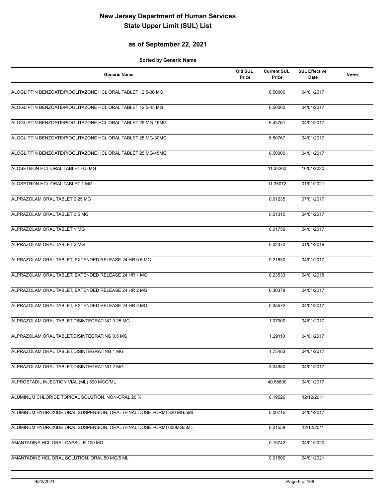### **as of September 22, 2021**

| <b>Generic Name</b>                                                   | Old SUL<br>Price | <b>Current SUL</b><br>Price | <b>SUL Effective</b><br>Date | <b>Notes</b> |
|-----------------------------------------------------------------------|------------------|-----------------------------|------------------------------|--------------|
| ALOGLIPTIN BENZOATE/PIOGLITAZONE HCL ORAL TABLET 12.5-30 MG           |                  | 6.50000                     | 04/01/2017                   |              |
| ALOGLIPTIN BENZOATE/PIOGLITAZONE HCL ORAL TABLET 12.5-45 MG           |                  | 6.50000                     | 04/01/2017                   |              |
| ALOGLIPTIN BENZOATE/PIOGLITAZONE HCL ORAL TABLET 25 MG-15MG           |                  | 6.43761                     | 04/01/2017                   |              |
| ALOGLIPTIN BENZOATE/PIOGLITAZONE HCL ORAL TABLET 25 MG-30MG           |                  | 5.50767                     | 04/01/2017                   |              |
| ALOGLIPTIN BENZOATE/PIOGLITAZONE HCL ORAL TABLET 25 MG-45MG           |                  | 6.50000                     | 04/01/2017                   |              |
| ALOSETRON HCL ORAL TABLET 0.5 MG                                      |                  | 11.33200                    | 10/01/2020                   |              |
| ALOSETRON HCL ORAL TABLET 1 MG                                        |                  | 11.35072                    | 01/01/2021                   |              |
| ALPRAZOLAM ORAL TABLET 0.25 MG                                        |                  | 0.01235                     | 07/01/2017                   |              |
| ALPRAZOLAM ORAL TABLET 0.5 MG                                         |                  | 0.01310                     | 04/01/2017                   |              |
| ALPRAZOLAM ORAL TABLET 1 MG                                           |                  | 0.01759                     | 04/01/2017                   |              |
| ALPRAZOLAM ORAL TABLET 2 MG                                           |                  | 0.02370                     | 01/01/2019                   |              |
| ALPRAZOLAM ORAL TABLET, EXTENDED RELEASE 24 HR 0.5 MG                 |                  | 0.21530                     | 04/01/2017                   |              |
| ALPRAZOLAM ORAL TABLET, EXTENDED RELEASE 24 HR 1 MG                   |                  | 0.23533                     | 04/01/2018                   |              |
| ALPRAZOLAM ORAL TABLET, EXTENDED RELEASE 24 HR 2 MG                   |                  | 0.30378                     | 04/01/2017                   |              |
| ALPRAZOLAM ORAL TABLET, EXTENDED RELEASE 24 HR 3 MG                   |                  | 0.35572                     | 04/01/2017                   |              |
| ALPRAZOLAM ORAL TABLET, DISINTEGRATING 0.25 MG                        |                  | 1.07900                     | 04/01/2017                   |              |
| ALPRAZOLAM ORAL TABLET, DISINTEGRATING 0.5 MG                         |                  | 1.29110                     | 04/01/2017                   |              |
| ALPRAZOLAM ORAL TABLET, DISINTEGRATING 1 MG                           |                  | 1.75483                     | 04/01/2017                   |              |
| ALPRAZOLAM ORAL TABLET, DISINTEGRATING 2 MG                           |                  | 3.04980                     | 04/01/2017                   |              |
| ALPROSTADIL INJECTION VIAL (ML) 500 MCG/ML                            |                  | 40.58800                    | 04/01/2017                   |              |
| ALUMINUM CHLORIDE TOPICAL SOLUTION, NON-ORAL 20 %                     |                  | 0.19526                     | 12/12/2011                   |              |
| ALUMINUM HYDROXIDE ORAL SUSPENSION, ORAL (FINAL DOSE FORM) 320 MG/5ML |                  | 0.00715                     | 04/01/2017                   |              |
| ALUMINUM HYDROXIDE ORAL SUSPENSION, ORAL (FINAL DOSE FORM) 600MG/5ML  |                  | 0.01558                     | 12/12/2011                   |              |
| AMANTADINE HCL ORAL CAPSULE 100 MG                                    |                  | 0.19742                     | 04/01/2020                   |              |
| AMANTADINE HCL ORAL SOLUTION, ORAL 50 MG/5 ML                         |                  | 0.01500                     | 04/01/2021                   |              |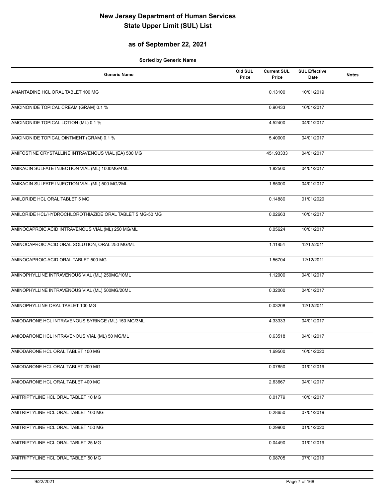### **as of September 22, 2021**

| <b>Generic Name</b>                                      | Old SUL<br>Price | <b>Current SUL</b><br>Price | <b>SUL Effective</b><br><b>Date</b> | <b>Notes</b> |
|----------------------------------------------------------|------------------|-----------------------------|-------------------------------------|--------------|
| AMANTADINE HCL ORAL TABLET 100 MG                        |                  | 0.13100                     | 10/01/2019                          |              |
| AMCINONIDE TOPICAL CREAM (GRAM) 0.1 %                    |                  | 0.90433                     | 10/01/2017                          |              |
| AMCINONIDE TOPICAL LOTION (ML) 0.1 %                     |                  | 4.52400                     | 04/01/2017                          |              |
| AMCINONIDE TOPICAL OINTMENT (GRAM) 0.1 %                 |                  | 5.40000                     | 04/01/2017                          |              |
| AMIFOSTINE CRYSTALLINE INTRAVENOUS VIAL (EA) 500 MG      |                  | 451.93333                   | 04/01/2017                          |              |
| AMIKACIN SULFATE INJECTION VIAL (ML) 1000MG/4ML          |                  | 1.82500                     | 04/01/2017                          |              |
| AMIKACIN SULFATE INJECTION VIAL (ML) 500 MG/2ML          |                  | 1.85000                     | 04/01/2017                          |              |
| AMILORIDE HCL ORAL TABLET 5 MG                           |                  | 0.14880                     | 01/01/2020                          |              |
| AMILORIDE HCL/HYDROCHLOROTHIAZIDE ORAL TABLET 5 MG-50 MG |                  | 0.02663                     | 10/01/2017                          |              |
| AMINOCAPROIC ACID INTRAVENOUS VIAL (ML) 250 MG/ML        |                  | 0.05624                     | 10/01/2017                          |              |
| AMINOCAPROIC ACID ORAL SOLUTION, ORAL 250 MG/ML          |                  | 1.11854                     | 12/12/2011                          |              |
| AMINOCAPROIC ACID ORAL TABLET 500 MG                     |                  | 1.56704                     | 12/12/2011                          |              |
| AMINOPHYLLINE INTRAVENOUS VIAL (ML) 250MG/10ML           |                  | 1.12000                     | 04/01/2017                          |              |
| AMINOPHYLLINE INTRAVENOUS VIAL (ML) 500MG/20ML           |                  | 0.32000                     | 04/01/2017                          |              |
| AMINOPHYLLINE ORAL TABLET 100 MG                         |                  | 0.03208                     | 12/12/2011                          |              |
| AMIODARONE HCL INTRAVENOUS SYRINGE (ML) 150 MG/3ML       |                  | 4.33333                     | 04/01/2017                          |              |
| AMIODARONE HCL INTRAVENOUS VIAL (ML) 50 MG/ML            |                  | 0.63518                     | 04/01/2017                          |              |
| AMIODARONE HCL ORAL TABLET 100 MG                        |                  | 1.69500                     | 10/01/2020                          |              |
| AMIODARONE HCL ORAL TABLET 200 MG                        |                  | 0.07850                     | 01/01/2019                          |              |
| AMIODARONE HCL ORAL TABLET 400 MG                        |                  | 2.63667                     | 04/01/2017                          |              |
| AMITRIPTYLINE HCL ORAL TABLET 10 MG                      |                  | 0.01779                     | 10/01/2017                          |              |
| AMITRIPTYLINE HCL ORAL TABLET 100 MG                     |                  | 0.28650                     | 07/01/2019                          |              |
| AMITRIPTYLINE HCL ORAL TABLET 150 MG                     |                  | 0.29900                     | 01/01/2020                          |              |
| AMITRIPTYLINE HCL ORAL TABLET 25 MG                      |                  | 0.04490                     | 01/01/2019                          |              |
| AMITRIPTYLINE HCL ORAL TABLET 50 MG                      |                  | 0.08705                     | 07/01/2019                          |              |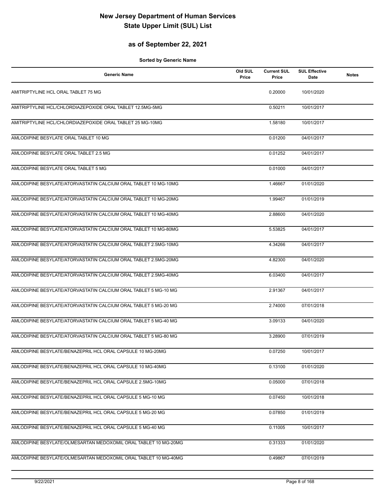### **as of September 22, 2021**

| <b>Generic Name</b>                                             | Old SUL<br>Price | <b>Current SUL</b><br>Price | <b>SUL Effective</b><br>Date | <b>Notes</b> |
|-----------------------------------------------------------------|------------------|-----------------------------|------------------------------|--------------|
| AMITRIPTYLINE HCL ORAL TABLET 75 MG                             |                  | 0.20000                     | 10/01/2020                   |              |
| AMITRIPTYLINE HCL/CHLORDIAZEPOXIDE ORAL TABLET 12.5MG-5MG       |                  | 0.50211                     | 10/01/2017                   |              |
| AMITRIPTYLINE HCL/CHLORDIAZEPOXIDE ORAL TABLET 25 MG-10MG       |                  | 1.58180                     | 10/01/2017                   |              |
| AMLODIPINE BESYLATE ORAL TABLET 10 MG                           |                  | 0.01200                     | 04/01/2017                   |              |
| AMLODIPINE BESYLATE ORAL TABLET 2.5 MG                          |                  | 0.01252                     | 04/01/2017                   |              |
| AMLODIPINE BESYLATE ORAL TABLET 5 MG                            |                  | 0.01000                     | 04/01/2017                   |              |
| AMLODIPINE BESYLATE/ATORVASTATIN CALCIUM ORAL TABLET 10 MG-10MG |                  | 1.46667                     | 01/01/2020                   |              |
| AMLODIPINE BESYLATE/ATORVASTATIN CALCIUM ORAL TABLET 10 MG-20MG |                  | 1.99467                     | 01/01/2019                   |              |
| AMLODIPINE BESYLATE/ATORVASTATIN CALCIUM ORAL TABLET 10 MG-40MG |                  | 2.88600                     | 04/01/2020                   |              |
| AMLODIPINE BESYLATE/ATORVASTATIN CALCIUM ORAL TABLET 10 MG-80MG |                  | 5.53825                     | 04/01/2017                   |              |
| AMLODIPINE BESYLATE/ATORVASTATIN CALCIUM ORAL TABLET 2.5MG-10MG |                  | 4.34266                     | 04/01/2017                   |              |
| AMLODIPINE BESYLATE/ATORVASTATIN CALCIUM ORAL TABLET 2.5MG-20MG |                  | 4.82300                     | 04/01/2020                   |              |
| AMLODIPINE BESYLATE/ATORVASTATIN CALCIUM ORAL TABLET 2.5MG-40MG |                  | 6.03400                     | 04/01/2017                   |              |
| AMLODIPINE BESYLATE/ATORVASTATIN CALCIUM ORAL TABLET 5 MG-10 MG |                  | 2.91367                     | 04/01/2017                   |              |
| AMLODIPINE BESYLATE/ATORVASTATIN CALCIUM ORAL TABLET 5 MG-20 MG |                  | 2.74000                     | 07/01/2018                   |              |
| AMLODIPINE BESYLATE/ATORVASTATIN CALCIUM ORAL TABLET 5 MG-40 MG |                  | 3.09133                     | 04/01/2020                   |              |
| AMLODIPINE BESYLATE/ATORVASTATIN CALCIUM ORAL TABLET 5 MG-80 MG |                  | 3.28900                     | 07/01/2019                   |              |
| AMLODIPINE BESYLATE/BENAZEPRIL HCL ORAL CAPSULE 10 MG-20MG      |                  | 0.07250                     | 10/01/2017                   |              |
| AMLODIPINE BESYLATE/BENAZEPRIL HCL ORAL CAPSULE 10 MG-40MG      |                  | 0.13100                     | 01/01/2020                   |              |
| AMLODIPINE BESYLATE/BENAZEPRIL HCL ORAL CAPSULE 2.5MG-10MG      |                  | 0.05000                     | 07/01/2018                   |              |
| AMLODIPINE BESYLATE/BENAZEPRIL HCL ORAL CAPSULE 5 MG-10 MG      |                  | 0.07450                     | 10/01/2018                   |              |
| AMLODIPINE BESYLATE/BENAZEPRIL HCL ORAL CAPSULE 5 MG-20 MG      |                  | 0.07850                     | 01/01/2019                   |              |
| AMLODIPINE BESYLATE/BENAZEPRIL HCL ORAL CAPSULE 5 MG-40 MG      |                  | 0.11005                     | 10/01/2017                   |              |
| AMLODIPINE BESYLATE/OLMESARTAN MEDOXOMIL ORAL TABLET 10 MG-20MG |                  | 0.31333                     | 01/01/2020                   |              |
| AMLODIPINE BESYLATE/OLMESARTAN MEDOXOMIL ORAL TABLET 10 MG-40MG |                  | 0.49867                     | 07/01/2019                   |              |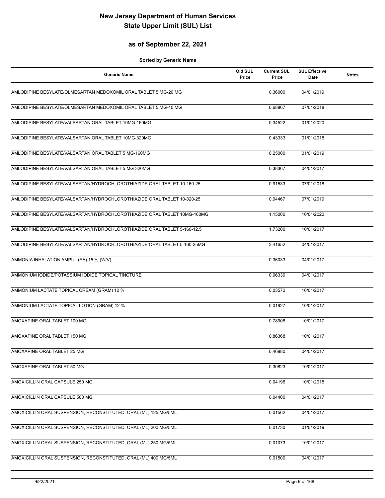### **as of September 22, 2021**

| <b>Generic Name</b>                                                      | Old SUL<br>Price | <b>Current SUL</b><br>Price | <b>SUL Effective</b><br>Date | <b>Notes</b> |
|--------------------------------------------------------------------------|------------------|-----------------------------|------------------------------|--------------|
| AMLODIPINE BESYLATE/OLMESARTAN MEDOXOMIL ORAL TABLET 5 MG-20 MG          |                  | 0.36000                     | 04/01/2019                   |              |
| AMLODIPINE BESYLATE/OLMESARTAN MEDOXOMIL ORAL TABLET 5 MG-40 MG          |                  | 0.68867                     | 07/01/2018                   |              |
| AMLODIPINE BESYLATE/VALSARTAN ORAL TABLET 10MG-160MG                     |                  | 0.34522                     | 01/01/2020                   |              |
| AMLODIPINE BESYLATE/VALSARTAN ORAL TABLET 10MG-320MG                     |                  | 0.43333                     | 01/01/2018                   |              |
| AMLODIPINE BESYLATE/VALSARTAN ORAL TABLET 5 MG-160MG                     |                  | 0.25000                     | 01/01/2019                   |              |
| AMLODIPINE BESYLATE/VALSARTAN ORAL TABLET 5 MG-320MG                     |                  | 0.38367                     | 04/01/2017                   |              |
| AMLODIPINE BESYLATE/VALSARTAN/HYDROCHLOROTHIAZIDE ORAL TABLET 10-160-25  |                  | 0.91533                     | 07/01/2018                   |              |
| AMLODIPINE BESYLATE/VALSARTAN/HYDROCHLOROTHIAZIDE ORAL TABLET 10-320-25  |                  | 0.94467                     | 07/01/2019                   |              |
| AMLODIPINE BESYLATE/VALSARTAN/HYDROCHLOROTHIAZIDE ORAL TABLET 10MG-160MG |                  | 1.15000                     | 10/01/2020                   |              |
| AMLODIPINE BESYLATE/VALSARTAN/HYDROCHLOROTHIAZIDE ORAL TABLET 5-160-12.5 |                  | 1.73200                     | 10/01/2017                   |              |
| AMLODIPINE BESYLATE/VALSARTAN/HYDROCHLOROTHIAZIDE ORAL TABLET 5-160-25MG |                  | 3.41652                     | 04/01/2017                   |              |
| AMMONIA INHALATION AMPUL (EA) 15 % (W/V)                                 |                  | 0.36033                     | 04/01/2017                   |              |
| AMMONIUM IODIDE/POTASSIUM IODIDE TOPICAL TINCTURE                        |                  | 0.06339                     | 04/01/2017                   |              |
| AMMONIUM LACTATE TOPICAL CREAM (GRAM) 12 %                               |                  | 0.03572                     | 10/01/2017                   |              |
| AMMONIUM LACTATE TOPICAL LOTION (GRAM) 12 %                              |                  | 0.01927                     | 10/01/2017                   |              |
| AMOXAPINE ORAL TABLET 100 MG                                             |                  | 0.78908                     | 10/01/2017                   |              |
| AMOXAPINE ORAL TABLET 150 MG                                             |                  | 0.86368                     | 10/01/2017                   |              |
| AMOXAPINE ORAL TABLET 25 MG                                              |                  | 0.46980                     | 04/01/2017                   |              |
| AMOXAPINE ORAL TABLET 50 MG                                              |                  | 0.30823                     | 10/01/2017                   |              |
| AMOXICILLIN ORAL CAPSULE 250 MG                                          |                  | 0.04196                     | 10/01/2018                   |              |
| AMOXICILLIN ORAL CAPSULE 500 MG                                          |                  | 0.04400                     | 04/01/2017                   |              |
| AMOXICILLIN ORAL SUSPENSION, RECONSTITUTED, ORAL (ML) 125 MG/5ML         |                  | 0.01562                     | 04/01/2017                   |              |
| AMOXICILLIN ORAL SUSPENSION, RECONSTITUTED, ORAL (ML) 200 MG/5ML         |                  | 0.01730                     | 01/01/2019                   |              |
| AMOXICILLIN ORAL SUSPENSION, RECONSTITUTED, ORAL (ML) 250 MG/5ML         |                  | 0.01073                     | 10/01/2017                   |              |
| AMOXICILLIN ORAL SUSPENSION, RECONSTITUTED, ORAL (ML) 400 MG/5ML         |                  | 0.01500                     | 04/01/2017                   |              |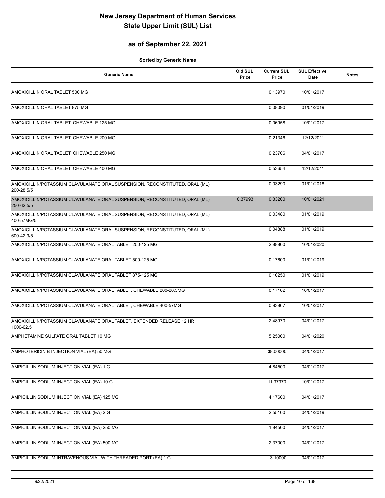### **as of September 22, 2021**

| <b>Generic Name</b>                                                                       | Old SUL<br>Price | <b>Current SUL</b><br>Price | <b>SUL Effective</b><br>Date | <b>Notes</b> |
|-------------------------------------------------------------------------------------------|------------------|-----------------------------|------------------------------|--------------|
| AMOXICILLIN ORAL TABLET 500 MG                                                            |                  | 0.13970                     | 10/01/2017                   |              |
| AMOXICILLIN ORAL TABLET 875 MG                                                            |                  | 0.08090                     | 01/01/2019                   |              |
| AMOXICILLIN ORAL TABLET, CHEWABLE 125 MG                                                  |                  | 0.06958                     | 10/01/2017                   |              |
| AMOXICILLIN ORAL TABLET, CHEWABLE 200 MG                                                  |                  | 0.21346                     | 12/12/2011                   |              |
| AMOXICILLIN ORAL TABLET, CHEWABLE 250 MG                                                  |                  | 0.23706                     | 04/01/2017                   |              |
| AMOXICILLIN ORAL TABLET, CHEWABLE 400 MG                                                  |                  | 0.53654                     | 12/12/2011                   |              |
| AMOXICILLIN/POTASSIUM CLAVULANATE ORAL SUSPENSION, RECONSTITUTED, ORAL (ML)<br>200-28.5/5 |                  | 0.03290                     | 01/01/2018                   |              |
| AMOXICILLIN/POTASSIUM CLAVULANATE ORAL SUSPENSION, RECONSTITUTED, ORAL (ML)<br>250-62.5/5 | 0.37993          | 0.33200                     | 10/01/2021                   |              |
| AMOXICILLIN/POTASSIUM CLAVULANATE ORAL SUSPENSION, RECONSTITUTED, ORAL (ML)<br>400-57MG/5 |                  | 0.03480                     | 01/01/2019                   |              |
| AMOXICILLIN/POTASSIUM CLAVULANATE ORAL SUSPENSION, RECONSTITUTED, ORAL (ML)<br>600-42.9/5 |                  | 0.04888                     | 01/01/2019                   |              |
| AMOXICILLIN/POTASSIUM CLAVULANATE ORAL TABLET 250-125 MG                                  |                  | 2.88800                     | 10/01/2020                   |              |
| AMOXICILLIN/POTASSIUM CLAVULANATE ORAL TABLET 500-125 MG                                  |                  | 0.17600                     | 01/01/2019                   |              |
| AMOXICILLIN/POTASSIUM CLAVULANATE ORAL TABLET 875-125 MG                                  |                  | 0.10250                     | 01/01/2019                   |              |
| AMOXICILLIN/POTASSIUM CLAVULANATE ORAL TABLET, CHEWABLE 200-28.5MG                        |                  | 0.17162                     | 10/01/2017                   |              |
| AMOXICILLIN/POTASSIUM CLAVULANATE ORAL TABLET, CHEWABLE 400-57MG                          |                  | 0.93867                     | 10/01/2017                   |              |
| AMOXICILLIN/POTASSIUM CLAVULANATE ORAL TABLET, EXTENDED RELEASE 12 HR<br>1000-62.5        |                  | 2.48970                     | 04/01/2017                   |              |
| AMPHETAMINE SULFATE ORAL TABLET 10 MG                                                     |                  | 5.25000                     | 04/01/2020                   |              |
| AMPHOTERICIN B INJECTION VIAL (EA) 50 MG                                                  |                  | 38.00000                    | 04/01/2017                   |              |
| AMPICILLIN SODIUM INJECTION VIAL (EA) 1 G                                                 |                  | 4.84500                     | 04/01/2017                   |              |
| AMPICILLIN SODIUM INJECTION VIAL (EA) 10 G                                                |                  | 11.37970                    | 10/01/2017                   |              |
| AMPICILLIN SODIUM INJECTION VIAL (EA) 125 MG                                              |                  | 4.17600                     | 04/01/2017                   |              |
| AMPICILLIN SODIUM INJECTION VIAL (EA) 2 G                                                 |                  | 2.55100                     | 04/01/2019                   |              |
| AMPICILLIN SODIUM INJECTION VIAL (EA) 250 MG                                              |                  | 1.84500                     | 04/01/2017                   |              |
| AMPICILLIN SODIUM INJECTION VIAL (EA) 500 MG                                              |                  | 2.37000                     | 04/01/2017                   |              |
| AMPICILLIN SODIUM INTRAVENOUS VIAL WITH THREADED PORT (EA) 1 G                            |                  | 13.10000                    | 04/01/2017                   |              |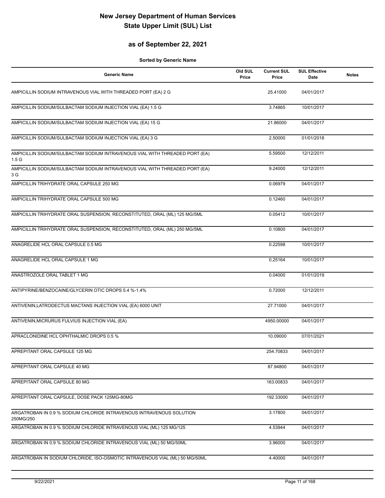### **as of September 22, 2021**

| <b>Generic Name</b>                                                                             | Old SUL<br>Price | <b>Current SUL</b><br>Price | <b>SUL Effective</b><br>Date | <b>Notes</b> |
|-------------------------------------------------------------------------------------------------|------------------|-----------------------------|------------------------------|--------------|
| AMPICILLIN SODIUM INTRAVENOUS VIAL WITH THREADED PORT (EA) 2 G                                  |                  | 25.41000                    | 04/01/2017                   |              |
| AMPICILLIN SODIUM/SULBACTAM SODIUM INJECTION VIAL (EA) 1.5 G                                    |                  | 3.74865                     | 10/01/2017                   |              |
| AMPICILLIN SODIUM/SULBACTAM SODIUM INJECTION VIAL (EA) 15 G                                     |                  | 21.86000                    | 04/01/2017                   |              |
| AMPICILLIN SODIUM/SULBACTAM SODIUM INJECTION VIAL (EA) 3 G                                      |                  | 2.50000                     | 01/01/2018                   |              |
| AMPICILLIN SODIUM/SULBACTAM SODIUM INTRAVENOUS VIAL WITH THREADED PORT (EA)<br>1.5 <sub>G</sub> |                  | 5.59500                     | 12/12/2011                   |              |
| AMPICILLIN SODIUM/SULBACTAM SODIUM INTRAVENOUS VIAL WITH THREADED PORT (EA)<br>3 G              |                  | 9.24000                     | 12/12/2011                   |              |
| AMPICILLIN TRIHYDRATE ORAL CAPSULE 250 MG                                                       |                  | 0.06979                     | 04/01/2017                   |              |
| AMPICILLIN TRIHYDRATE ORAL CAPSULE 500 MG                                                       |                  | 0.12460                     | 04/01/2017                   |              |
| AMPICILLIN TRIHYDRATE ORAL SUSPENSION, RECONSTITUTED, ORAL (ML) 125 MG/5ML                      |                  | 0.05412                     | 10/01/2017                   |              |
| AMPICILLIN TRIHYDRATE ORAL SUSPENSION, RECONSTITUTED, ORAL (ML) 250 MG/5ML                      |                  | 0.10800                     | 04/01/2017                   |              |
| ANAGRELIDE HCL ORAL CAPSULE 0.5 MG                                                              |                  | 0.22598                     | 10/01/2017                   |              |
| ANAGRELIDE HCL ORAL CAPSULE 1 MG                                                                |                  | 0.25164                     | 10/01/2017                   |              |
| ANASTROZOLE ORAL TABLET 1 MG                                                                    |                  | 0.04000                     | 01/01/2019                   |              |
| ANTIPYRINE/BENZOCAINE/GLYCERIN OTIC DROPS 5.4 %-1.4%                                            |                  | 0.72000                     | 12/12/2011                   |              |
| ANTIVENIN, LATRODECTUS MACTANS INJECTION VIAL (EA) 6000 UNIT                                    |                  | 27.71000                    | 04/01/2017                   |              |
| ANTIVENIN, MICRURUS FULVIUS INJECTION VIAL (EA)                                                 |                  | 4950.00000                  | 04/01/2017                   |              |
| APRACLONIDINE HCL OPHTHALMIC DROPS 0.5 %                                                        |                  | 10.09000                    | 07/01/2021                   |              |
| APREPITANT ORAL CAPSULE 125 MG                                                                  |                  | 254.70833                   | 04/01/2017                   |              |
| APREPITANT ORAL CAPSULE 40 MG                                                                   |                  | 87.94800                    | 04/01/2017                   |              |
| APREPITANT ORAL CAPSULE 80 MG                                                                   |                  | 163.00833                   | 04/01/2017                   |              |
| APREPITANT ORAL CAPSULE, DOSE PACK 125MG-80MG                                                   |                  | 192.33000                   | 04/01/2017                   |              |
| ARGATROBAN IN 0.9 % SODIUM CHLORIDE INTRAVENOUS INTRAVENOUS SOLUTION<br>250MG/250               |                  | 3.17800                     | 04/01/2017                   |              |
| ARGATROBAN IN 0.9 % SODIUM CHLORIDE INTRAVENOUS VIAL (ML) 125 MG/125                            |                  | 4.53944                     | 04/01/2017                   |              |
| ARGATROBAN IN 0.9 % SODIUM CHLORIDE INTRAVENOUS VIAL (ML) 50 MG/50ML                            |                  | 3.96000                     | 04/01/2017                   |              |
| ARGATROBAN IN SODIUM CHLORIDE, ISO-OSMOTIC INTRAVENOUS VIAL (ML) 50 MG/50ML                     |                  | 4.40000                     | 04/01/2017                   |              |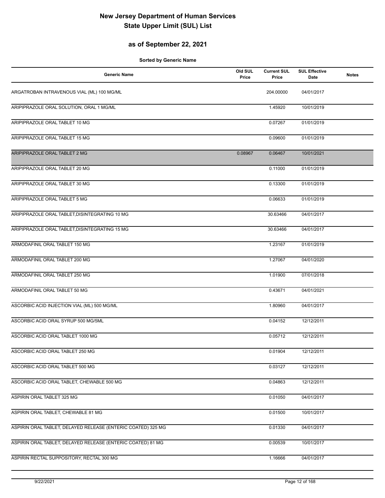### **as of September 22, 2021**

| <b>Generic Name</b>                                          | Old SUL<br>Price | <b>Current SUL</b><br>Price | <b>SUL Effective</b><br>Date | <b>Notes</b> |
|--------------------------------------------------------------|------------------|-----------------------------|------------------------------|--------------|
| ARGATROBAN INTRAVENOUS VIAL (ML) 100 MG/ML                   |                  | 204.00000                   | 04/01/2017                   |              |
| ARIPIPRAZOLE ORAL SOLUTION, ORAL 1 MG/ML                     |                  | 1.45920                     | 10/01/2019                   |              |
| ARIPIPRAZOLE ORAL TABLET 10 MG                               |                  | 0.07267                     | 01/01/2019                   |              |
| ARIPIPRAZOLE ORAL TABLET 15 MG                               |                  | 0.09600                     | 01/01/2019                   |              |
| ARIPIPRAZOLE ORAL TABLET 2 MG                                | 0.08967          | 0.06467                     | 10/01/2021                   |              |
| ARIPIPRAZOLE ORAL TABLET 20 MG                               |                  | 0.11000                     | 01/01/2019                   |              |
| ARIPIPRAZOLE ORAL TABLET 30 MG                               |                  | 0.13300                     | 01/01/2019                   |              |
| ARIPIPRAZOLE ORAL TABLET 5 MG                                |                  | 0.06633                     | 01/01/2019                   |              |
| ARIPIPRAZOLE ORAL TABLET, DISINTEGRATING 10 MG               |                  | 30.63466                    | 04/01/2017                   |              |
| ARIPIPRAZOLE ORAL TABLET, DISINTEGRATING 15 MG               |                  | 30.63466                    | 04/01/2017                   |              |
| ARMODAFINIL ORAL TABLET 150 MG                               |                  | 1.23167                     | 01/01/2019                   |              |
| ARMODAFINIL ORAL TABLET 200 MG                               |                  | 1.27067                     | 04/01/2020                   |              |
| ARMODAFINIL ORAL TABLET 250 MG                               |                  | 1.01900                     | 07/01/2018                   |              |
| ARMODAFINIL ORAL TABLET 50 MG                                |                  | 0.43671                     | 04/01/2021                   |              |
| ASCORBIC ACID INJECTION VIAL (ML) 500 MG/ML                  |                  | 1.80960                     | 04/01/2017                   |              |
| ASCORBIC ACID ORAL SYRUP 500 MG/5ML                          |                  | 0.04152                     | 12/12/2011                   |              |
| ASCORBIC ACID ORAL TABLET 1000 MG                            |                  | 0.05712                     | 12/12/2011                   |              |
| ASCORBIC ACID ORAL TABLET 250 MG                             |                  | 0.01904                     | 12/12/2011                   |              |
| ASCORBIC ACID ORAL TABLET 500 MG                             |                  | 0.03127                     | 12/12/2011                   |              |
| ASCORBIC ACID ORAL TABLET, CHEWABLE 500 MG                   |                  | 0.04863                     | 12/12/2011                   |              |
| ASPIRIN ORAL TABLET 325 MG                                   |                  | 0.01050                     | 04/01/2017                   |              |
| ASPIRIN ORAL TABLET, CHEWABLE 81 MG                          |                  | 0.01500                     | 10/01/2017                   |              |
| ASPIRIN ORAL TABLET, DELAYED RELEASE (ENTERIC COATED) 325 MG |                  | 0.01330                     | 04/01/2017                   |              |
| ASPIRIN ORAL TABLET, DELAYED RELEASE (ENTERIC COATED) 81 MG  |                  | 0.00539                     | 10/01/2017                   |              |
| ASPIRIN RECTAL SUPPOSITORY, RECTAL 300 MG                    |                  | 1.16666                     | 04/01/2017                   |              |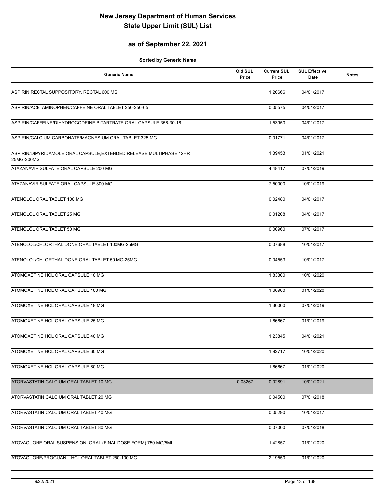### **as of September 22, 2021**

| <b>Generic Name</b>                                                               | Old SUL<br>Price | <b>Current SUL</b><br>Price | <b>SUL Effective</b><br>Date | <b>Notes</b> |
|-----------------------------------------------------------------------------------|------------------|-----------------------------|------------------------------|--------------|
| ASPIRIN RECTAL SUPPOSITORY, RECTAL 600 MG                                         |                  | 1.20666                     | 04/01/2017                   |              |
| ASPIRIN/ACETAMINOPHEN/CAFFEINE ORAL TABLET 250-250-65                             |                  | 0.05575                     | 04/01/2017                   |              |
| ASPIRIN/CAFFEINE/DIHYDROCODEINE BITARTRATE ORAL CAPSULE 356-30-16                 |                  | 1.53950                     | 04/01/2017                   |              |
| ASPIRIN/CALCIUM CARBONATE/MAGNESIUM ORAL TABLET 325 MG                            |                  | 0.01771                     | 04/01/2017                   |              |
| ASPIRIN/DIPYRIDAMOLE ORAL CAPSULE, EXTENDED RELEASE MULTIPHASE 12HR<br>25MG-200MG |                  | 1.39453                     | 01/01/2021                   |              |
| ATAZANAVIR SULFATE ORAL CAPSULE 200 MG                                            |                  | 4.48417                     | 07/01/2019                   |              |
| ATAZANAVIR SULFATE ORAL CAPSULE 300 MG                                            |                  | 7.50000                     | 10/01/2019                   |              |
| ATENOLOL ORAL TABLET 100 MG                                                       |                  | 0.02480                     | 04/01/2017                   |              |
| ATENOLOL ORAL TABLET 25 MG                                                        |                  | 0.01208                     | 04/01/2017                   |              |
| ATENOLOL ORAL TABLET 50 MG                                                        |                  | 0.00960                     | 07/01/2017                   |              |
| ATENOLOL/CHLORTHALIDONE ORAL TABLET 100MG-25MG                                    |                  | 0.07688                     | 10/01/2017                   |              |
| ATENOLOL/CHLORTHALIDONE ORAL TABLET 50 MG-25MG                                    |                  | 0.04553                     | 10/01/2017                   |              |
| ATOMOXETINE HCL ORAL CAPSULE 10 MG                                                |                  | 1.83300                     | 10/01/2020                   |              |
| ATOMOXETINE HCL ORAL CAPSULE 100 MG                                               |                  | 1.66900                     | 01/01/2020                   |              |
| ATOMOXETINE HCL ORAL CAPSULE 18 MG                                                |                  | 1.30000                     | 07/01/2019                   |              |
| ATOMOXETINE HCL ORAL CAPSULE 25 MG                                                |                  | 1.66667                     | 01/01/2019                   |              |
| ATOMOXETINE HCL ORAL CAPSULE 40 MG                                                |                  | 1.23845                     | 04/01/2021                   |              |
| ATOMOXETINE HCL ORAL CAPSULE 60 MG                                                |                  | 1.92717                     | 10/01/2020                   |              |
| ATOMOXETINE HCL ORAL CAPSULE 80 MG                                                |                  | 1.66667                     | 01/01/2020                   |              |
| ATORVASTATIN CALCIUM ORAL TABLET 10 MG                                            | 0.03267          | 0.02891                     | 10/01/2021                   |              |
| ATORVASTATIN CALCIUM ORAL TABLET 20 MG                                            |                  | 0.04500                     | 07/01/2018                   |              |
| ATORVASTATIN CALCIUM ORAL TABLET 40 MG                                            |                  | 0.05290                     | 10/01/2017                   |              |
| ATORVASTATIN CALCIUM ORAL TABLET 80 MG                                            |                  | 0.07000                     | 07/01/2018                   |              |
| ATOVAQUONE ORAL SUSPENSION, ORAL (FINAL DOSE FORM) 750 MG/5ML                     |                  | 1.42857                     | 01/01/2020                   |              |
| ATOVAQUONE/PROGUANIL HCL ORAL TABLET 250-100 MG                                   |                  | 2.19550                     | 01/01/2020                   |              |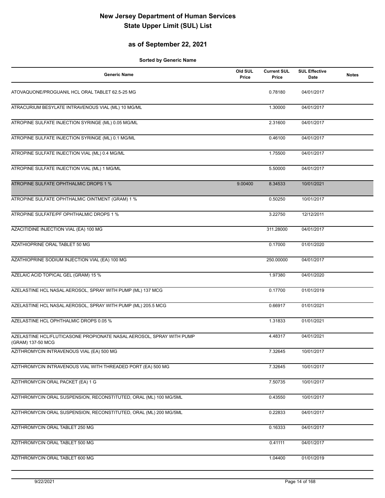### **as of September 22, 2021**

| <b>Generic Name</b>                                                                       | Old SUL<br>Price | <b>Current SUL</b><br>Price | <b>SUL Effective</b><br>Date | <b>Notes</b> |
|-------------------------------------------------------------------------------------------|------------------|-----------------------------|------------------------------|--------------|
| ATOVAQUONE/PROGUANIL HCL ORAL TABLET 62.5-25 MG                                           |                  | 0.78180                     | 04/01/2017                   |              |
| ATRACURIUM BESYLATE INTRAVENOUS VIAL (ML) 10 MG/ML                                        |                  | 1.30000                     | 04/01/2017                   |              |
| ATROPINE SULFATE INJECTION SYRINGE (ML) 0.05 MG/ML                                        |                  | 2.31600                     | 04/01/2017                   |              |
| ATROPINE SULFATE INJECTION SYRINGE (ML) 0.1 MG/ML                                         |                  | 0.46100                     | 04/01/2017                   |              |
| ATROPINE SULFATE INJECTION VIAL (ML) 0.4 MG/ML                                            |                  | 1.75500                     | 04/01/2017                   |              |
| ATROPINE SULFATE INJECTION VIAL (ML) 1 MG/ML                                              |                  | 5.50000                     | 04/01/2017                   |              |
| ATROPINE SULFATE OPHTHALMIC DROPS 1 %                                                     | 9.00400          | 8.34533                     | 10/01/2021                   |              |
| ATROPINE SULFATE OPHTHALMIC OINTMENT (GRAM) 1 %                                           |                  | 0.50250                     | 10/01/2017                   |              |
| ATROPINE SULFATE/PF OPHTHALMIC DROPS 1 %                                                  |                  | 3.22750                     | 12/12/2011                   |              |
| AZACITIDINE INJECTION VIAL (EA) 100 MG                                                    |                  | 311.28000                   | 04/01/2017                   |              |
| AZATHIOPRINE ORAL TABLET 50 MG                                                            |                  | 0.17000                     | 01/01/2020                   |              |
| AZATHIOPRINE SODIUM INJECTION VIAL (EA) 100 MG                                            |                  | 250.00000                   | 04/01/2017                   |              |
| AZELAIC ACID TOPICAL GEL (GRAM) 15 %                                                      |                  | 1.97380                     | 04/01/2020                   |              |
| AZELASTINE HCL NASAL AEROSOL, SPRAY WITH PUMP (ML) 137 MCG                                |                  | 0.17700                     | 01/01/2019                   |              |
| AZELASTINE HCL NASAL AEROSOL, SPRAY WITH PUMP (ML) 205.5 MCG                              |                  | 0.66917                     | 01/01/2021                   |              |
| AZELASTINE HCL OPHTHALMIC DROPS 0.05 %                                                    |                  | 1.31833                     | 01/01/2021                   |              |
| AZELASTINE HCL/FLUTICASONE PROPIONATE NASAL AEROSOL, SPRAY WITH PUMP<br>(GRAM) 137-50 MCG |                  | 4.48317                     | 04/01/2021                   |              |
| AZITHROMYCIN INTRAVENOUS VIAL (EA) 500 MG                                                 |                  | 7.32645                     | 10/01/2017                   |              |
| AZITHROMYCIN INTRAVENOUS VIAL WITH THREADED PORT (EA) 500 MG                              |                  | 7.32645                     | 10/01/2017                   |              |
| AZITHROMYCIN ORAL PACKET (EA) 1 G                                                         |                  | 7.50735                     | 10/01/2017                   |              |
| AZITHROMYCIN ORAL SUSPENSION, RECONSTITUTED, ORAL (ML) 100 MG/5ML                         |                  | 0.43550                     | 10/01/2017                   |              |
| AZITHROMYCIN ORAL SUSPENSION, RECONSTITUTED, ORAL (ML) 200 MG/5ML                         |                  | 0.22833                     | 04/01/2017                   |              |
| AZITHROMYCIN ORAL TABLET 250 MG                                                           |                  | 0.16333                     | 04/01/2017                   |              |
| AZITHROMYCIN ORAL TABLET 500 MG                                                           |                  | 0.41111                     | 04/01/2017                   |              |
| AZITHROMYCIN ORAL TABLET 600 MG                                                           |                  | 1.04400                     | 01/01/2019                   |              |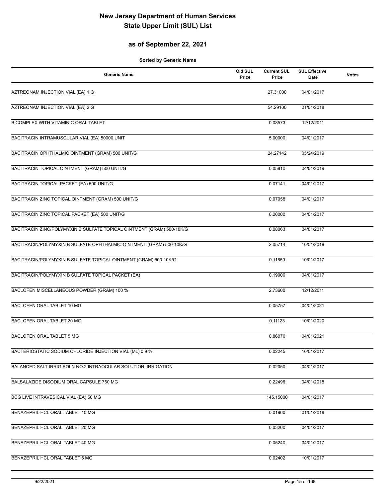### **as of September 22, 2021**

| <b>Generic Name</b>                                                   | Old SUL<br>Price | <b>Current SUL</b><br>Price | <b>SUL Effective</b><br>Date | <b>Notes</b> |
|-----------------------------------------------------------------------|------------------|-----------------------------|------------------------------|--------------|
| AZTREONAM INJECTION VIAL (EA) 1 G                                     |                  | 27.31000                    | 04/01/2017                   |              |
| AZTREONAM INJECTION VIAL (EA) 2 G                                     |                  | 54.29100                    | 01/01/2018                   |              |
| B COMPLEX WITH VITAMIN C ORAL TABLET                                  |                  | 0.08573                     | 12/12/2011                   |              |
| BACITRACIN INTRAMUSCULAR VIAL (EA) 50000 UNIT                         |                  | 5.00000                     | 04/01/2017                   |              |
| BACITRACIN OPHTHALMIC OINTMENT (GRAM) 500 UNIT/G                      |                  | 24.27142                    | 05/24/2019                   |              |
| BACITRACIN TOPICAL OINTMENT (GRAM) 500 UNIT/G                         |                  | 0.05810                     | 04/01/2019                   |              |
| BACITRACIN TOPICAL PACKET (EA) 500 UNIT/G                             |                  | 0.07141                     | 04/01/2017                   |              |
| BACITRACIN ZINC TOPICAL OINTMENT (GRAM) 500 UNIT/G                    |                  | 0.07958                     | 04/01/2017                   |              |
| BACITRACIN ZINC TOPICAL PACKET (EA) 500 UNIT/G                        |                  | 0.20000                     | 04/01/2017                   |              |
| BACITRACIN ZINC/POLYMYXIN B SULFATE TOPICAL OINTMENT (GRAM) 500-10K/G |                  | 0.08063                     | 04/01/2017                   |              |
| BACITRACIN/POLYMYXIN B SULFATE OPHTHALMIC OINTMENT (GRAM) 500-10K/G   |                  | 2.05714                     | 10/01/2019                   |              |
| BACITRACIN/POLYMYXIN B SULFATE TOPICAL OINTMENT (GRAM) 500-10K/G      |                  | 0.11650                     | 10/01/2017                   |              |
| BACITRACIN/POLYMYXIN B SULFATE TOPICAL PACKET (EA)                    |                  | 0.19000                     | 04/01/2017                   |              |
| BACLOFEN MISCELLANEOUS POWDER (GRAM) 100 %                            |                  | 2.73600                     | 12/12/2011                   |              |
| BACLOFEN ORAL TABLET 10 MG                                            |                  | 0.05757                     | 04/01/2021                   |              |
| BACLOFEN ORAL TABLET 20 MG                                            |                  | 0.11123                     | 10/01/2020                   |              |
| <b>BACLOFEN ORAL TABLET 5 MG</b>                                      |                  | 0.86076                     | 04/01/2021                   |              |
| BACTERIOSTATIC SODIUM CHLORIDE INJECTION VIAL (ML) 0.9 %              |                  | 0.02245                     | 10/01/2017                   |              |
| BALANCED SALT IRRIG SOLN NO.2 INTRAOCULAR SOLUTION, IRRIGATION        |                  | 0.02050                     | 04/01/2017                   |              |
| BALSALAZIDE DISODIUM ORAL CAPSULE 750 MG                              |                  | 0.22496                     | 04/01/2018                   |              |
| BCG LIVE INTRAVESICAL VIAL (EA) 50 MG                                 |                  | 145.15000                   | 04/01/2017                   |              |
| BENAZEPRIL HCL ORAL TABLET 10 MG                                      |                  | 0.01900                     | 01/01/2019                   |              |
| BENAZEPRIL HCL ORAL TABLET 20 MG                                      |                  | 0.03200                     | 04/01/2017                   |              |
| BENAZEPRIL HCL ORAL TABLET 40 MG                                      |                  | 0.05240                     | 04/01/2017                   |              |
| BENAZEPRIL HCL ORAL TABLET 5 MG                                       |                  | 0.02402                     | 10/01/2017                   |              |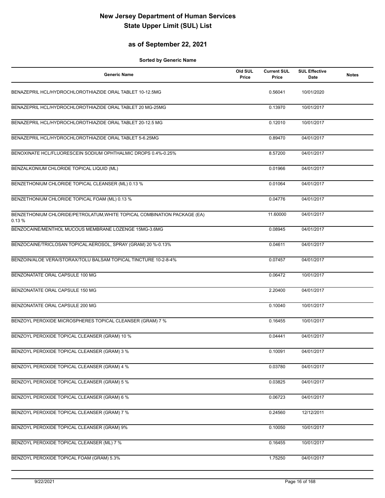### **as of September 22, 2021**

| <b>Generic Name</b>                                                               | Old SUL<br>Price | <b>Current SUL</b><br>Price | <b>SUL Effective</b><br>Date | <b>Notes</b> |
|-----------------------------------------------------------------------------------|------------------|-----------------------------|------------------------------|--------------|
| BENAZEPRIL HCL/HYDROCHLOROTHIAZIDE ORAL TABLET 10-12.5MG                          |                  | 0.56041                     | 10/01/2020                   |              |
| BENAZEPRIL HCL/HYDROCHLOROTHIAZIDE ORAL TABLET 20 MG-25MG                         |                  | 0.13970                     | 10/01/2017                   |              |
| BENAZEPRIL HCL/HYDROCHLOROTHIAZIDE ORAL TABLET 20-12.5 MG                         |                  | 0.12010                     | 10/01/2017                   |              |
| BENAZEPRIL HCL/HYDROCHLOROTHIAZIDE ORAL TABLET 5-6.25MG                           |                  | 0.89470                     | 04/01/2017                   |              |
| BENOXINATE HCL/FLUORESCEIN SODIUM OPHTHALMIC DROPS 0.4%-0.25%                     |                  | 8.57200                     | 04/01/2017                   |              |
| BENZALKONIUM CHLORIDE TOPICAL LIQUID (ML)                                         |                  | 0.01966                     | 04/01/2017                   |              |
| BENZETHONIUM CHLORIDE TOPICAL CLEANSER (ML) 0.13 %                                |                  | 0.01064                     | 04/01/2017                   |              |
| BENZETHONIUM CHLORIDE TOPICAL FOAM (ML) 0.13 %                                    |                  | 0.04776                     | 04/01/2017                   |              |
| BENZETHONIUM CHLORIDE/PETROLATUM, WHITE TOPICAL COMBINATION PACKAGE (EA)<br>0.13% |                  | 11.60000                    | 04/01/2017                   |              |
| BENZOCAINE/MENTHOL MUCOUS MEMBRANE LOZENGE 15MG-3.6MG                             |                  | 0.08945                     | 04/01/2017                   |              |
| BENZOCAINE/TRICLOSAN TOPICAL AEROSOL, SPRAY (GRAM) 20 %-0.13%                     |                  | 0.04611                     | 04/01/2017                   |              |
| BENZOIN/ALOE VERA/STORAX/TOLU BALSAM TOPICAL TINCTURE 10-2-8-4%                   |                  | 0.07457                     | 04/01/2017                   |              |
| BENZONATATE ORAL CAPSULE 100 MG                                                   |                  | 0.06472                     | 10/01/2017                   |              |
| BENZONATATE ORAL CAPSULE 150 MG                                                   |                  | 2.20400                     | 04/01/2017                   |              |
| BENZONATATE ORAL CAPSULE 200 MG                                                   |                  | 0.10040                     | 10/01/2017                   |              |
| BENZOYL PEROXIDE MICROSPHERES TOPICAL CLEANSER (GRAM) 7 %                         |                  | 0.16455                     | 10/01/2017                   |              |
| BENZOYL PEROXIDE TOPICAL CLEANSER (GRAM) 10 %                                     |                  | 0.04441                     | 04/01/2017                   |              |
| BENZOYL PEROXIDE TOPICAL CLEANSER (GRAM) 3 %                                      |                  | 0.10091                     | 04/01/2017                   |              |
| BENZOYL PEROXIDE TOPICAL CLEANSER (GRAM) 4 %                                      |                  | 0.03780                     | 04/01/2017                   |              |
| BENZOYL PEROXIDE TOPICAL CLEANSER (GRAM) 5 %                                      |                  | 0.03825                     | 04/01/2017                   |              |
| BENZOYL PEROXIDE TOPICAL CLEANSER (GRAM) 6 %                                      |                  | 0.06723                     | 04/01/2017                   |              |
| BENZOYL PEROXIDE TOPICAL CLEANSER (GRAM) 7 %                                      |                  | 0.24560                     | 12/12/2011                   |              |
| BENZOYL PEROXIDE TOPICAL CLEANSER (GRAM) 9%                                       |                  | 0.10050                     | 10/01/2017                   |              |
| BENZOYL PEROXIDE TOPICAL CLEANSER (ML) 7 %                                        |                  | 0.16455                     | 10/01/2017                   |              |
| BENZOYL PEROXIDE TOPICAL FOAM (GRAM) 5.3%                                         |                  | 1.75250                     | 04/01/2017                   |              |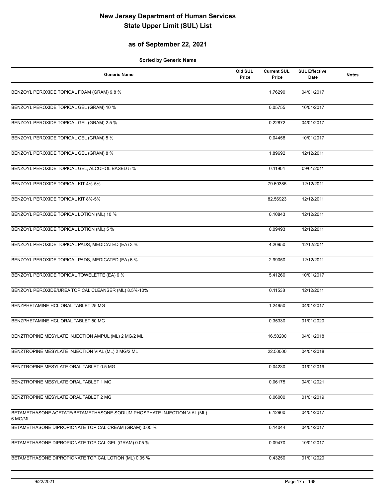### **as of September 22, 2021**

| <b>Generic Name</b>                                                                 | Old SUL<br>Price | <b>Current SUL</b><br>Price | <b>SUL Effective</b><br>Date | <b>Notes</b> |
|-------------------------------------------------------------------------------------|------------------|-----------------------------|------------------------------|--------------|
| BENZOYL PEROXIDE TOPICAL FOAM (GRAM) 9.8 %                                          |                  | 1.76290                     | 04/01/2017                   |              |
| BENZOYL PEROXIDE TOPICAL GEL (GRAM) 10 %                                            |                  | 0.05755                     | 10/01/2017                   |              |
| BENZOYL PEROXIDE TOPICAL GEL (GRAM) 2.5 %                                           |                  | 0.22872                     | 04/01/2017                   |              |
| BENZOYL PEROXIDE TOPICAL GEL (GRAM) 5 %                                             |                  | 0.04458                     | 10/01/2017                   |              |
| BENZOYL PEROXIDE TOPICAL GEL (GRAM) 8 %                                             |                  | 1.89692                     | 12/12/2011                   |              |
| BENZOYL PEROXIDE TOPICAL GEL, ALCOHOL BASED 5 %                                     |                  | 0.11904                     | 09/01/2011                   |              |
| BENZOYL PEROXIDE TOPICAL KIT 4%-5%                                                  |                  | 79.60385                    | 12/12/2011                   |              |
| BENZOYL PEROXIDE TOPICAL KIT 8%-5%                                                  |                  | 82.56923                    | 12/12/2011                   |              |
| BENZOYL PEROXIDE TOPICAL LOTION (ML) 10 %                                           |                  | 0.10843                     | 12/12/2011                   |              |
| BENZOYL PEROXIDE TOPICAL LOTION (ML) 5 %                                            |                  | 0.09493                     | 12/12/2011                   |              |
| BENZOYL PEROXIDE TOPICAL PADS, MEDICATED (EA) 3 %                                   |                  | 4.20950                     | 12/12/2011                   |              |
| BENZOYL PEROXIDE TOPICAL PADS, MEDICATED (EA) 6 %                                   |                  | 2.99050                     | 12/12/2011                   |              |
| BENZOYL PEROXIDE TOPICAL TOWELETTE (EA) 6 %                                         |                  | 5.41260                     | 10/01/2017                   |              |
| BENZOYL PEROXIDE/UREA TOPICAL CLEANSER (ML) 8.5%-10%                                |                  | 0.11538                     | 12/12/2011                   |              |
| BENZPHETAMINE HCL ORAL TABLET 25 MG                                                 |                  | 1.24950                     | 04/01/2017                   |              |
| BENZPHETAMINE HCL ORAL TABLET 50 MG                                                 |                  | 0.35330                     | 01/01/2020                   |              |
| BENZTROPINE MESYLATE INJECTION AMPUL (ML) 2 MG/2 ML                                 |                  | 16.50200                    | 04/01/2018                   |              |
| BENZTROPINE MESYLATE INJECTION VIAL (ML) 2 MG/2 ML                                  |                  | 22.50000                    | 04/01/2018                   |              |
| BENZTROPINE MESYLATE ORAL TABLET 0.5 MG                                             |                  | 0.04230                     | 01/01/2019                   |              |
| BENZTROPINE MESYLATE ORAL TABLET 1 MG                                               |                  | 0.06175                     | 04/01/2021                   |              |
| BENZTROPINE MESYLATE ORAL TABLET 2 MG                                               |                  | 0.06000                     | 01/01/2019                   |              |
| BETAMETHASONE ACETATE/BETAMETHASONE SODIUM PHOSPHATE INJECTION VIAL (ML)<br>6 MG/ML |                  | 6.12900                     | 04/01/2017                   |              |
| BETAMETHASONE DIPROPIONATE TOPICAL CREAM (GRAM) 0.05 %                              |                  | 0.14044                     | 04/01/2017                   |              |
| BETAMETHASONE DIPROPIONATE TOPICAL GEL (GRAM) 0.05 %                                |                  | 0.09470                     | 10/01/2017                   |              |
| BETAMETHASONE DIPROPIONATE TOPICAL LOTION (ML) 0.05 %                               |                  | 0.43250                     | 01/01/2020                   |              |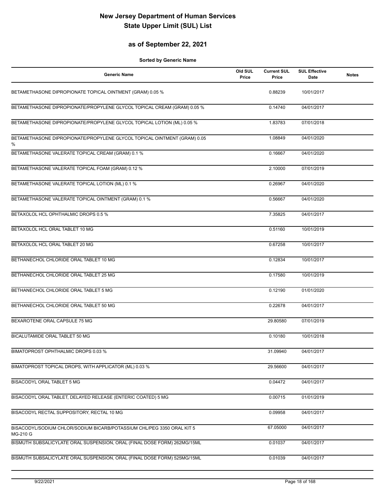### **as of September 22, 2021**

| <b>Generic Name</b>                                                                | Old SUL<br>Price | <b>Current SUL</b><br>Price | <b>SUL Effective</b><br><b>Date</b> | <b>Notes</b> |
|------------------------------------------------------------------------------------|------------------|-----------------------------|-------------------------------------|--------------|
| BETAMETHASONE DIPROPIONATE TOPICAL OINTMENT (GRAM) 0.05 %                          |                  | 0.88239                     | 10/01/2017                          |              |
| BETAMETHASONE DIPROPIONATE/PROPYLENE GLYCOL TOPICAL CREAM (GRAM) 0.05 %            |                  | 0.14740                     | 04/01/2017                          |              |
| BETAMETHASONE DIPROPIONATE/PROPYLENE GLYCOL TOPICAL LOTION (ML) 0.05 %             |                  | 1.83783                     | 07/01/2018                          |              |
| BETAMETHASONE DIPROPIONATE/PROPYLENE GLYCOL TOPICAL OINTMENT (GRAM) 0.05<br>%      |                  | 1.08849                     | 04/01/2020                          |              |
| BETAMETHASONE VALERATE TOPICAL CREAM (GRAM) 0.1 %                                  |                  | 0.16667                     | 04/01/2020                          |              |
| BETAMETHASONE VALERATE TOPICAL FOAM (GRAM) 0.12 %                                  |                  | 2.10000                     | 07/01/2019                          |              |
| BETAMETHASONE VALERATE TOPICAL LOTION (ML) 0.1 %                                   |                  | 0.26967                     | 04/01/2020                          |              |
| BETAMETHASONE VALERATE TOPICAL OINTMENT (GRAM) 0.1 %                               |                  | 0.56667                     | 04/01/2020                          |              |
| BETAXOLOL HCL OPHTHALMIC DROPS 0.5 %                                               |                  | 7.35825                     | 04/01/2017                          |              |
| BETAXOLOL HCL ORAL TABLET 10 MG                                                    |                  | 0.51160                     | 10/01/2019                          |              |
| BETAXOLOL HCL ORAL TABLET 20 MG                                                    |                  | 0.67258                     | 10/01/2017                          |              |
| BETHANECHOL CHLORIDE ORAL TABLET 10 MG                                             |                  | 0.12834                     | 10/01/2017                          |              |
| BETHANECHOL CHLORIDE ORAL TABLET 25 MG                                             |                  | 0.17580                     | 10/01/2019                          |              |
| BETHANECHOL CHLORIDE ORAL TABLET 5 MG                                              |                  | 0.12190                     | 01/01/2020                          |              |
| BETHANECHOL CHLORIDE ORAL TABLET 50 MG                                             |                  | 0.22678                     | 04/01/2017                          |              |
| BEXAROTENE ORAL CAPSULE 75 MG                                                      |                  | 29.80580                    | 07/01/2019                          |              |
| BICALUTAMIDE ORAL TABLET 50 MG                                                     |                  | 0.10180                     | 10/01/2018                          |              |
| BIMATOPROST OPHTHALMIC DROPS 0.03 %                                                |                  | 31.09940                    | 04/01/2017                          |              |
| BIMATOPROST TOPICAL DROPS, WITH APPLICATOR (ML) 0.03 %                             |                  | 29.56600                    | 04/01/2017                          |              |
| BISACODYL ORAL TABLET 5 MG                                                         |                  | 0.04472                     | 04/01/2017                          |              |
| BISACODYL ORAL TABLET, DELAYED RELEASE (ENTERIC COATED) 5 MG                       |                  | 0.00715                     | 01/01/2019                          |              |
| BISACODYL RECTAL SUPPOSITORY, RECTAL 10 MG                                         |                  | 0.09958                     | 04/01/2017                          |              |
| BISACODYL/SODIUM CHLOR/SODIUM BICARB/POTASSIUM CHL/PEG 3350 ORAL KIT 5<br>MG-210 G |                  | 67.05000                    | 04/01/2017                          |              |
| BISMUTH SUBSALICYLATE ORAL SUSPENSION, ORAL (FINAL DOSE FORM) 262MG/15ML           |                  | 0.01037                     | 04/01/2017                          |              |
| BISMUTH SUBSALICYLATE ORAL SUSPENSION, ORAL (FINAL DOSE FORM) 525MG/15ML           |                  | 0.01039                     | 04/01/2017                          |              |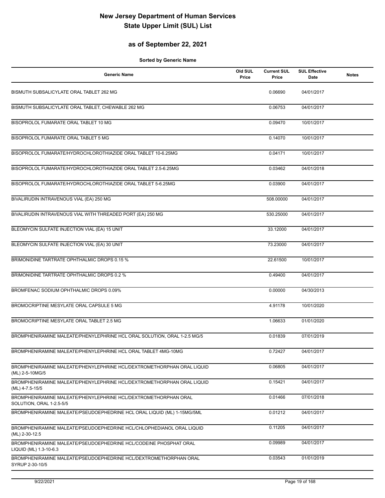### **as of September 22, 2021**

| <b>Generic Name</b>                                                                         | Old SUL<br>Price | <b>Current SUL</b><br>Price | <b>SUL Effective</b><br>Date | <b>Notes</b> |
|---------------------------------------------------------------------------------------------|------------------|-----------------------------|------------------------------|--------------|
| BISMUTH SUBSALICYLATE ORAL TABLET 262 MG                                                    |                  | 0.06690                     | 04/01/2017                   |              |
| BISMUTH SUBSALICYLATE ORAL TABLET, CHEWABLE 262 MG                                          |                  | 0.06753                     | 04/01/2017                   |              |
| BISOPROLOL FUMARATE ORAL TABLET 10 MG                                                       |                  | 0.09470                     | 10/01/2017                   |              |
| BISOPROLOL FUMARATE ORAL TABLET 5 MG                                                        |                  | 0.14070                     | 10/01/2017                   |              |
| BISOPROLOL FUMARATE/HYDROCHLOROTHIAZIDE ORAL TABLET 10-6.25MG                               |                  | 0.04171                     | 10/01/2017                   |              |
| BISOPROLOL FUMARATE/HYDROCHLOROTHIAZIDE ORAL TABLET 2.5-6.25MG                              |                  | 0.03462                     | 04/01/2018                   |              |
| BISOPROLOL FUMARATE/HYDROCHLOROTHIAZIDE ORAL TABLET 5-6.25MG                                |                  | 0.03900                     | 04/01/2017                   |              |
| BIVALIRUDIN INTRAVENOUS VIAL (EA) 250 MG                                                    |                  | 508.00000                   | 04/01/2017                   |              |
| BIVALIRUDIN INTRAVENOUS VIAL WITH THREADED PORT (EA) 250 MG                                 |                  | 530.25000                   | 04/01/2017                   |              |
| BLEOMYCIN SULFATE INJECTION VIAL (EA) 15 UNIT                                               |                  | 33.12000                    | 04/01/2017                   |              |
| BLEOMYCIN SULFATE INJECTION VIAL (EA) 30 UNIT                                               |                  | 73.23000                    | 04/01/2017                   |              |
| BRIMONIDINE TARTRATE OPHTHALMIC DROPS 0.15 %                                                |                  | 22.61500                    | 10/01/2017                   |              |
| BRIMONIDINE TARTRATE OPHTHALMIC DROPS 0.2 %                                                 |                  | 0.49400                     | 04/01/2017                   |              |
| BROMFENAC SODIUM OPHTHALMIC DROPS 0.09%                                                     |                  | 0.00000                     | 04/30/2013                   |              |
| BROMOCRIPTINE MESYLATE ORAL CAPSULE 5 MG                                                    |                  | 4.91178                     | 10/01/2020                   |              |
| BROMOCRIPTINE MESYLATE ORAL TABLET 2.5 MG                                                   |                  | 1.06633                     | 01/01/2020                   |              |
| BROMPHENIRAMINE MALEATE/PHENYLEPHRINE HCL ORAL SOLUTION, ORAL 1-2.5 MG/5                    |                  | 0.01839                     | 07/01/2019                   |              |
| BROMPHENIRAMINE MALEATE/PHENYLEPHRINE HCL ORAL TABLET 4MG-10MG                              |                  | 0.72427                     | 04/01/2017                   |              |
| BROMPHENIRAMINE MALEATE/PHENYLEPHRINE HCL/DEXTROMETHORPHAN ORAL LIQUID<br>(ML) 2-5-10MG/5   |                  | 0.06805                     | 04/01/2017                   |              |
| BROMPHENIRAMINE MALEATE/PHENYLEPHRINE HCL/DEXTROMETHORPHAN ORAL LIQUID<br>(ML) 4-7.5-15/5   |                  | 0.15421                     | 04/01/2017                   |              |
| BROMPHENIRAMINE MALEATE/PHENYLEPHRINE HCL/DEXTROMETHORPHAN ORAL<br>SOLUTION, ORAL 1-2.5-5/5 |                  | 0.01466                     | 07/01/2018                   |              |
| BROMPHENIRAMINE MALEATE/PSEUDOEPHEDRINE HCL ORAL LIQUID (ML) 1-15MG/5ML                     |                  | 0.01212                     | 04/01/2017                   |              |
| BROMPHENIRAMINE MALEATE/PSEUDOEPHEDRINE HCL/CHLOPHEDIANOL ORAL LIQUID<br>(ML) 2-30-12.5     |                  | 0.11205                     | 04/01/2017                   |              |
| BROMPHENIRAMINE MALEATE/PSEUDOEPHEDRINE HCL/CODEINE PHOSPHAT ORAL<br>LIQUID (ML) 1.3-10-6.3 |                  | 0.09989                     | 04/01/2017                   |              |
| BROMPHENIRAMINE MALEATE/PSEUDOEPHEDRINE HCL/DEXTROMETHORPHAN ORAL<br>SYRUP 2-30-10/5        |                  | 0.03543                     | 01/01/2019                   |              |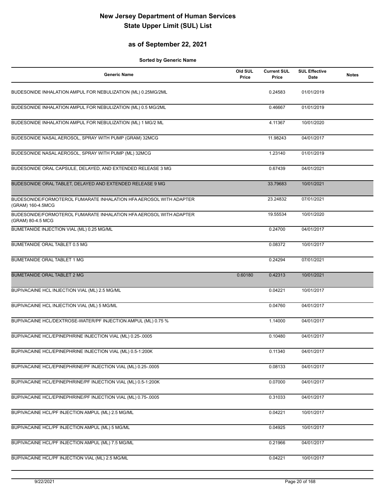### **as of September 22, 2021**

| <b>Generic Name</b>                                                                     | Old SUL<br>Price | <b>Current SUL</b><br>Price | <b>SUL Effective</b><br><b>Date</b> | <b>Notes</b> |
|-----------------------------------------------------------------------------------------|------------------|-----------------------------|-------------------------------------|--------------|
| BUDESONIDE INHALATION AMPUL FOR NEBULIZATION (ML) 0.25MG/2ML                            |                  | 0.24583                     | 01/01/2019                          |              |
| BUDESONIDE INHALATION AMPUL FOR NEBULIZATION (ML) 0.5 MG/2ML                            |                  | 0.46667                     | 01/01/2019                          |              |
| BUDESONIDE INHALATION AMPUL FOR NEBULIZATION (ML) 1 MG/2 ML                             |                  | 4.11367                     | 10/01/2020                          |              |
| BUDESONIDE NASAL AEROSOL, SPRAY WITH PUMP (GRAM) 32MCG                                  |                  | 11.98243                    | 04/01/2017                          |              |
| BUDESONIDE NASAL AEROSOL, SPRAY WITH PUMP (ML) 32MCG                                    |                  | 1.23140                     | 01/01/2019                          |              |
| BUDESONIDE ORAL CAPSULE, DELAYED, AND EXTENDED RELEASE 3 MG                             |                  | 0.67439                     | 04/01/2021                          |              |
| BUDESONIDE ORAL TABLET, DELAYED AND EXTENDED RELEASE 9 MG                               |                  | 33.79683                    | 10/01/2021                          |              |
| BUDESONIDE/FORMOTEROL FUMARATE INHALATION HFA AEROSOL WITH ADAPTER<br>(GRAM) 160-4.5MCG |                  | 23.24832                    | 07/01/2021                          |              |
| BUDESONIDE/FORMOTEROL FUMARATE INHALATION HFA AEROSOL WITH ADAPTER<br>(GRAM) 80-4.5 MCG |                  | 19.55534                    | 10/01/2020                          |              |
| BUMETANIDE INJECTION VIAL (ML) 0.25 MG/ML                                               |                  | 0.24700                     | 04/01/2017                          |              |
| <b>BUMETANIDE ORAL TABLET 0.5 MG</b>                                                    |                  | 0.08372                     | 10/01/2017                          |              |
| <b>BUMETANIDE ORAL TABLET 1 MG</b>                                                      |                  | 0.24294                     | 07/01/2021                          |              |
| <b>BUMETANIDE ORAL TABLET 2 MG</b>                                                      | 0.60180          | 0.42313                     | 10/01/2021                          |              |
| BUPIVACAINE HCL INJECTION VIAL (ML) 2.5 MG/ML                                           |                  | 0.04221                     | 10/01/2017                          |              |
| BUPIVACAINE HCL INJECTION VIAL (ML) 5 MG/ML                                             |                  | 0.04760                     | 04/01/2017                          |              |
| BUPIVACAINE HCL/DEXTROSE-WATER/PF INJECTION AMPUL (ML) 0.75 %                           |                  | 1.14000                     | 04/01/2017                          |              |
| BUPIVACAINE HCL/EPINEPHRINE INJECTION VIAL (ML) 0.25-.0005                              |                  | 0.10480                     | 04/01/2017                          |              |
| BUPIVACAINE HCL/EPINEPHRINE INJECTION VIAL (ML) 0.5-1:200K                              |                  | 0.11340                     | 04/01/2017                          |              |
| BUPIVACAINE HCL/EPINEPHRINE/PF INJECTION VIAL (ML) 0.25-.0005                           |                  | 0.08133                     | 04/01/2017                          |              |
| BUPIVACAINE HCL/EPINEPHRINE/PF INJECTION VIAL (ML) 0.5-1:200K                           |                  | 0.07000                     | 04/01/2017                          |              |
| BUPIVACAINE HCL/EPINEPHRINE/PF INJECTION VIAL (ML) 0.75-.0005                           |                  | 0.31033                     | 04/01/2017                          |              |
| BUPIVACAINE HCL/PF INJECTION AMPUL (ML) 2.5 MG/ML                                       |                  | 0.04221                     | 10/01/2017                          |              |
| BUPIVACAINE HCL/PF INJECTION AMPUL (ML) 5 MG/ML                                         |                  | 0.04925                     | 10/01/2017                          |              |
| BUPIVACAINE HCL/PF INJECTION AMPUL (ML) 7.5 MG/ML                                       |                  | 0.21966                     | 04/01/2017                          |              |
| BUPIVACAINE HCL/PF INJECTION VIAL (ML) 2.5 MG/ML                                        |                  | 0.04221                     | 10/01/2017                          |              |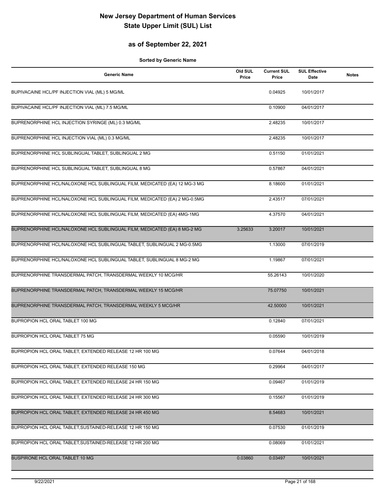### **as of September 22, 2021**

| <b>Generic Name</b>                                                       | Old SUL<br>Price | <b>Current SUL</b><br>Price | <b>SUL Effective</b><br>Date | <b>Notes</b> |
|---------------------------------------------------------------------------|------------------|-----------------------------|------------------------------|--------------|
| BUPIVACAINE HCL/PF INJECTION VIAL (ML) 5 MG/ML                            |                  | 0.04925                     | 10/01/2017                   |              |
| BUPIVACAINE HCL/PF INJECTION VIAL (ML) 7.5 MG/ML                          |                  | 0.10900                     | 04/01/2017                   |              |
| BUPRENORPHINE HCL INJECTION SYRINGE (ML) 0.3 MG/ML                        |                  | 2.48235                     | 10/01/2017                   |              |
| BUPRENORPHINE HCL INJECTION VIAL (ML) 0.3 MG/ML                           |                  | 2.48235                     | 10/01/2017                   |              |
| BUPRENORPHINE HCL SUBLINGUAL TABLET, SUBLINGUAL 2 MG                      |                  | 0.51150                     | 01/01/2021                   |              |
| BUPRENORPHINE HCL SUBLINGUAL TABLET, SUBLINGUAL 8 MG                      |                  | 0.57867                     | 04/01/2021                   |              |
| BUPRENORPHINE HCL/NALOXONE HCL SUBLINGUAL FILM, MEDICATED (EA) 12 MG-3 MG |                  | 8.18600                     | 01/01/2021                   |              |
| BUPRENORPHINE HCL/NALOXONE HCL SUBLINGUAL FILM, MEDICATED (EA) 2 MG-0.5MG |                  | 2.43517                     | 07/01/2021                   |              |
| BUPRENORPHINE HCL/NALOXONE HCL SUBLINGUAL FILM, MEDICATED (EA) 4MG-1MG    |                  | 4.37570                     | 04/01/2021                   |              |
| BUPRENORPHINE HCL/NALOXONE HCL SUBLINGUAL FILM, MEDICATED (EA) 8 MG-2 MG  | 3.25633          | 3.20017                     | 10/01/2021                   |              |
| BUPRENORPHINE HCL/NALOXONE HCL SUBLINGUAL TABLET, SUBLINGUAL 2 MG-0.5MG   |                  | 1.13000                     | 07/01/2019                   |              |
| BUPRENORPHINE HCL/NALOXONE HCL SUBLINGUAL TABLET, SUBLINGUAL 8 MG-2 MG    |                  | 1.19867                     | 07/01/2021                   |              |
| BUPRENORPHINE TRANSDERMAL PATCH, TRANSDERMAL WEEKLY 10 MCG/HR             |                  | 55.26143                    | 10/01/2020                   |              |
| BUPRENORPHINE TRANSDERMAL PATCH, TRANSDERMAL WEEKLY 15 MCG/HR             |                  | 75.07750                    | 10/01/2021                   |              |
| BUPRENORPHINE TRANSDERMAL PATCH, TRANSDERMAL WEEKLY 5 MCG/HR              |                  | 42.50000                    | 10/01/2021                   |              |
| BUPROPION HCL ORAL TABLET 100 MG                                          |                  | 0.12840                     | 07/01/2021                   |              |
| BUPROPION HCL ORAL TABLET 75 MG                                           |                  | 0.05590                     | 10/01/2019                   |              |
| BUPROPION HCL ORAL TABLET, EXTENDED RELEASE 12 HR 100 MG                  |                  | 0.07644                     | 04/01/2018                   |              |
| BUPROPION HCL ORAL TABLET, EXTENDED RELEASE 150 MG                        |                  | 0.29964                     | 04/01/2017                   |              |
| BUPROPION HCL ORAL TABLET, EXTENDED RELEASE 24 HR 150 MG                  |                  | 0.09467                     | 01/01/2019                   |              |
| BUPROPION HCL ORAL TABLET, EXTENDED RELEASE 24 HR 300 MG                  |                  | 0.15567                     | 01/01/2019                   |              |
| BUPROPION HCL ORAL TABLET, EXTENDED RELEASE 24 HR 450 MG                  |                  | 8.54683                     | 10/01/2021                   |              |
| BUPROPION HCL ORAL TABLET, SUSTAINED-RELEASE 12 HR 150 MG                 |                  | 0.07530                     | 01/01/2019                   |              |
| BUPROPION HCL ORAL TABLET, SUSTAINED-RELEASE 12 HR 200 MG                 |                  | 0.08069                     | 01/01/2021                   |              |
| BUSPIRONE HCL ORAL TABLET 10 MG                                           | 0.03860          | 0.03497                     | 10/01/2021                   |              |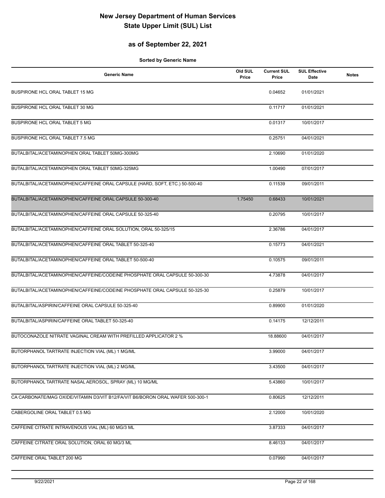### **as of September 22, 2021**

| <b>Generic Name</b>                                                            | Old SUL<br>Price | <b>Current SUL</b><br>Price | <b>SUL Effective</b><br>Date | <b>Notes</b> |
|--------------------------------------------------------------------------------|------------------|-----------------------------|------------------------------|--------------|
| BUSPIRONE HCL ORAL TABLET 15 MG                                                |                  | 0.04652                     | 01/01/2021                   |              |
| BUSPIRONE HCL ORAL TABLET 30 MG                                                |                  | 0.11717                     | 01/01/2021                   |              |
| BUSPIRONE HCL ORAL TABLET 5 MG                                                 |                  | 0.01317                     | 10/01/2017                   |              |
| BUSPIRONE HCL ORAL TABLET 7.5 MG                                               |                  | 0.25751                     | 04/01/2021                   |              |
| BUTALBITAL/ACETAMINOPHEN ORAL TABLET 50MG-300MG                                |                  | 2.10690                     | 01/01/2020                   |              |
| BUTALBITAL/ACETAMINOPHEN ORAL TABLET 50MG-325MG                                |                  | 1.00490                     | 07/01/2017                   |              |
| BUTALBITAL/ACETAMINOPHEN/CAFFEINE ORAL CAPSULE (HARD, SOFT, ETC.) 50-500-40    |                  | 0.11539                     | 09/01/2011                   |              |
| BUTALBITAL/ACETAMINOPHEN/CAFFEINE ORAL CAPSULE 50-300-40                       | 1.75450          | 0.68433                     | 10/01/2021                   |              |
| BUTALBITAL/ACETAMINOPHEN/CAFFEINE ORAL CAPSULE 50-325-40                       |                  | 0.20795                     | 10/01/2017                   |              |
| BUTALBITAL/ACETAMINOPHEN/CAFFEINE ORAL SOLUTION, ORAL 50-325/15                |                  | 2.36786                     | 04/01/2017                   |              |
| BUTALBITAL/ACETAMINOPHEN/CAFFEINE ORAL TABLET 50-325-40                        |                  | 0.15773                     | 04/01/2021                   |              |
| BUTALBITAL/ACETAMINOPHEN/CAFFEINE ORAL TABLET 50-500-40                        |                  | 0.10575                     | 09/01/2011                   |              |
| BUTALBITAL/ACETAMINOPHEN/CAFFEINE/CODEINE PHOSPHATE ORAL CAPSULE 50-300-30     |                  | 4.73878                     | 04/01/2017                   |              |
| BUTALBITAL/ACETAMINOPHEN/CAFFEINE/CODEINE PHOSPHATE ORAL CAPSULE 50-325-30     |                  | 0.25879                     | 10/01/2017                   |              |
| BUTALBITAL/ASPIRIN/CAFFEINE ORAL CAPSULE 50-325-40                             |                  | 0.89900                     | 01/01/2020                   |              |
| BUTALBITAL/ASPIRIN/CAFFEINE ORAL TABLET 50-325-40                              |                  | 0.14175                     | 12/12/2011                   |              |
| BUTOCONAZOLE NITRATE VAGINAL CREAM WITH PREFILLED APPLICATOR 2 %               |                  | 18.88600                    | 04/01/2017                   |              |
| BUTORPHANOL TARTRATE INJECTION VIAL (ML) 1 MG/ML                               |                  | 3.99000                     | 04/01/2017                   |              |
| BUTORPHANOL TARTRATE INJECTION VIAL (ML) 2 MG/ML                               |                  | 3.43500                     | 04/01/2017                   |              |
| BUTORPHANOL TARTRATE NASAL AEROSOL, SPRAY (ML) 10 MG/ML                        |                  | 5.43860                     | 10/01/2017                   |              |
| CA CARBONATE/MAG OXIDE/VITAMIN D3/VIT B12/FA/VIT B6/BORON ORAL WAFER 500-300-1 |                  | 0.80625                     | 12/12/2011                   |              |
| CABERGOLINE ORAL TABLET 0.5 MG                                                 |                  | 2.12000                     | 10/01/2020                   |              |
| CAFFEINE CITRATE INTRAVENOUS VIAL (ML) 60 MG/3 ML                              |                  | 3.87333                     | 04/01/2017                   |              |
| CAFFEINE CITRATE ORAL SOLUTION, ORAL 60 MG/3 ML                                |                  | 8.46133                     | 04/01/2017                   |              |
| CAFFEINE ORAL TABLET 200 MG                                                    |                  | 0.07990                     | 04/01/2017                   |              |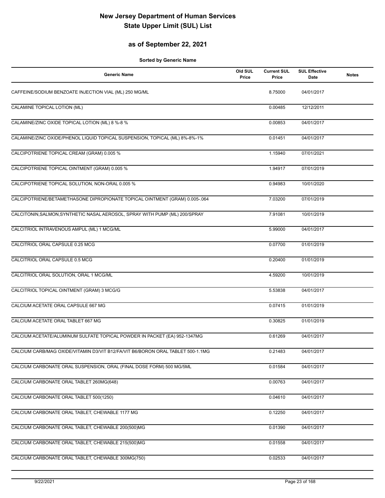### **as of September 22, 2021**

| <b>Generic Name</b>                                                             | Old SUL<br>Price | <b>Current SUL</b><br>Price | <b>SUL Effective</b><br>Date | <b>Notes</b> |
|---------------------------------------------------------------------------------|------------------|-----------------------------|------------------------------|--------------|
| CAFFEINE/SODIUM BENZOATE INJECTION VIAL (ML) 250 MG/ML                          |                  | 8.75000                     | 04/01/2017                   |              |
| CALAMINE TOPICAL LOTION (ML)                                                    |                  | 0.00485                     | 12/12/2011                   |              |
| CALAMINE/ZINC OXIDE TOPICAL LOTION (ML) 8 %-8 %                                 |                  | 0.00853                     | 04/01/2017                   |              |
| CALAMINE/ZINC OXIDE/PHENOL LIQUID TOPICAL SUSPENSION, TOPICAL (ML) 8%-8%-1%     |                  | 0.01451                     | 04/01/2017                   |              |
| CALCIPOTRIENE TOPICAL CREAM (GRAM) 0.005 %                                      |                  | 1.15940                     | 07/01/2021                   |              |
| CALCIPOTRIENE TOPICAL OINTMENT (GRAM) 0.005 %                                   |                  | 1.94917                     | 07/01/2019                   |              |
| CALCIPOTRIENE TOPICAL SOLUTION, NON-ORAL 0.005 %                                |                  | 0.94983                     | 10/01/2020                   |              |
| CALCIPOTRIENE/BETAMETHASONE DIPROPIONATE TOPICAL OINTMENT (GRAM) 0.005-.064     |                  | 7.03200                     | 07/01/2019                   |              |
| CALCITONIN, SALMON, SYNTHETIC NASAL AEROSOL, SPRAY WITH PUMP (ML) 200/SPRAY     |                  | 7.91081                     | 10/01/2019                   |              |
| CALCITRIOL INTRAVENOUS AMPUL (ML) 1 MCG/ML                                      |                  | 5.99000                     | 04/01/2017                   |              |
| CALCITRIOL ORAL CAPSULE 0.25 MCG                                                |                  | 0.07700                     | 01/01/2019                   |              |
| CALCITRIOL ORAL CAPSULE 0.5 MCG                                                 |                  | 0.20400                     | 01/01/2019                   |              |
| CALCITRIOL ORAL SOLUTION, ORAL 1 MCG/ML                                         |                  | 4.59200                     | 10/01/2019                   |              |
| CALCITRIOL TOPICAL OINTMENT (GRAM) 3 MCG/G                                      |                  | 5.53838                     | 04/01/2017                   |              |
| CALCIUM ACETATE ORAL CAPSULE 667 MG                                             |                  | 0.07415                     | 01/01/2019                   |              |
| CALCIUM ACETATE ORAL TABLET 667 MG                                              |                  | 0.30825                     | 01/01/2019                   |              |
| CALCIUM ACETATE/ALUMINUM SULFATE TOPICAL POWDER IN PACKET (EA) 952-1347MG       |                  | 0.61269                     | 04/01/2017                   |              |
| CALCIUM CARB/MAG OXIDE/VITAMIN D3/VIT B12/FA/VIT B6/BORON ORAL TABLET 500-1.1MG |                  | 0.21483                     | 04/01/2017                   |              |
| CALCIUM CARBONATE ORAL SUSPENSION, ORAL (FINAL DOSE FORM) 500 MG/5ML            |                  | 0.01584                     | 04/01/2017                   |              |
| CALCIUM CARBONATE ORAL TABLET 260MG(648)                                        |                  | 0.00763                     | 04/01/2017                   |              |
| CALCIUM CARBONATE ORAL TABLET 500(1250)                                         |                  | 0.04610                     | 04/01/2017                   |              |
| CALCIUM CARBONATE ORAL TABLET, CHEWABLE 1177 MG                                 |                  | 0.12250                     | 04/01/2017                   |              |
| CALCIUM CARBONATE ORAL TABLET, CHEWABLE 200(500)MG                              |                  | 0.01390                     | 04/01/2017                   |              |
| CALCIUM CARBONATE ORAL TABLET, CHEWABLE 215(500)MG                              |                  | 0.01558                     | 04/01/2017                   |              |
| CALCIUM CARBONATE ORAL TABLET, CHEWABLE 300MG(750)                              |                  | 0.02533                     | 04/01/2017                   |              |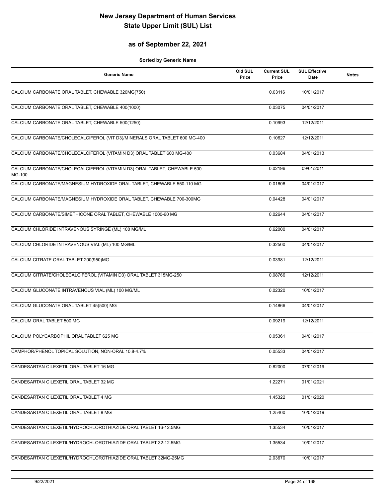### **as of September 22, 2021**

| <b>Generic Name</b>                                                                | Old SUL<br>Price | <b>Current SUL</b><br>Price | <b>SUL Effective</b><br><b>Date</b> | <b>Notes</b> |
|------------------------------------------------------------------------------------|------------------|-----------------------------|-------------------------------------|--------------|
| CALCIUM CARBONATE ORAL TABLET, CHEWABLE 320MG(750)                                 |                  | 0.03116                     | 10/01/2017                          |              |
| CALCIUM CARBONATE ORAL TABLET, CHEWABLE 400(1000)                                  |                  | 0.03075                     | 04/01/2017                          |              |
| CALCIUM CARBONATE ORAL TABLET, CHEWABLE 500(1250)                                  |                  | 0.10993                     | 12/12/2011                          |              |
| CALCIUM CARBONATE/CHOLECALCIFEROL (VIT D3)/MINERALS ORAL TABLET 600 MG-400         |                  | 0.10627                     | 12/12/2011                          |              |
| CALCIUM CARBONATE/CHOLECALCIFEROL (VITAMIN D3) ORAL TABLET 600 MG-400              |                  | 0.03684                     | 04/01/2013                          |              |
| CALCIUM CARBONATE/CHOLECALCIFEROL (VITAMIN D3) ORAL TABLET, CHEWABLE 500<br>MG-100 |                  | 0.02196                     | 09/01/2011                          |              |
| CALCIUM CARBONATE/MAGNESIUM HYDROXIDE ORAL TABLET, CHEWABLE 550-110 MG             |                  | 0.01606                     | 04/01/2017                          |              |
| CALCIUM CARBONATE/MAGNESIUM HYDROXIDE ORAL TABLET, CHEWABLE 700-300MG              |                  | 0.04428                     | 04/01/2017                          |              |
| CALCIUM CARBONATE/SIMETHICONE ORAL TABLET, CHEWABLE 1000-60 MG                     |                  | 0.02644                     | 04/01/2017                          |              |
| CALCIUM CHLORIDE INTRAVENOUS SYRINGE (ML) 100 MG/ML                                |                  | 0.62000                     | 04/01/2017                          |              |
| CALCIUM CHLORIDE INTRAVENOUS VIAL (ML) 100 MG/ML                                   |                  | 0.32500                     | 04/01/2017                          |              |
| CALCIUM CITRATE ORAL TABLET 200(950)MG                                             |                  | 0.03981                     | 12/12/2011                          |              |
| CALCIUM CITRATE/CHOLECALCIFEROL (VITAMIN D3) ORAL TABLET 315MG-250                 |                  | 0.08766                     | 12/12/2011                          |              |
| CALCIUM GLUCONATE INTRAVENOUS VIAL (ML) 100 MG/ML                                  |                  | 0.02320                     | 10/01/2017                          |              |
| CALCIUM GLUCONATE ORAL TABLET 45(500) MG                                           |                  | 0.14866                     | 04/01/2017                          |              |
| CALCIUM ORAL TABLET 500 MG                                                         |                  | 0.09219                     | 12/12/2011                          |              |
| CALCIUM POLYCARBOPHIL ORAL TABLET 625 MG                                           |                  | 0.05361                     | 04/01/2017                          |              |
| CAMPHOR/PHENOL TOPICAL SOLUTION, NON-ORAL 10.8-4.7%                                |                  | 0.05533                     | 04/01/2017                          |              |
| CANDESARTAN CILEXETIL ORAL TABLET 16 MG                                            |                  | 0.82000                     | 07/01/2019                          |              |
| CANDESARTAN CILEXETIL ORAL TABLET 32 MG                                            |                  | 1.22271                     | 01/01/2021                          |              |
| CANDESARTAN CILEXETIL ORAL TABLET 4 MG                                             |                  | 1.45322                     | 01/01/2020                          |              |
| CANDESARTAN CILEXETIL ORAL TABLET 8 MG                                             |                  | 1.25400                     | 10/01/2019                          |              |
| CANDESARTAN CILEXETIL/HYDROCHLOROTHIAZIDE ORAL TABLET 16-12.5MG                    |                  | 1.35534                     | 10/01/2017                          |              |
| CANDESARTAN CILEXETIL/HYDROCHLOROTHIAZIDE ORAL TABLET 32-12.5MG                    |                  | 1.35534                     | 10/01/2017                          |              |
| CANDESARTAN CILEXETIL/HYDROCHLOROTHIAZIDE ORAL TABLET 32MG-25MG                    |                  | 2.03670                     | 10/01/2017                          |              |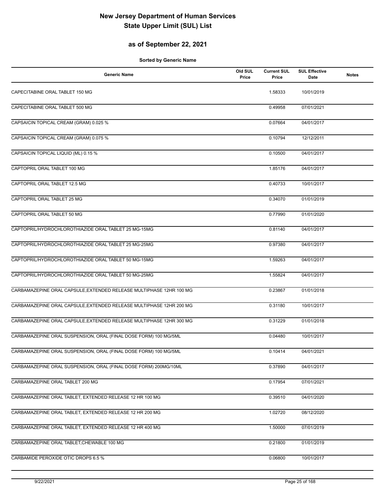### **as of September 22, 2021**

| <b>Generic Name</b>                                                 | Old SUL<br>Price | <b>Current SUL</b><br>Price | <b>SUL Effective</b><br><b>Date</b> | <b>Notes</b> |
|---------------------------------------------------------------------|------------------|-----------------------------|-------------------------------------|--------------|
| CAPECITABINE ORAL TABLET 150 MG                                     |                  | 1.58333                     | 10/01/2019                          |              |
| CAPECITABINE ORAL TABLET 500 MG                                     |                  | 0.49958                     | 07/01/2021                          |              |
| CAPSAICIN TOPICAL CREAM (GRAM) 0.025 %                              |                  | 0.07664                     | 04/01/2017                          |              |
| CAPSAICIN TOPICAL CREAM (GRAM) 0.075 %                              |                  | 0.10794                     | 12/12/2011                          |              |
| CAPSAICIN TOPICAL LIQUID (ML) 0.15 %                                |                  | 0.10500                     | 04/01/2017                          |              |
| CAPTOPRIL ORAL TABLET 100 MG                                        |                  | 1.85176                     | 04/01/2017                          |              |
| CAPTOPRIL ORAL TABLET 12.5 MG                                       |                  | 0.40733                     | 10/01/2017                          |              |
| CAPTOPRIL ORAL TABLET 25 MG                                         |                  | 0.34070                     | 01/01/2019                          |              |
| CAPTOPRIL ORAL TABLET 50 MG                                         |                  | 0.77990                     | 01/01/2020                          |              |
| CAPTOPRIL/HYDROCHLOROTHIAZIDE ORAL TABLET 25 MG-15MG                |                  | 0.81140                     | 04/01/2017                          |              |
| CAPTOPRIL/HYDROCHLOROTHIAZIDE ORAL TABLET 25 MG-25MG                |                  | 0.97380                     | 04/01/2017                          |              |
| CAPTOPRIL/HYDROCHLOROTHIAZIDE ORAL TABLET 50 MG-15MG                |                  | 1.59263                     | 04/01/2017                          |              |
| CAPTOPRIL/HYDROCHLOROTHIAZIDE ORAL TABLET 50 MG-25MG                |                  | 1.55824                     | 04/01/2017                          |              |
| CARBAMAZEPINE ORAL CAPSULE, EXTENDED RELEASE MULTIPHASE 12HR 100 MG |                  | 0.23867                     | 01/01/2018                          |              |
| CARBAMAZEPINE ORAL CAPSULE, EXTENDED RELEASE MULTIPHASE 12HR 200 MG |                  | 0.31180                     | 10/01/2017                          |              |
| CARBAMAZEPINE ORAL CAPSULE, EXTENDED RELEASE MULTIPHASE 12HR 300 MG |                  | 0.31229                     | 01/01/2018                          |              |
| CARBAMAZEPINE ORAL SUSPENSION, ORAL (FINAL DOSE FORM) 100 MG/5ML    |                  | 0.04480                     | 10/01/2017                          |              |
| CARBAMAZEPINE ORAL SUSPENSION, ORAL (FINAL DOSE FORM) 100 MG/5ML    |                  | 0.10414                     | 04/01/2021                          |              |
| CARBAMAZEPINE ORAL SUSPENSION, ORAL (FINAL DOSE FORM) 200MG/10ML    |                  | 0.37890                     | 04/01/2017                          |              |
| CARBAMAZEPINE ORAL TABLET 200 MG                                    |                  | 0.17954                     | 07/01/2021                          |              |
| CARBAMAZEPINE ORAL TABLET, EXTENDED RELEASE 12 HR 100 MG            |                  | 0.39510                     | 04/01/2020                          |              |
| CARBAMAZEPINE ORAL TABLET, EXTENDED RELEASE 12 HR 200 MG            |                  | 1.02720                     | 08/12/2020                          |              |
| CARBAMAZEPINE ORAL TABLET, EXTENDED RELEASE 12 HR 400 MG            |                  | 1.50000                     | 07/01/2019                          |              |
| CARBAMAZEPINE ORAL TABLET, CHEWABLE 100 MG                          |                  | 0.21800                     | 01/01/2019                          |              |
| CARBAMIDE PEROXIDE OTIC DROPS 6.5 %                                 |                  | 0.06800                     | 10/01/2017                          |              |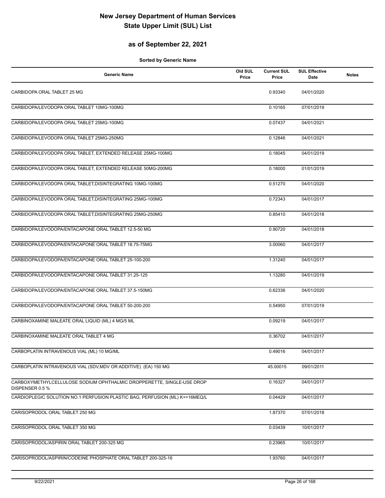### **as of September 22, 2021**

| <b>Generic Name</b>                                                                      | Old SUL<br>Price | <b>Current SUL</b><br>Price | <b>SUL Effective</b><br>Date | <b>Notes</b> |
|------------------------------------------------------------------------------------------|------------------|-----------------------------|------------------------------|--------------|
| CARBIDOPA ORAL TABLET 25 MG                                                              |                  | 0.93340                     | 04/01/2020                   |              |
| CARBIDOPA/LEVODOPA ORAL TABLET 10MG-100MG                                                |                  | 0.10165                     | 07/01/2019                   |              |
| CARBIDOPA/LEVODOPA ORAL TABLET 25MG-100MG                                                |                  | 0.07437                     | 04/01/2021                   |              |
| CARBIDOPA/LEVODOPA ORAL TABLET 25MG-250MG                                                |                  | 0.12846                     | 04/01/2021                   |              |
| CARBIDOPA/LEVODOPA ORAL TABLET, EXTENDED RELEASE 25MG-100MG                              |                  | 0.18045                     | 04/01/2019                   |              |
| CARBIDOPA/LEVODOPA ORAL TABLET, EXTENDED RELEASE 50MG-200MG                              |                  | 0.18000                     | 01/01/2019                   |              |
| CARBIDOPA/LEVODOPA ORAL TABLET, DISINTEGRATING 10MG-100MG                                |                  | 0.51270                     | 04/01/2020                   |              |
| CARBIDOPA/LEVODOPA ORAL TABLET, DISINTEGRATING 25MG-100MG                                |                  | 0.72343                     | 04/01/2017                   |              |
| CARBIDOPA/LEVODOPA ORAL TABLET, DISINTEGRATING 25MG-250MG                                |                  | 0.85410                     | 04/01/2018                   |              |
| CARBIDOPA/LEVODOPA/ENTACAPONE ORAL TABLET 12.5-50 MG                                     |                  | 0.90720                     | 04/01/2018                   |              |
| CARBIDOPA/LEVODOPA/ENTACAPONE ORAL TABLET 18.75-75MG                                     |                  | 3.00060                     | 04/01/2017                   |              |
| CARBIDOPA/LEVODOPA/ENTACAPONE ORAL TABLET 25-100-200                                     |                  | 1.31240                     | 04/01/2017                   |              |
| CARBIDOPA/LEVODOPA/ENTACAPONE ORAL TABLET 31.25-125                                      |                  | 1.13280                     | 04/01/2019                   |              |
| CARBIDOPA/LEVODOPA/ENTACAPONE ORAL TABLET 37.5-150MG                                     |                  | 0.62336                     | 04/01/2020                   |              |
| CARBIDOPA/LEVODOPA/ENTACAPONE ORAL TABLET 50-200-200                                     |                  | 0.54950                     | 07/01/2019                   |              |
| CARBINOXAMINE MALEATE ORAL LIQUID (ML) 4 MG/5 ML                                         |                  | 0.09219                     | 04/01/2017                   |              |
| CARBINOXAMINE MALEATE ORAL TABLET 4 MG                                                   |                  | 0.36702                     | 04/01/2017                   |              |
| CARBOPLATIN INTRAVENOUS VIAL (ML) 10 MG/ML                                               |                  | 0.49016                     | 04/01/2017                   |              |
| CARBOPLATIN INTRAVENOUS VIAL (SDV, MDV OR ADDITIVE) (EA) 150 MG                          |                  | 45.00015                    | 09/01/2011                   |              |
| CARBOXYMETHYLCELLULOSE SODIUM OPHTHALMIC DROPPERETTE, SINGLE-USE DROP<br>DISPENSER 0.5 % |                  | 0.16327                     | 04/01/2017                   |              |
| CARDIOPLEGIC SOLUTION NO.1 PERFUSION PLASTIC BAG, PERFUSION (ML) K+=16MEQ/L              |                  | 0.04429                     | 04/01/2017                   |              |
| CARISOPRODOL ORAL TABLET 250 MG                                                          |                  | 1.87370                     | 07/01/2018                   |              |
| CARISOPRODOL ORAL TABLET 350 MG                                                          |                  | 0.03439                     | 10/01/2017                   |              |
| CARISOPRODOL/ASPIRIN ORAL TABLET 200-325 MG                                              |                  | 0.23965                     | 10/01/2017                   |              |
| CARISOPRODOL/ASPIRIN/CODEINE PHOSPHATE ORAL TABLET 200-325-16                            |                  | 1.93760                     | 04/01/2017                   |              |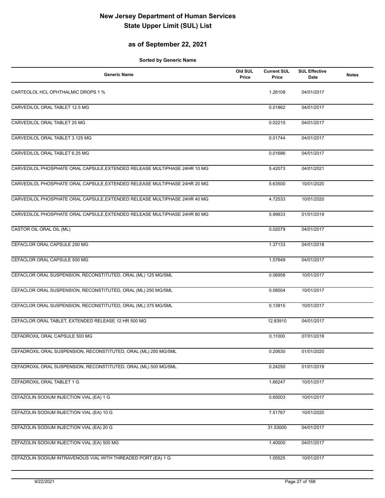### **as of September 22, 2021**

| <b>Generic Name</b>                                                       | Old SUL<br>Price | <b>Current SUL</b><br>Price | <b>SUL Effective</b><br>Date | <b>Notes</b> |
|---------------------------------------------------------------------------|------------------|-----------------------------|------------------------------|--------------|
| CARTEOLOL HCL OPHTHALMIC DROPS 1 %                                        |                  | 1.26108                     | 04/01/2017                   |              |
| CARVEDILOL ORAL TABLET 12.5 MG                                            |                  | 0.01862                     | 04/01/2017                   |              |
| CARVEDILOL ORAL TABLET 25 MG                                              |                  | 0.02210                     | 04/01/2017                   |              |
| CARVEDILOL ORAL TABLET 3.125 MG                                           |                  | 0.01744                     | 04/01/2017                   |              |
| CARVEDILOL ORAL TABLET 6.25 MG                                            |                  | 0.01686                     | 04/01/2017                   |              |
| CARVEDILOL PHOSPHATE ORAL CAPSULE, EXTENDED RELEASE MULTIPHASE 24HR 10 MG |                  | 5.42073                     | 04/01/2021                   |              |
| CARVEDILOL PHOSPHATE ORAL CAPSULE, EXTENDED RELEASE MULTIPHASE 24HR 20 MG |                  | 5.63500                     | 10/01/2020                   |              |
| CARVEDILOL PHOSPHATE ORAL CAPSULE, EXTENDED RELEASE MULTIPHASE 24HR 40 MG |                  | 4.72533                     | 10/01/2020                   |              |
| CARVEDILOL PHOSPHATE ORAL CAPSULE, EXTENDED RELEASE MULTIPHASE 24HR 80 MG |                  | 5.99833                     | 01/01/2019                   |              |
| CASTOR OIL ORAL OIL (ML)                                                  |                  | 0.02079                     | 04/01/2017                   |              |
| CEFACLOR ORAL CAPSULE 250 MG                                              |                  | 1.37133                     | 04/01/2018                   |              |
| CEFACLOR ORAL CAPSULE 500 MG                                              |                  | 1.57649                     | 04/01/2017                   |              |
| CEFACLOR ORAL SUSPENSION, RECONSTITUTED, ORAL (ML) 125 MG/5ML             |                  | 0.06958                     | 10/01/2017                   |              |
| CEFACLOR ORAL SUSPENSION, RECONSTITUTED, ORAL (ML) 250 MG/5ML             |                  | 0.08504                     | 10/01/2017                   |              |
| CEFACLOR ORAL SUSPENSION, RECONSTITUTED, ORAL (ML) 375 MG/5ML             |                  | 0.13915                     | 10/01/2017                   |              |
| CEFACLOR ORAL TABLET, EXTENDED RELEASE 12 HR 500 MG                       |                  | 12.83910                    | 04/01/2017                   |              |
| CEFADROXIL ORAL CAPSULE 500 MG                                            |                  | 0.11000                     | 07/01/2018                   |              |
| CEFADROXIL ORAL SUSPENSION, RECONSTITUTED, ORAL (ML) 250 MG/5ML           |                  | 0.20630                     | 01/01/2020                   |              |
| CEFADROXIL ORAL SUSPENSION, RECONSTITUTED, ORAL (ML) 500 MG/5ML           |                  | 0.24250                     | 01/01/2019                   |              |
| CEFADROXIL ORAL TABLET 1 G                                                |                  | 1.66247                     | 10/01/2017                   |              |
| CEFAZOLIN SODIUM INJECTION VIAL (EA) 1 G                                  |                  | 0.65003                     | 10/01/2017                   |              |
| CEFAZOLIN SODIUM INJECTION VIAL (EA) 10 G                                 |                  | 7.51767                     | 10/01/2020                   |              |
| CEFAZOLIN SODIUM INJECTION VIAL (EA) 20 G                                 |                  | 31.53000                    | 04/01/2017                   |              |
| CEFAZOLIN SODIUM INJECTION VIAL (EA) 500 MG                               |                  | 1.40000                     | 04/01/2017                   |              |
| CEFAZOLIN SODIUM INTRAVENOUS VIAL WITH THREADED PORT (EA) 1 G             |                  | 1.05525                     | 10/01/2017                   |              |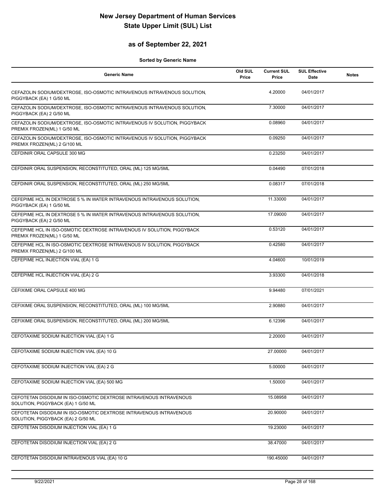### **as of September 22, 2021**

| <b>Generic Name</b>                                                                                       | Old SUL<br>Price | <b>Current SUL</b><br>Price | <b>SUL Effective</b><br>Date | <b>Notes</b> |
|-----------------------------------------------------------------------------------------------------------|------------------|-----------------------------|------------------------------|--------------|
| CEFAZOLIN SODIUM/DEXTROSE, ISO-OSMOTIC INTRAVENOUS INTRAVENOUS SOLUTION,<br>PIGGYBACK (EA) 1 G/50 ML      |                  | 4.20000                     | 04/01/2017                   |              |
| CEFAZOLIN SODIUM/DEXTROSE, ISO-OSMOTIC INTRAVENOUS INTRAVENOUS SOLUTION,<br>PIGGYBACK (EA) 2 G/50 ML      |                  | 7.30000                     | 04/01/2017                   |              |
| CEFAZOLIN SODIUM/DEXTROSE, ISO-OSMOTIC INTRAVENOUS IV SOLUTION, PIGGYBACK<br>PREMIX FROZEN(ML) 1 G/50 ML  |                  | 0.08960                     | 04/01/2017                   |              |
| CEFAZOLIN SODIUM/DEXTROSE, ISO-OSMOTIC INTRAVENOUS IV SOLUTION, PIGGYBACK<br>PREMIX FROZEN(ML) 2 G/100 ML |                  | 0.09250                     | 04/01/2017                   |              |
| CEFDINIR ORAL CAPSULE 300 MG                                                                              |                  | 0.23250                     | 04/01/2017                   |              |
| CEFDINIR ORAL SUSPENSION, RECONSTITUTED, ORAL (ML) 125 MG/5ML                                             |                  | 0.04490                     | 07/01/2018                   |              |
| CEFDINIR ORAL SUSPENSION, RECONSTITUTED, ORAL (ML) 250 MG/5ML                                             |                  | 0.08317                     | 07/01/2018                   |              |
| CEFEPIME HCL IN DEXTROSE 5 % IN WATER INTRAVENOUS INTRAVENOUS SOLUTION,<br>PIGGYBACK (EA) 1 G/50 ML       |                  | 11.33000                    | 04/01/2017                   |              |
| CEFEPIME HCL IN DEXTROSE 5 % IN WATER INTRAVENOUS INTRAVENOUS SOLUTION.<br>PIGGYBACK (EA) 2 G/50 ML       |                  | 17.09000                    | 04/01/2017                   |              |
| CEFEPIME HCL IN ISO-OSMOTIC DEXTROSE INTRAVENOUS IV SOLUTION, PIGGYBACK<br>PREMIX FROZEN(ML) 1 G/50 ML    |                  | 0.53120                     | 04/01/2017                   |              |
| CEFEPIME HCL IN ISO-OSMOTIC DEXTROSE INTRAVENOUS IV SOLUTION, PIGGYBACK<br>PREMIX FROZEN(ML) 2 G/100 ML   |                  | 0.42580                     | 04/01/2017                   |              |
| CEFEPIME HCL INJECTION VIAL (EA) 1 G                                                                      |                  | 4.04600                     | 10/01/2019                   |              |
| CEFEPIME HCL INJECTION VIAL (EA) 2 G                                                                      |                  | 3.93300                     | 04/01/2018                   |              |
| CEFIXIME ORAL CAPSULE 400 MG                                                                              |                  | 9.94480                     | 07/01/2021                   |              |
| CEFIXIME ORAL SUSPENSION, RECONSTITUTED, ORAL (ML) 100 MG/5ML                                             |                  | 2.90880                     | 04/01/2017                   |              |
| CEFIXIME ORAL SUSPENSION, RECONSTITUTED, ORAL (ML) 200 MG/5ML                                             |                  | 6.12396                     | 04/01/2017                   |              |
| CEFOTAXIME SODIUM INJECTION VIAL (EA) 1 G                                                                 |                  | 2.20000                     | 04/01/2017                   |              |
| CEFOTAXIME SODIUM INJECTION VIAL (EA) 10 G                                                                |                  | 27.00000                    | 04/01/2017                   |              |
| CEFOTAXIME SODIUM INJECTION VIAL (EA) 2 G                                                                 |                  | 5.00000                     | 04/01/2017                   |              |
| CEFOTAXIME SODIUM INJECTION VIAL (EA) 500 MG                                                              |                  | 1.50000                     | 04/01/2017                   |              |
| CEFOTETAN DISODIUM IN ISO-OSMOTIC DEXTROSE INTRAVENOUS INTRAVENOUS<br>SOLUTION, PIGGYBACK (EA) 1 G/50 ML  |                  | 15.08958                    | 04/01/2017                   |              |
| CEFOTETAN DISODIUM IN ISO-OSMOTIC DEXTROSE INTRAVENOUS INTRAVENOUS<br>SOLUTION, PIGGYBACK (EA) 2 G/50 ML  |                  | 20.90000                    | 04/01/2017                   |              |
| CEFOTETAN DISODIUM INJECTION VIAL (EA) 1 G                                                                |                  | 19.23000                    | 04/01/2017                   |              |
| CEFOTETAN DISODIUM INJECTION VIAL (EA) 2 G                                                                |                  | 38.47000                    | 04/01/2017                   |              |
| CEFOTETAN DISODIUM INTRAVENOUS VIAL (EA) 10 G                                                             |                  | 190.45000                   | 04/01/2017                   |              |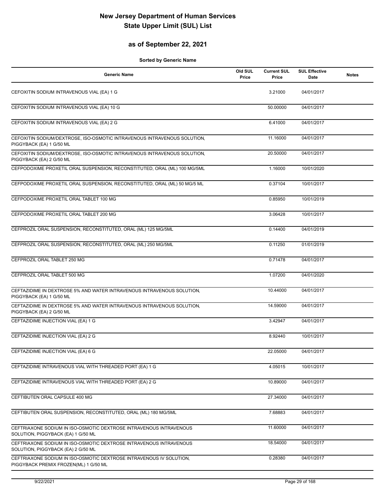### **as of September 22, 2021**

| <b>Generic Name</b>                                                                                          | Old SUL<br>Price | <b>Current SUL</b><br>Price | <b>SUL Effective</b><br><b>Date</b> | <b>Notes</b> |
|--------------------------------------------------------------------------------------------------------------|------------------|-----------------------------|-------------------------------------|--------------|
| CEFOXITIN SODIUM INTRAVENOUS VIAL (EA) 1 G                                                                   |                  | 3.21000                     | 04/01/2017                          |              |
| CEFOXITIN SODIUM INTRAVENOUS VIAL (EA) 10 G                                                                  |                  | 50.00000                    | 04/01/2017                          |              |
| CEFOXITIN SODIUM INTRAVENOUS VIAL (EA) 2 G                                                                   |                  | 6.41000                     | 04/01/2017                          |              |
| CEFOXITIN SODIUM/DEXTROSE, ISO-OSMOTIC INTRAVENOUS INTRAVENOUS SOLUTION,<br>PIGGYBACK (EA) 1 G/50 ML         |                  | 11.16000                    | 04/01/2017                          |              |
| CEFOXITIN SODIUM/DEXTROSE, ISO-OSMOTIC INTRAVENOUS INTRAVENOUS SOLUTION,<br>PIGGYBACK (EA) 2 G/50 ML         |                  | 20.50000                    | 04/01/2017                          |              |
| CEFPODOXIME PROXETIL ORAL SUSPENSION, RECONSTITUTED, ORAL (ML) 100 MG/5ML                                    |                  | 1.16000                     | 10/01/2020                          |              |
| CEFPODOXIME PROXETIL ORAL SUSPENSION, RECONSTITUTED, ORAL (ML) 50 MG/5 ML                                    |                  | 0.37104                     | 10/01/2017                          |              |
| CEFPODOXIME PROXETIL ORAL TABLET 100 MG                                                                      |                  | 0.85950                     | 10/01/2019                          |              |
| CEFPODOXIME PROXETIL ORAL TABLET 200 MG                                                                      |                  | 3.06428                     | 10/01/2017                          |              |
| CEFPROZIL ORAL SUSPENSION, RECONSTITUTED, ORAL (ML) 125 MG/5ML                                               |                  | 0.14400                     | 04/01/2019                          |              |
| CEFPROZIL ORAL SUSPENSION, RECONSTITUTED, ORAL (ML) 250 MG/5ML                                               |                  | 0.11250                     | 01/01/2019                          |              |
| CEFPROZIL ORAL TABLET 250 MG                                                                                 |                  | 0.71478                     | 04/01/2017                          |              |
| CEFPROZIL ORAL TABLET 500 MG                                                                                 |                  | 1.07200                     | 04/01/2020                          |              |
| CEFTAZIDIME IN DEXTROSE 5% AND WATER INTRAVENOUS INTRAVENOUS SOLUTION,<br>PIGGYBACK (EA) 1 G/50 ML           |                  | 10.44000                    | 04/01/2017                          |              |
| CEFTAZIDIME IN DEXTROSE 5% AND WATER INTRAVENOUS INTRAVENOUS SOLUTION,<br>PIGGYBACK (EA) 2 G/50 ML           |                  | 14.59000                    | 04/01/2017                          |              |
| CEFTAZIDIME INJECTION VIAL (EA) 1 G                                                                          |                  | 3.42947                     | 04/01/2017                          |              |
| CEFTAZIDIME INJECTION VIAL (EA) 2 G                                                                          |                  | 8.92440                     | 10/01/2017                          |              |
| CEFTAZIDIME INJECTION VIAL (EA) 6 G                                                                          |                  | 22.05000                    | 04/01/2017                          |              |
| CEFTAZIDIME INTRAVENOUS VIAL WITH THREADED PORT (EA) 1 G                                                     |                  | 4.05015                     | 10/01/2017                          |              |
| CEFTAZIDIME INTRAVENOUS VIAL WITH THREADED PORT (EA) 2 G                                                     |                  | 10.89000                    | 04/01/2017                          |              |
| CEFTIBUTEN ORAL CAPSULE 400 MG                                                                               |                  | 27.34000                    | 04/01/2017                          |              |
| CEFTIBUTEN ORAL SUSPENSION, RECONSTITUTED, ORAL (ML) 180 MG/5ML                                              |                  | 7.68883                     | 04/01/2017                          |              |
| CEFTRIAXONE SODIUM IN ISO-OSMOTIC DEXTROSE INTRAVENOUS INTRAVENOUS<br>SOLUTION, PIGGYBACK (EA) 1 G/50 ML     |                  | 11.60000                    | 04/01/2017                          |              |
| CEFTRIAXONE SODIUM IN ISO-OSMOTIC DEXTROSE INTRAVENOUS INTRAVENOUS<br>SOLUTION, PIGGYBACK (EA) 2 G/50 ML     |                  | 18.54000                    | 04/01/2017                          |              |
| CEFTRIAXONE SODIUM IN ISO-OSMOTIC DEXTROSE INTRAVENOUS IV SOLUTION,<br>PIGGYBACK PREMIX FROZEN(ML) 1 G/50 ML |                  | 0.28380                     | 04/01/2017                          |              |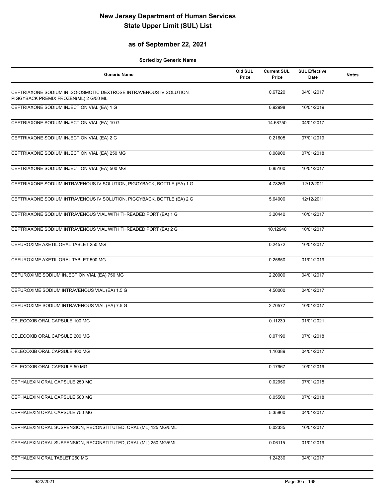### **as of September 22, 2021**

| <b>Generic Name</b>                                                                                          | Old SUL<br>Price | <b>Current SUL</b><br>Price | <b>SUL Effective</b><br>Date | <b>Notes</b> |
|--------------------------------------------------------------------------------------------------------------|------------------|-----------------------------|------------------------------|--------------|
| CEFTRIAXONE SODIUM IN ISO-OSMOTIC DEXTROSE INTRAVENOUS IV SOLUTION,<br>PIGGYBACK PREMIX FROZEN(ML) 2 G/50 ML |                  | 0.67220                     | 04/01/2017                   |              |
| CEFTRIAXONE SODIUM INJECTION VIAL (EA) 1 G                                                                   |                  | 0.92998                     | 10/01/2019                   |              |
| CEFTRIAXONE SODIUM INJECTION VIAL (EA) 10 G                                                                  |                  | 14.68750                    | 04/01/2017                   |              |
| CEFTRIAXONE SODIUM INJECTION VIAL (EA) 2 G                                                                   |                  | 0.21605                     | 07/01/2019                   |              |
| CEFTRIAXONE SODIUM INJECTION VIAL (EA) 250 MG                                                                |                  | 0.08900                     | 07/01/2018                   |              |
| CEFTRIAXONE SODIUM INJECTION VIAL (EA) 500 MG                                                                |                  | 0.85100                     | 10/01/2017                   |              |
| CEFTRIAXONE SODIUM INTRAVENOUS IV SOLUTION, PIGGYBACK, BOTTLE (EA) 1 G                                       |                  | 4.78269                     | 12/12/2011                   |              |
| CEFTRIAXONE SODIUM INTRAVENOUS IV SOLUTION, PIGGYBACK, BOTTLE (EA) 2 G                                       |                  | 5.64000                     | 12/12/2011                   |              |
| CEFTRIAXONE SODIUM INTRAVENOUS VIAL WITH THREADED PORT (EA) 1 G                                              |                  | 3.20440                     | 10/01/2017                   |              |
| CEFTRIAXONE SODIUM INTRAVENOUS VIAL WITH THREADED PORT (EA) 2 G                                              |                  | 10.12940                    | 10/01/2017                   |              |
| CEFUROXIME AXETIL ORAL TABLET 250 MG                                                                         |                  | 0.24572                     | 10/01/2017                   |              |
| CEFUROXIME AXETIL ORAL TABLET 500 MG                                                                         |                  | 0.25850                     | 01/01/2019                   |              |
| CEFUROXIME SODIUM INJECTION VIAL (EA) 750 MG                                                                 |                  | 2.20000                     | 04/01/2017                   |              |
| CEFUROXIME SODIUM INTRAVENOUS VIAL (EA) 1.5 G                                                                |                  | 4.50000                     | 04/01/2017                   |              |
| CEFUROXIME SODIUM INTRAVENOUS VIAL (EA) 7.5 G                                                                |                  | 2.70577                     | 10/01/2017                   |              |
| CELECOXIB ORAL CAPSULE 100 MG                                                                                |                  | 0.11230                     | 01/01/2021                   |              |
| CELECOXIB ORAL CAPSULE 200 MG                                                                                |                  | 0.07190                     | 07/01/2018                   |              |
| CELECOXIB ORAL CAPSULE 400 MG                                                                                |                  | 1.10389                     | 04/01/2017                   |              |
| CELECOXIB ORAL CAPSULE 50 MG                                                                                 |                  | 0.17967                     | 10/01/2019                   |              |
| CEPHALEXIN ORAL CAPSULE 250 MG                                                                               |                  | 0.02950                     | 07/01/2018                   |              |
| CEPHALEXIN ORAL CAPSULE 500 MG                                                                               |                  | 0.05500                     | 07/01/2018                   |              |
| CEPHALEXIN ORAL CAPSULE 750 MG                                                                               |                  | 5.35800                     | 04/01/2017                   |              |
| CEPHALEXIN ORAL SUSPENSION, RECONSTITUTED, ORAL (ML) 125 MG/5ML                                              |                  | 0.02335                     | 10/01/2017                   |              |
| CEPHALEXIN ORAL SUSPENSION, RECONSTITUTED, ORAL (ML) 250 MG/5ML                                              |                  | 0.06115                     | 01/01/2019                   |              |
| CEPHALEXIN ORAL TABLET 250 MG                                                                                |                  | 1.24230                     | 04/01/2017                   |              |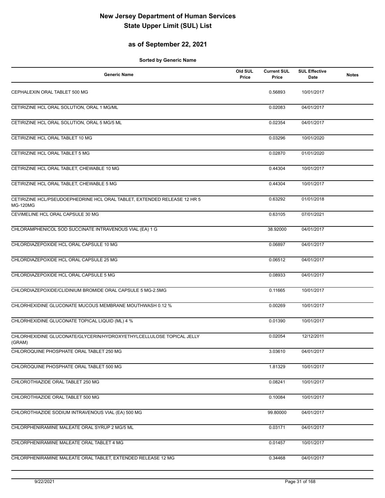### **as of September 22, 2021**

| Generic Name                                                                                | Old SUL<br>Price | <b>Current SUL</b><br>Price | <b>SUL Effective</b><br>Date | <b>Notes</b> |
|---------------------------------------------------------------------------------------------|------------------|-----------------------------|------------------------------|--------------|
| CEPHALEXIN ORAL TABLET 500 MG                                                               |                  | 0.56893                     | 10/01/2017                   |              |
| CETIRIZINE HCL ORAL SOLUTION, ORAL 1 MG/ML                                                  |                  | 0.02083                     | 04/01/2017                   |              |
| CETIRIZINE HCL ORAL SOLUTION, ORAL 5 MG/5 ML                                                |                  | 0.02354                     | 04/01/2017                   |              |
| CETIRIZINE HCL ORAL TABLET 10 MG                                                            |                  | 0.03296                     | 10/01/2020                   |              |
| CETIRIZINE HCL ORAL TABLET 5 MG                                                             |                  | 0.02870                     | 01/01/2020                   |              |
| CETIRIZINE HCL ORAL TABLET, CHEWABLE 10 MG                                                  |                  | 0.44304                     | 10/01/2017                   |              |
| CETIRIZINE HCL ORAL TABLET, CHEWABLE 5 MG                                                   |                  | 0.44304                     | 10/01/2017                   |              |
| CETIRIZINE HCL/PSEUDOEPHEDRINE HCL ORAL TABLET, EXTENDED RELEASE 12 HR 5<br><b>MG-120MG</b> |                  | 0.63292                     | 01/01/2018                   |              |
| CEVIMELINE HCL ORAL CAPSULE 30 MG                                                           |                  | 0.63105                     | 07/01/2021                   |              |
| CHLORAMPHENICOL SOD SUCCINATE INTRAVENOUS VIAL (EA) 1 G                                     |                  | 38.92000                    | 04/01/2017                   |              |
| CHLORDIAZEPOXIDE HCL ORAL CAPSULE 10 MG                                                     |                  | 0.06897                     | 04/01/2017                   |              |
| CHLORDIAZEPOXIDE HCL ORAL CAPSULE 25 MG                                                     |                  | 0.06512                     | 04/01/2017                   |              |
| CHLORDIAZEPOXIDE HCL ORAL CAPSULE 5 MG                                                      |                  | 0.08933                     | 04/01/2017                   |              |
| CHLORDIAZEPOXIDE/CLIDINIUM BROMIDE ORAL CAPSULE 5 MG-2.5MG                                  |                  | 0.11665                     | 10/01/2017                   |              |
| CHLORHEXIDINE GLUCONATE MUCOUS MEMBRANE MOUTHWASH 0.12 %                                    |                  | 0.00269                     | 10/01/2017                   |              |
| CHLORHEXIDINE GLUCONATE TOPICAL LIQUID (ML) 4 %                                             |                  | 0.01390                     | 10/01/2017                   |              |
| CHLORHEXIDINE GLUCONATE/GLYCERIN/HYDROXYETHYLCELLULOSE TOPICAL JELLY<br>(GRAM)              |                  | 0.02054                     | 12/12/2011                   |              |
| CHLOROQUINE PHOSPHATE ORAL TABLET 250 MG                                                    |                  | 3.03610                     | 04/01/2017                   |              |
| CHLOROQUINE PHOSPHATE ORAL TABLET 500 MG                                                    |                  | 1.81329                     | 10/01/2017                   |              |
| CHLOROTHIAZIDE ORAL TABLET 250 MG                                                           |                  | 0.08241                     | 10/01/2017                   |              |
| CHLOROTHIAZIDE ORAL TABLET 500 MG                                                           |                  | 0.10084                     | 10/01/2017                   |              |
| CHLOROTHIAZIDE SODIUM INTRAVENOUS VIAL (EA) 500 MG                                          |                  | 99.80000                    | 04/01/2017                   |              |
| CHLORPHENIRAMINE MALEATE ORAL SYRUP 2 MG/5 ML                                               |                  | 0.03171                     | 04/01/2017                   |              |
| CHLORPHENIRAMINE MALEATE ORAL TABLET 4 MG                                                   |                  | 0.01457                     | 10/01/2017                   |              |
| CHLORPHENIRAMINE MALEATE ORAL TABLET, EXTENDED RELEASE 12 MG                                |                  | 0.34468                     | 04/01/2017                   |              |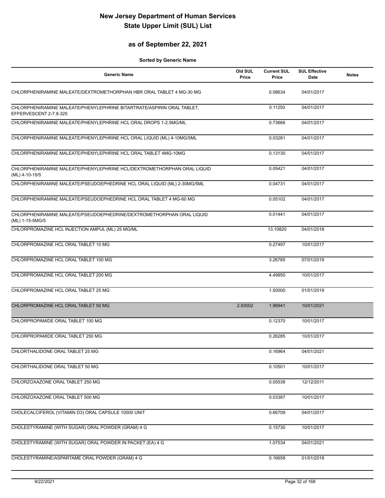### **as of September 22, 2021**

| <b>Generic Name</b>                                                                              | Old SUL<br>Price | <b>Current SUL</b><br>Price | <b>SUL Effective</b><br>Date | <b>Notes</b> |
|--------------------------------------------------------------------------------------------------|------------------|-----------------------------|------------------------------|--------------|
| CHLORPHENIRAMINE MALEATE/DEXTROMETHORPHAN HBR ORAL TABLET 4 MG-30 MG                             |                  | 0.08634                     | 04/01/2017                   |              |
| CHLORPHENIRAMINE MALEATE/PHENYLEPHRINE BITARTRATE/ASPIRIN ORAL TABLET,<br>EFFERVESCENT 2-7.8-325 |                  | 0.11250                     | 04/01/2017                   |              |
| CHLORPHENIRAMINE MALEATE/PHENYLEPHRINE HCL ORAL DROPS 1-2.5MG/ML                                 |                  | 0.73666                     | 04/01/2017                   |              |
| CHLORPHENIRAMINE MALEATE/PHENYLEPHRINE HCL ORAL LIQUID (ML) 4-10MG/5ML                           |                  | 0.03281                     | 04/01/2017                   |              |
| CHLORPHENIRAMINE MALEATE/PHENYLEPHRINE HCL ORAL TABLET 4MG-10MG                                  |                  | 0.13130                     | 04/01/2017                   |              |
| CHLORPHENIRAMINE MALEATE/PHENYLEPHRINE HCL/DEXTROMETHORPHAN ORAL LIQUID<br>(ML) 4-10-15/5        |                  | 0.05421                     | 04/01/2017                   |              |
| CHLORPHENIRAMINE MALEATE/PSEUDOEPHEDRINE HCL ORAL LIQUID (ML) 2-30MG/5ML                         |                  | 0.04731                     | 04/01/2017                   |              |
| CHLORPHENIRAMINE MALEATE/PSEUDOEPHEDRINE HCL ORAL TABLET 4 MG-60 MG                              |                  | 0.05102                     | 04/01/2017                   |              |
| CHLORPHENIRAMINE MALEATE/PSEUDOEPHEDRINE/DEXTROMETHORPHAN ORAL LIQUID<br>(ML) 1-15-5MG/5         |                  | 0.01441                     | 04/01/2017                   |              |
| CHLORPROMAZINE HCL INJECTION AMPUL (ML) 25 MG/ML                                                 |                  | 13.10820                    | 04/01/2018                   |              |
| CHLORPROMAZINE HCL ORAL TABLET 10 MG                                                             |                  | 0.27497                     | 10/01/2017                   |              |
| CHLORPROMAZINE HCL ORAL TABLET 100 MG                                                            |                  | 3.26785                     | 07/01/2019                   |              |
| CHLORPROMAZINE HCL ORAL TABLET 200 MG                                                            |                  | 4.49950                     | 10/01/2017                   |              |
| CHLORPROMAZINE HCL ORAL TABLET 25 MG                                                             |                  | 1.50000                     | 01/01/2019                   |              |
| CHLORPROMAZINE HCL ORAL TABLET 50 MG                                                             | 2.93002          | 1.96941                     | 10/01/2021                   |              |
| CHLORPROPAMIDE ORAL TABLET 100 MG                                                                |                  | 0.12370                     | 10/01/2017                   |              |
| CHLORPROPAMIDE ORAL TABLET 250 MG                                                                |                  | 0.26285                     | 10/01/2017                   |              |
| CHLORTHALIDONE ORAL TABLET 25 MG                                                                 |                  | 0.16964                     | 04/01/2021                   |              |
| CHLORTHALIDONE ORAL TABLET 50 MG                                                                 |                  | 0.10501                     | 10/01/2017                   |              |
| CHLORZOXAZONE ORAL TABLET 250 MG                                                                 |                  | 0.05538                     | 12/12/2011                   |              |
| CHLORZOXAZONE ORAL TABLET 500 MG                                                                 |                  | 0.03387                     | 10/01/2017                   |              |
| CHOLECALCIFEROL (VITAMIN D3) ORAL CAPSULE 10000 UNIT                                             |                  | 0.66709                     | 04/01/2017                   |              |
| CHOLESTYRAMINE (WITH SUGAR) ORAL POWDER (GRAM) 4 G                                               |                  | 0.15730                     | 10/01/2017                   |              |
| CHOLESTYRAMINE (WITH SUGAR) ORAL POWDER IN PACKET (EA) 4 G                                       |                  | 1.07534                     | 04/01/2021                   |              |
| CHOLESTYRAMINE/ASPARTAME ORAL POWDER (GRAM) 4 G                                                  |                  | 0.16658                     | 01/01/2019                   |              |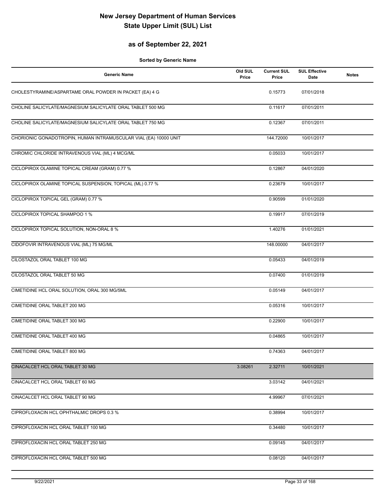### **as of September 22, 2021**

| <b>Generic Name</b>                                              | Old SUL<br>Price | <b>Current SUL</b><br>Price | <b>SUL Effective</b><br><b>Date</b> | <b>Notes</b> |
|------------------------------------------------------------------|------------------|-----------------------------|-------------------------------------|--------------|
| CHOLESTYRAMINE/ASPARTAME ORAL POWDER IN PACKET (EA) 4 G          |                  | 0.15773                     | 07/01/2018                          |              |
| CHOLINE SALICYLATE/MAGNESIUM SALICYLATE ORAL TABLET 500 MG       |                  | 0.11617                     | 07/01/2011                          |              |
| CHOLINE SALICYLATE/MAGNESIUM SALICYLATE ORAL TABLET 750 MG       |                  | 0.12367                     | 07/01/2011                          |              |
| CHORIONIC GONADOTROPIN, HUMAN INTRAMUSCULAR VIAL (EA) 10000 UNIT |                  | 144.72000                   | 10/01/2017                          |              |
| CHROMIC CHLORIDE INTRAVENOUS VIAL (ML) 4 MCG/ML                  |                  | 0.05033                     | 10/01/2017                          |              |
| CICLOPIROX OLAMINE TOPICAL CREAM (GRAM) 0.77 %                   |                  | 0.12867                     | 04/01/2020                          |              |
| CICLOPIROX OLAMINE TOPICAL SUSPENSION, TOPICAL (ML) 0.77 %       |                  | 0.23679                     | 10/01/2017                          |              |
| CICLOPIROX TOPICAL GEL (GRAM) 0.77 %                             |                  | 0.90599                     | 01/01/2020                          |              |
| CICLOPIROX TOPICAL SHAMPOO 1 %                                   |                  | 0.19917                     | 07/01/2019                          |              |
| CICLOPIROX TOPICAL SOLUTION, NON-ORAL 8 %                        |                  | 1.40276                     | 01/01/2021                          |              |
| CIDOFOVIR INTRAVENOUS VIAL (ML) 75 MG/ML                         |                  | 148.00000                   | 04/01/2017                          |              |
| CILOSTAZOL ORAL TABLET 100 MG                                    |                  | 0.05433                     | 04/01/2019                          |              |
| CILOSTAZOL ORAL TABLET 50 MG                                     |                  | 0.07400                     | 01/01/2019                          |              |
| CIMETIDINE HCL ORAL SOLUTION, ORAL 300 MG/5ML                    |                  | 0.05149                     | 04/01/2017                          |              |
| <b>CIMETIDINE ORAL TABLET 200 MG</b>                             |                  | 0.05316                     | 10/01/2017                          |              |
| CIMETIDINE ORAL TABLET 300 MG                                    |                  | 0.22900                     | 10/01/2017                          |              |
| CIMETIDINE ORAL TABLET 400 MG                                    |                  | 0.04865                     | 10/01/2017                          |              |
| CIMETIDINE ORAL TABLET 800 MG                                    |                  | 0.74363                     | 04/01/2017                          |              |
| CINACALCET HCL ORAL TABLET 30 MG                                 | 3.08261          | 2.32711                     | 10/01/2021                          |              |
| CINACALCET HCL ORAL TABLET 60 MG                                 |                  | 3.03142                     | 04/01/2021                          |              |
| CINACALCET HCL ORAL TABLET 90 MG                                 |                  | 4.99967                     | 07/01/2021                          |              |
| CIPROFLOXACIN HCL OPHTHALMIC DROPS 0.3 %                         |                  | 0.38994                     | 10/01/2017                          |              |
| CIPROFLOXACIN HCL ORAL TABLET 100 MG                             |                  | 0.34480                     | 10/01/2017                          |              |
| CIPROFLOXACIN HCL ORAL TABLET 250 MG                             |                  | 0.09145                     | 04/01/2017                          |              |
| CIPROFLOXACIN HCL ORAL TABLET 500 MG                             |                  | 0.08120                     | 04/01/2017                          |              |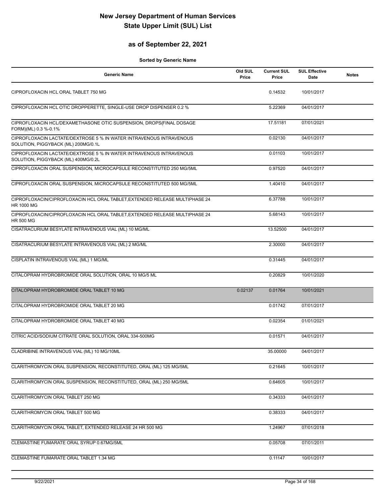### **as of September 22, 2021**

| <b>Generic Name</b>                                                                                        | Old SUL<br>Price | <b>Current SUL</b><br>Price | <b>SUL Effective</b><br>Date | <b>Notes</b> |
|------------------------------------------------------------------------------------------------------------|------------------|-----------------------------|------------------------------|--------------|
| CIPROFLOXACIN HCL ORAL TABLET 750 MG                                                                       |                  | 0.14532                     | 10/01/2017                   |              |
| CIPROFLOXACIN HCL OTIC DROPPERETTE, SINGLE-USE DROP DISPENSER 0.2 %                                        |                  | 5.22369                     | 04/01/2017                   |              |
| CIPROFLOXACIN HCL/DEXAMETHASONE OTIC SUSPENSION, DROPS(FINAL DOSAGE<br>FORM)(ML) 0.3 %-0.1%                |                  | 17.51181                    | 07/01/2021                   |              |
| CIPROFLOXACIN LACTATE/DEXTROSE 5 % IN WATER INTRAVENOUS INTRAVENOUS<br>SOLUTION, PIGGYBACK (ML) 200MG/0.1L |                  | 0.02130                     | 04/01/2017                   |              |
| CIPROFLOXACIN LACTATE/DEXTROSE 5 % IN WATER INTRAVENOUS INTRAVENOUS<br>SOLUTION, PIGGYBACK (ML) 400MG/0.2L |                  | 0.01103                     | 10/01/2017                   |              |
| CIPROFLOXACIN ORAL SUSPENSION, MICROCAPSULE RECONSTITUTED 250 MG/5ML                                       |                  | 0.97520                     | 04/01/2017                   |              |
| CIPROFLOXACIN ORAL SUSPENSION, MICROCAPSULE RECONSTITUTED 500 MG/5ML                                       |                  | 1.40410                     | 04/01/2017                   |              |
| CIPROFLOXACIN/CIPROFLOXACIN HCL ORAL TABLET, EXTENDED RELEASE MULTIPHASE 24<br><b>HR 1000 MG</b>           |                  | 6.37788                     | 10/01/2017                   |              |
| CIPROFLOXACIN/CIPROFLOXACIN HCL ORAL TABLET, EXTENDED RELEASE MULTIPHASE 24<br><b>HR 500 MG</b>            |                  | 5.68143                     | 10/01/2017                   |              |
| CISATRACURIUM BESYLATE INTRAVENOUS VIAL (ML) 10 MG/ML                                                      |                  | 13.52500                    | 04/01/2017                   |              |
| CISATRACURIUM BESYLATE INTRAVENOUS VIAL (ML) 2 MG/ML                                                       |                  | 2.30000                     | 04/01/2017                   |              |
| CISPLATIN INTRAVENOUS VIAL (ML) 1 MG/ML                                                                    |                  | 0.31445                     | 04/01/2017                   |              |
| CITALOPRAM HYDROBROMIDE ORAL SOLUTION, ORAL 10 MG/5 ML                                                     |                  | 0.20829                     | 10/01/2020                   |              |
| CITALOPRAM HYDROBROMIDE ORAL TABLET 10 MG                                                                  | 0.02137          | 0.01764                     | 10/01/2021                   |              |
| CITALOPRAM HYDROBROMIDE ORAL TABLET 20 MG                                                                  |                  | 0.01742                     | 07/01/2017                   |              |
| CITALOPRAM HYDROBROMIDE ORAL TABLET 40 MG                                                                  |                  | 0.02354                     | 01/01/2021                   |              |
| CITRIC ACID/SODIUM CITRATE ORAL SOLUTION, ORAL 334-500MG                                                   |                  | 0.01571                     | 04/01/2017                   |              |
| CLADRIBINE INTRAVENOUS VIAL (ML) 10 MG/10ML                                                                |                  | 35.00000                    | 04/01/2017                   |              |
| CLARITHROMYCIN ORAL SUSPENSION, RECONSTITUTED, ORAL (ML) 125 MG/5ML                                        |                  | 0.21645                     | 10/01/2017                   |              |
| CLARITHROMYCIN ORAL SUSPENSION, RECONSTITUTED, ORAL (ML) 250 MG/5ML                                        |                  | 0.64605                     | 10/01/2017                   |              |
| CLARITHROMYCIN ORAL TABLET 250 MG                                                                          |                  | 0.34333                     | 04/01/2017                   |              |
| CLARITHROMYCIN ORAL TABLET 500 MG                                                                          |                  | 0.38333                     | 04/01/2017                   |              |
| CLARITHROMYCIN ORAL TABLET, EXTENDED RELEASE 24 HR 500 MG                                                  |                  | 1.24967                     | 07/01/2018                   |              |
| CLEMASTINE FUMARATE ORAL SYRUP 0.67MG/5ML                                                                  |                  | 0.05708                     | 07/01/2011                   |              |
| CLEMASTINE FUMARATE ORAL TABLET 1.34 MG                                                                    |                  | 0.11147                     | 10/01/2017                   |              |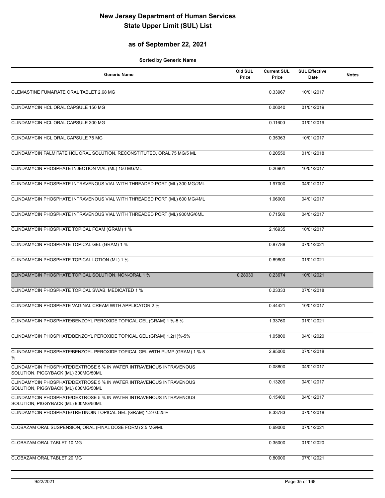### **as of September 22, 2021**

| <b>Generic Name</b>                                                                                        | Old SUL<br>Price | <b>Current SUL</b><br>Price | <b>SUL Effective</b><br>Date | <b>Notes</b> |
|------------------------------------------------------------------------------------------------------------|------------------|-----------------------------|------------------------------|--------------|
| <b>CLEMASTINE FUMARATE ORAL TABLET 2.68 MG</b>                                                             |                  | 0.33967                     | 10/01/2017                   |              |
| CLINDAMYCIN HCL ORAL CAPSULE 150 MG                                                                        |                  | 0.06040                     | 01/01/2019                   |              |
| CLINDAMYCIN HCL ORAL CAPSULE 300 MG                                                                        |                  | 0.11600                     | 01/01/2019                   |              |
| CLINDAMYCIN HCL ORAL CAPSULE 75 MG                                                                         |                  | 0.35363                     | 10/01/2017                   |              |
| CLINDAMYCIN PALMITATE HCL ORAL SOLUTION, RECONSTITUTED, ORAL 75 MG/5 ML                                    |                  | 0.20550                     | 01/01/2018                   |              |
| CLINDAMYCIN PHOSPHATE INJECTION VIAL (ML) 150 MG/ML                                                        |                  | 0.26901                     | 10/01/2017                   |              |
| CLINDAMYCIN PHOSPHATE INTRAVENOUS VIAL WITH THREADED PORT (ML) 300 MG/2ML                                  |                  | 1.97000                     | 04/01/2017                   |              |
| CLINDAMYCIN PHOSPHATE INTRAVENOUS VIAL WITH THREADED PORT (ML) 600 MG/4ML                                  |                  | 1.06000                     | 04/01/2017                   |              |
| CLINDAMYCIN PHOSPHATE INTRAVENOUS VIAL WITH THREADED PORT (ML) 900MG/6ML                                   |                  | 0.71500                     | 04/01/2017                   |              |
| CLINDAMYCIN PHOSPHATE TOPICAL FOAM (GRAM) 1 %                                                              |                  | 2.16935                     | 10/01/2017                   |              |
| CLINDAMYCIN PHOSPHATE TOPICAL GEL (GRAM) 1 %                                                               |                  | 0.87788                     | 07/01/2021                   |              |
| CLINDAMYCIN PHOSPHATE TOPICAL LOTION (ML) 1 %                                                              |                  | 0.69800                     | 01/01/2021                   |              |
| CLINDAMYCIN PHOSPHATE TOPICAL SOLUTION, NON-ORAL 1 %                                                       | 0.28030          | 0.23674                     | 10/01/2021                   |              |
| CLINDAMYCIN PHOSPHATE TOPICAL SWAB, MEDICATED 1 %                                                          |                  | 0.23333                     | 07/01/2018                   |              |
| CLINDAMYCIN PHOSPHATE VAGINAL CREAM WITH APPLICATOR 2 %                                                    |                  | 0.44421                     | 10/01/2017                   |              |
| CLINDAMYCIN PHOSPHATE/BENZOYL PEROXIDE TOPICAL GEL (GRAM) 1 %-5 %                                          |                  | 1.33760                     | 01/01/2021                   |              |
| CLINDAMYCIN PHOSPHATE/BENZOYL PEROXIDE TOPICAL GEL (GRAM) 1.2(1)%-5%                                       |                  | 1.05800                     | 04/01/2020                   |              |
| CLINDAMYCIN PHOSPHATE/BENZOYL PEROXIDE TOPICAL GEL WITH PUMP (GRAM) 1 %-5<br>%                             |                  | 2.95000                     | 07/01/2018                   |              |
| CLINDAMYCIN PHOSPHATE/DEXTROSE 5 % IN WATER INTRAVENOUS INTRAVENOUS<br>SOLUTION, PIGGYBACK (ML) 300MG/50ML |                  | 0.08800                     | 04/01/2017                   |              |
| CLINDAMYCIN PHOSPHATE/DEXTROSE 5 % IN WATER INTRAVENOUS INTRAVENOUS<br>SOLUTION, PIGGYBACK (ML) 600MG/50ML |                  | 0.13200                     | 04/01/2017                   |              |
| CLINDAMYCIN PHOSPHATE/DEXTROSE 5 % IN WATER INTRAVENOUS INTRAVENOUS<br>SOLUTION, PIGGYBACK (ML) 900MG/50ML |                  | 0.15400                     | 04/01/2017                   |              |
| CLINDAMYCIN PHOSPHATE/TRETINOIN TOPICAL GEL (GRAM) 1.2-0.025%                                              |                  | 8.33783                     | 07/01/2018                   |              |
| CLOBAZAM ORAL SUSPENSION, ORAL (FINAL DOSE FORM) 2.5 MG/ML                                                 |                  | 0.69000                     | 07/01/2021                   |              |
| CLOBAZAM ORAL TABLET 10 MG                                                                                 |                  | 0.35000                     | 01/01/2020                   |              |
| CLOBAZAM ORAL TABLET 20 MG                                                                                 |                  | 0.80000                     | 07/01/2021                   |              |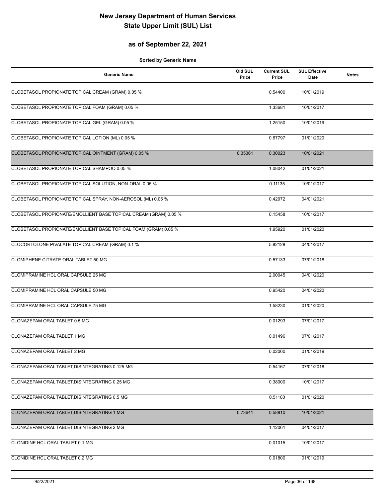### **as of September 22, 2021**

| <b>Generic Name</b>                                              | Old SUL<br>Price | <b>Current SUL</b><br>Price | <b>SUL Effective</b><br><b>Date</b> | <b>Notes</b> |
|------------------------------------------------------------------|------------------|-----------------------------|-------------------------------------|--------------|
| CLOBETASOL PROPIONATE TOPICAL CREAM (GRAM) 0.05 %                |                  | 0.54400                     | 10/01/2019                          |              |
| CLOBETASOL PROPIONATE TOPICAL FOAM (GRAM) 0.05 %                 |                  | 1.33681                     | 10/01/2017                          |              |
| CLOBETASOL PROPIONATE TOPICAL GEL (GRAM) 0.05 %                  |                  | 1.25150                     | 10/01/2019                          |              |
| CLOBETASOL PROPIONATE TOPICAL LOTION (ML) 0.05 %                 |                  | 0.67797                     | 01/01/2020                          |              |
| CLOBETASOL PROPIONATE TOPICAL OINTMENT (GRAM) 0.05 %             | 0.35361          | 0.30023                     | 10/01/2021                          |              |
| CLOBETASOL PROPIONATE TOPICAL SHAMPOO 0.05 %                     |                  | 1.08042                     | 01/01/2021                          |              |
| CLOBETASOL PROPIONATE TOPICAL SOLUTION, NON-ORAL 0.05 %          |                  | 0.11135                     | 10/01/2017                          |              |
| CLOBETASOL PROPIONATE TOPICAL SPRAY, NON-AEROSOL (ML) 0.05 %     |                  | 0.42972                     | 04/01/2021                          |              |
| CLOBETASOL PROPIONATE/EMOLLIENT BASE TOPICAL CREAM (GRAM) 0.05 % |                  | 0.15458                     | 10/01/2017                          |              |
| CLOBETASOL PROPIONATE/EMOLLIENT BASE TOPICAL FOAM (GRAM) 0.05 %  |                  | 1.95920                     | 01/01/2020                          |              |
| CLOCORTOLONE PIVALATE TOPICAL CREAM (GRAM) 0.1 %                 |                  | 5.82128                     | 04/01/2017                          |              |
| CLOMIPHENE CITRATE ORAL TABLET 50 MG                             |                  | 0.57133                     | 07/01/2018                          |              |
| CLOMIPRAMINE HCL ORAL CAPSULE 25 MG                              |                  | 2.00045                     | 04/01/2020                          |              |
| CLOMIPRAMINE HCL ORAL CAPSULE 50 MG                              |                  | 0.95420                     | 04/01/2020                          |              |
| CLOMIPRAMINE HCL ORAL CAPSULE 75 MG                              |                  | 1.58230                     | 01/01/2020                          |              |
| CLONAZEPAM ORAL TABLET 0.5 MG                                    |                  | 0.01293                     | 07/01/2017                          |              |
| CLONAZEPAM ORAL TABLET 1 MG                                      |                  | 0.01496                     | 07/01/2017                          |              |
| CLONAZEPAM ORAL TABLET 2 MG                                      |                  | 0.02000                     | 01/01/2019                          |              |
| CLONAZEPAM ORAL TABLET, DISINTEGRATING 0.125 MG                  |                  | 0.54167                     | 07/01/2018                          |              |
| CLONAZEPAM ORAL TABLET, DISINTEGRATING 0.25 MG                   |                  | 0.38000                     | 10/01/2017                          |              |
| CLONAZEPAM ORAL TABLET, DISINTEGRATING 0.5 MG                    |                  | 0.51100                     | 01/01/2020                          |              |
| CLONAZEPAM ORAL TABLET, DISINTEGRATING 1 MG                      | 0.73641          | 0.58810                     | 10/01/2021                          |              |
| CLONAZEPAM ORAL TABLET, DISINTEGRATING 2 MG                      |                  | 1.12061                     | 04/01/2017                          |              |
| CLONIDINE HCL ORAL TABLET 0.1 MG                                 |                  | 0.01015                     | 10/01/2017                          |              |
| CLONIDINE HCL ORAL TABLET 0.2 MG                                 |                  | 0.01800                     | 01/01/2019                          |              |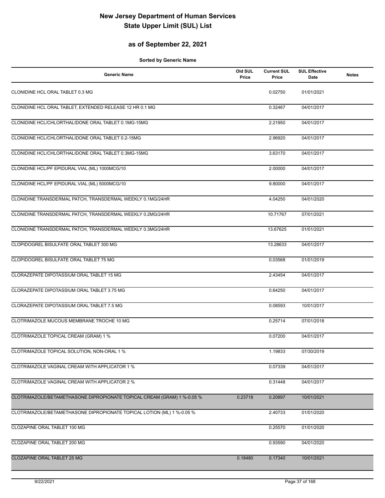## **as of September 22, 2021**

| <b>Generic Name</b>                                                     | Old SUL<br>Price | <b>Current SUL</b><br>Price | <b>SUL Effective</b><br>Date | <b>Notes</b> |
|-------------------------------------------------------------------------|------------------|-----------------------------|------------------------------|--------------|
| CLONIDINE HCL ORAL TABLET 0.3 MG                                        |                  | 0.02750                     | 01/01/2021                   |              |
| CLONIDINE HCL ORAL TABLET, EXTENDED RELEASE 12 HR 0.1 MG                |                  | 0.32467                     | 04/01/2017                   |              |
| CLONIDINE HCL/CHLORTHALIDONE ORAL TABLET 0.1MG-15MG                     |                  | 2.21950                     | 04/01/2017                   |              |
| CLONIDINE HCL/CHLORTHALIDONE ORAL TABLET 0.2-15MG                       |                  | 2.96920                     | 04/01/2017                   |              |
| CLONIDINE HCL/CHLORTHALIDONE ORAL TABLET 0.3MG-15MG                     |                  | 3.63170                     | 04/01/2017                   |              |
| CLONIDINE HCL/PF EPIDURAL VIAL (ML) 1000MCG/10                          |                  | 2.00000                     | 04/01/2017                   |              |
| CLONIDINE HCL/PF EPIDURAL VIAL (ML) 5000MCG/10                          |                  | 9.80000                     | 04/01/2017                   |              |
| CLONIDINE TRANSDERMAL PATCH, TRANSDERMAL WEEKLY 0.1MG/24HR              |                  | 4.04250                     | 04/01/2020                   |              |
| CLONIDINE TRANSDERMAL PATCH, TRANSDERMAL WEEKLY 0.2MG/24HR              |                  | 10.71767                    | 07/01/2021                   |              |
| CLONIDINE TRANSDERMAL PATCH, TRANSDERMAL WEEKLY 0.3MG/24HR              |                  | 13.67625                    | 01/01/2021                   |              |
| CLOPIDOGREL BISULFATE ORAL TABLET 300 MG                                |                  | 13.28633                    | 04/01/2017                   |              |
| CLOPIDOGREL BISULFATE ORAL TABLET 75 MG                                 |                  | 0.03568                     | 01/01/2019                   |              |
| CLORAZEPATE DIPOTASSIUM ORAL TABLET 15 MG                               |                  | 2.43454                     | 04/01/2017                   |              |
| CLORAZEPATE DIPOTASSIUM ORAL TABLET 3.75 MG                             |                  | 0.64250                     | 04/01/2017                   |              |
| CLORAZEPATE DIPOTASSIUM ORAL TABLET 7.5 MG                              |                  | 0.08593                     | 10/01/2017                   |              |
| CLOTRIMAZOLE MUCOUS MEMBRANE TROCHE 10 MG                               |                  | 0.25714                     | 07/01/2018                   |              |
| CLOTRIMAZOLE TOPICAL CREAM (GRAM) 1 %                                   |                  | 0.07200                     | 04/01/2017                   |              |
| CLOTRIMAZOLE TOPICAL SOLUTION, NON-ORAL 1 %                             |                  | 1.19833                     | 07/30/2019                   |              |
| CLOTRIMAZOLE VAGINAL CREAM WITH APPLICATOR 1 %                          |                  | 0.07339                     | 04/01/2017                   |              |
| CLOTRIMAZOLE VAGINAL CREAM WITH APPLICATOR 2 %                          |                  | 0.31448                     | 04/01/2017                   |              |
| CLOTRIMAZOLE/BETAMETHASONE DIPROPIONATE TOPICAL CREAM (GRAM) 1 %-0.05 % | 0.23718          | 0.20897                     | 10/01/2021                   |              |
| CLOTRIMAZOLE/BETAMETHASONE DIPROPIONATE TOPICAL LOTION (ML) 1 %-0.05 %  |                  | 2.40733                     | 01/01/2020                   |              |
| CLOZAPINE ORAL TABLET 100 MG                                            |                  | 0.25570                     | 01/01/2020                   |              |
| CLOZAPINE ORAL TABLET 200 MG                                            |                  | 0.93590                     | 04/01/2020                   |              |
| CLOZAPINE ORAL TABLET 25 MG                                             | 0.18480          | 0.17340                     | 10/01/2021                   |              |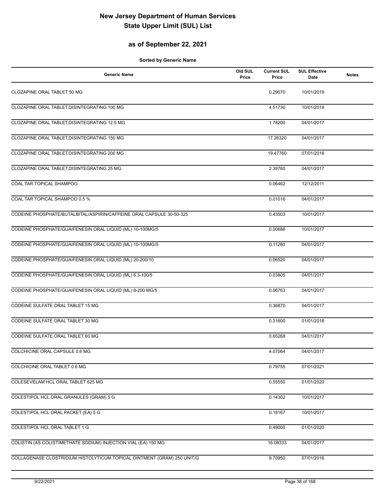## **as of September 22, 2021**

| <b>Generic Name</b>                                                     | Old SUL<br>Price | <b>Current SUL</b><br>Price | <b>SUL Effective</b><br>Date | <b>Notes</b> |
|-------------------------------------------------------------------------|------------------|-----------------------------|------------------------------|--------------|
| CLOZAPINE ORAL TABLET 50 MG                                             |                  | 0.29070                     | 10/01/2019                   |              |
| CLOZAPINE ORAL TABLET, DISINTEGRATING 100 MG                            |                  | 4.51730                     | 10/01/2019                   |              |
| CLOZAPINE ORAL TABLET, DISINTEGRATING 12.5 MG                           |                  | 1.78200                     | 04/01/2017                   |              |
| CLOZAPINE ORAL TABLET, DISINTEGRATING 150 MG                            |                  | 17.26320                    | 04/01/2017                   |              |
| CLOZAPINE ORAL TABLET, DISINTEGRATING 200 MG                            |                  | 19.47760                    | 07/01/2018                   |              |
| CLOZAPINE ORAL TABLET, DISINTEGRATING 25 MG                             |                  | 2.39760                     | 04/01/2017                   |              |
| COAL TAR TOPICAL SHAMPOO                                                |                  | 0.06462                     | 12/12/2011                   |              |
| COAL TAR TOPICAL SHAMPOO 0.5 %                                          |                  | 0.01016                     | 04/01/2017                   |              |
| CODEINE PHOSPHATE/BUTALBITAL/ASPIRIN/CAFFEINE ORAL CAPSULE 30-50-325    |                  | 0.43503                     | 10/01/2017                   |              |
| CODEINE PHOSPHATE/GUAIFENESIN ORAL LIQUID (ML) 10-100MG/5               |                  | 0.00686                     | 10/01/2017                   |              |
| CODEINE PHOSPHATE/GUAIFENESIN ORAL LIQUID (ML) 10-100MG/5               |                  | 0.11280                     | 04/01/2017                   |              |
| CODEINE PHOSPHATE/GUAIFENESIN ORAL LIQUID (ML) 20-200/10                |                  | 0.06520                     | 04/01/2017                   |              |
| CODEINE PHOSPHATE/GUAIFENESIN ORAL LIQUID (ML) 6.3-100/5                |                  | 0.03805                     | 04/01/2017                   |              |
| CODEINE PHOSPHATE/GUAIFENESIN ORAL LIQUID (ML) 8-200 MG/5               |                  | 0.06763                     | 04/01/2017                   |              |
| CODEINE SULFATE ORAL TABLET 15 MG                                       |                  | 0.36870                     | 04/01/2017                   |              |
| CODEINE SULFATE ORAL TABLET 30 MG                                       |                  | 0.31600                     | 01/01/2018                   |              |
| CODEINE SULFATE ORAL TABLET 60 MG                                       |                  | 0.65268                     | 04/01/2017                   |              |
| COLCHICINE ORAL CAPSULE 0.6 MG                                          |                  | 4.07064                     | 04/01/2017                   |              |
| COLCHICINE ORAL TABLET 0.6 MG                                           |                  | 0.79755                     | 07/01/2021                   |              |
| COLESEVELAM HCL ORAL TABLET 625 MG                                      |                  | 0.55550                     | 01/01/2020                   |              |
| COLESTIPOL HCL ORAL GRANULES (GRAM) 5 G                                 |                  | 0.14302                     | 10/01/2017                   |              |
| COLESTIPOL HCL ORAL PACKET (EA) 5 G                                     |                  | 0.18167                     | 10/01/2017                   |              |
| COLESTIPOL HCL ORAL TABLET 1 G                                          |                  | 0.49000                     | 01/01/2020                   |              |
| COLISTIN (AS COLISTIMETHATE SODIUM) INJECTION VIAL (EA) 150 MG          |                  | 16.08333                    | 04/01/2017                   |              |
| COLLAGENASE CLOSTRIDIUM HISTOLYTICUM TOPICAL OINTMENT (GRAM) 250 UNIT/G |                  | 9.70950                     | 07/01/2016                   |              |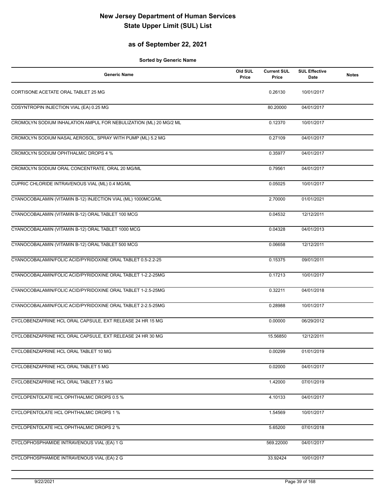## **as of September 22, 2021**

| <b>Generic Name</b>                                               | Old SUL<br>Price | <b>Current SUL</b><br>Price | <b>SUL Effective</b><br>Date | <b>Notes</b> |
|-------------------------------------------------------------------|------------------|-----------------------------|------------------------------|--------------|
| CORTISONE ACETATE ORAL TABLET 25 MG                               |                  | 0.26130                     | 10/01/2017                   |              |
| COSYNTROPIN INJECTION VIAL (EA) 0.25 MG                           |                  | 80.20000                    | 04/01/2017                   |              |
| CROMOLYN SODIUM INHALATION AMPUL FOR NEBULIZATION (ML) 20 MG/2 ML |                  | 0.12370                     | 10/01/2017                   |              |
| CROMOLYN SODIUM NASAL AEROSOL, SPRAY WITH PUMP (ML) 5.2 MG        |                  | 0.27109                     | 04/01/2017                   |              |
| CROMOLYN SODIUM OPHTHALMIC DROPS 4 %                              |                  | 0.35977                     | 04/01/2017                   |              |
| CROMOLYN SODIUM ORAL CONCENTRATE, ORAL 20 MG/ML                   |                  | 0.79561                     | 04/01/2017                   |              |
| CUPRIC CHLORIDE INTRAVENOUS VIAL (ML) 0.4 MG/ML                   |                  | 0.05025                     | 10/01/2017                   |              |
| CYANOCOBALAMIN (VITAMIN B-12) INJECTION VIAL (ML) 1000MCG/ML      |                  | 2.70000                     | 01/01/2021                   |              |
| CYANOCOBALAMIN (VITAMIN B-12) ORAL TABLET 100 MCG                 |                  | 0.04532                     | 12/12/2011                   |              |
| CYANOCOBALAMIN (VITAMIN B-12) ORAL TABLET 1000 MCG                |                  | 0.04328                     | 04/01/2013                   |              |
| CYANOCOBALAMIN (VITAMIN B-12) ORAL TABLET 500 MCG                 |                  | 0.06658                     | 12/12/2011                   |              |
| CYANOCOBALAMIN/FOLIC ACID/PYRIDOXINE ORAL TABLET 0.5-2.2-25       |                  | 0.15375                     | 09/01/2011                   |              |
| CYANOCOBALAMIN/FOLIC ACID/PYRIDOXINE ORAL TABLET 1-2.2-25MG       |                  | 0.17213                     | 10/01/2017                   |              |
| CYANOCOBALAMIN/FOLIC ACID/PYRIDOXINE ORAL TABLET 1-2.5-25MG       |                  | 0.32211                     | 04/01/2018                   |              |
| CYANOCOBALAMIN/FOLIC ACID/PYRIDOXINE ORAL TABLET 2-2.5-25MG       |                  | 0.28988                     | 10/01/2017                   |              |
| CYCLOBENZAPRINE HCL ORAL CAPSULE, EXT RELEASE 24 HR 15 MG         |                  | 0.00000                     | 06/29/2012                   |              |
| CYCLOBENZAPRINE HCL ORAL CAPSULE, EXT RELEASE 24 HR 30 MG         |                  | 15.56850                    | 12/12/2011                   |              |
| CYCLOBENZAPRINE HCL ORAL TABLET 10 MG                             |                  | 0.00299                     | 01/01/2019                   |              |
| CYCLOBENZAPRINE HCL ORAL TABLET 5 MG                              |                  | 0.02000                     | 04/01/2017                   |              |
| CYCLOBENZAPRINE HCL ORAL TABLET 7.5 MG                            |                  | 1.42000                     | 07/01/2019                   |              |
| CYCLOPENTOLATE HCL OPHTHALMIC DROPS 0.5 %                         |                  | 4.10133                     | 04/01/2017                   |              |
| CYCLOPENTOLATE HCL OPHTHALMIC DROPS 1 %                           |                  | 1.54569                     | 10/01/2017                   |              |
| CYCLOPENTOLATE HCL OPHTHALMIC DROPS 2 %                           |                  | 5.65200                     | 07/01/2018                   |              |
| CYCLOPHOSPHAMIDE INTRAVENOUS VIAL (EA) 1 G                        |                  | 569.22000                   | 04/01/2017                   |              |
| CYCLOPHOSPHAMIDE INTRAVENOUS VIAL (EA) 2 G                        |                  | 33.92424                    | 10/01/2017                   |              |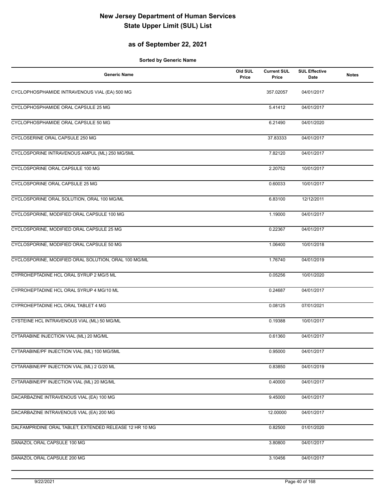## **as of September 22, 2021**

| <b>Generic Name</b>                                     | Old SUL<br>Price | <b>Current SUL</b><br>Price | <b>SUL Effective</b><br>Date | <b>Notes</b> |
|---------------------------------------------------------|------------------|-----------------------------|------------------------------|--------------|
| CYCLOPHOSPHAMIDE INTRAVENOUS VIAL (EA) 500 MG           |                  | 357.02057                   | 04/01/2017                   |              |
| CYCLOPHOSPHAMIDE ORAL CAPSULE 25 MG                     |                  | 5.41412                     | 04/01/2017                   |              |
| CYCLOPHOSPHAMIDE ORAL CAPSULE 50 MG                     |                  | 6.21490                     | 04/01/2020                   |              |
| CYCLOSERINE ORAL CAPSULE 250 MG                         |                  | 37.83333                    | 04/01/2017                   |              |
| CYCLOSPORINE INTRAVENOUS AMPUL (ML) 250 MG/5ML          |                  | 7.82120                     | 04/01/2017                   |              |
| CYCLOSPORINE ORAL CAPSULE 100 MG                        |                  | 2.20752                     | 10/01/2017                   |              |
| CYCLOSPORINE ORAL CAPSULE 25 MG                         |                  | 0.60033                     | 10/01/2017                   |              |
| CYCLOSPORINE ORAL SOLUTION, ORAL 100 MG/ML              |                  | 6.83100                     | 12/12/2011                   |              |
| CYCLOSPORINE, MODIFIED ORAL CAPSULE 100 MG              |                  | 1.19000                     | 04/01/2017                   |              |
| CYCLOSPORINE, MODIFIED ORAL CAPSULE 25 MG               |                  | 0.22367                     | 04/01/2017                   |              |
| CYCLOSPORINE, MODIFIED ORAL CAPSULE 50 MG               |                  | 1.06400                     | 10/01/2018                   |              |
| CYCLOSPORINE, MODIFIED ORAL SOLUTION, ORAL 100 MG/ML    |                  | 1.76740                     | 04/01/2019                   |              |
| CYPROHEPTADINE HCL ORAL SYRUP 2 MG/5 ML                 |                  | 0.05256                     | 10/01/2020                   |              |
| CYPROHEPTADINE HCL ORAL SYRUP 4 MG/10 ML                |                  | 0.24687                     | 04/01/2017                   |              |
| CYPROHEPTADINE HCL ORAL TABLET 4 MG                     |                  | 0.08125                     | 07/01/2021                   |              |
| CYSTEINE HCL INTRAVENOUS VIAL (ML) 50 MG/ML             |                  | 0.19388                     | 10/01/2017                   |              |
| CYTARABINE INJECTION VIAL (ML) 20 MG/ML                 |                  | 0.61360                     | 04/01/2017                   |              |
| CYTARABINE/PF INJECTION VIAL (ML) 100 MG/5ML            |                  | 0.95000                     | 04/01/2017                   |              |
| CYTARABINE/PF INJECTION VIAL (ML) 2 G/20 ML             |                  | 0.83850                     | 04/01/2019                   |              |
| CYTARABINE/PF INJECTION VIAL (ML) 20 MG/ML              |                  | 0.40000                     | 04/01/2017                   |              |
| DACARBAZINE INTRAVENOUS VIAL (EA) 100 MG                |                  | 9.45000                     | 04/01/2017                   |              |
| DACARBAZINE INTRAVENOUS VIAL (EA) 200 MG                |                  | 12.00000                    | 04/01/2017                   |              |
| DALFAMPRIDINE ORAL TABLET, EXTENDED RELEASE 12 HR 10 MG |                  | 0.82500                     | 01/01/2020                   |              |
| DANAZOL ORAL CAPSULE 100 MG                             |                  | 3.80800                     | 04/01/2017                   |              |
| DANAZOL ORAL CAPSULE 200 MG                             |                  | 3.10456                     | 04/01/2017                   |              |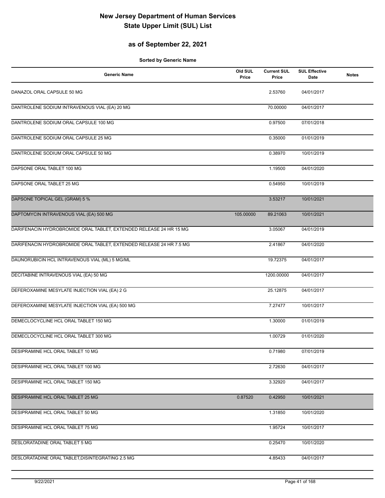## **as of September 22, 2021**

| <b>Generic Name</b>                                                 | Old SUL<br>Price | <b>Current SUL</b><br>Price | <b>SUL Effective</b><br>Date | <b>Notes</b> |
|---------------------------------------------------------------------|------------------|-----------------------------|------------------------------|--------------|
| DANAZOL ORAL CAPSULE 50 MG                                          |                  | 2.53760                     | 04/01/2017                   |              |
| DANTROLENE SODIUM INTRAVENOUS VIAL (EA) 20 MG                       |                  | 70.00000                    | 04/01/2017                   |              |
| DANTROLENE SODIUM ORAL CAPSULE 100 MG                               |                  | 0.97500                     | 07/01/2018                   |              |
| DANTROLENE SODIUM ORAL CAPSULE 25 MG                                |                  | 0.35000                     | 01/01/2019                   |              |
| DANTROLENE SODIUM ORAL CAPSULE 50 MG                                |                  | 0.38970                     | 10/01/2019                   |              |
| DAPSONE ORAL TABLET 100 MG                                          |                  | 1.19500                     | 04/01/2020                   |              |
| DAPSONE ORAL TABLET 25 MG                                           |                  | 0.54950                     | 10/01/2019                   |              |
| DAPSONE TOPICAL GEL (GRAM) 5 %                                      |                  | 3.53217                     | 10/01/2021                   |              |
| DAPTOMYCIN INTRAVENOUS VIAL (EA) 500 MG                             | 105.00000        | 89.21063                    | 10/01/2021                   |              |
| DARIFENACIN HYDROBROMIDE ORAL TABLET, EXTENDED RELEASE 24 HR 15 MG  |                  | 3.05067                     | 04/01/2019                   |              |
| DARIFENACIN HYDROBROMIDE ORAL TABLET, EXTENDED RELEASE 24 HR 7.5 MG |                  | 2.41867                     | 04/01/2020                   |              |
| DAUNORUBICIN HCL INTRAVENOUS VIAL (ML) 5 MG/ML                      |                  | 19.72375                    | 04/01/2017                   |              |
| DECITABINE INTRAVENOUS VIAL (EA) 50 MG                              |                  | 1200.00000                  | 04/01/2017                   |              |
| DEFEROXAMINE MESYLATE INJECTION VIAL (EA) 2 G                       |                  | 25.12875                    | 04/01/2017                   |              |
| DEFEROXAMINE MESYLATE INJECTION VIAL (EA) 500 MG                    |                  | 7.27477                     | 10/01/2017                   |              |
| DEMECLOCYCLINE HCL ORAL TABLET 150 MG                               |                  | 1.30000                     | 01/01/2019                   |              |
| DEMECLOCYCLINE HCL ORAL TABLET 300 MG                               |                  | 1.00729                     | 01/01/2020                   |              |
| DESIPRAMINE HCL ORAL TABLET 10 MG                                   |                  | 0.71980                     | 07/01/2019                   |              |
| DESIPRAMINE HCL ORAL TABLET 100 MG                                  |                  | 2.72630                     | 04/01/2017                   |              |
| DESIPRAMINE HCL ORAL TABLET 150 MG                                  |                  | 3.32920                     | 04/01/2017                   |              |
| DESIPRAMINE HCL ORAL TABLET 25 MG                                   | 0.87520          | 0.42950                     | 10/01/2021                   |              |
| DESIPRAMINE HCL ORAL TABLET 50 MG                                   |                  | 1.31850                     | 10/01/2020                   |              |
| DESIPRAMINE HCL ORAL TABLET 75 MG                                   |                  | 1.95724                     | 10/01/2017                   |              |
| DESLORATADINE ORAL TABLET 5 MG                                      |                  | 0.25470                     | 10/01/2020                   |              |
| DESLORATADINE ORAL TABLET, DISINTEGRATING 2.5 MG                    |                  | 4.85433                     | 04/01/2017                   |              |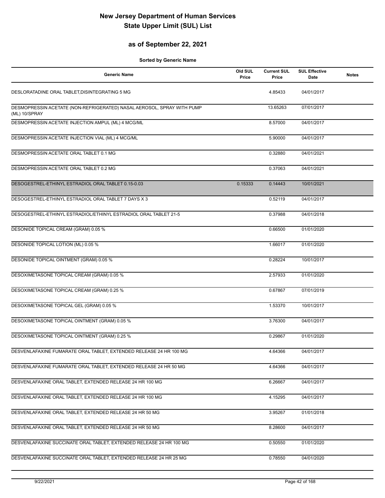## **as of September 22, 2021**

| <b>Generic Name</b>                                                                     | Old SUL<br>Price | <b>Current SUL</b><br>Price | <b>SUL Effective</b><br><b>Date</b> | <b>Notes</b> |
|-----------------------------------------------------------------------------------------|------------------|-----------------------------|-------------------------------------|--------------|
| DESLORATADINE ORAL TABLET, DISINTEGRATING 5 MG                                          |                  | 4.85433                     | 04/01/2017                          |              |
| DESMOPRESSIN ACETATE (NON-REFRIGERATED) NASAL AEROSOL, SPRAY WITH PUMP<br>(ML) 10/SPRAY |                  | 13.65263                    | 07/01/2017                          |              |
| DESMOPRESSIN ACETATE INJECTION AMPUL (ML) 4 MCG/ML                                      |                  | 8.57000                     | 04/01/2017                          |              |
| DESMOPRESSIN ACETATE INJECTION VIAL (ML) 4 MCG/ML                                       |                  | 5.90000                     | 04/01/2017                          |              |
| DESMOPRESSIN ACETATE ORAL TABLET 0.1 MG                                                 |                  | 0.32880                     | 04/01/2021                          |              |
| DESMOPRESSIN ACETATE ORAL TABLET 0.2 MG                                                 |                  | 0.37063                     | 04/01/2021                          |              |
| DESOGESTREL-ETHINYL ESTRADIOL ORAL TABLET 0.15-0.03                                     | 0.15333          | 0.14443                     | 10/01/2021                          |              |
| DESOGESTREL-ETHINYL ESTRADIOL ORAL TABLET 7 DAYS X 3                                    |                  | 0.52119                     | 04/01/2017                          |              |
| DESOGESTREL-ETHINYL ESTRADIOL/ETHINYL ESTRADIOL ORAL TABLET 21-5                        |                  | 0.37988                     | 04/01/2018                          |              |
| DESONIDE TOPICAL CREAM (GRAM) 0.05 %                                                    |                  | 0.66500                     | 01/01/2020                          |              |
| DESONIDE TOPICAL LOTION (ML) 0.05 %                                                     |                  | 1.66017                     | 01/01/2020                          |              |
| DESONIDE TOPICAL OINTMENT (GRAM) 0.05 %                                                 |                  | 0.28224                     | 10/01/2017                          |              |
| DESOXIMETASONE TOPICAL CREAM (GRAM) 0.05 %                                              |                  | 2.57933                     | 01/01/2020                          |              |
| DESOXIMETASONE TOPICAL CREAM (GRAM) 0.25 %                                              |                  | 0.67867                     | 07/01/2019                          |              |
| DESOXIMETASONE TOPICAL GEL (GRAM) 0.05 %                                                |                  | 1.53370                     | 10/01/2017                          |              |
| DESOXIMETASONE TOPICAL OINTMENT (GRAM) 0.05 %                                           |                  | 3.76300                     | 04/01/2017                          |              |
| DESOXIMETASONE TOPICAL OINTMENT (GRAM) 0.25 %                                           |                  | 0.29867                     | 01/01/2020                          |              |
| DESVENLAFAXINE FUMARATE ORAL TABLET, EXTENDED RELEASE 24 HR 100 MG                      |                  | 4.64366                     | 04/01/2017                          |              |
| DESVENLAFAXINE FUMARATE ORAL TABLET, EXTENDED RELEASE 24 HR 50 MG                       |                  | 4.64366                     | 04/01/2017                          |              |
| DESVENLAFAXINE ORAL TABLET, EXTENDED RELEASE 24 HR 100 MG                               |                  | 6.26667                     | 04/01/2017                          |              |
| DESVENLAFAXINE ORAL TABLET, EXTENDED RELEASE 24 HR 100 MG                               |                  | 4.15295                     | 04/01/2017                          |              |
| DESVENLAFAXINE ORAL TABLET, EXTENDED RELEASE 24 HR 50 MG                                |                  | 3.95267                     | 01/01/2018                          |              |
| DESVENLAFAXINE ORAL TABLET, EXTENDED RELEASE 24 HR 50 MG                                |                  | 8.28600                     | 04/01/2017                          |              |
| DESVENLAFAXINE SUCCINATE ORAL TABLET, EXTENDED RELEASE 24 HR 100 MG                     |                  | 0.50550                     | 01/01/2020                          |              |
| DESVENLAFAXINE SUCCINATE ORAL TABLET, EXTENDED RELEASE 24 HR 25 MG                      |                  | 0.78550                     | 04/01/2020                          |              |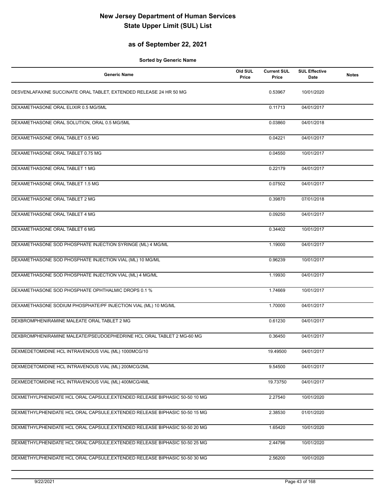## **as of September 22, 2021**

| <b>Generic Name</b>                                                        | Old SUL<br>Price | <b>Current SUL</b><br>Price | <b>SUL Effective</b><br>Date | <b>Notes</b> |
|----------------------------------------------------------------------------|------------------|-----------------------------|------------------------------|--------------|
| DESVENLAFAXINE SUCCINATE ORAL TABLET, EXTENDED RELEASE 24 HR 50 MG         |                  | 0.53967                     | 10/01/2020                   |              |
| DEXAMETHASONE ORAL ELIXIR 0.5 MG/5ML                                       |                  | 0.11713                     | 04/01/2017                   |              |
| DEXAMETHASONE ORAL SOLUTION, ORAL 0.5 MG/5ML                               |                  | 0.03860                     | 04/01/2018                   |              |
| DEXAMETHASONE ORAL TABLET 0.5 MG                                           |                  | 0.04221                     | 04/01/2017                   |              |
| DEXAMETHASONE ORAL TABLET 0.75 MG                                          |                  | 0.04550                     | 10/01/2017                   |              |
| DEXAMETHASONE ORAL TABLET 1 MG                                             |                  | 0.22179                     | 04/01/2017                   |              |
| DEXAMETHASONE ORAL TABLET 1.5 MG                                           |                  | 0.07502                     | 04/01/2017                   |              |
| DEXAMETHASONE ORAL TABLET 2 MG                                             |                  | 0.39870                     | 07/01/2018                   |              |
| DEXAMETHASONE ORAL TABLET 4 MG                                             |                  | 0.09250                     | 04/01/2017                   |              |
| DEXAMETHASONE ORAL TABLET 6 MG                                             |                  | 0.34402                     | 10/01/2017                   |              |
| DEXAMETHASONE SOD PHOSPHATE INJECTION SYRINGE (ML) 4 MG/ML                 |                  | 1.19000                     | 04/01/2017                   |              |
| DEXAMETHASONE SOD PHOSPHATE INJECTION VIAL (ML) 10 MG/ML                   |                  | 0.96239                     | 10/01/2017                   |              |
| DEXAMETHASONE SOD PHOSPHATE INJECTION VIAL (ML) 4 MG/ML                    |                  | 1.19930                     | 04/01/2017                   |              |
| DEXAMETHASONE SOD PHOSPHATE OPHTHALMIC DROPS 0.1 %                         |                  | 1.74669                     | 10/01/2017                   |              |
| DEXAMETHASONE SODIUM PHOSPHATE/PF INJECTION VIAL (ML) 10 MG/ML             |                  | 1.70000                     | 04/01/2017                   |              |
| DEXBROMPHENIRAMINE MALEATE ORAL TABLET 2 MG                                |                  | 0.61230                     | 04/01/2017                   |              |
| DEXBROMPHENIRAMINE MALEATE/PSEUDOEPHEDRINE HCL ORAL TABLET 2 MG-60 MG      |                  | 0.36450                     | 04/01/2017                   |              |
| DEXMEDETOMIDINE HCL INTRAVENOUS VIAL (ML) 1000MCG/10                       |                  | 19.49500                    | 04/01/2017                   |              |
| DEXMEDETOMIDINE HCL INTRAVENOUS VIAL (ML) 200MCG/2ML                       |                  | 9.54500                     | 04/01/2017                   |              |
| DEXMEDETOMIDINE HCL INTRAVENOUS VIAL (ML) 400MCG/4ML                       |                  | 19.73750                    | 04/01/2017                   |              |
| DEXMETHYLPHENIDATE HCL ORAL CAPSULE, EXTENDED RELEASE BIPHASIC 50-50 10 MG |                  | 2.27540                     | 10/01/2020                   |              |
| DEXMETHYLPHENIDATE HCL ORAL CAPSULE, EXTENDED RELEASE BIPHASIC 50-50 15 MG |                  | 2.38530                     | 01/01/2020                   |              |
| DEXMETHYLPHENIDATE HCL ORAL CAPSULE, EXTENDED RELEASE BIPHASIC 50-50 20 MG |                  | 1.65420                     | 10/01/2020                   |              |
| DEXMETHYLPHENIDATE HCL ORAL CAPSULE, EXTENDED RELEASE BIPHASIC 50-50 25 MG |                  | 2.44796                     | 10/01/2020                   |              |
| DEXMETHYLPHENIDATE HCL ORAL CAPSULE, EXTENDED RELEASE BIPHASIC 50-50 30 MG |                  | 2.56200                     | 10/01/2020                   |              |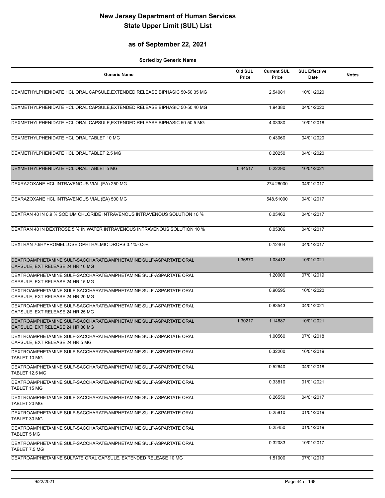## **as of September 22, 2021**

| <b>Generic Name</b>                                                                                   | Old SUL<br>Price | <b>Current SUL</b><br>Price | <b>SUL Effective</b><br>Date | <b>Notes</b> |
|-------------------------------------------------------------------------------------------------------|------------------|-----------------------------|------------------------------|--------------|
| DEXMETHYLPHENIDATE HCL ORAL CAPSULE, EXTENDED RELEASE BIPHASIC 50-50 35 MG                            |                  | 2.54081                     | 10/01/2020                   |              |
| DEXMETHYLPHENIDATE HCL ORAL CAPSULE, EXTENDED RELEASE BIPHASIC 50-50 40 MG                            |                  | 1.94380                     | 04/01/2020                   |              |
| DEXMETHYLPHENIDATE HCL ORAL CAPSULE, EXTENDED RELEASE BIPHASIC 50-50 5 MG                             |                  | 4.03380                     | 10/01/2018                   |              |
| DEXMETHYLPHENIDATE HCL ORAL TABLET 10 MG                                                              |                  | 0.43060                     | 04/01/2020                   |              |
| DEXMETHYLPHENIDATE HCL ORAL TABLET 2.5 MG                                                             |                  | 0.20250                     | 04/01/2020                   |              |
| DEXMETHYLPHENIDATE HCL ORAL TABLET 5 MG                                                               | 0.44517          | 0.22290                     | 10/01/2021                   |              |
| DEXRAZOXANE HCL INTRAVENOUS VIAL (EA) 250 MG                                                          |                  | 274.26000                   | 04/01/2017                   |              |
| DEXRAZOXANE HCL INTRAVENOUS VIAL (EA) 500 MG                                                          |                  | 548.51000                   | 04/01/2017                   |              |
| DEXTRAN 40 IN 0.9 % SODIUM CHLORIDE INTRAVENOUS INTRAVENOUS SOLUTION 10 %                             |                  | 0.05462                     | 04/01/2017                   |              |
| DEXTRAN 40 IN DEXTROSE 5 % IN WATER INTRAVENOUS INTRAVENOUS SOLUTION 10 %                             |                  | 0.05306                     | 04/01/2017                   |              |
| DEXTRAN 70/HYPROMELLOSE OPHTHALMIC DROPS 0.1%-0.3%                                                    |                  | 0.12464                     | 04/01/2017                   |              |
| DEXTROAMPHETAMINE SULF-SACCHARATE/AMPHETAMINE SULF-ASPARTATE ORAL<br>CAPSULE, EXT RELEASE 24 HR 10 MG | 1.36870          | 1.03412                     | 10/01/2021                   |              |
| DEXTROAMPHETAMINE SULF-SACCHARATE/AMPHETAMINE SULF-ASPARTATE ORAL<br>CAPSULE, EXT RELEASE 24 HR 15 MG |                  | 1.20000                     | 07/01/2019                   |              |
| DEXTROAMPHETAMINE SULF-SACCHARATE/AMPHETAMINE SULF-ASPARTATE ORAL<br>CAPSULE, EXT RELEASE 24 HR 20 MG |                  | 0.90595                     | 10/01/2020                   |              |
| DEXTROAMPHETAMINE SULF-SACCHARATE/AMPHETAMINE SULF-ASPARTATE ORAL<br>CAPSULE, EXT RELEASE 24 HR 25 MG |                  | 0.83543                     | 04/01/2021                   |              |
| DEXTROAMPHETAMINE SULF-SACCHARATE/AMPHETAMINE SULF-ASPARTATE ORAL<br>CAPSULE, EXT RELEASE 24 HR 30 MG | 1.30217          | 1.14687                     | 10/01/2021                   |              |
| DEXTROAMPHETAMINE SULF-SACCHARATE/AMPHETAMINE SULF-ASPARTATE ORAL<br>CAPSULE, EXT RELEASE 24 HR 5 MG  |                  | 1.00560                     | 07/01/2018                   |              |
| DEXTROAMPHETAMINE SULF-SACCHARATE/AMPHETAMINE SULF-ASPARTATE ORAL<br>TABLET 10 MG                     |                  | 0.32200                     | 10/01/2019                   |              |
| DEXTROAMPHETAMINE SULF-SACCHARATE/AMPHETAMINE SULF-ASPARTATE ORAL<br>TABLET 12.5 MG                   |                  | 0.52640                     | 04/01/2018                   |              |
| DEXTROAMPHETAMINE SULF-SACCHARATE/AMPHETAMINE SULF-ASPARTATE ORAL<br><b>TABLET 15 MG</b>              |                  | 0.33810                     | 01/01/2021                   |              |
| DEXTROAMPHETAMINE SULF-SACCHARATE/AMPHETAMINE SULF-ASPARTATE ORAL<br>TABLET 20 MG                     |                  | 0.26550                     | 04/01/2017                   |              |
| DEXTROAMPHETAMINE SULF-SACCHARATE/AMPHETAMINE SULF-ASPARTATE ORAL<br>TABLET 30 MG                     |                  | 0.25810                     | 01/01/2019                   |              |
| DEXTROAMPHETAMINE SULF-SACCHARATE/AMPHETAMINE SULF-ASPARTATE ORAL<br><b>TABLET 5 MG</b>               |                  | 0.25450                     | 01/01/2019                   |              |
| DEXTROAMPHETAMINE SULF-SACCHARATE/AMPHETAMINE SULF-ASPARTATE ORAL<br>TABLET 7.5 MG                    |                  | 0.32083                     | 10/01/2017                   |              |
| DEXTROAMPHETAMINE SULFATE ORAL CAPSULE, EXTENDED RELEASE 10 MG                                        |                  | 1.51000                     | 07/01/2019                   |              |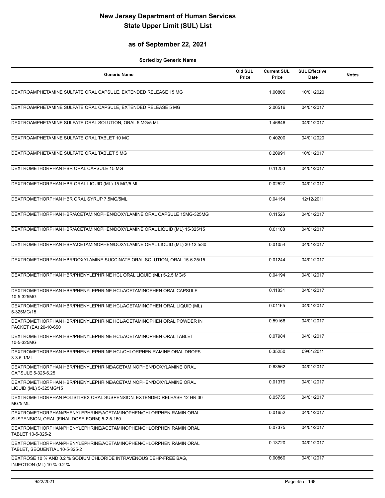## **as of September 22, 2021**

| <b>Generic Name</b>                                                                                               | Old SUL<br>Price | <b>Current SUL</b><br>Price | <b>SUL Effective</b><br>Date | <b>Notes</b> |
|-------------------------------------------------------------------------------------------------------------------|------------------|-----------------------------|------------------------------|--------------|
| DEXTROAMPHETAMINE SULFATE ORAL CAPSULE, EXTENDED RELEASE 15 MG                                                    |                  | 1.00806                     | 10/01/2020                   |              |
| DEXTROAMPHETAMINE SULFATE ORAL CAPSULE, EXTENDED RELEASE 5 MG                                                     |                  | 2.06516                     | 04/01/2017                   |              |
| DEXTROAMPHETAMINE SULFATE ORAL SOLUTION, ORAL 5 MG/5 ML                                                           |                  | 1.46846                     | 04/01/2017                   |              |
| DEXTROAMPHETAMINE SULFATE ORAL TABLET 10 MG                                                                       |                  | 0.40200                     | 04/01/2020                   |              |
| DEXTROAMPHETAMINE SULFATE ORAL TABLET 5 MG                                                                        |                  | 0.20991                     | 10/01/2017                   |              |
| DEXTROMETHORPHAN HBR ORAL CAPSULE 15 MG                                                                           |                  | 0.11250                     | 04/01/2017                   |              |
| DEXTROMETHORPHAN HBR ORAL LIQUID (ML) 15 MG/5 ML                                                                  |                  | 0.02527                     | 04/01/2017                   |              |
| DEXTROMETHORPHAN HBR ORAL SYRUP 7.5MG/5ML                                                                         |                  | 0.04154                     | 12/12/2011                   |              |
| DEXTROMETHORPHAN HBR/ACETAMINOPHEN/DOXYLAMINE ORAL CAPSULE 15MG-325MG                                             |                  | 0.11526                     | 04/01/2017                   |              |
| DEXTROMETHORPHAN HBR/ACETAMINOPHEN/DOXYLAMINE ORAL LIQUID (ML) 15-325/15                                          |                  | 0.01108                     | 04/01/2017                   |              |
| DEXTROMETHORPHAN HBR/ACETAMINOPHEN/DOXYLAMINE ORAL LIQUID (ML) 30-12.5/30                                         |                  | 0.01054                     | 04/01/2017                   |              |
| DEXTROMETHORPHAN HBR/DOXYLAMINE SUCCINATE ORAL SOLUTION, ORAL 15-6.25/15                                          |                  | 0.01244                     | 04/01/2017                   |              |
| DEXTROMETHORPHAN HBR/PHENYLEPHRINE HCL ORAL LIQUID (ML) 5-2.5 MG/5                                                |                  | 0.04194                     | 04/01/2017                   |              |
| DEXTROMETHORPHAN HBR/PHENYLEPHRINE HCL/ACETAMINOPHEN ORAL CAPSULE<br>10-5-325MG                                   |                  | 0.11831                     | 04/01/2017                   |              |
| DEXTROMETHORPHAN HBR/PHENYLEPHRINE HCL/ACETAMINOPHEN ORAL LIQUID (ML)<br>5-325MG/15                               |                  | 0.01165                     | 04/01/2017                   |              |
| DEXTROMETHORPHAN HBR/PHENYLEPHRINE HCL/ACETAMINOPHEN ORAL POWDER IN<br>PACKET (EA) 20-10-650                      |                  | 0.59166                     | 04/01/2017                   |              |
| DEXTROMETHORPHAN HBR/PHENYLEPHRINE HCL/ACETAMINOPHEN ORAL TABLET<br>10-5-325MG                                    |                  | 0.07984                     | 04/01/2017                   |              |
| DEXTROMETHORPHAN HBR/PHENYLEPHRINE HCL/CHLORPHENIRAMINE ORAL DROPS<br>$3 - 3.5 - 1/ML$                            |                  | 0.35250                     | 09/01/2011                   |              |
| DEXTROMETHORPHAN HBR/PHENYLEPHRINE/ACETAMINOPHEN/DOXYLAMINE ORAL<br>CAPSULE 5-325-6.25                            |                  | 0.63562                     | 04/01/2017                   |              |
| DEXTROMETHORPHAN HBR/PHENYLEPHRINE/ACETAMINOPHEN/DOXYLAMINE ORAL<br>LIQUID (ML) 5-325MG/15                        |                  | 0.01379                     | 04/01/2017                   |              |
| DEXTROMETHORPHAN POLISTIREX ORAL SUSPENSION, EXTENDED RELEASE 12 HR 30<br>MG/5 ML                                 |                  | 0.05735                     | 04/01/2017                   |              |
| DEXTROMETHORPHAN/PHENYLEPHRINE/ACETAMINOPHEN/CHLORPHENIRAMIN ORAL<br>SUSPENSION, ORAL (FINAL DOSE FORM) 5-2.5-160 |                  | 0.01652                     | 04/01/2017                   |              |
| DEXTROMETHORPHAN/PHENYLEPHRINE/ACETAMINOPHEN/CHLORPHENIRAMIN ORAL<br>TABLET 10-5-325-2                            |                  | 0.07375                     | 04/01/2017                   |              |
| DEXTROMETHORPHAN/PHENYLEPHRINE/ACETAMINOPHEN/CHLORPHENIRAMIN ORAL<br>TABLET, SEQUENTIAL 10-5-325-2                |                  | 0.13720                     | 04/01/2017                   |              |
| DEXTROSE 10 % AND 0.2 % SODIUM CHLORIDE INTRAVENOUS DEHP-FREE BAG.<br>INJECTION (ML) 10 %-0.2 %                   |                  | 0.00860                     | 04/01/2017                   |              |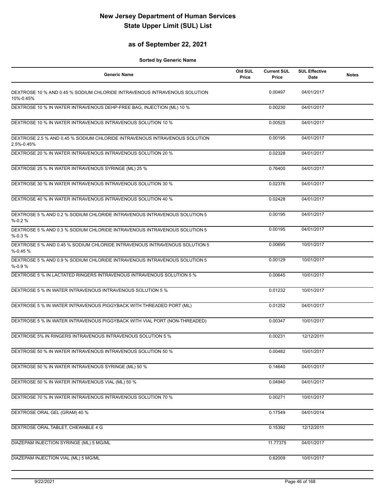## **as of September 22, 2021**

| <b>Generic Name</b>                                                                      | Old SUL<br>Price | <b>Current SUL</b><br>Price | <b>SUL Effective</b><br>Date | <b>Notes</b> |
|------------------------------------------------------------------------------------------|------------------|-----------------------------|------------------------------|--------------|
| DEXTROSE 10 % AND 0.45 % SODIUM CHLORIDE INTRAVENOUS INTRAVENOUS SOLUTION<br>10%-0.45%   |                  | 0.00497                     | 04/01/2017                   |              |
| DEXTROSE 10 % IN WATER INTRAVENOUS DEHP-FREE BAG, INJECTION (ML) 10 %                    |                  | 0.00230                     | 04/01/2017                   |              |
| DEXTROSE 10 % IN WATER INTRAVENOUS INTRAVENOUS SOLUTION 10 %                             |                  | 0.00525                     | 04/01/2017                   |              |
| DEXTROSE 2.5 % AND 0.45 % SODIUM CHLORIDE INTRAVENOUS INTRAVENOUS SOLUTION<br>2.5%-0.45% |                  | 0.00195                     | 04/01/2017                   |              |
| DEXTROSE 20 % IN WATER INTRAVENOUS INTRAVENOUS SOLUTION 20 %                             |                  | 0.02328                     | 04/01/2017                   |              |
| DEXTROSE 25 % IN WATER INTRAVENOUS SYRINGE (ML) 25 %                                     |                  | 0.76400                     | 04/01/2017                   |              |
| DEXTROSE 30 % IN WATER INTRAVENOUS INTRAVENOUS SOLUTION 30 %                             |                  | 0.02376                     | 04/01/2017                   |              |
| DEXTROSE 40 % IN WATER INTRAVENOUS INTRAVENOUS SOLUTION 40 %                             |                  | 0.02428                     | 04/01/2017                   |              |
| DEXTROSE 5 % AND 0.2 % SODIUM CHLORIDE INTRAVENOUS INTRAVENOUS SOLUTION 5<br>$% -0.2%$   |                  | 0.00195                     | 04/01/2017                   |              |
| DEXTROSE 5 % AND 0.3 % SODIUM CHLORIDE INTRAVENOUS INTRAVENOUS SOLUTION 5<br>$% -0.3%$   |                  | 0.00195                     | 04/01/2017                   |              |
| DEXTROSE 5 % AND 0.45 % SODIUM CHLORIDE INTRAVENOUS INTRAVENOUS SOLUTION 5<br>$% -0.45%$ |                  | 0.00695                     | 10/01/2017                   |              |
| DEXTROSE 5 % AND 0.9 % SODIUM CHLORIDE INTRAVENOUS INTRAVENOUS SOLUTION 5<br>$% -0.9%$   |                  | 0.00129                     | 10/01/2017                   |              |
| DEXTROSE 5 % IN LACTATED RINGERS INTRAVENOUS INTRAVENOUS SOLUTION 5 %                    |                  | 0.00645                     | 10/01/2017                   |              |
| DEXTROSE 5 % IN WATER INTRAVENOUS INTRAVENOUS SOLUTION 5 %                               |                  | 0.01232                     | 10/01/2017                   |              |
| DEXTROSE 5 % IN WATER INTRAVENOUS PIGGYBACK WITH THREADED PORT (ML)                      |                  | 0.01252                     | 04/01/2017                   |              |
| DEXTROSE 5 % IN WATER INTRAVENOUS PIGGYBACK WITH VIAL PORT (NON-THREADED)                |                  | 0.00347                     | 10/01/2017                   |              |
| DEXTROSE 5% IN RINGERS INTRAVENOUS INTRAVENOUS SOLUTION 5 %                              |                  | 0.00231                     | 12/12/2011                   |              |
| DEXTROSE 50 % IN WATER INTRAVENOUS INTRAVENOUS SOLUTION 50 %                             |                  | 0.00482                     | 10/01/2017                   |              |
| DEXTROSE 50 % IN WATER INTRAVENOUS SYRINGE (ML) 50 %                                     |                  | 0.14640                     | 04/01/2017                   |              |
| DEXTROSE 50 % IN WATER INTRAVENOUS VIAL (ML) 50 %                                        |                  | 0.04940                     | 04/01/2017                   |              |
| DEXTROSE 70 % IN WATER INTRAVENOUS INTRAVENOUS SOLUTION 70 %                             |                  | 0.00271                     | 10/01/2017                   |              |
| DEXTROSE ORAL GEL (GRAM) 40 %                                                            |                  | 0.17549                     | 04/01/2014                   |              |
| DEXTROSE ORAL TABLET, CHEWABLE 4 G                                                       |                  | 0.15392                     | 12/12/2011                   |              |
| DIAZEPAM INJECTION SYRINGE (ML) 5 MG/ML                                                  |                  | 11.77375                    | 04/01/2017                   |              |
| DIAZEPAM INJECTION VIAL (ML) 5 MG/ML                                                     |                  | 0.62009                     | 10/01/2017                   |              |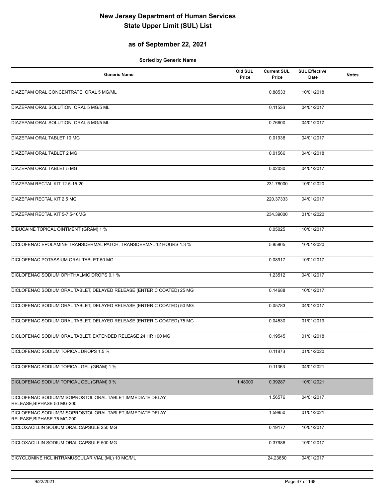## **as of September 22, 2021**

| <b>Generic Name</b>                                                                       | Old SUL<br>Price | <b>Current SUL</b><br>Price | <b>SUL Effective</b><br><b>Date</b> | <b>Notes</b> |
|-------------------------------------------------------------------------------------------|------------------|-----------------------------|-------------------------------------|--------------|
| DIAZEPAM ORAL CONCENTRATE, ORAL 5 MG/ML                                                   |                  | 0.88533                     | 10/01/2018                          |              |
| DIAZEPAM ORAL SOLUTION, ORAL 5 MG/5 ML                                                    |                  | 0.11536                     | 04/01/2017                          |              |
| DIAZEPAM ORAL SOLUTION, ORAL 5 MG/5 ML                                                    |                  | 0.76600                     | 04/01/2017                          |              |
| DIAZEPAM ORAL TABLET 10 MG                                                                |                  | 0.01936                     | 04/01/2017                          |              |
| DIAZEPAM ORAL TABLET 2 MG                                                                 |                  | 0.01566                     | 04/01/2018                          |              |
| DIAZEPAM ORAL TABLET 5 MG                                                                 |                  | 0.02030                     | 04/01/2017                          |              |
| DIAZEPAM RECTAL KIT 12.5-15-20                                                            |                  | 231.78000                   | 10/01/2020                          |              |
| DIAZEPAM RECTAL KIT 2.5 MG                                                                |                  | 220.37333                   | 04/01/2017                          |              |
| DIAZEPAM RECTAL KIT 5-7.5-10MG                                                            |                  | 234.39000                   | 01/01/2020                          |              |
| <b>DIBUCAINE TOPICAL OINTMENT (GRAM) 1 %</b>                                              |                  | 0.05025                     | 10/01/2017                          |              |
| DICLOFENAC EPOLAMINE TRANSDERMAL PATCH, TRANSDERMAL 12 HOURS 1.3 %                        |                  | 5.85805                     | 10/01/2020                          |              |
| DICLOFENAC POTASSIUM ORAL TABLET 50 MG                                                    |                  | 0.08917                     | 10/01/2017                          |              |
| DICLOFENAC SODIUM OPHTHALMIC DROPS 0.1 %                                                  |                  | 1.23512                     | 04/01/2017                          |              |
| DICLOFENAC SODIUM ORAL TABLET, DELAYED RELEASE (ENTERIC COATED) 25 MG                     |                  | 0.14688                     | 10/01/2017                          |              |
| DICLOFENAC SODIUM ORAL TABLET, DELAYED RELEASE (ENTERIC COATED) 50 MG                     |                  | 0.05783                     | 04/01/2017                          |              |
| DICLOFENAC SODIUM ORAL TABLET, DELAYED RELEASE (ENTERIC COATED) 75 MG                     |                  | 0.04530                     | 01/01/2019                          |              |
| DICLOFENAC SODIUM ORAL TABLET, EXTENDED RELEASE 24 HR 100 MG                              |                  | 0.19545                     | 01/01/2018                          |              |
| DICLOFENAC SODIUM TOPICAL DROPS 1.5 %                                                     |                  | 0.11873                     | 01/01/2020                          |              |
| DICLOFENAC SODIUM TOPICAL GEL (GRAM) 1 %                                                  |                  | 0.11363                     | 04/01/2021                          |              |
| DICLOFENAC SODIUM TOPICAL GEL (GRAM) 3 %                                                  | 1.48000          | 0.39287                     | 10/01/2021                          |              |
| DICLOFENAC SODIUM/MISOPROSTOL ORAL TABLET, IMMEDIATE, DELAY<br>RELEASE, BIPHASE 50 MG-200 |                  | 1.56576                     | 04/01/2017                          |              |
| DICLOFENAC SODIUM/MISOPROSTOL ORAL TABLET, IMMEDIATE, DELAY<br>RELEASE, BIPHASE 75 MG-200 |                  | 1.59850                     | 01/01/2021                          |              |
| DICLOXACILLIN SODIUM ORAL CAPSULE 250 MG                                                  |                  | 0.19177                     | 10/01/2017                          |              |
| DICLOXACILLIN SODIUM ORAL CAPSULE 500 MG                                                  |                  | 0.37986                     | 10/01/2017                          |              |
| DICYCLOMINE HCL INTRAMUSCULAR VIAL (ML) 10 MG/ML                                          |                  | 24.23850                    | 04/01/2017                          |              |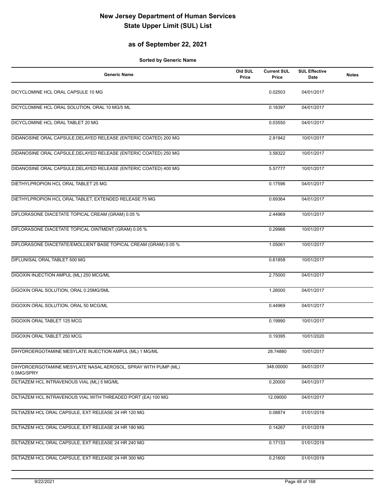## **as of September 22, 2021**

| <b>Generic Name</b>                                                          | Old SUL<br>Price | <b>Current SUL</b><br>Price | <b>SUL Effective</b><br>Date | <b>Notes</b> |
|------------------------------------------------------------------------------|------------------|-----------------------------|------------------------------|--------------|
| DICYCLOMINE HCL ORAL CAPSULE 10 MG                                           |                  | 0.02503                     | 04/01/2017                   |              |
| DICYCLOMINE HCL ORAL SOLUTION, ORAL 10 MG/5 ML                               |                  | 0.18397                     | 04/01/2017                   |              |
| DICYCLOMINE HCL ORAL TABLET 20 MG                                            |                  | 0.03550                     | 04/01/2017                   |              |
| DIDANOSINE ORAL CAPSULE, DELAYED RELEASE (ENTERIC COATED) 200 MG             |                  | 2.81942                     | 10/01/2017                   |              |
| DIDANOSINE ORAL CAPSULE, DELAYED RELEASE (ENTERIC COATED) 250 MG             |                  | 3.58322                     | 10/01/2017                   |              |
| DIDANOSINE ORAL CAPSULE, DELAYED RELEASE (ENTERIC COATED) 400 MG             |                  | 5.57777                     | 10/01/2017                   |              |
| DIETHYLPROPION HCL ORAL TABLET 25 MG                                         |                  | 0.17596                     | 04/01/2017                   |              |
| DIETHYLPROPION HCL ORAL TABLET, EXTENDED RELEASE 75 MG                       |                  | 0.69364                     | 04/01/2017                   |              |
| DIFLORASONE DIACETATE TOPICAL CREAM (GRAM) 0.05 %                            |                  | 2.44969                     | 10/01/2017                   |              |
| DIFLORASONE DIACETATE TOPICAL OINTMENT (GRAM) 0.05 %                         |                  | 0.29966                     | 10/01/2017                   |              |
| DIFLORASONE DIACETATE/EMOLLIENT BASE TOPICAL CREAM (GRAM) 0.05 %             |                  | 1.05061                     | 10/01/2017                   |              |
| DIFLUNISAL ORAL TABLET 500 MG                                                |                  | 0.61858                     | 10/01/2017                   |              |
| DIGOXIN INJECTION AMPUL (ML) 250 MCG/ML                                      |                  | 2.75000                     | 04/01/2017                   |              |
| DIGOXIN ORAL SOLUTION, ORAL 0.25MG/5ML                                       |                  | 1.26000                     | 04/01/2017                   |              |
| DIGOXIN ORAL SOLUTION, ORAL 50 MCG/ML                                        |                  | 0.44969                     | 04/01/2017                   |              |
| DIGOXIN ORAL TABLET 125 MCG                                                  |                  | 0.19990                     | 10/01/2017                   |              |
| DIGOXIN ORAL TABLET 250 MCG                                                  |                  | 0.19395                     | 10/01/2020                   |              |
| DIHYDROERGOTAMINE MESYLATE INJECTION AMPUL (ML) 1 MG/ML                      |                  | 28.74880                    | 10/01/2017                   |              |
| DIHYDROERGOTAMINE MESYLATE NASAL AEROSOL, SPRAY WITH PUMP (ML)<br>0.5MG/SPRY |                  | 348.00000                   | 04/01/2017                   |              |
| DILTIAZEM HCL INTRAVENOUS VIAL (ML) 5 MG/ML                                  |                  | 0.20000                     | 04/01/2017                   |              |
| DILTIAZEM HCL INTRAVENOUS VIAL WITH THREADED PORT (EA) 100 MG                |                  | 12.09000                    | 04/01/2017                   |              |
| DILTIAZEM HCL ORAL CAPSULE, EXT RELEASE 24 HR 120 MG                         |                  | 0.08874                     | 01/01/2019                   |              |
| DILTIAZEM HCL ORAL CAPSULE, EXT RELEASE 24 HR 180 MG                         |                  | 0.14267                     | 01/01/2019                   |              |
| DILTIAZEM HCL ORAL CAPSULE, EXT RELEASE 24 HR 240 MG                         |                  | 0.17133                     | 01/01/2019                   |              |
| DILTIAZEM HCL ORAL CAPSULE, EXT RELEASE 24 HR 300 MG                         |                  | 0.21600                     | 01/01/2019                   |              |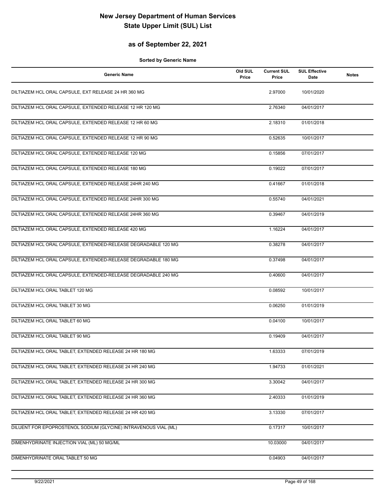## **as of September 22, 2021**

| <b>Generic Name</b>                                             | Old SUL<br>Price | <b>Current SUL</b><br>Price | <b>SUL Effective</b><br>Date | <b>Notes</b> |
|-----------------------------------------------------------------|------------------|-----------------------------|------------------------------|--------------|
| DILTIAZEM HCL ORAL CAPSULE, EXT RELEASE 24 HR 360 MG            |                  | 2.97000                     | 10/01/2020                   |              |
| DILTIAZEM HCL ORAL CAPSULE, EXTENDED RELEASE 12 HR 120 MG       |                  | 2.76340                     | 04/01/2017                   |              |
| DILTIAZEM HCL ORAL CAPSULE, EXTENDED RELEASE 12 HR 60 MG        |                  | 2.18310                     | 01/01/2018                   |              |
| DILTIAZEM HCL ORAL CAPSULE, EXTENDED RELEASE 12 HR 90 MG        |                  | 0.52635                     | 10/01/2017                   |              |
| DILTIAZEM HCL ORAL CAPSULE, EXTENDED RELEASE 120 MG             |                  | 0.15856                     | 07/01/2017                   |              |
| DILTIAZEM HCL ORAL CAPSULE, EXTENDED RELEASE 180 MG             |                  | 0.19022                     | 07/01/2017                   |              |
| DILTIAZEM HCL ORAL CAPSULE, EXTENDED RELEASE 24HR 240 MG        |                  | 0.41667                     | 01/01/2018                   |              |
| DILTIAZEM HCL ORAL CAPSULE, EXTENDED RELEASE 24HR 300 MG        |                  | 0.55740                     | 04/01/2021                   |              |
| DILTIAZEM HCL ORAL CAPSULE, EXTENDED RELEASE 24HR 360 MG        |                  | 0.39467                     | 04/01/2019                   |              |
| DILTIAZEM HCL ORAL CAPSULE, EXTENDED RELEASE 420 MG             |                  | 1.16224                     | 04/01/2017                   |              |
| DILTIAZEM HCL ORAL CAPSULE, EXTENDED-RELEASE DEGRADABLE 120 MG  |                  | 0.38278                     | 04/01/2017                   |              |
| DILTIAZEM HCL ORAL CAPSULE, EXTENDED-RELEASE DEGRADABLE 180 MG  |                  | 0.37498                     | 04/01/2017                   |              |
| DILTIAZEM HCL ORAL CAPSULE, EXTENDED-RELEASE DEGRADABLE 240 MG  |                  | 0.40600                     | 04/01/2017                   |              |
| DILTIAZEM HCL ORAL TABLET 120 MG                                |                  | 0.08592                     | 10/01/2017                   |              |
| DILTIAZEM HCL ORAL TABLET 30 MG                                 |                  | 0.06250                     | 01/01/2019                   |              |
| DILTIAZEM HCL ORAL TABLET 60 MG                                 |                  | 0.04100                     | 10/01/2017                   |              |
| DILTIAZEM HCL ORAL TABLET 90 MG                                 |                  | 0.19409                     | 04/01/2017                   |              |
| DILTIAZEM HCL ORAL TABLET, EXTENDED RELEASE 24 HR 180 MG        |                  | 1.63333                     | 07/01/2019                   |              |
| DILTIAZEM HCL ORAL TABLET, EXTENDED RELEASE 24 HR 240 MG        |                  | 1.94733                     | 01/01/2021                   |              |
| DILTIAZEM HCL ORAL TABLET, EXTENDED RELEASE 24 HR 300 MG        |                  | 3.30042                     | 04/01/2017                   |              |
| DILTIAZEM HCL ORAL TABLET, EXTENDED RELEASE 24 HR 360 MG        |                  | 2.40333                     | 01/01/2019                   |              |
| DILTIAZEM HCL ORAL TABLET, EXTENDED RELEASE 24 HR 420 MG        |                  | 3.13330                     | 07/01/2017                   |              |
| DILUENT FOR EPOPROSTENOL SODIUM (GLYCINE) INTRAVENOUS VIAL (ML) |                  | 0.17317                     | 10/01/2017                   |              |
| DIMENHYDRINATE INJECTION VIAL (ML) 50 MG/ML                     |                  | 10.03000                    | 04/01/2017                   |              |
| DIMENHYDRINATE ORAL TABLET 50 MG                                |                  | 0.04903                     | 04/01/2017                   |              |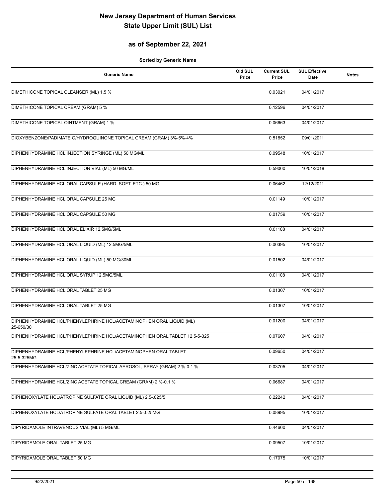## **as of September 22, 2021**

| <b>Generic Name</b>                                                               | Old SUL<br>Price | <b>Current SUL</b><br>Price | <b>SUL Effective</b><br>Date | <b>Notes</b> |
|-----------------------------------------------------------------------------------|------------------|-----------------------------|------------------------------|--------------|
| DIMETHICONE TOPICAL CLEANSER (ML) 1.5 %                                           |                  | 0.03021                     | 04/01/2017                   |              |
| DIMETHICONE TOPICAL CREAM (GRAM) 5 %                                              |                  | 0.12596                     | 04/01/2017                   |              |
| DIMETHICONE TOPICAL OINTMENT (GRAM) 1 %                                           |                  | 0.06663                     | 04/01/2017                   |              |
| DIOXYBENZONE/PADIMATE O/HYDROQUINONE TOPICAL CREAM (GRAM) 3%-5%-4%                |                  | 0.51852                     | 09/01/2011                   |              |
| DIPHENHYDRAMINE HCL INJECTION SYRINGE (ML) 50 MG/ML                               |                  | 0.09548                     | 10/01/2017                   |              |
| DIPHENHYDRAMINE HCL INJECTION VIAL (ML) 50 MG/ML                                  |                  | 0.59000                     | 10/01/2018                   |              |
| DIPHENHYDRAMINE HCL ORAL CAPSULE (HARD, SOFT, ETC.) 50 MG                         |                  | 0.06462                     | 12/12/2011                   |              |
| DIPHENHYDRAMINE HCL ORAL CAPSULE 25 MG                                            |                  | 0.01149                     | 10/01/2017                   |              |
| DIPHENHYDRAMINE HCL ORAL CAPSULE 50 MG                                            |                  | 0.01759                     | 10/01/2017                   |              |
| DIPHENHYDRAMINE HCL ORAL ELIXIR 12.5MG/5ML                                        |                  | 0.01108                     | 04/01/2017                   |              |
| DIPHENHYDRAMINE HCL ORAL LIQUID (ML) 12.5MG/5ML                                   |                  | 0.00395                     | 10/01/2017                   |              |
| DIPHENHYDRAMINE HCL ORAL LIQUID (ML) 50 MG/30ML                                   |                  | 0.01502                     | 04/01/2017                   |              |
| DIPHENHYDRAMINE HCL ORAL SYRUP 12.5MG/5ML                                         |                  | 0.01108                     | 04/01/2017                   |              |
| DIPHENHYDRAMINE HCL ORAL TABLET 25 MG                                             |                  | 0.01307                     | 10/01/2017                   |              |
| DIPHENHYDRAMINE HCL ORAL TABLET 25 MG                                             |                  | 0.01307                     | 10/01/2017                   |              |
| DIPHENHYDRAMINE HCL/PHENYLEPHRINE HCL/ACETAMINOPHEN ORAL LIQUID (ML)<br>25-650/30 |                  | 0.01200                     | 04/01/2017                   |              |
| DIPHENHYDRAMINE HCL/PHENYLEPHRINE HCL/ACETAMINOPHEN ORAL TABLET 12.5-5-325        |                  | 0.07607                     | 04/01/2017                   |              |
| DIPHENHYDRAMINE HCL/PHENYLEPHRINE HCL/ACETAMINOPHEN ORAL TABLET<br>25-5-325MG     |                  | 0.09650                     | 04/01/2017                   |              |
| DIPHENHYDRAMINE HCL/ZINC ACETATE TOPICAL AEROSOL, SPRAY (GRAM) 2 %-0.1 %          |                  | 0.03705                     | 04/01/2017                   |              |
| DIPHENHYDRAMINE HCL/ZINC ACETATE TOPICAL CREAM (GRAM) 2 %-0.1 %                   |                  | 0.06687                     | 04/01/2017                   |              |
| DIPHENOXYLATE HCL/ATROPINE SULFATE ORAL LIQUID (ML) 2.5-.025/5                    |                  | 0.22242                     | 04/01/2017                   |              |
| DIPHENOXYLATE HCL/ATROPINE SULFATE ORAL TABLET 2.5-.025MG                         |                  | 0.08995                     | 10/01/2017                   |              |
| DIPYRIDAMOLE INTRAVENOUS VIAL (ML) 5 MG/ML                                        |                  | 0.44600                     | 04/01/2017                   |              |
| DIPYRIDAMOLE ORAL TABLET 25 MG                                                    |                  | 0.09507                     | 10/01/2017                   |              |
| DIPYRIDAMOLE ORAL TABLET 50 MG                                                    |                  | 0.17075                     | 10/01/2017                   |              |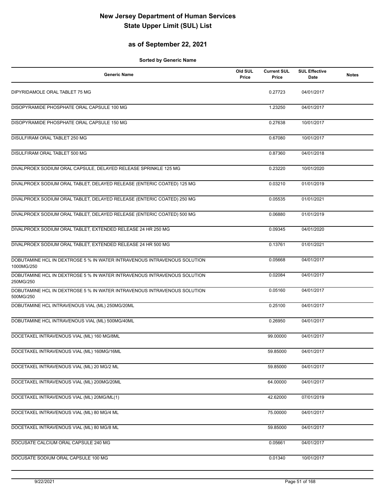## **as of September 22, 2021**

| <b>Generic Name</b>                                                                    | Old SUL<br>Price | <b>Current SUL</b><br>Price | <b>SUL Effective</b><br>Date | <b>Notes</b> |
|----------------------------------------------------------------------------------------|------------------|-----------------------------|------------------------------|--------------|
| DIPYRIDAMOLE ORAL TABLET 75 MG                                                         |                  | 0.27723                     | 04/01/2017                   |              |
| DISOPYRAMIDE PHOSPHATE ORAL CAPSULE 100 MG                                             |                  | 1.23250                     | 04/01/2017                   |              |
| DISOPYRAMIDE PHOSPHATE ORAL CAPSULE 150 MG                                             |                  | 0.27638                     | 10/01/2017                   |              |
| DISULFIRAM ORAL TABLET 250 MG                                                          |                  | 0.67080                     | 10/01/2017                   |              |
| DISULFIRAM ORAL TABLET 500 MG                                                          |                  | 0.87360                     | 04/01/2018                   |              |
| DIVALPROEX SODIUM ORAL CAPSULE, DELAYED RELEASE SPRINKLE 125 MG                        |                  | 0.23220                     | 10/01/2020                   |              |
| DIVALPROEX SODIUM ORAL TABLET, DELAYED RELEASE (ENTERIC COATED) 125 MG                 |                  | 0.03210                     | 01/01/2019                   |              |
| DIVALPROEX SODIUM ORAL TABLET, DELAYED RELEASE (ENTERIC COATED) 250 MG                 |                  | 0.05535                     | 01/01/2021                   |              |
| DIVALPROEX SODIUM ORAL TABLET, DELAYED RELEASE (ENTERIC COATED) 500 MG                 |                  | 0.06880                     | 01/01/2019                   |              |
| DIVALPROEX SODIUM ORAL TABLET, EXTENDED RELEASE 24 HR 250 MG                           |                  | 0.09345                     | 04/01/2020                   |              |
| DIVALPROEX SODIUM ORAL TABLET, EXTENDED RELEASE 24 HR 500 MG                           |                  | 0.13761                     | 01/01/2021                   |              |
| DOBUTAMINE HCL IN DEXTROSE 5 % IN WATER INTRAVENOUS INTRAVENOUS SOLUTION<br>1000MG/250 |                  | 0.05668                     | 04/01/2017                   |              |
| DOBUTAMINE HCL IN DEXTROSE 5 % IN WATER INTRAVENOUS INTRAVENOUS SOLUTION<br>250MG/250  |                  | 0.02084                     | 04/01/2017                   |              |
| DOBUTAMINE HCL IN DEXTROSE 5 % IN WATER INTRAVENOUS INTRAVENOUS SOLUTION<br>500MG/250  |                  | 0.05160                     | 04/01/2017                   |              |
| DOBUTAMINE HCL INTRAVENOUS VIAL (ML) 250MG/20ML                                        |                  | 0.25100                     | 04/01/2017                   |              |
| DOBUTAMINE HCL INTRAVENOUS VIAL (ML) 500MG/40ML                                        |                  | 0.26950                     | 04/01/2017                   |              |
| DOCETAXEL INTRAVENOUS VIAL (ML) 160 MG/8ML                                             |                  | 99.00000                    | 04/01/2017                   |              |
| DOCETAXEL INTRAVENOUS VIAL (ML) 160MG/16ML                                             |                  | 59.85000                    | 04/01/2017                   |              |
| DOCETAXEL INTRAVENOUS VIAL (ML) 20 MG/2 ML                                             |                  | 59.85000                    | 04/01/2017                   |              |
| DOCETAXEL INTRAVENOUS VIAL (ML) 200MG/20ML                                             |                  | 64.00000                    | 04/01/2017                   |              |
| DOCETAXEL INTRAVENOUS VIAL (ML) 20MG/ML(1)                                             |                  | 42.62000                    | 07/01/2019                   |              |
| DOCETAXEL INTRAVENOUS VIAL (ML) 80 MG/4 ML                                             |                  | 75.00000                    | 04/01/2017                   |              |
| DOCETAXEL INTRAVENOUS VIAL (ML) 80 MG/8 ML                                             |                  | 59.85000                    | 04/01/2017                   |              |
| DOCUSATE CALCIUM ORAL CAPSULE 240 MG                                                   |                  | 0.05661                     | 04/01/2017                   |              |
| DOCUSATE SODIUM ORAL CAPSULE 100 MG                                                    |                  | 0.01340                     | 10/01/2017                   |              |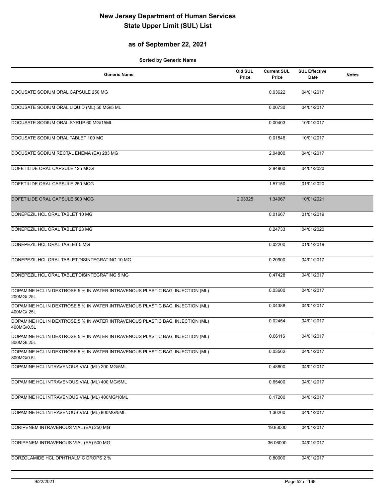## **as of September 22, 2021**

| <b>Generic Name</b>                                                                         | Old SUL<br>Price | <b>Current SUL</b><br>Price | <b>SUL Effective</b><br>Date | <b>Notes</b> |
|---------------------------------------------------------------------------------------------|------------------|-----------------------------|------------------------------|--------------|
| DOCUSATE SODIUM ORAL CAPSULE 250 MG                                                         |                  | 0.03622                     | 04/01/2017                   |              |
| DOCUSATE SODIUM ORAL LIQUID (ML) 50 MG/5 ML                                                 |                  | 0.00730                     | 04/01/2017                   |              |
| DOCUSATE SODIUM ORAL SYRUP 60 MG/15ML                                                       |                  | 0.00403                     | 10/01/2017                   |              |
| DOCUSATE SODIUM ORAL TABLET 100 MG                                                          |                  | 0.01546                     | 10/01/2017                   |              |
| DOCUSATE SODIUM RECTAL ENEMA (EA) 283 MG                                                    |                  | 2.04800                     | 04/01/2017                   |              |
| DOFETILIDE ORAL CAPSULE 125 MCG                                                             |                  | 2.84800                     | 04/01/2020                   |              |
| DOFETILIDE ORAL CAPSULE 250 MCG                                                             |                  | 1.57150                     | 01/01/2020                   |              |
| DOFETILIDE ORAL CAPSULE 500 MCG                                                             | 2.03325          | 1.34067                     | 10/01/2021                   |              |
| DONEPEZIL HCL ORAL TABLET 10 MG                                                             |                  | 0.01667                     | 01/01/2019                   |              |
| DONEPEZIL HCL ORAL TABLET 23 MG                                                             |                  | 0.24733                     | 04/01/2020                   |              |
| DONEPEZIL HCL ORAL TABLET 5 MG                                                              |                  | 0.02200                     | 01/01/2019                   |              |
| DONEPEZIL HCL ORAL TABLET, DISINTEGRATING 10 MG                                             |                  | 0.20900                     | 04/01/2017                   |              |
| DONEPEZIL HCL ORAL TABLET, DISINTEGRATING 5 MG                                              |                  | 0.47428                     | 04/01/2017                   |              |
| DOPAMINE HCL IN DEXTROSE 5 % IN WATER INTRAVENOUS PLASTIC BAG, INJECTION (ML)<br>200MG/.25L |                  | 0.03600                     | 04/01/2017                   |              |
| DOPAMINE HCL IN DEXTROSE 5 % IN WATER INTRAVENOUS PLASTIC BAG, INJECTION (ML)<br>400MG/.25L |                  | 0.04388                     | 04/01/2017                   |              |
| DOPAMINE HCL IN DEXTROSE 5 % IN WATER INTRAVENOUS PLASTIC BAG, INJECTION (ML)<br>400MG/0.5L |                  | 0.02454                     | 04/01/2017                   |              |
| DOPAMINE HCL IN DEXTROSE 5 % IN WATER INTRAVENOUS PLASTIC BAG, INJECTION (ML)<br>800MG/.25L |                  | 0.06116                     | 04/01/2017                   |              |
| DOPAMINE HCL IN DEXTROSE 5 % IN WATER INTRAVENOUS PLASTIC BAG, INJECTION (ML)<br>800MG/0.5L |                  | 0.03562                     | 04/01/2017                   |              |
| DOPAMINE HCL INTRAVENOUS VIAL (ML) 200 MG/5ML                                               |                  | 0.48600                     | 04/01/2017                   |              |
| DOPAMINE HCL INTRAVENOUS VIAL (ML) 400 MG/5ML                                               |                  | 0.65400                     | 04/01/2017                   |              |
| DOPAMINE HCL INTRAVENOUS VIAL (ML) 400MG/10ML                                               |                  | 0.17200                     | 04/01/2017                   |              |
| DOPAMINE HCL INTRAVENOUS VIAL (ML) 800MG/5ML                                                |                  | 1.30200                     | 04/01/2017                   |              |
| DORIPENEM INTRAVENOUS VIAL (EA) 250 MG                                                      |                  | 19.83000                    | 04/01/2017                   |              |
| DORIPENEM INTRAVENOUS VIAL (EA) 500 MG                                                      |                  | 36.06000                    | 04/01/2017                   |              |
| DORZOLAMIDE HCL OPHTHALMIC DROPS 2 %                                                        |                  | 0.80000                     | 04/01/2017                   |              |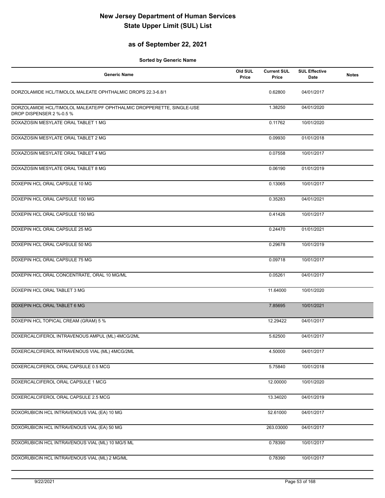## **as of September 22, 2021**

| <b>Generic Name</b>                                                                               | Old SUL<br>Price | <b>Current SUL</b><br>Price | <b>SUL Effective</b><br>Date | <b>Notes</b> |
|---------------------------------------------------------------------------------------------------|------------------|-----------------------------|------------------------------|--------------|
| DORZOLAMIDE HCL/TIMOLOL MALEATE OPHTHALMIC DROPS 22.3-6.8/1                                       |                  | 0.62800                     | 04/01/2017                   |              |
| DORZOLAMIDE HCL/TIMOLOL MALEATE/PF OPHTHALMIC DROPPERETTE, SINGLE-USE<br>DROP DISPENSER 2 %-0.5 % |                  | 1.38250                     | 04/01/2020                   |              |
| DOXAZOSIN MESYLATE ORAL TABLET 1 MG                                                               |                  | 0.11762                     | 10/01/2020                   |              |
| DOXAZOSIN MESYLATE ORAL TABLET 2 MG                                                               |                  | 0.09930                     | 01/01/2018                   |              |
| DOXAZOSIN MESYLATE ORAL TABLET 4 MG                                                               |                  | 0.07558                     | 10/01/2017                   |              |
| DOXAZOSIN MESYLATE ORAL TABLET 8 MG                                                               |                  | 0.06190                     | 01/01/2019                   |              |
| DOXEPIN HCL ORAL CAPSULE 10 MG                                                                    |                  | 0.13065                     | 10/01/2017                   |              |
| DOXEPIN HCL ORAL CAPSULE 100 MG                                                                   |                  | 0.35283                     | 04/01/2021                   |              |
| DOXEPIN HCL ORAL CAPSULE 150 MG                                                                   |                  | 0.41426                     | 10/01/2017                   |              |
| DOXEPIN HCL ORAL CAPSULE 25 MG                                                                    |                  | 0.24470                     | 01/01/2021                   |              |
| DOXEPIN HCL ORAL CAPSULE 50 MG                                                                    |                  | 0.29678                     | 10/01/2019                   |              |
| DOXEPIN HCL ORAL CAPSULE 75 MG                                                                    |                  | 0.09718                     | 10/01/2017                   |              |
| DOXEPIN HCL ORAL CONCENTRATE, ORAL 10 MG/ML                                                       |                  | 0.05261                     | 04/01/2017                   |              |
| DOXEPIN HCL ORAL TABLET 3 MG                                                                      |                  | 11.64000                    | 10/01/2020                   |              |
| DOXEPIN HCL ORAL TABLET 6 MG                                                                      |                  | 7.85695                     | 10/01/2021                   |              |
| DOXEPIN HCL TOPICAL CREAM (GRAM) 5 %                                                              |                  | 12.29422                    | 04/01/2017                   |              |
| DOXERCALCIFEROL INTRAVENOUS AMPUL (ML) 4MCG/2ML                                                   |                  | 5.62500                     | 04/01/2017                   |              |
| DOXERCALCIFEROL INTRAVENOUS VIAL (ML) 4MCG/2ML                                                    |                  | 4.50000                     | 04/01/2017                   |              |
| DOXERCALCIFEROL ORAL CAPSULE 0.5 MCG                                                              |                  | 5.75840                     | 10/01/2018                   |              |
| DOXERCALCIFEROL ORAL CAPSULE 1 MCG                                                                |                  | 12.00000                    | 10/01/2020                   |              |
| DOXERCALCIFEROL ORAL CAPSULE 2.5 MCG                                                              |                  | 13.34020                    | 04/01/2019                   |              |
| DOXORUBICIN HCL INTRAVENOUS VIAL (EA) 10 MG                                                       |                  | 52.61000                    | 04/01/2017                   |              |
| DOXORUBICIN HCL INTRAVENOUS VIAL (EA) 50 MG                                                       |                  | 263.03000                   | 04/01/2017                   |              |
| DOXORUBICIN HCL INTRAVENOUS VIAL (ML) 10 MG/5 ML                                                  |                  | 0.78390                     | 10/01/2017                   |              |
| DOXORUBICIN HCL INTRAVENOUS VIAL (ML) 2 MG/ML                                                     |                  | 0.78390                     | 10/01/2017                   |              |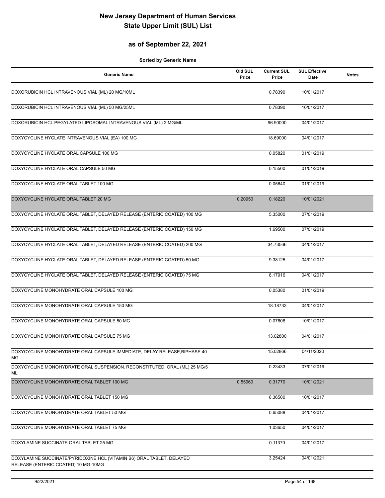## **as of September 22, 2021**

| <b>Generic Name</b>                                                                                          | Old SUL<br>Price | <b>Current SUL</b><br>Price | <b>SUL Effective</b><br>Date | <b>Notes</b> |
|--------------------------------------------------------------------------------------------------------------|------------------|-----------------------------|------------------------------|--------------|
| DOXORUBICIN HCL INTRAVENOUS VIAL (ML) 20 MG/10ML                                                             |                  | 0.78390                     | 10/01/2017                   |              |
| DOXORUBICIN HCL INTRAVENOUS VIAL (ML) 50 MG/25ML                                                             |                  | 0.78390                     | 10/01/2017                   |              |
| DOXORUBICIN HCL PEGYLATED LIPOSOMAL INTRAVENOUS VIAL (ML) 2 MG/ML                                            |                  | 96.90000                    | 04/01/2017                   |              |
| DOXYCYCLINE HYCLATE INTRAVENOUS VIAL (EA) 100 MG                                                             |                  | 18.69000                    | 04/01/2017                   |              |
| DOXYCYCLINE HYCLATE ORAL CAPSULE 100 MG                                                                      |                  | 0.05820                     | 01/01/2019                   |              |
| DOXYCYCLINE HYCLATE ORAL CAPSULE 50 MG                                                                       |                  | 0.15500                     | 01/01/2019                   |              |
| DOXYCYCLINE HYCLATE ORAL TABLET 100 MG                                                                       |                  | 0.05640                     | 01/01/2019                   |              |
| DOXYCYCLINE HYCLATE ORAL TABLET 20 MG                                                                        | 0.20950          | 0.18220                     | 10/01/2021                   |              |
| DOXYCYCLINE HYCLATE ORAL TABLET, DELAYED RELEASE (ENTERIC COATED) 100 MG                                     |                  | 5.35000                     | 07/01/2019                   |              |
| DOXYCYCLINE HYCLATE ORAL TABLET, DELAYED RELEASE (ENTERIC COATED) 150 MG                                     |                  | 1.69500                     | 07/01/2019                   |              |
| DOXYCYCLINE HYCLATE ORAL TABLET, DELAYED RELEASE (ENTERIC COATED) 200 MG                                     |                  | 34.73566                    | 04/01/2017                   |              |
| DOXYCYCLINE HYCLATE ORAL TABLET, DELAYED RELEASE (ENTERIC COATED) 50 MG                                      |                  | 9.38125                     | 04/01/2017                   |              |
| DOXYCYCLINE HYCLATE ORAL TABLET, DELAYED RELEASE (ENTERIC COATED) 75 MG                                      |                  | 8.17916                     | 04/01/2017                   |              |
| DOXYCYCLINE MONOHYDRATE ORAL CAPSULE 100 MG                                                                  |                  | 0.05380                     | 01/01/2019                   |              |
| DOXYCYCLINE MONOHYDRATE ORAL CAPSULE 150 MG                                                                  |                  | 18.18733                    | 04/01/2017                   |              |
| DOXYCYCLINE MONOHYDRATE ORAL CAPSULE 50 MG                                                                   |                  | 0.07608                     | 10/01/2017                   |              |
| DOXYCYCLINE MONOHYDRATE ORAL CAPSULE 75 MG                                                                   |                  | 13.02800                    | 04/01/2017                   |              |
| DOXYCYCLINE MONOHYDRATE ORAL CAPSULE, IMMEDIATE, DELAY RELEASE, BIPHASE 40<br>МG                             |                  | 15.02866                    | 04/11/2020                   |              |
| DOXYCYCLINE MONOHYDRATE ORAL SUSPENSION, RECONSTITUTED, ORAL (ML) 25 MG/5<br>ML                              |                  | 0.23433                     | 07/01/2019                   |              |
| DOXYCYCLINE MONOHYDRATE ORAL TABLET 100 MG                                                                   | 0.55960          | 0.31770                     | 10/01/2021                   |              |
| DOXYCYCLINE MONOHYDRATE ORAL TABLET 150 MG                                                                   |                  | 6.36500                     | 10/01/2017                   |              |
| DOXYCYCLINE MONOHYDRATE ORAL TABLET 50 MG                                                                    |                  | 0.65088                     | 04/01/2017                   |              |
| DOXYCYCLINE MONOHYDRATE ORAL TABLET 75 MG                                                                    |                  | 1.03650                     | 04/01/2017                   |              |
| DOXYLAMINE SUCCINATE ORAL TABLET 25 MG                                                                       |                  | 0.11370                     | 04/01/2017                   |              |
| DOXYLAMINE SUCCINATE/PYRIDOXINE HCL (VITAMIN B6) ORAL TABLET, DELAYED<br>RELEASE (ENTERIC COATED) 10 MG-10MG |                  | 3.25424                     | 04/01/2021                   |              |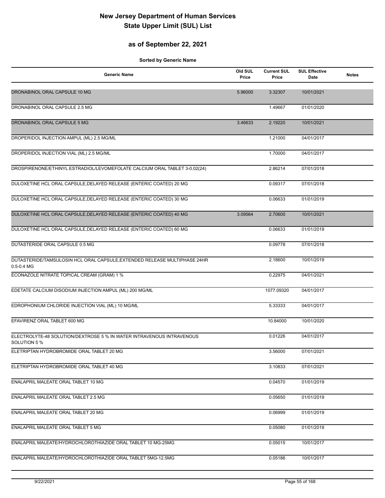## **as of September 22, 2021**

| <b>Generic Name</b>                                                                         | Old SUL<br>Price | <b>Current SUL</b><br>Price | <b>SUL Effective</b><br>Date | <b>Notes</b> |
|---------------------------------------------------------------------------------------------|------------------|-----------------------------|------------------------------|--------------|
| DRONABINOL ORAL CAPSULE 10 MG                                                               | 5.96000          | 3.32307                     | 10/01/2021                   |              |
| DRONABINOL ORAL CAPSULE 2.5 MG                                                              |                  | 1.49667                     | 01/01/2020                   |              |
| DRONABINOL ORAL CAPSULE 5 MG                                                                | 3.46633          | 2.19220                     | 10/01/2021                   |              |
| DROPERIDOL INJECTION AMPUL (ML) 2.5 MG/ML                                                   |                  | 1.21000                     | 04/01/2017                   |              |
| DROPERIDOL INJECTION VIAL (ML) 2.5 MG/ML                                                    |                  | 1.70000                     | 04/01/2017                   |              |
| DROSPIRENONE/ETHINYL ESTRADIOL/LEVOMEFOLATE CALCIUM ORAL TABLET 3-0.02(24)                  |                  | 2.86214                     | 07/01/2018                   |              |
| DULOXETINE HCL ORAL CAPSULE, DELAYED RELEASE (ENTERIC COATED) 20 MG                         |                  | 0.09317                     | 07/01/2018                   |              |
| DULOXETINE HCL ORAL CAPSULE, DELAYED RELEASE (ENTERIC COATED) 30 MG                         |                  | 0.06633                     | 01/01/2019                   |              |
| DULOXETINE HCL ORAL CAPSULE, DELAYED RELEASE (ENTERIC COATED) 40 MG                         | 3.09564          | 2.70600                     | 10/01/2021                   |              |
| DULOXETINE HCL ORAL CAPSULE, DELAYED RELEASE (ENTERIC COATED) 60 MG                         |                  | 0.06633                     | 01/01/2019                   |              |
| DUTASTERIDE ORAL CAPSULE 0.5 MG                                                             |                  | 0.09778                     | 07/01/2018                   |              |
| DUTASTERIDE/TAMSULOSIN HCL ORAL CAPSULE, EXTENDED RELEASE MULTIPHASE 24HR<br>$0.5 - 0.4$ MG |                  | 2.18600                     | 10/01/2019                   |              |
| ECONAZOLE NITRATE TOPICAL CREAM (GRAM) 1 %                                                  |                  | 0.22975                     | 04/01/2021                   |              |
| EDETATE CALCIUM DISODIUM INJECTION AMPUL (ML) 200 MG/ML                                     |                  | 1077.09320                  | 04/01/2017                   |              |
| EDROPHONIUM CHLORIDE INJECTION VIAL (ML) 10 MG/ML                                           |                  | 5.33333                     | 04/01/2017                   |              |
| EFAVIRENZ ORAL TABLET 600 MG                                                                |                  | 10.84000                    | 10/01/2020                   |              |
| ELECTROLYTE-48 SOLUTION/DEXTROSE 5 % IN WATER INTRAVENOUS INTRAVENOUS<br>SOLUTION 5 %       |                  | 0.01226                     | 04/01/2017                   |              |
| ELETRIPTAN HYDROBROMIDE ORAL TABLET 20 MG                                                   |                  | 3.56000                     | 07/01/2021                   |              |
| ELETRIPTAN HYDROBROMIDE ORAL TABLET 40 MG                                                   |                  | 3.10833                     | 07/01/2021                   |              |
| ENALAPRIL MALEATE ORAL TABLET 10 MG                                                         |                  | 0.04570                     | 01/01/2019                   |              |
| ENALAPRIL MALEATE ORAL TABLET 2.5 MG                                                        |                  | 0.05650                     | 01/01/2019                   |              |
| ENALAPRIL MALEATE ORAL TABLET 20 MG                                                         |                  | 0.06999                     | 01/01/2019                   |              |
| ENALAPRIL MALEATE ORAL TABLET 5 MG                                                          |                  | 0.05080                     | 01/01/2019                   |              |
| ENALAPRIL MALEATE/HYDROCHLOROTHIAZIDE ORAL TABLET 10 MG-25MG                                |                  | 0.05015                     | 10/01/2017                   |              |
| ENALAPRIL MALEATE/HYDROCHLOROTHIAZIDE ORAL TABLET 5MG-12.5MG                                |                  | 0.05186                     | 10/01/2017                   |              |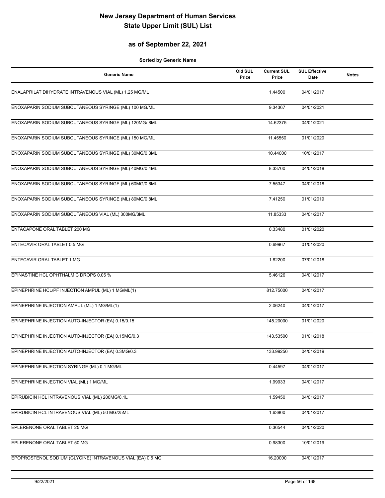## **as of September 22, 2021**

| <b>Generic Name</b>                                        | Old SUL<br>Price | <b>Current SUL</b><br>Price | <b>SUL Effective</b><br>Date | <b>Notes</b> |
|------------------------------------------------------------|------------------|-----------------------------|------------------------------|--------------|
| ENALAPRILAT DIHYDRATE INTRAVENOUS VIAL (ML) 1.25 MG/ML     |                  | 1.44500                     | 04/01/2017                   |              |
| ENOXAPARIN SODIUM SUBCUTANEOUS SYRINGE (ML) 100 MG/ML      |                  | 9.34367                     | 04/01/2021                   |              |
| ENOXAPARIN SODIUM SUBCUTANEOUS SYRINGE (ML) 120MG/.8ML     |                  | 14.62375                    | 04/01/2021                   |              |
| ENOXAPARIN SODIUM SUBCUTANEOUS SYRINGE (ML) 150 MG/ML      |                  | 11.45550                    | 01/01/2020                   |              |
| ENOXAPARIN SODIUM SUBCUTANEOUS SYRINGE (ML) 30MG/0.3ML     |                  | 10.44000                    | 10/01/2017                   |              |
| ENOXAPARIN SODIUM SUBCUTANEOUS SYRINGE (ML) 40MG/0.4ML     |                  | 8.33700                     | 04/01/2018                   |              |
| ENOXAPARIN SODIUM SUBCUTANEOUS SYRINGE (ML) 60MG/0.6ML     |                  | 7.55347                     | 04/01/2018                   |              |
| ENOXAPARIN SODIUM SUBCUTANEOUS SYRINGE (ML) 80MG/0.8ML     |                  | 7.41250                     | 01/01/2019                   |              |
| ENOXAPARIN SODIUM SUBCUTANEOUS VIAL (ML) 300MG/3ML         |                  | 11.85333                    | 04/01/2017                   |              |
| ENTACAPONE ORAL TABLET 200 MG                              |                  | 0.33480                     | 01/01/2020                   |              |
| ENTECAVIR ORAL TABLET 0.5 MG                               |                  | 0.69967                     | 01/01/2020                   |              |
| ENTECAVIR ORAL TABLET 1 MG                                 |                  | 1.82200                     | 07/01/2018                   |              |
| EPINASTINE HCL OPHTHALMIC DROPS 0.05 %                     |                  | 5.46126                     | 04/01/2017                   |              |
| EPINEPHRINE HCL/PF INJECTION AMPUL (ML) 1 MG/ML(1)         |                  | 812.75000                   | 04/01/2017                   |              |
| EPINEPHRINE INJECTION AMPUL (ML) 1 MG/ML(1)                |                  | 2.06240                     | 04/01/2017                   |              |
| EPINEPHRINE INJECTION AUTO-INJECTOR (EA) 0.15/0.15         |                  | 145.20000                   | 01/01/2020                   |              |
| EPINEPHRINE INJECTION AUTO-INJECTOR (EA) 0.15MG/0.3        |                  | 143.53500                   | 01/01/2018                   |              |
| EPINEPHRINE INJECTION AUTO-INJECTOR (EA) 0.3MG/0.3         |                  | 133.99250                   | 04/01/2019                   |              |
| EPINEPHRINE INJECTION SYRINGE (ML) 0.1 MG/ML               |                  | 0.44597                     | 04/01/2017                   |              |
| EPINEPHRINE INJECTION VIAL (ML) 1 MG/ML                    |                  | 1.99933                     | 04/01/2017                   |              |
| EPIRUBICIN HCL INTRAVENOUS VIAL (ML) 200MG/0.1L            |                  | 1.59450                     | 04/01/2017                   |              |
| EPIRUBICIN HCL INTRAVENOUS VIAL (ML) 50 MG/25ML            |                  | 1.63800                     | 04/01/2017                   |              |
| EPLERENONE ORAL TABLET 25 MG                               |                  | 0.36544                     | 04/01/2020                   |              |
| EPLERENONE ORAL TABLET 50 MG                               |                  | 0.98300                     | 10/01/2019                   |              |
| EPOPROSTENOL SODIUM (GLYCINE) INTRAVENOUS VIAL (EA) 0.5 MG |                  | 16.20000                    | 04/01/2017                   |              |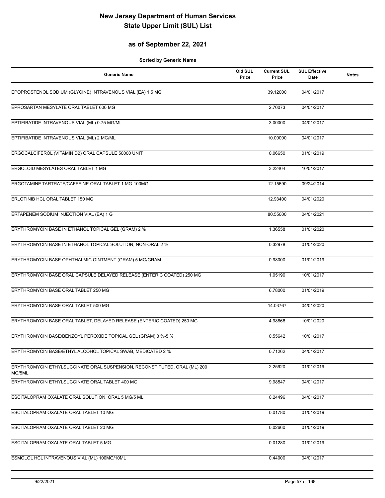## **as of September 22, 2021**

| <b>Generic Name</b>                                                                 | Old SUL<br>Price | <b>Current SUL</b><br>Price | <b>SUL Effective</b><br>Date | <b>Notes</b> |
|-------------------------------------------------------------------------------------|------------------|-----------------------------|------------------------------|--------------|
| EPOPROSTENOL SODIUM (GLYCINE) INTRAVENOUS VIAL (EA) 1.5 MG                          |                  | 39.12000                    | 04/01/2017                   |              |
| EPROSARTAN MESYLATE ORAL TABLET 600 MG                                              |                  | 2.70073                     | 04/01/2017                   |              |
| EPTIFIBATIDE INTRAVENOUS VIAL (ML) 0.75 MG/ML                                       |                  | 3.00000                     | 04/01/2017                   |              |
| EPTIFIBATIDE INTRAVENOUS VIAL (ML) 2 MG/ML                                          |                  | 10.00000                    | 04/01/2017                   |              |
| ERGOCALCIFEROL (VITAMIN D2) ORAL CAPSULE 50000 UNIT                                 |                  | 0.06650                     | 01/01/2019                   |              |
| ERGOLOID MESYLATES ORAL TABLET 1 MG                                                 |                  | 3.22404                     | 10/01/2017                   |              |
| ERGOTAMINE TARTRATE/CAFFEINE ORAL TABLET 1 MG-100MG                                 |                  | 12.15690                    | 09/24/2014                   |              |
| ERLOTINIB HCL ORAL TABLET 150 MG                                                    |                  | 12.93400                    | 04/01/2020                   |              |
| ERTAPENEM SODIUM INJECTION VIAL (EA) 1 G                                            |                  | 80.55000                    | 04/01/2021                   |              |
| ERYTHROMYCIN BASE IN ETHANOL TOPICAL GEL (GRAM) 2 %                                 |                  | 1.36558                     | 01/01/2020                   |              |
| ERYTHROMYCIN BASE IN ETHANOL TOPICAL SOLUTION, NON-ORAL 2 %                         |                  | 0.32978                     | 01/01/2020                   |              |
| ERYTHROMYCIN BASE OPHTHALMIC OINTMENT (GRAM) 5 MG/GRAM                              |                  | 0.98000                     | 01/01/2019                   |              |
| ERYTHROMYCIN BASE ORAL CAPSULE, DELAYED RELEASE (ENTERIC COATED) 250 MG             |                  | 1.05190                     | 10/01/2017                   |              |
| ERYTHROMYCIN BASE ORAL TABLET 250 MG                                                |                  | 6.78000                     | 01/01/2019                   |              |
| ERYTHROMYCIN BASE ORAL TABLET 500 MG                                                |                  | 14.03767                    | 04/01/2020                   |              |
| ERYTHROMYCIN BASE ORAL TABLET, DELAYED RELEASE (ENTERIC COATED) 250 MG              |                  | 4.98866                     | 10/01/2020                   |              |
| ERYTHROMYCIN BASE/BENZOYL PEROXIDE TOPICAL GEL (GRAM) 3 %-5 %                       |                  | 0.55642                     | 10/01/2017                   |              |
| ERYTHROMYCIN BASE/ETHYL ALCOHOL TOPICAL SWAB, MEDICATED 2 %                         |                  | 0.71262                     | 04/01/2017                   |              |
| ERYTHROMYCIN ETHYLSUCCINATE ORAL SUSPENSION, RECONSTITUTED, ORAL (ML) 200<br>MG/5ML |                  | 2.25920                     | 01/01/2019                   |              |
| ERYTHROMYCIN ETHYLSUCCINATE ORAL TABLET 400 MG                                      |                  | 9.98547                     | 04/01/2017                   |              |
| ESCITALOPRAM OXALATE ORAL SOLUTION, ORAL 5 MG/5 ML                                  |                  | 0.24496                     | 04/01/2017                   |              |
| ESCITALOPRAM OXALATE ORAL TABLET 10 MG                                              |                  | 0.01780                     | 01/01/2019                   |              |
| ESCITALOPRAM OXALATE ORAL TABLET 20 MG                                              |                  | 0.02660                     | 01/01/2019                   |              |
| ESCITALOPRAM OXALATE ORAL TABLET 5 MG                                               |                  | 0.01280                     | 01/01/2019                   |              |
| ESMOLOL HCL INTRAVENOUS VIAL (ML) 100MG/10ML                                        |                  | 0.44000                     | 04/01/2017                   |              |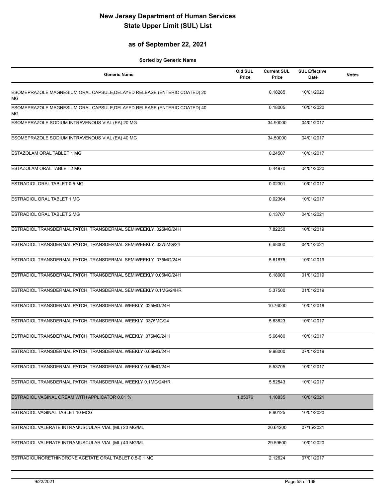## **as of September 22, 2021**

| <b>Generic Name</b>                                                            | Old SUL<br>Price | <b>Current SUL</b><br>Price | <b>SUL Effective</b><br><b>Date</b> | <b>Notes</b> |
|--------------------------------------------------------------------------------|------------------|-----------------------------|-------------------------------------|--------------|
| ESOMEPRAZOLE MAGNESIUM ORAL CAPSULE, DELAYED RELEASE (ENTERIC COATED) 20<br>ΜG |                  | 0.18285                     | 10/01/2020                          |              |
| ESOMEPRAZOLE MAGNESIUM ORAL CAPSULE, DELAYED RELEASE (ENTERIC COATED) 40<br>МG |                  | 0.18005                     | 10/01/2020                          |              |
| ESOMEPRAZOLE SODIUM INTRAVENOUS VIAL (EA) 20 MG                                |                  | 34.90000                    | 04/01/2017                          |              |
| ESOMEPRAZOLE SODIUM INTRAVENOUS VIAL (EA) 40 MG                                |                  | 34.50000                    | 04/01/2017                          |              |
| ESTAZOLAM ORAL TABLET 1 MG                                                     |                  | 0.24507                     | 10/01/2017                          |              |
| ESTAZOLAM ORAL TABLET 2 MG                                                     |                  | 0.44970                     | 04/01/2020                          |              |
| ESTRADIOL ORAL TABLET 0.5 MG                                                   |                  | 0.02301                     | 10/01/2017                          |              |
| ESTRADIOL ORAL TABLET 1 MG                                                     |                  | 0.02364                     | 10/01/2017                          |              |
| ESTRADIOL ORAL TABLET 2 MG                                                     |                  | 0.13707                     | 04/01/2021                          |              |
| ESTRADIOL TRANSDERMAL PATCH, TRANSDERMAL SEMIWEEKLY .025MG/24H                 |                  | 7.82250                     | 10/01/2019                          |              |
| ESTRADIOL TRANSDERMAL PATCH, TRANSDERMAL SEMIWEEKLY .0375MG/24                 |                  | 6.68000                     | 04/01/2021                          |              |
| ESTRADIOL TRANSDERMAL PATCH, TRANSDERMAL SEMIWEEKLY .075MG/24H                 |                  | 5.61875                     | 10/01/2019                          |              |
| ESTRADIOL TRANSDERMAL PATCH, TRANSDERMAL SEMIWEEKLY 0.05MG/24H                 |                  | 6.18000                     | 01/01/2019                          |              |
| ESTRADIOL TRANSDERMAL PATCH, TRANSDERMAL SEMIWEEKLY 0.1MG/24HR                 |                  | 5.37500                     | 01/01/2019                          |              |
| ESTRADIOL TRANSDERMAL PATCH, TRANSDERMAL WEEKLY .025MG/24H                     |                  | 10.76000                    | 10/01/2018                          |              |
| ESTRADIOL TRANSDERMAL PATCH, TRANSDERMAL WEEKLY .0375MG/24                     |                  | 5.63823                     | 10/01/2017                          |              |
| ESTRADIOL TRANSDERMAL PATCH, TRANSDERMAL WEEKLY .075MG/24H                     |                  | 5.66480                     | 10/01/2017                          |              |
| ESTRADIOL TRANSDERMAL PATCH, TRANSDERMAL WEEKLY 0.05MG/24H                     |                  | 9.98000                     | 07/01/2019                          |              |
| ESTRADIOL TRANSDERMAL PATCH, TRANSDERMAL WEEKLY 0.06MG/24H                     |                  | 5.53705                     | 10/01/2017                          |              |
| ESTRADIOL TRANSDERMAL PATCH, TRANSDERMAL WEEKLY 0.1MG/24HR                     |                  | 5.52543                     | 10/01/2017                          |              |
| ESTRADIOL VAGINAL CREAM WITH APPLICATOR 0.01 %                                 | 1.85076          | 1.10835                     | 10/01/2021                          |              |
| ESTRADIOL VAGINAL TABLET 10 MCG                                                |                  | 8.90125                     | 10/01/2020                          |              |
| ESTRADIOL VALERATE INTRAMUSCULAR VIAL (ML) 20 MG/ML                            |                  | 20.64200                    | 07/15/2021                          |              |
| ESTRADIOL VALERATE INTRAMUSCULAR VIAL (ML) 40 MG/ML                            |                  | 29.59600                    | 10/01/2020                          |              |
| ESTRADIOL/NORETHINDRONE ACETATE ORAL TABLET 0.5-0.1 MG                         |                  | 2.12624                     | 07/01/2017                          |              |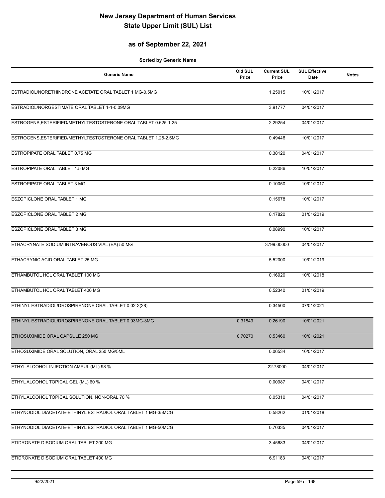## **as of September 22, 2021**

| <b>Generic Name</b>                                             | Old SUL<br>Price | <b>Current SUL</b><br>Price | <b>SUL Effective</b><br>Date | <b>Notes</b> |
|-----------------------------------------------------------------|------------------|-----------------------------|------------------------------|--------------|
| ESTRADIOL/NORETHINDRONE ACETATE ORAL TABLET 1 MG-0.5MG          |                  | 1.25015                     | 10/01/2017                   |              |
| ESTRADIOL/NORGESTIMATE ORAL TABLET 1-1-0.09MG                   |                  | 3.91777                     | 04/01/2017                   |              |
| ESTROGENS, ESTERIFIED/METHYLTESTOSTERONE ORAL TABLET 0.625-1.25 |                  | 2.29254                     | 04/01/2017                   |              |
| ESTROGENS, ESTERIFIED/METHYLTESTOSTERONE ORAL TABLET 1.25-2.5MG |                  | 0.49446                     | 10/01/2017                   |              |
| ESTROPIPATE ORAL TABLET 0.75 MG                                 |                  | 0.38120                     | 04/01/2017                   |              |
| ESTROPIPATE ORAL TABLET 1.5 MG                                  |                  | 0.22086                     | 10/01/2017                   |              |
| ESTROPIPATE ORAL TABLET 3 MG                                    |                  | 0.10050                     | 10/01/2017                   |              |
| ESZOPICLONE ORAL TABLET 1 MG                                    |                  | 0.15678                     | 10/01/2017                   |              |
| <b>ESZOPICLONE ORAL TABLET 2 MG</b>                             |                  | 0.17820                     | 01/01/2019                   |              |
| <b>ESZOPICLONE ORAL TABLET 3 MG</b>                             |                  | 0.08990                     | 10/01/2017                   |              |
| ETHACRYNATE SODIUM INTRAVENOUS VIAL (EA) 50 MG                  |                  | 3799.00000                  | 04/01/2017                   |              |
| ETHACRYNIC ACID ORAL TABLET 25 MG                               |                  | 5.52000                     | 10/01/2019                   |              |
| ETHAMBUTOL HCL ORAL TABLET 100 MG                               |                  | 0.16920                     | 10/01/2018                   |              |
| ETHAMBUTOL HCL ORAL TABLET 400 MG                               |                  | 0.52340                     | 01/01/2019                   |              |
| ETHINYL ESTRADIOL/DROSPIRENONE ORAL TABLET 0.02-3(28)           |                  | 0.34500                     | 07/01/2021                   |              |
| ETHINYL ESTRADIOL/DROSPIRENONE ORAL TABLET 0.03MG-3MG           | 0.31849          | 0.26190                     | 10/01/2021                   |              |
| ETHOSUXIMIDE ORAL CAPSULE 250 MG                                | 0.70270          | 0.53460                     | 10/01/2021                   |              |
| ETHOSUXIMIDE ORAL SOLUTION, ORAL 250 MG/5ML                     |                  | 0.06534                     | 10/01/2017                   |              |
| ETHYL ALCOHOL INJECTION AMPUL (ML) 98 %                         |                  | 22.78000                    | 04/01/2017                   |              |
| ETHYL ALCOHOL TOPICAL GEL (ML) 60 %                             |                  | 0.00987                     | 04/01/2017                   |              |
| ETHYL ALCOHOL TOPICAL SOLUTION, NON-ORAL 70 %                   |                  | 0.05310                     | 04/01/2017                   |              |
| ETHYNODIOL DIACETATE-ETHINYL ESTRADIOL ORAL TABLET 1 MG-35MCG   |                  | 0.58262                     | 01/01/2018                   |              |
| ETHYNODIOL DIACETATE-ETHINYL ESTRADIOL ORAL TABLET 1 MG-50MCG   |                  | 0.70335                     | 04/01/2017                   |              |
| ETIDRONATE DISODIUM ORAL TABLET 200 MG                          |                  | 3.45683                     | 04/01/2017                   |              |
| ETIDRONATE DISODIUM ORAL TABLET 400 MG                          |                  | 6.91183                     | 04/01/2017                   |              |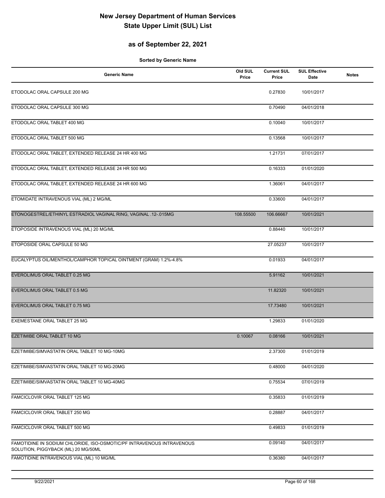## **as of September 22, 2021**

| <b>Generic Name</b>                                                                                          | Old SUL<br>Price | <b>Current SUL</b><br>Price | <b>SUL Effective</b><br>Date | <b>Notes</b> |
|--------------------------------------------------------------------------------------------------------------|------------------|-----------------------------|------------------------------|--------------|
| ETODOLAC ORAL CAPSULE 200 MG                                                                                 |                  | 0.27830                     | 10/01/2017                   |              |
| ETODOLAC ORAL CAPSULE 300 MG                                                                                 |                  | 0.70490                     | 04/01/2018                   |              |
| ETODOLAC ORAL TABLET 400 MG                                                                                  |                  | 0.10040                     | 10/01/2017                   |              |
| ETODOLAC ORAL TABLET 500 MG                                                                                  |                  | 0.13568                     | 10/01/2017                   |              |
| ETODOLAC ORAL TABLET, EXTENDED RELEASE 24 HR 400 MG                                                          |                  | 1.21731                     | 07/01/2017                   |              |
| ETODOLAC ORAL TABLET, EXTENDED RELEASE 24 HR 500 MG                                                          |                  | 0.16333                     | 01/01/2020                   |              |
| ETODOLAC ORAL TABLET, EXTENDED RELEASE 24 HR 600 MG                                                          |                  | 1.36061                     | 04/01/2017                   |              |
| ETOMIDATE INTRAVENOUS VIAL (ML) 2 MG/ML                                                                      |                  | 0.33600                     | 04/01/2017                   |              |
| ETONOGESTREL/ETHINYL ESTRADIOL VAGINAL RING, VAGINAL .12-.015MG                                              | 108.55500        | 106.66667                   | 10/01/2021                   |              |
| ETOPOSIDE INTRAVENOUS VIAL (ML) 20 MG/ML                                                                     |                  | 0.88440                     | 10/01/2017                   |              |
| ETOPOSIDE ORAL CAPSULE 50 MG                                                                                 |                  | 27.05237                    | 10/01/2017                   |              |
| EUCALYPTUS OIL/MENTHOL/CAMPHOR TOPICAL OINTMENT (GRAM) 1.2%-4.8%                                             |                  | 0.01933                     | 04/01/2017                   |              |
| EVEROLIMUS ORAL TABLET 0.25 MG                                                                               |                  | 5.91162                     | 10/01/2021                   |              |
| EVEROLIMUS ORAL TABLET 0.5 MG                                                                                |                  | 11.82320                    | 10/01/2021                   |              |
| EVEROLIMUS ORAL TABLET 0.75 MG                                                                               |                  | 17.73480                    | 10/01/2021                   |              |
| EXEMESTANE ORAL TABLET 25 MG                                                                                 |                  | 1.29833                     | 01/01/2020                   |              |
| EZETIMIBE ORAL TABLET 10 MG                                                                                  | 0.10067          | 0.08166                     | 10/01/2021                   |              |
| EZETIMIBE/SIMVASTATIN ORAL TABLET 10 MG-10MG                                                                 |                  | 2.37300                     | 01/01/2019                   |              |
| EZETIMIBE/SIMVASTATIN ORAL TABLET 10 MG-20MG                                                                 |                  | 0.48000                     | 04/01/2020                   |              |
| EZETIMIBE/SIMVASTATIN ORAL TABLET 10 MG-40MG                                                                 |                  | 0.75534                     | 07/01/2019                   |              |
| FAMCICLOVIR ORAL TABLET 125 MG                                                                               |                  | 0.35833                     | 01/01/2019                   |              |
| FAMCICLOVIR ORAL TABLET 250 MG                                                                               |                  | 0.28887                     | 04/01/2017                   |              |
| FAMCICLOVIR ORAL TABLET 500 MG                                                                               |                  | 0.49833                     | 01/01/2019                   |              |
| FAMOTIDINE IN SODIUM CHLORIDE, ISO-OSMOTIC/PF INTRAVENOUS INTRAVENOUS<br>SOLUTION, PIGGYBACK (ML) 20 MG/50ML |                  | 0.09140                     | 04/01/2017                   |              |
| FAMOTIDINE INTRAVENOUS VIAL (ML) 10 MG/ML                                                                    |                  | 0.36380                     | 04/01/2017                   |              |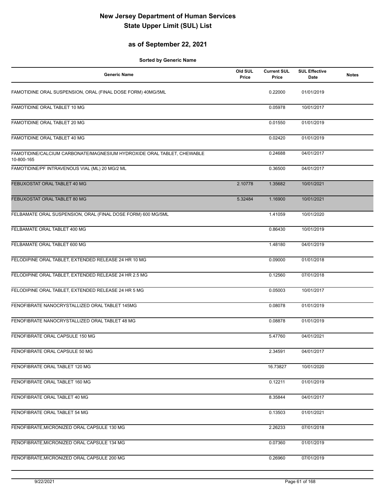## **as of September 22, 2021**

| <b>Generic Name</b>                                                                  | Old SUL<br>Price | <b>Current SUL</b><br>Price | <b>SUL Effective</b><br>Date | <b>Notes</b> |
|--------------------------------------------------------------------------------------|------------------|-----------------------------|------------------------------|--------------|
| FAMOTIDINE ORAL SUSPENSION, ORAL (FINAL DOSE FORM) 40MG/5ML                          |                  | 0.22000                     | 01/01/2019                   |              |
| FAMOTIDINE ORAL TABLET 10 MG                                                         |                  | 0.05978                     | 10/01/2017                   |              |
| FAMOTIDINE ORAL TABLET 20 MG                                                         |                  | 0.01550                     | 01/01/2019                   |              |
| FAMOTIDINE ORAL TABLET 40 MG                                                         |                  | 0.02420                     | 01/01/2019                   |              |
| FAMOTIDINE/CALCIUM CARBONATE/MAGNESIUM HYDROXIDE ORAL TABLET, CHEWABLE<br>10-800-165 |                  | 0.24688                     | 04/01/2017                   |              |
| FAMOTIDINE/PF INTRAVENOUS VIAL (ML) 20 MG/2 ML                                       |                  | 0.36500                     | 04/01/2017                   |              |
| FEBUXOSTAT ORAL TABLET 40 MG                                                         | 2.10778          | 1.35682                     | 10/01/2021                   |              |
| FEBUXOSTAT ORAL TABLET 80 MG                                                         | 5.32484          | 1.16900                     | 10/01/2021                   |              |
| FELBAMATE ORAL SUSPENSION, ORAL (FINAL DOSE FORM) 600 MG/5ML                         |                  | 1.41059                     | 10/01/2020                   |              |
| FELBAMATE ORAL TABLET 400 MG                                                         |                  | 0.86430                     | 10/01/2019                   |              |
| FELBAMATE ORAL TABLET 600 MG                                                         |                  | 1.48180                     | 04/01/2019                   |              |
| FELODIPINE ORAL TABLET, EXTENDED RELEASE 24 HR 10 MG                                 |                  | 0.09000                     | 01/01/2018                   |              |
| FELODIPINE ORAL TABLET, EXTENDED RELEASE 24 HR 2.5 MG                                |                  | 0.12560                     | 07/01/2018                   |              |
| FELODIPINE ORAL TABLET, EXTENDED RELEASE 24 HR 5 MG                                  |                  | 0.05003                     | 10/01/2017                   |              |
| FENOFIBRATE NANOCRYSTALLIZED ORAL TABLET 145MG                                       |                  | 0.08078                     | 01/01/2019                   |              |
| FENOFIBRATE NANOCRYSTALLIZED ORAL TABLET 48 MG                                       |                  | 0.08878                     | 01/01/2019                   |              |
| FENOFIBRATE ORAL CAPSULE 150 MG                                                      |                  | 5.47760                     | 04/01/2021                   |              |
| FENOFIBRATE ORAL CAPSULE 50 MG                                                       |                  | 2.34591                     | 04/01/2017                   |              |
| FENOFIBRATE ORAL TABLET 120 MG                                                       |                  | 16.73827                    | 10/01/2020                   |              |
| FENOFIBRATE ORAL TABLET 160 MG                                                       |                  | 0.12211                     | 01/01/2019                   |              |
| FENOFIBRATE ORAL TABLET 40 MG                                                        |                  | 8.35844                     | 04/01/2017                   |              |
| FENOFIBRATE ORAL TABLET 54 MG                                                        |                  | 0.13503                     | 01/01/2021                   |              |
| FENOFIBRATE, MICRONIZED ORAL CAPSULE 130 MG                                          |                  | 2.26233                     | 07/01/2018                   |              |
| FENOFIBRATE, MICRONIZED ORAL CAPSULE 134 MG                                          |                  | 0.07360                     | 01/01/2019                   |              |
| FENOFIBRATE, MICRONIZED ORAL CAPSULE 200 MG                                          |                  | 0.26960                     | 07/01/2019                   |              |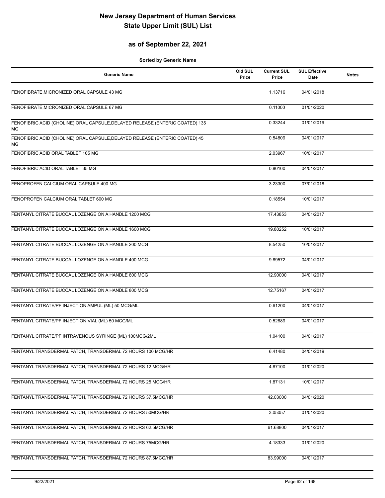## **as of September 22, 2021**

| <b>Generic Name</b>                                                                | Old SUL<br>Price | <b>Current SUL</b><br>Price | <b>SUL Effective</b><br>Date | <b>Notes</b> |
|------------------------------------------------------------------------------------|------------------|-----------------------------|------------------------------|--------------|
| FENOFIBRATE, MICRONIZED ORAL CAPSULE 43 MG                                         |                  | 1.13716                     | 04/01/2018                   |              |
| FENOFIBRATE, MICRONIZED ORAL CAPSULE 67 MG                                         |                  | 0.11000                     | 01/01/2020                   |              |
| FENOFIBRIC ACID (CHOLINE) ORAL CAPSULE, DELAYED RELEASE (ENTERIC COATED) 135<br>ΜG |                  | 0.33244                     | 01/01/2019                   |              |
| FENOFIBRIC ACID (CHOLINE) ORAL CAPSULE, DELAYED RELEASE (ENTERIC COATED) 45<br>МG  |                  | 0.54809                     | 04/01/2017                   |              |
| FENOFIBRIC ACID ORAL TABLET 105 MG                                                 |                  | 2.03967                     | 10/01/2017                   |              |
| FENOFIBRIC ACID ORAL TABLET 35 MG                                                  |                  | 0.80100                     | 04/01/2017                   |              |
| FENOPROFEN CALCIUM ORAL CAPSULE 400 MG                                             |                  | 3.23300                     | 07/01/2018                   |              |
| FENOPROFEN CALCIUM ORAL TABLET 600 MG                                              |                  | 0.18554                     | 10/01/2017                   |              |
| FENTANYL CITRATE BUCCAL LOZENGE ON A HANDLE 1200 MCG                               |                  | 17.43853                    | 04/01/2017                   |              |
| FENTANYL CITRATE BUCCAL LOZENGE ON A HANDLE 1600 MCG                               |                  | 19.80252                    | 10/01/2017                   |              |
| FENTANYL CITRATE BUCCAL LOZENGE ON A HANDLE 200 MCG                                |                  | 8.54250                     | 10/01/2017                   |              |
| FENTANYL CITRATE BUCCAL LOZENGE ON A HANDLE 400 MCG                                |                  | 9.89572                     | 04/01/2017                   |              |
| FENTANYL CITRATE BUCCAL LOZENGE ON A HANDLE 600 MCG                                |                  | 12.90000                    | 04/01/2017                   |              |
| FENTANYL CITRATE BUCCAL LOZENGE ON A HANDLE 800 MCG                                |                  | 12.75167                    | 04/01/2017                   |              |
| FENTANYL CITRATE/PF INJECTION AMPUL (ML) 50 MCG/ML                                 |                  | 0.61200                     | 04/01/2017                   |              |
| FENTANYL CITRATE/PF INJECTION VIAL (ML) 50 MCG/ML                                  |                  | 0.52889                     | 04/01/2017                   |              |
| FENTANYL CITRATE/PF INTRAVENOUS SYRINGE (ML) 100MCG/2ML                            |                  | 1.04100                     | 04/01/2017                   |              |
| FENTANYL TRANSDERMAL PATCH, TRANSDERMAL 72 HOURS 100 MCG/HR                        |                  | 6.41480                     | 04/01/2019                   |              |
| FENTANYL TRANSDERMAL PATCH, TRANSDERMAL 72 HOURS 12 MCG/HR                         |                  | 4.87100                     | 01/01/2020                   |              |
| FENTANYL TRANSDERMAL PATCH, TRANSDERMAL 72 HOURS 25 MCG/HR                         |                  | 1.87131                     | 10/01/2017                   |              |
| FENTANYL TRANSDERMAL PATCH, TRANSDERMAL 72 HOURS 37.5MCG/HR                        |                  | 42.03000                    | 04/01/2020                   |              |
| FENTANYL TRANSDERMAL PATCH, TRANSDERMAL 72 HOURS 50MCG/HR                          |                  | 3.05057                     | 01/01/2020                   |              |
| FENTANYL TRANSDERMAL PATCH, TRANSDERMAL 72 HOURS 62.5MCG/HR                        |                  | 61.68800                    | 04/01/2017                   |              |
| FENTANYL TRANSDERMAL PATCH, TRANSDERMAL 72 HOURS 75MCG/HR                          |                  | 4.18333                     | 01/01/2020                   |              |
| FENTANYL TRANSDERMAL PATCH, TRANSDERMAL 72 HOURS 87.5MCG/HR                        |                  | 83.99000                    | 04/01/2017                   |              |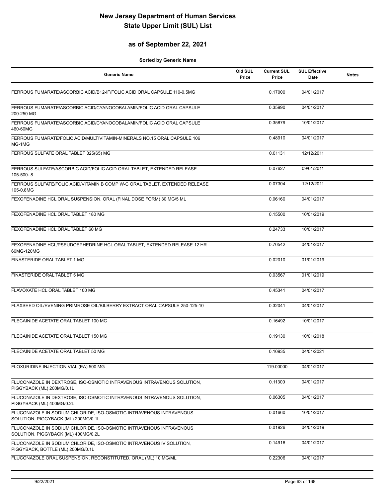## **as of September 22, 2021**

| <b>Generic Name</b>                                                                                        | Old SUL<br>Price | <b>Current SUL</b><br>Price | <b>SUL Effective</b><br>Date | <b>Notes</b> |
|------------------------------------------------------------------------------------------------------------|------------------|-----------------------------|------------------------------|--------------|
| FERROUS FUMARATE/ASCORBIC ACID/B12-IF/FOLIC ACID ORAL CAPSULE 110-0.5MG                                    |                  | 0.17000                     | 04/01/2017                   |              |
| FERROUS FUMARATE/ASCORBIC ACID/CYANOCOBALAMIN/FOLIC ACID ORAL CAPSULE<br>200-250 MG                        |                  | 0.35990                     | 04/01/2017                   |              |
| FERROUS FUMARATE/ASCORBIC ACID/CYANOCOBALAMIN/FOLIC ACID ORAL CAPSULE<br>460-60MG                          |                  | 0.35879                     | 10/01/2017                   |              |
| FERROUS FUMARATE/FOLIC ACID/MULTIVITAMIN-MINERALS NO.15 ORAL CAPSULE 106<br>MG-1MG                         |                  | 0.48910                     | 04/01/2017                   |              |
| FERROUS SULFATE ORAL TABLET 325(65) MG                                                                     |                  | 0.01131                     | 12/12/2011                   |              |
| FERROUS SULFATE/ASCORBIC ACID/FOLIC ACID ORAL TABLET, EXTENDED RELEASE<br>105-500-.8                       |                  | 0.07627                     | 09/01/2011                   |              |
| FERROUS SULFATE/FOLIC ACID/VITAMIN B COMP W-C ORAL TABLET, EXTENDED RELEASE<br>105-0.8MG                   |                  | 0.07304                     | 12/12/2011                   |              |
| FEXOFENADINE HCL ORAL SUSPENSION, ORAL (FINAL DOSE FORM) 30 MG/5 ML                                        |                  | 0.06160                     | 04/01/2017                   |              |
| FEXOFENADINE HCL ORAL TABLET 180 MG                                                                        |                  | 0.15500                     | 10/01/2019                   |              |
| FEXOFENADINE HCL ORAL TABLET 60 MG                                                                         |                  | 0.24733                     | 10/01/2017                   |              |
| FEXOFENADINE HCL/PSEUDOEPHEDRINE HCL ORAL TABLET, EXTENDED RELEASE 12 HR<br>60MG-120MG                     |                  | 0.70542                     | 04/01/2017                   |              |
| FINASTERIDE ORAL TABLET 1 MG                                                                               |                  | 0.02010                     | 01/01/2019                   |              |
| FINASTERIDE ORAL TABLET 5 MG                                                                               |                  | 0.03567                     | 01/01/2019                   |              |
| FLAVOXATE HCL ORAL TABLET 100 MG                                                                           |                  | 0.45341                     | 04/01/2017                   |              |
| FLAXSEED OIL/EVENING PRIMROSE OIL/BILBERRY EXTRACT ORAL CAPSULE 250-125-10                                 |                  | 0.32041                     | 04/01/2017                   |              |
| FLECAINIDE ACETATE ORAL TABLET 100 MG                                                                      |                  | 0.16492                     | 10/01/2017                   |              |
| FLECAINIDE ACETATE ORAL TABLET 150 MG                                                                      |                  | 0.19130                     | 10/01/2018                   |              |
| FLECAINIDE ACETATE ORAL TABLET 50 MG                                                                       |                  | 0.10935                     | 04/01/2021                   |              |
| FLOXURIDINE INJECTION VIAL (EA) 500 MG                                                                     |                  | 119.00000                   | 04/01/2017                   |              |
| FLUCONAZOLE IN DEXTROSE, ISO-OSMOTIC INTRAVENOUS INTRAVENOUS SOLUTION,<br>PIGGYBACK (ML) 200MG/0.1L        |                  | 0.11300                     | 04/01/2017                   |              |
| FLUCONAZOLE IN DEXTROSE, ISO-OSMOTIC INTRAVENOUS INTRAVENOUS SOLUTION,<br>PIGGYBACK (ML) 400MG/0.2L        |                  | 0.06305                     | 04/01/2017                   |              |
| FLUCONAZOLE IN SODIUM CHLORIDE, ISO-OSMOTIC INTRAVENOUS INTRAVENOUS<br>SOLUTION, PIGGYBACK (ML) 200MG/0.1L |                  | 0.01660                     | 10/01/2017                   |              |
| FLUCONAZOLE IN SODIUM CHLORIDE, ISO-OSMOTIC INTRAVENOUS INTRAVENOUS<br>SOLUTION, PIGGYBACK (ML) 400MG/0.2L |                  | 0.01926                     | 04/01/2019                   |              |
| FLUCONAZOLE IN SODIUM CHLORIDE, ISO-OSMOTIC INTRAVENOUS IV SOLUTION,<br>PIGGYBACK, BOTTLE (ML) 200MG/0.1L  |                  | 0.14916                     | 04/01/2017                   |              |
| FLUCONAZOLE ORAL SUSPENSION, RECONSTITUTED, ORAL (ML) 10 MG/ML                                             |                  | 0.22306                     | 04/01/2017                   |              |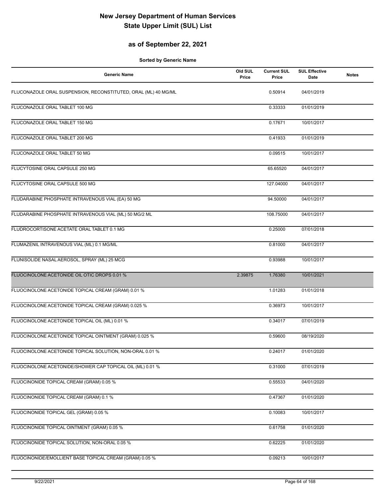## **as of September 22, 2021**

| Old SUL<br><b>Generic Name</b>                                 | <b>Current SUL</b><br>Price<br>Price | <b>SUL Effective</b><br>Date | <b>Notes</b> |
|----------------------------------------------------------------|--------------------------------------|------------------------------|--------------|
| FLUCONAZOLE ORAL SUSPENSION, RECONSTITUTED, ORAL (ML) 40 MG/ML | 0.50914                              | 04/01/2019                   |              |
| FLUCONAZOLE ORAL TABLET 100 MG                                 | 0.33333                              | 01/01/2019                   |              |
| FLUCONAZOLE ORAL TABLET 150 MG                                 | 0.17671                              | 10/01/2017                   |              |
| FLUCONAZOLE ORAL TABLET 200 MG                                 | 0.41933                              | 01/01/2019                   |              |
| FLUCONAZOLE ORAL TABLET 50 MG                                  | 0.09515                              | 10/01/2017                   |              |
| FLUCYTOSINE ORAL CAPSULE 250 MG                                | 65.65520                             | 04/01/2017                   |              |
| FLUCYTOSINE ORAL CAPSULE 500 MG                                | 127.04000                            | 04/01/2017                   |              |
| FLUDARABINE PHOSPHATE INTRAVENOUS VIAL (EA) 50 MG              | 94.50000                             | 04/01/2017                   |              |
| FLUDARABINE PHOSPHATE INTRAVENOUS VIAL (ML) 50 MG/2 ML         | 108.75000                            | 04/01/2017                   |              |
| FLUDROCORTISONE ACETATE ORAL TABLET 0.1 MG                     | 0.25000                              | 07/01/2018                   |              |
| FLUMAZENIL INTRAVENOUS VIAL (ML) 0.1 MG/ML                     | 0.81000                              | 04/01/2017                   |              |
| FLUNISOLIDE NASAL AEROSOL, SPRAY (ML) 25 MCG                   | 0.93988                              | 10/01/2017                   |              |
| FLUOCINOLONE ACETONIDE OIL OTIC DROPS 0.01 %                   | 1.76380<br>2.39875                   | 10/01/2021                   |              |
| FLUOCINOLONE ACETONIDE TOPICAL CREAM (GRAM) 0.01 %             | 1.01283                              | 01/01/2018                   |              |
| FLUOCINOLONE ACETONIDE TOPICAL CREAM (GRAM) 0.025 %            | 0.36973                              | 10/01/2017                   |              |
| FLUOCINOLONE ACETONIDE TOPICAL OIL (ML) 0.01 %                 | 0.34017                              | 07/01/2019                   |              |
| FLUOCINOLONE ACETONIDE TOPICAL OINTMENT (GRAM) 0.025 %         | 0.59600                              | 08/19/2020                   |              |
| FLUOCINOLONE ACETONIDE TOPICAL SOLUTION, NON-ORAL 0.01 %       | 0.24017                              | 01/01/2020                   |              |
| FLUOCINOLONE ACETONIDE/SHOWER CAP TOPICAL OIL (ML) 0.01 %      | 0.31000                              | 07/01/2019                   |              |
| FLUOCINONIDE TOPICAL CREAM (GRAM) 0.05 %                       | 0.55533                              | 04/01/2020                   |              |
| FLUOCINONIDE TOPICAL CREAM (GRAM) 0.1 %                        | 0.47367                              | 01/01/2020                   |              |
| FLUOCINONIDE TOPICAL GEL (GRAM) 0.05 %                         | 0.10083                              | 10/01/2017                   |              |
| FLUOCINONIDE TOPICAL OINTMENT (GRAM) 0.05 %                    | 0.61758                              | 01/01/2020                   |              |
| FLUOCINONIDE TOPICAL SOLUTION, NON-ORAL 0.05 %                 | 0.62225                              | 01/01/2020                   |              |
| FLUOCINONIDE/EMOLLIENT BASE TOPICAL CREAM (GRAM) 0.05 %        | 0.09213                              | 10/01/2017                   |              |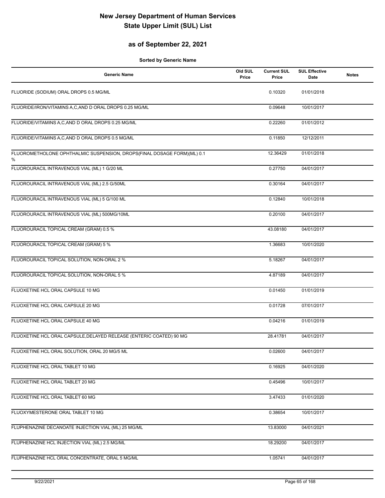## **as of September 22, 2021**

| <b>Generic Name</b>                                                          | Old SUL<br>Price | <b>Current SUL</b><br>Price | <b>SUL Effective</b><br>Date | <b>Notes</b> |
|------------------------------------------------------------------------------|------------------|-----------------------------|------------------------------|--------------|
| FLUORIDE (SODIUM) ORAL DROPS 0.5 MG/ML                                       |                  | 0.10320                     | 01/01/2018                   |              |
| FLUORIDE/IRON/VITAMINS A,C,AND D ORAL DROPS 0.25 MG/ML                       |                  | 0.09648                     | 10/01/2017                   |              |
| FLUORIDE/VITAMINS A,C,AND D ORAL DROPS 0.25 MG/ML                            |                  | 0.22260                     | 01/01/2012                   |              |
| FLUORIDE/VITAMINS A,C,AND D ORAL DROPS 0.5 MG/ML                             |                  | 0.11850                     | 12/12/2011                   |              |
| FLUOROMETHOLONE OPHTHALMIC SUSPENSION, DROPS(FINAL DOSAGE FORM)(ML) 0.1<br>% |                  | 12.36429                    | 01/01/2018                   |              |
| FLUOROURACIL INTRAVENOUS VIAL (ML) 1 G/20 ML                                 |                  | 0.27750                     | 04/01/2017                   |              |
| FLUOROURACIL INTRAVENOUS VIAL (ML) 2.5 G/50ML                                |                  | 0.30164                     | 04/01/2017                   |              |
| FLUOROURACIL INTRAVENOUS VIAL (ML) 5 G/100 ML                                |                  | 0.12840                     | 10/01/2018                   |              |
| FLUOROURACIL INTRAVENOUS VIAL (ML) 500MG/10ML                                |                  | 0.20100                     | 04/01/2017                   |              |
| FLUOROURACIL TOPICAL CREAM (GRAM) 0.5 %                                      |                  | 43.08180                    | 04/01/2017                   |              |
| FLUOROURACIL TOPICAL CREAM (GRAM) 5 %                                        |                  | 1.36683                     | 10/01/2020                   |              |
| FLUOROURACIL TOPICAL SOLUTION, NON-ORAL 2 %                                  |                  | 5.18267                     | 04/01/2017                   |              |
| FLUOROURACIL TOPICAL SOLUTION, NON-ORAL 5 %                                  |                  | 4.87189                     | 04/01/2017                   |              |
| FLUOXETINE HCL ORAL CAPSULE 10 MG                                            |                  | 0.01450                     | 01/01/2019                   |              |
| FLUOXETINE HCL ORAL CAPSULE 20 MG                                            |                  | 0.01728                     | 07/01/2017                   |              |
| FLUOXETINE HCL ORAL CAPSULE 40 MG                                            |                  | 0.04216                     | 01/01/2019                   |              |
| FLUOXETINE HCL ORAL CAPSULE, DELAYED RELEASE (ENTERIC COATED) 90 MG          |                  | 28.41781                    | 04/01/2017                   |              |
| FLUOXETINE HCL ORAL SOLUTION, ORAL 20 MG/5 ML                                |                  | 0.02600                     | 04/01/2017                   |              |
| FLUOXETINE HCL ORAL TABLET 10 MG                                             |                  | 0.16925                     | 04/01/2020                   |              |
| FLUOXETINE HCL ORAL TABLET 20 MG                                             |                  | 0.45496                     | 10/01/2017                   |              |
| FLUOXETINE HCL ORAL TABLET 60 MG                                             |                  | 3.47433                     | 01/01/2020                   |              |
| FLUOXYMESTERONE ORAL TABLET 10 MG                                            |                  | 0.38654                     | 10/01/2017                   |              |
| FLUPHENAZINE DECANOATE INJECTION VIAL (ML) 25 MG/ML                          |                  | 13.83000                    | 04/01/2021                   |              |
| FLUPHENAZINE HCL INJECTION VIAL (ML) 2.5 MG/ML                               |                  | 18.29200                    | 04/01/2017                   |              |
| FLUPHENAZINE HCL ORAL CONCENTRATE, ORAL 5 MG/ML                              |                  | 1.05741                     | 04/01/2017                   |              |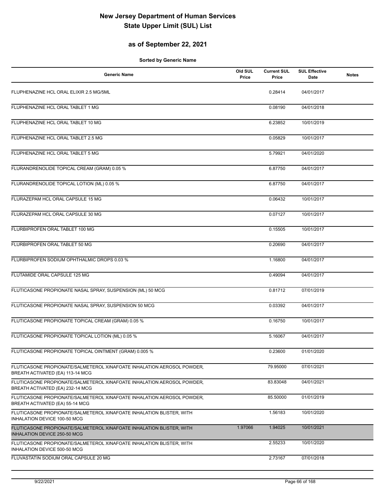## **as of September 22, 2021**

| <b>Generic Name</b>                                                                                        | Old SUL<br>Price | <b>Current SUL</b><br>Price | <b>SUL Effective</b><br>Date | <b>Notes</b> |
|------------------------------------------------------------------------------------------------------------|------------------|-----------------------------|------------------------------|--------------|
| FLUPHENAZINE HCL ORAL ELIXIR 2.5 MG/5ML                                                                    |                  | 0.28414                     | 04/01/2017                   |              |
| FLUPHENAZINE HCL ORAL TABLET 1 MG                                                                          |                  | 0.08190                     | 04/01/2018                   |              |
| FLUPHENAZINE HCL ORAL TABLET 10 MG                                                                         |                  | 6.23852                     | 10/01/2019                   |              |
| FLUPHENAZINE HCL ORAL TABLET 2.5 MG                                                                        |                  | 0.05829                     | 10/01/2017                   |              |
| FLUPHENAZINE HCL ORAL TABLET 5 MG                                                                          |                  | 5.79921                     | 04/01/2020                   |              |
| FLURANDRENOLIDE TOPICAL CREAM (GRAM) 0.05 %                                                                |                  | 6.87750                     | 04/01/2017                   |              |
| FLURANDRENOLIDE TOPICAL LOTION (ML) 0.05 %                                                                 |                  | 6.87750                     | 04/01/2017                   |              |
| FLURAZEPAM HCL ORAL CAPSULE 15 MG                                                                          |                  | 0.06432                     | 10/01/2017                   |              |
| FLURAZEPAM HCL ORAL CAPSULE 30 MG                                                                          |                  | 0.07127                     | 10/01/2017                   |              |
| FLURBIPROFEN ORAL TABLET 100 MG                                                                            |                  | 0.15505                     | 10/01/2017                   |              |
| FLURBIPROFEN ORAL TABLET 50 MG                                                                             |                  | 0.20690                     | 04/01/2017                   |              |
| FLURBIPROFEN SODIUM OPHTHALMIC DROPS 0.03 %                                                                |                  | 1.16800                     | 04/01/2017                   |              |
| FLUTAMIDE ORAL CAPSULE 125 MG                                                                              |                  | 0.49094                     | 04/01/2017                   |              |
| FLUTICASONE PROPIONATE NASAL SPRAY, SUSPENSION (ML) 50 MCG                                                 |                  | 0.81712                     | 07/01/2019                   |              |
| FLUTICASONE PROPIONATE NASAL SPRAY, SUSPENSION 50 MCG                                                      |                  | 0.03392                     | 04/01/2017                   |              |
| FLUTICASONE PROPIONATE TOPICAL CREAM (GRAM) 0.05 %                                                         |                  | 0.16750                     | 10/01/2017                   |              |
| FLUTICASONE PROPIONATE TOPICAL LOTION (ML) 0.05 %                                                          |                  | 5.16067                     | 04/01/2017                   |              |
| FLUTICASONE PROPIONATE TOPICAL OINTMENT (GRAM) 0.005 %                                                     |                  | 0.23600                     | 01/01/2020                   |              |
| FLUTICASONE PROPIONATE/SALMETEROL XINAFOATE INHALATION AEROSOL POWDER,<br>BREATH ACTIVATED (EA) 113-14 MCG |                  | 79.95000                    | 07/01/2021                   |              |
| FLUTICASONE PROPIONATE/SALMETEROL XINAFOATE INHALATION AEROSOL POWDER,<br>BREATH ACTIVATED (EA) 232-14 MCG |                  | 83.83048                    | 04/01/2021                   |              |
| FLUTICASONE PROPIONATE/SALMETEROL XINAFOATE INHALATION AEROSOL POWDER,<br>BREATH ACTIVATED (EA) 55-14 MCG  |                  | 85.50000                    | 01/01/2019                   |              |
| FLUTICASONE PROPIONATE/SALMETEROL XINAFOATE INHALATION BLISTER, WITH<br>INHALATION DEVICE 100-50 MCG       |                  | 1.56183                     | 10/01/2020                   |              |
| FLUTICASONE PROPIONATE/SALMETEROL XINAFOATE INHALATION BLISTER, WITH<br>INHALATION DEVICE 250-50 MCG       | 1.97066          | 1.94025                     | 10/01/2021                   |              |
| FLUTICASONE PROPIONATE/SALMETEROL XINAFOATE INHALATION BLISTER, WITH<br>INHALATION DEVICE 500-50 MCG       |                  | 2.55233                     | 10/01/2020                   |              |
| FLUVASTATIN SODIUM ORAL CAPSULE 20 MG                                                                      |                  | 2.73167                     | 07/01/2018                   |              |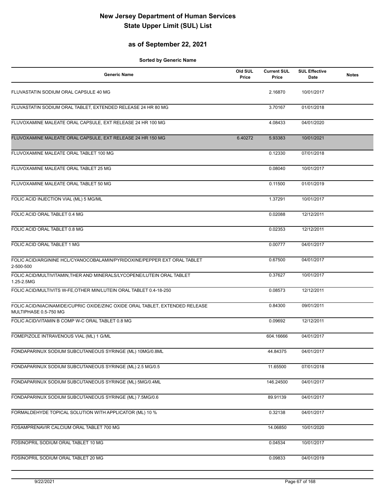## **as of September 22, 2021**

| <b>Generic Name</b>                                                                                   | Old SUL<br>Price | <b>Current SUL</b><br>Price | <b>SUL Effective</b><br>Date | <b>Notes</b> |
|-------------------------------------------------------------------------------------------------------|------------------|-----------------------------|------------------------------|--------------|
| FLUVASTATIN SODIUM ORAL CAPSULE 40 MG                                                                 |                  | 2.16870                     | 10/01/2017                   |              |
| FLUVASTATIN SODIUM ORAL TABLET, EXTENDED RELEASE 24 HR 80 MG                                          |                  | 3.70167                     | 01/01/2018                   |              |
| FLUVOXAMINE MALEATE ORAL CAPSULE, EXT RELEASE 24 HR 100 MG                                            |                  | 4.08433                     | 04/01/2020                   |              |
| FLUVOXAMINE MALEATE ORAL CAPSULE, EXT RELEASE 24 HR 150 MG                                            | 6.40272          | 5.93383                     | 10/01/2021                   |              |
| FLUVOXAMINE MALEATE ORAL TABLET 100 MG                                                                |                  | 0.12330                     | 07/01/2018                   |              |
| FLUVOXAMINE MALEATE ORAL TABLET 25 MG                                                                 |                  | 0.08040                     | 10/01/2017                   |              |
| FLUVOXAMINE MALEATE ORAL TABLET 50 MG                                                                 |                  | 0.11500                     | 01/01/2019                   |              |
| FOLIC ACID INJECTION VIAL (ML) 5 MG/ML                                                                |                  | 1.37291                     | 10/01/2017                   |              |
| FOLIC ACID ORAL TABLET 0.4 MG                                                                         |                  | 0.02088                     | 12/12/2011                   |              |
| FOLIC ACID ORAL TABLET 0.8 MG                                                                         |                  | 0.02353                     | 12/12/2011                   |              |
| FOLIC ACID ORAL TABLET 1 MG                                                                           |                  | 0.00777                     | 04/01/2017                   |              |
| FOLIC ACID/ARGININE HCL/CYANOCOBALAMIN/PYRIDOXINE/PEPPER EXT ORAL TABLET<br>2-500-500                 |                  | 0.67500                     | 04/01/2017                   |              |
| FOLIC ACID/MULTIVITAMIN, THER AND MINERALS/LYCOPENE/LUTEIN ORAL TABLET<br>1.25-2.5MG                  |                  | 0.37627                     | 10/01/2017                   |              |
| FOLIC ACID/MULTIVITS W-FE, OTHER MIN/LUTEIN ORAL TABLET 0.4-18-250                                    |                  | 0.08573                     | 12/12/2011                   |              |
| FOLIC ACID/NIACINAMIDE/CUPRIC OXIDE/ZINC OXIDE ORAL TABLET, EXTENDED RELEASE<br>MULTIPHASE 0.5-750 MG |                  | 0.84300                     | 09/01/2011                   |              |
| FOLIC ACID/VITAMIN B COMP W-C ORAL TABLET 0.8 MG                                                      |                  | 0.09692                     | 12/12/2011                   |              |
| FOMEPIZOLE INTRAVENOUS VIAL (ML) 1 G/ML                                                               |                  | 604.16666                   | 04/01/2017                   |              |
| FONDAPARINUX SODIUM SUBCUTANEOUS SYRINGE (ML) 10MG/0.8ML                                              |                  | 44.84375                    | 04/01/2017                   |              |
| FONDAPARINUX SODIUM SUBCUTANEOUS SYRINGE (ML) 2.5 MG/0.5                                              |                  | 11.65500                    | 07/01/2018                   |              |
| FONDAPARINUX SODIUM SUBCUTANEOUS SYRINGE (ML) 5MG/0.4ML                                               |                  | 146.24500                   | 04/01/2017                   |              |
| FONDAPARINUX SODIUM SUBCUTANEOUS SYRINGE (ML) 7.5MG/0.6                                               |                  | 89.91139                    | 04/01/2017                   |              |
| FORMALDEHYDE TOPICAL SOLUTION WITH APPLICATOR (ML) 10 %                                               |                  | 0.32138                     | 04/01/2017                   |              |
| FOSAMPRENAVIR CALCIUM ORAL TABLET 700 MG                                                              |                  | 14.06850                    | 10/01/2020                   |              |
| FOSINOPRIL SODIUM ORAL TABLET 10 MG                                                                   |                  | 0.04534                     | 10/01/2017                   |              |
| FOSINOPRIL SODIUM ORAL TABLET 20 MG                                                                   |                  | 0.09833                     | 04/01/2019                   |              |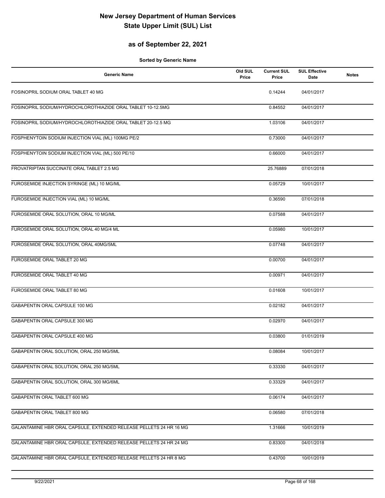## **as of September 22, 2021**

| <b>Generic Name</b>                                                | Old SUL<br>Price | <b>Current SUL</b><br>Price | <b>SUL Effective</b><br><b>Date</b> | <b>Notes</b> |
|--------------------------------------------------------------------|------------------|-----------------------------|-------------------------------------|--------------|
| FOSINOPRIL SODIUM ORAL TABLET 40 MG                                |                  | 0.14244                     | 04/01/2017                          |              |
| FOSINOPRIL SODIUM/HYDROCHLOROTHIAZIDE ORAL TABLET 10-12.5MG        |                  | 0.84552                     | 04/01/2017                          |              |
| FOSINOPRIL SODIUM/HYDROCHLOROTHIAZIDE ORAL TABLET 20-12.5 MG       |                  | 1.03106                     | 04/01/2017                          |              |
| FOSPHENYTOIN SODIUM INJECTION VIAL (ML) 100MG PE/2                 |                  | 0.73000                     | 04/01/2017                          |              |
| FOSPHENYTOIN SODIUM INJECTION VIAL (ML) 500 PE/10                  |                  | 0.66000                     | 04/01/2017                          |              |
| FROVATRIPTAN SUCCINATE ORAL TABLET 2.5 MG                          |                  | 25.76889                    | 07/01/2018                          |              |
| FUROSEMIDE INJECTION SYRINGE (ML) 10 MG/ML                         |                  | 0.05729                     | 10/01/2017                          |              |
| FUROSEMIDE INJECTION VIAL (ML) 10 MG/ML                            |                  | 0.36590                     | 07/01/2018                          |              |
| FUROSEMIDE ORAL SOLUTION, ORAL 10 MG/ML                            |                  | 0.07588                     | 04/01/2017                          |              |
| FUROSEMIDE ORAL SOLUTION, ORAL 40 MG/4 ML                          |                  | 0.05980                     | 10/01/2017                          |              |
| FUROSEMIDE ORAL SOLUTION, ORAL 40MG/5ML                            |                  | 0.07748                     | 04/01/2017                          |              |
| FUROSEMIDE ORAL TABLET 20 MG                                       |                  | 0.00700                     | 04/01/2017                          |              |
| FUROSEMIDE ORAL TABLET 40 MG                                       |                  | 0.00971                     | 04/01/2017                          |              |
| FUROSEMIDE ORAL TABLET 80 MG                                       |                  | 0.01608                     | 10/01/2017                          |              |
| GABAPENTIN ORAL CAPSULE 100 MG                                     |                  | 0.02182                     | 04/01/2017                          |              |
| GABAPENTIN ORAL CAPSULE 300 MG                                     |                  | 0.02970                     | 04/01/2017                          |              |
| GABAPENTIN ORAL CAPSULE 400 MG                                     |                  | 0.03800                     | 01/01/2019                          |              |
| GABAPENTIN ORAL SOLUTION, ORAL 250 MG/5ML                          |                  | 0.08084                     | 10/01/2017                          |              |
| GABAPENTIN ORAL SOLUTION, ORAL 250 MG/5ML                          |                  | 0.33330                     | 04/01/2017                          |              |
| GABAPENTIN ORAL SOLUTION, ORAL 300 MG/6ML                          |                  | 0.33329                     | 04/01/2017                          |              |
| GABAPENTIN ORAL TABLET 600 MG                                      |                  | 0.06174                     | 04/01/2017                          |              |
| GABAPENTIN ORAL TABLET 800 MG                                      |                  | 0.06580                     | 07/01/2018                          |              |
| GALANTAMINE HBR ORAL CAPSULE, EXTENDED RELEASE PELLETS 24 HR 16 MG |                  | 1.31666                     | 10/01/2019                          |              |
| GALANTAMINE HBR ORAL CAPSULE, EXTENDED RELEASE PELLETS 24 HR 24 MG |                  | 0.83300                     | 04/01/2018                          |              |
| GALANTAMINE HBR ORAL CAPSULE, EXTENDED RELEASE PELLETS 24 HR 8 MG  |                  | 0.43700                     | 10/01/2019                          |              |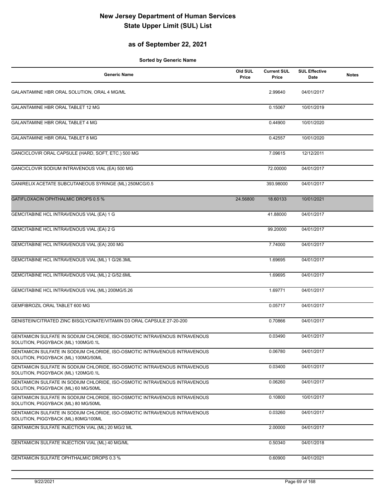## **as of September 22, 2021**

| <b>Generic Name</b>                                                                                               | Old SUL<br>Price | <b>Current SUL</b><br>Price | <b>SUL Effective</b><br>Date | <b>Notes</b> |
|-------------------------------------------------------------------------------------------------------------------|------------------|-----------------------------|------------------------------|--------------|
| GALANTAMINE HBR ORAL SOLUTION, ORAL 4 MG/ML                                                                       |                  | 2.99640                     | 04/01/2017                   |              |
| <b>GALANTAMINE HBR ORAL TABLET 12 MG</b>                                                                          |                  | 0.15067                     | 10/01/2019                   |              |
| GALANTAMINE HBR ORAL TABLET 4 MG                                                                                  |                  | 0.44900                     | 10/01/2020                   |              |
| GALANTAMINE HBR ORAL TABLET 8 MG                                                                                  |                  | 0.42557                     | 10/01/2020                   |              |
| GANCICLOVIR ORAL CAPSULE (HARD, SOFT, ETC.) 500 MG                                                                |                  | 7.09615                     | 12/12/2011                   |              |
| GANCICLOVIR SODIUM INTRAVENOUS VIAL (EA) 500 MG                                                                   |                  | 72.00000                    | 04/01/2017                   |              |
| GANIRELIX ACETATE SUBCUTANEOUS SYRINGE (ML) 250MCG/0.5                                                            |                  | 393.98000                   | 04/01/2017                   |              |
| GATIFLOXACIN OPHTHALMIC DROPS 0.5 %                                                                               | 24.56800         | 18.60133                    | 10/01/2021                   |              |
| GEMCITABINE HCL INTRAVENOUS VIAL (EA) 1 G                                                                         |                  | 41.88000                    | 04/01/2017                   |              |
| GEMCITABINE HCL INTRAVENOUS VIAL (EA) 2 G                                                                         |                  | 99.20000                    | 04/01/2017                   |              |
| GEMCITABINE HCL INTRAVENOUS VIAL (EA) 200 MG                                                                      |                  | 7.74000                     | 04/01/2017                   |              |
| GEMCITABINE HCL INTRAVENOUS VIAL (ML) 1 G/26.3ML                                                                  |                  | 1.69695                     | 04/01/2017                   |              |
| GEMCITABINE HCL INTRAVENOUS VIAL (ML) 2 G/52.6ML                                                                  |                  | 1.69695                     | 04/01/2017                   |              |
| GEMCITABINE HCL INTRAVENOUS VIAL (ML) 200MG/5.26                                                                  |                  | 1.69771                     | 04/01/2017                   |              |
| GEMFIBROZIL ORAL TABLET 600 MG                                                                                    |                  | 0.05717                     | 04/01/2017                   |              |
| GENISTEIN/CITRATED ZINC BISGLYCINATE/VITAMIN D3 ORAL CAPSULE 27-20-200                                            |                  | 0.70866                     | 04/01/2017                   |              |
| GENTAMICIN SULFATE IN SODIUM CHLORIDE, ISO-OSMOTIC INTRAVENOUS INTRAVENOUS<br>SOLUTION, PIGGYBACK (ML) 100MG/0.1L |                  | 0.03490                     | 04/01/2017                   |              |
| GENTAMICIN SULFATE IN SODIUM CHLORIDE, ISO-OSMOTIC INTRAVENOUS INTRAVENOUS<br>SOLUTION, PIGGYBACK (ML) 100MG/50ML |                  | 0.06780                     | 04/01/2017                   |              |
| GENTAMICIN SULFATE IN SODIUM CHLORIDE, ISO-OSMOTIC INTRAVENOUS INTRAVENOUS<br>SOLUTION, PIGGYBACK (ML) 120MG/0.1L |                  | 0.03400                     | 04/01/2017                   |              |
| GENTAMICIN SULFATE IN SODIUM CHLORIDE, ISO-OSMOTIC INTRAVENOUS INTRAVENOUS<br>SOLUTION, PIGGYBACK (ML) 60 MG/50ML |                  | 0.06260                     | 04/01/2017                   |              |
| GENTAMICIN SULFATE IN SODIUM CHLORIDE, ISO-OSMOTIC INTRAVENOUS INTRAVENOUS<br>SOLUTION, PIGGYBACK (ML) 80 MG/50ML |                  | 0.10800                     | 10/01/2017                   |              |
| GENTAMICIN SULFATE IN SODIUM CHLORIDE, ISO-OSMOTIC INTRAVENOUS INTRAVENOUS<br>SOLUTION, PIGGYBACK (ML) 80MG/100ML |                  | 0.03260                     | 04/01/2017                   |              |
| GENTAMICIN SULFATE INJECTION VIAL (ML) 20 MG/2 ML                                                                 |                  | 2.00000                     | 04/01/2017                   |              |
| GENTAMICIN SULFATE INJECTION VIAL (ML) 40 MG/ML                                                                   |                  | 0.50340                     | 04/01/2018                   |              |
| <b>GENTAMICIN SULFATE OPHTHALMIC DROPS 0.3 %</b>                                                                  |                  | 0.60900                     | 04/01/2021                   |              |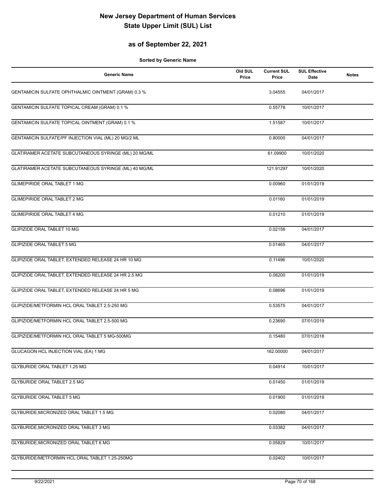## **as of September 22, 2021**

| <b>Generic Name</b>                                   | Old SUL<br>Price | <b>Current SUL</b><br>Price | <b>SUL Effective</b><br>Date | <b>Notes</b> |
|-------------------------------------------------------|------------------|-----------------------------|------------------------------|--------------|
| GENTAMICIN SULFATE OPHTHALMIC OINTMENT (GRAM) 0.3 %   |                  | 3.04555                     | 04/01/2017                   |              |
| GENTAMICIN SULFATE TOPICAL CREAM (GRAM) 0.1 %         |                  | 0.55778                     | 10/01/2017                   |              |
| GENTAMICIN SULFATE TOPICAL OINTMENT (GRAM) 0.1 %      |                  | 1.51587                     | 10/01/2017                   |              |
| GENTAMICIN SULFATE/PF INJECTION VIAL (ML) 20 MG/2 ML  |                  | 0.80000                     | 04/01/2017                   |              |
| GLATIRAMER ACETATE SUBCUTANEOUS SYRINGE (ML) 20 MG/ML |                  | 61.09900                    | 10/01/2020                   |              |
| GLATIRAMER ACETATE SUBCUTANEOUS SYRINGE (ML) 40 MG/ML |                  | 121.91297                   | 10/01/2020                   |              |
| <b>GLIMEPIRIDE ORAL TABLET 1 MG</b>                   |                  | 0.00960                     | 01/01/2019                   |              |
| <b>GLIMEPIRIDE ORAL TABLET 2 MG</b>                   |                  | 0.01160                     | 01/01/2019                   |              |
| <b>GLIMEPIRIDE ORAL TABLET 4 MG</b>                   |                  | 0.01210                     | 01/01/2019                   |              |
| GLIPIZIDE ORAL TABLET 10 MG                           |                  | 0.02156                     | 04/01/2017                   |              |
| <b>GLIPIZIDE ORAL TABLET 5 MG</b>                     |                  | 0.01465                     | 04/01/2017                   |              |
| GLIPIZIDE ORAL TABLET, EXTENDED RELEASE 24 HR 10 MG   |                  | 0.11496                     | 10/01/2020                   |              |
| GLIPIZIDE ORAL TABLET, EXTENDED RELEASE 24 HR 2.5 MG  |                  | 0.08200                     | 01/01/2019                   |              |
| GLIPIZIDE ORAL TABLET, EXTENDED RELEASE 24 HR 5 MG    |                  | 0.08696                     | 01/01/2019                   |              |
| GLIPIZIDE/METFORMIN HCL ORAL TABLET 2.5-250 MG        |                  | 0.53575                     | 04/01/2017                   |              |
| GLIPIZIDE/METFORMIN HCL ORAL TABLET 2.5-500 MG        |                  | 0.23690                     | 07/01/2019                   |              |
| GLIPIZIDE/METFORMIN HCL ORAL TABLET 5 MG-500MG        |                  | 0.15480                     | 07/01/2018                   |              |
| GLUCAGON HCL INJECTION VIAL (EA) 1 MG                 |                  | 162.00000                   | 04/01/2017                   |              |
| GLYBURIDE ORAL TABLET 1.25 MG                         |                  | 0.04914                     | 10/01/2017                   |              |
| GLYBURIDE ORAL TABLET 2.5 MG                          |                  | 0.01450                     | 01/01/2019                   |              |
| <b>GLYBURIDE ORAL TABLET 5 MG</b>                     |                  | 0.01900                     | 01/01/2019                   |              |
| GLYBURIDE, MICRONIZED ORAL TABLET 1.5 MG              |                  | 0.02080                     | 04/01/2017                   |              |
| GLYBURIDE, MICRONIZED ORAL TABLET 3 MG                |                  | 0.03382                     | 04/01/2017                   |              |
| GLYBURIDE, MICRONIZED ORAL TABLET 6 MG                |                  | 0.05829                     | 10/01/2017                   |              |
| GLYBURIDE/METFORMIN HCL ORAL TABLET 1.25-250MG        |                  | 0.02402                     | 10/01/2017                   |              |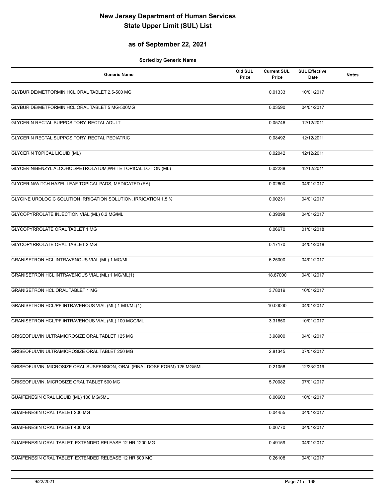## **as of September 22, 2021**

| <b>Generic Name</b>                                                        | Old SUL<br>Price | <b>Current SUL</b><br>Price | <b>SUL Effective</b><br><b>Date</b> | <b>Notes</b> |
|----------------------------------------------------------------------------|------------------|-----------------------------|-------------------------------------|--------------|
| GLYBURIDE/METFORMIN HCL ORAL TABLET 2.5-500 MG                             |                  | 0.01333                     | 10/01/2017                          |              |
| GLYBURIDE/METFORMIN HCL ORAL TABLET 5 MG-500MG                             |                  | 0.03590                     | 04/01/2017                          |              |
| GLYCERIN RECTAL SUPPOSITORY, RECTAL ADULT                                  |                  | 0.05746                     | 12/12/2011                          |              |
| GLYCERIN RECTAL SUPPOSITORY, RECTAL PEDIATRIC                              |                  | 0.08492                     | 12/12/2011                          |              |
| <b>GLYCERIN TOPICAL LIQUID (ML)</b>                                        |                  | 0.02042                     | 12/12/2011                          |              |
| GLYCERIN/BENZYL ALCOHOL/PETROLATUM, WHITE TOPICAL LOTION (ML)              |                  | 0.02238                     | 12/12/2011                          |              |
| GLYCERIN/WITCH HAZEL LEAF TOPICAL PADS, MEDICATED (EA)                     |                  | 0.02600                     | 04/01/2017                          |              |
| GLYCINE UROLOGIC SOLUTION IRRIGATION SOLUTION, IRRIGATION 1.5 %            |                  | 0.00231                     | 04/01/2017                          |              |
| GLYCOPYRROLATE INJECTION VIAL (ML) 0.2 MG/ML                               |                  | 6.39098                     | 04/01/2017                          |              |
| GLYCOPYRROLATE ORAL TABLET 1 MG                                            |                  | 0.06670                     | 01/01/2018                          |              |
| GLYCOPYRROLATE ORAL TABLET 2 MG                                            |                  | 0.17170                     | 04/01/2018                          |              |
| GRANISETRON HCL INTRAVENOUS VIAL (ML) 1 MG/ML                              |                  | 6.25000                     | 04/01/2017                          |              |
| GRANISETRON HCL INTRAVENOUS VIAL (ML) 1 MG/ML(1)                           |                  | 18.87000                    | 04/01/2017                          |              |
| GRANISETRON HCL ORAL TABLET 1 MG                                           |                  | 3.78019                     | 10/01/2017                          |              |
| GRANISETRON HCL/PF INTRAVENOUS VIAL (ML) 1 MG/ML(1)                        |                  | 10.00000                    | 04/01/2017                          |              |
| GRANISETRON HCL/PF INTRAVENOUS VIAL (ML) 100 MCG/ML                        |                  | 3.31650                     | 10/01/2017                          |              |
| GRISEOFULVIN ULTRAMICROSIZE ORAL TABLET 125 MG                             |                  | 3.98900                     | 04/01/2017                          |              |
| GRISEOFULVIN ULTRAMICROSIZE ORAL TABLET 250 MG                             |                  | 2.81345                     | 07/01/2017                          |              |
| GRISEOFULVIN, MICROSIZE ORAL SUSPENSION, ORAL (FINAL DOSE FORM) 125 MG/5ML |                  | 0.21058                     | 12/23/2019                          |              |
| GRISEOFULVIN, MICROSIZE ORAL TABLET 500 MG                                 |                  | 5.70082                     | 07/01/2017                          |              |
| GUAIFENESIN ORAL LIQUID (ML) 100 MG/5ML                                    |                  | 0.00603                     | 10/01/2017                          |              |
| GUAIFENESIN ORAL TABLET 200 MG                                             |                  | 0.04455                     | 04/01/2017                          |              |
| GUAIFENESIN ORAL TABLET 400 MG                                             |                  | 0.06770                     | 04/01/2017                          |              |
| GUAIFENESIN ORAL TABLET, EXTENDED RELEASE 12 HR 1200 MG                    |                  | 0.49159                     | 04/01/2017                          |              |
| GUAIFENESIN ORAL TABLET, EXTENDED RELEASE 12 HR 600 MG                     |                  | 0.26108                     | 04/01/2017                          |              |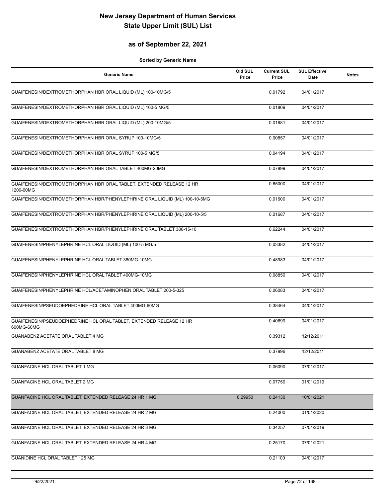## **as of September 22, 2021**

| <b>Generic Name</b>                                                               | Old SUL<br>Price | <b>Current SUL</b><br>Price | <b>SUL Effective</b><br>Date | <b>Notes</b> |
|-----------------------------------------------------------------------------------|------------------|-----------------------------|------------------------------|--------------|
| GUAIFENESIN/DEXTROMETHORPHAN HBR ORAL LIQUID (ML) 100-10MG/5                      |                  | 0.01792                     | 04/01/2017                   |              |
| GUAIFENESIN/DEXTROMETHORPHAN HBR ORAL LIQUID (ML) 100-5 MG/5                      |                  | 0.01809                     | 04/01/2017                   |              |
| GUAIFENESIN/DEXTROMETHORPHAN HBR ORAL LIQUID (ML) 200-10MG/5                      |                  | 0.01681                     | 04/01/2017                   |              |
| GUAIFENESIN/DEXTROMETHORPHAN HBR ORAL SYRUP 100-10MG/5                            |                  | 0.00857                     | 04/01/2017                   |              |
| GUAIFENESIN/DEXTROMETHORPHAN HBR ORAL SYRUP 100-5 MG/5                            |                  | 0.04194                     | 04/01/2017                   |              |
| GUAIFENESIN/DEXTROMETHORPHAN HBR ORAL TABLET 400MG-20MG                           |                  | 0.07899                     | 04/01/2017                   |              |
| GUAIFENESIN/DEXTROMETHORPHAN HBR ORAL TABLET, EXTENDED RELEASE 12 HR<br>1200-60MG |                  | 0.65000                     | 04/01/2017                   |              |
| GUAIFENESIN/DEXTROMETHORPHAN HBR/PHENYLEPHRINE ORAL LIQUID (ML) 100-10-5MG        |                  | 0.01600                     | 04/01/2017                   |              |
| GUAIFENESIN/DEXTROMETHORPHAN HBR/PHENYLEPHRINE ORAL LIQUID (ML) 200-10-5/5        |                  | 0.01687                     | 04/01/2017                   |              |
| GUAIFENESIN/DEXTROMETHORPHAN HBR/PHENYLEPHRINE ORAL TABLET 380-15-10              |                  | 0.62244                     | 04/01/2017                   |              |
| GUAIFENESIN/PHENYLEPHRINE HCL ORAL LIQUID (ML) 100-5 MG/5                         |                  | 0.03382                     | 04/01/2017                   |              |
| GUAIFENESIN/PHENYLEPHRINE HCL ORAL TABLET 380MG-10MG                              |                  | 0.48983                     | 04/01/2017                   |              |
| GUAIFENESIN/PHENYLEPHRINE HCL ORAL TABLET 400MG-10MG                              |                  | 0.08850                     | 04/01/2017                   |              |
| GUAIFENESIN/PHENYLEPHRINE HCL/ACETAMINOPHEN ORAL TABLET 200-5-325                 |                  | 0.06083                     | 04/01/2017                   |              |
| GUAIFENESIN/PSEUDOEPHEDRINE HCL ORAL TABLET 400MG-60MG                            |                  | 0.38464                     | 04/01/2017                   |              |
| GUAIFENESIN/PSEUDOEPHEDRINE HCL ORAL TABLET, EXTENDED RELEASE 12 HR<br>600MG-60MG |                  | 0.40699                     | 04/01/2017                   |              |
| <b>GUANABENZ ACETATE ORAL TABLET 4 MG</b>                                         |                  | 0.39312                     | 12/12/2011                   |              |
| GUANABENZ ACETATE ORAL TABLET 8 MG                                                |                  | 0.37996                     | 12/12/2011                   |              |
| <b>GUANFACINE HCL ORAL TABLET 1 MG</b>                                            |                  | 0.06090                     | 07/01/2017                   |              |
| <b>GUANFACINE HCL ORAL TABLET 2 MG</b>                                            |                  | 0.07750                     | 01/01/2019                   |              |
| GUANFACINE HCL ORAL TABLET, EXTENDED RELEASE 24 HR 1 MG                           | 0.29950          | 0.24130                     | 10/01/2021                   |              |
| GUANFACINE HCL ORAL TABLET, EXTENDED RELEASE 24 HR 2 MG                           |                  | 0.24000                     | 01/01/2020                   |              |
| GUANFACINE HCL ORAL TABLET, EXTENDED RELEASE 24 HR 3 MG                           |                  | 0.34257                     | 07/01/2019                   |              |
| GUANFACINE HCL ORAL TABLET, EXTENDED RELEASE 24 HR 4 MG                           |                  | 0.25170                     | 07/01/2021                   |              |
| GUANIDINE HCL ORAL TABLET 125 MG                                                  |                  | 0.21100                     | 04/01/2017                   |              |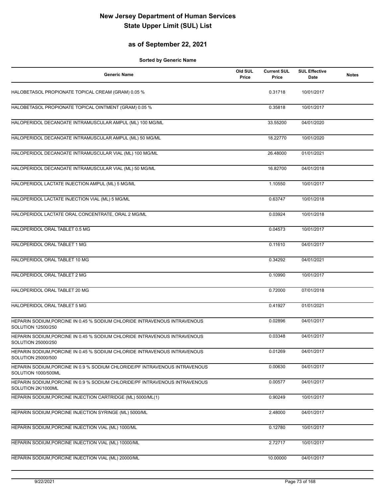## **as of September 22, 2021**

| <b>Generic Name</b>                                                                                | Old SUL<br>Price | <b>Current SUL</b><br>Price | <b>SUL Effective</b><br>Date | <b>Notes</b> |
|----------------------------------------------------------------------------------------------------|------------------|-----------------------------|------------------------------|--------------|
| HALOBETASOL PROPIONATE TOPICAL CREAM (GRAM) 0.05 %                                                 |                  | 0.31718                     | 10/01/2017                   |              |
| HALOBETASOL PROPIONATE TOPICAL OINTMENT (GRAM) 0.05 %                                              |                  | 0.35818                     | 10/01/2017                   |              |
| HALOPERIDOL DECANOATE INTRAMUSCULAR AMPUL (ML) 100 MG/ML                                           |                  | 33.55200                    | 04/01/2020                   |              |
| HALOPERIDOL DECANOATE INTRAMUSCULAR AMPUL (ML) 50 MG/ML                                            |                  | 18.22770                    | 10/01/2020                   |              |
| HALOPERIDOL DECANOATE INTRAMUSCULAR VIAL (ML) 100 MG/ML                                            |                  | 26.48000                    | 01/01/2021                   |              |
| HALOPERIDOL DECANOATE INTRAMUSCULAR VIAL (ML) 50 MG/ML                                             |                  | 16.82700                    | 04/01/2018                   |              |
| HALOPERIDOL LACTATE INJECTION AMPUL (ML) 5 MG/ML                                                   |                  | 1.10550                     | 10/01/2017                   |              |
| HALOPERIDOL LACTATE INJECTION VIAL (ML) 5 MG/ML                                                    |                  | 0.63747                     | 10/01/2018                   |              |
| HALOPERIDOL LACTATE ORAL CONCENTRATE, ORAL 2 MG/ML                                                 |                  | 0.03924                     | 10/01/2018                   |              |
| HALOPERIDOL ORAL TABLET 0.5 MG                                                                     |                  | 0.04573                     | 10/01/2017                   |              |
| HALOPERIDOL ORAL TABLET 1 MG                                                                       |                  | 0.11610                     | 04/01/2017                   |              |
| HALOPERIDOL ORAL TABLET 10 MG                                                                      |                  | 0.34292                     | 04/01/2021                   |              |
| HALOPERIDOL ORAL TABLET 2 MG                                                                       |                  | 0.10990                     | 10/01/2017                   |              |
| HALOPERIDOL ORAL TABLET 20 MG                                                                      |                  | 0.72000                     | 07/01/2018                   |              |
| HALOPERIDOL ORAL TABLET 5 MG                                                                       |                  | 0.41927                     | 01/01/2021                   |              |
| HEPARIN SODIUM, PORCINE IN 0.45 % SODIUM CHLORIDE INTRAVENOUS INTRAVENOUS<br>SOLUTION 12500/250    |                  | 0.02896                     | 04/01/2017                   |              |
| HEPARIN SODIUM, PORCINE IN 0.45 % SODIUM CHLORIDE INTRAVENOUS INTRAVENOUS<br>SOLUTION 25000/250    |                  | 0.03348                     | 04/01/2017                   |              |
| HEPARIN SODIUM, PORCINE IN 0.45 % SODIUM CHLORIDE INTRAVENOUS INTRAVENOUS<br>SOLUTION 25000/500    |                  | 0.01269                     | 04/01/2017                   |              |
| HEPARIN SODIUM, PORCINE IN 0.9 % SODIUM CHLORIDE/PF INTRAVENOUS INTRAVENOUS<br>SOLUTION 1000/500ML |                  | 0.00630                     | 04/01/2017                   |              |
| HEPARIN SODIUM, PORCINE IN 0.9 % SODIUM CHLORIDE/PF INTRAVENOUS INTRAVENOUS<br>SOLUTION 2K/1000ML  |                  | 0.00577                     | 04/01/2017                   |              |
| HEPARIN SODIUM, PORCINE INJECTION CARTRIDGE (ML) 5000/ML(1)                                        |                  | 0.90249                     | 10/01/2017                   |              |
| HEPARIN SODIUM, PORCINE INJECTION SYRINGE (ML) 5000/ML                                             |                  | 2.48000                     | 04/01/2017                   |              |
| HEPARIN SODIUM, PORCINE INJECTION VIAL (ML) 1000/ML                                                |                  | 0.12780                     | 10/01/2017                   |              |
| HEPARIN SODIUM, PORCINE INJECTION VIAL (ML) 10000/ML                                               |                  | 2.72717                     | 10/01/2017                   |              |
| HEPARIN SODIUM, PORCINE INJECTION VIAL (ML) 20000/ML                                               |                  | 10.00000                    | 04/01/2017                   |              |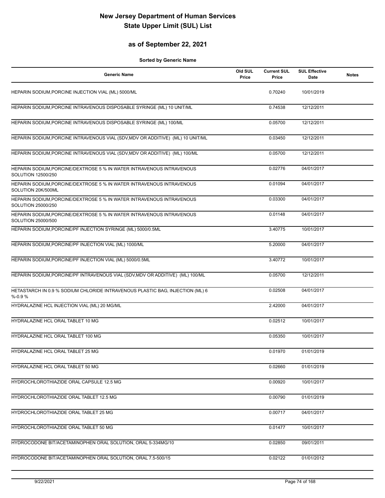## **as of September 22, 2021**

| <b>Generic Name</b>                                                                         | Old SUL<br>Price | <b>Current SUL</b><br>Price | <b>SUL Effective</b><br>Date | <b>Notes</b> |
|---------------------------------------------------------------------------------------------|------------------|-----------------------------|------------------------------|--------------|
| HEPARIN SODIUM, PORCINE INJECTION VIAL (ML) 5000/ML                                         |                  | 0.70240                     | 10/01/2019                   |              |
| HEPARIN SODIUM, PORCINE INTRAVENOUS DISPOSABLE SYRINGE (ML) 10 UNIT/ML                      |                  | 0.74538                     | 12/12/2011                   |              |
| HEPARIN SODIUM, PORCINE INTRAVENOUS DISPOSABLE SYRINGE (ML) 100/ML                          |                  | 0.05700                     | 12/12/2011                   |              |
| HEPARIN SODIUM, PORCINE INTRAVENOUS VIAL (SDV, MDV OR ADDITIVE) (ML) 10 UNIT/ML             |                  | 0.03450                     | 12/12/2011                   |              |
| HEPARIN SODIUM, PORCINE INTRAVENOUS VIAL (SDV, MDV OR ADDITIVE) (ML) 100/ML                 |                  | 0.05700                     | 12/12/2011                   |              |
| HEPARIN SODIUM, PORCINE/DEXTROSE 5 % IN WATER INTRAVENOUS INTRAVENOUS<br>SOLUTION 12500/250 |                  | 0.02776                     | 04/01/2017                   |              |
| HEPARIN SODIUM, PORCINE/DEXTROSE 5 % IN WATER INTRAVENOUS INTRAVENOUS<br>SOLUTION 20K/500ML |                  | 0.01094                     | 04/01/2017                   |              |
| HEPARIN SODIUM, PORCINE/DEXTROSE 5 % IN WATER INTRAVENOUS INTRAVENOUS<br>SOLUTION 25000/250 |                  | 0.03300                     | 04/01/2017                   |              |
| HEPARIN SODIUM, PORCINE/DEXTROSE 5 % IN WATER INTRAVENOUS INTRAVENOUS<br>SOLUTION 25000/500 |                  | 0.01148                     | 04/01/2017                   |              |
| HEPARIN SODIUM, PORCINE/PF INJECTION SYRINGE (ML) 5000/0.5ML                                |                  | 3.40775                     | 10/01/2017                   |              |
| HEPARIN SODIUM, PORCINE/PF INJECTION VIAL (ML) 1000/ML                                      |                  | 5.20000                     | 04/01/2017                   |              |
| HEPARIN SODIUM, PORCINE/PF INJECTION VIAL (ML) 5000/0.5ML                                   |                  | 3.40772                     | 10/01/2017                   |              |
| HEPARIN SODIUM, PORCINE/PF INTRAVENOUS VIAL (SDV, MDV OR ADDITIVE) (ML) 100/ML              |                  | 0.05700                     | 12/12/2011                   |              |
| HETASTARCH IN 0.9 % SODIUM CHLORIDE INTRAVENOUS PLASTIC BAG, INJECTION (ML) 6<br>$% -0.9%$  |                  | 0.02508                     | 04/01/2017                   |              |
| HYDRALAZINE HCL INJECTION VIAL (ML) 20 MG/ML                                                |                  | 2.42000                     | 04/01/2017                   |              |
| HYDRALAZINE HCL ORAL TABLET 10 MG                                                           |                  | 0.02512                     | 10/01/2017                   |              |
| HYDRALAZINE HCL ORAL TABLET 100 MG                                                          |                  | 0.05350                     | 10/01/2017                   |              |
| <b>HYDRALAZINE HCL ORAL TABLET 25 MG</b>                                                    |                  | 0.01970                     | 01/01/2019                   |              |
| HYDRALAZINE HCL ORAL TABLET 50 MG                                                           |                  | 0.02660                     | 01/01/2019                   |              |
| HYDROCHLOROTHIAZIDE ORAL CAPSULE 12.5 MG                                                    |                  | 0.00920                     | 10/01/2017                   |              |
| HYDROCHLOROTHIAZIDE ORAL TABLET 12.5 MG                                                     |                  | 0.00790                     | 01/01/2019                   |              |
| HYDROCHLOROTHIAZIDE ORAL TABLET 25 MG                                                       |                  | 0.00717                     | 04/01/2017                   |              |
| HYDROCHLOROTHIAZIDE ORAL TABLET 50 MG                                                       |                  | 0.01477                     | 10/01/2017                   |              |
| HYDROCODONE BIT/ACETAMINOPHEN ORAL SOLUTION, ORAL 5-334MG/10                                |                  | 0.02850                     | 09/01/2011                   |              |
| HYDROCODONE BIT/ACETAMINOPHEN ORAL SOLUTION, ORAL 7.5-500/15                                |                  | 0.02122                     | 01/01/2012                   |              |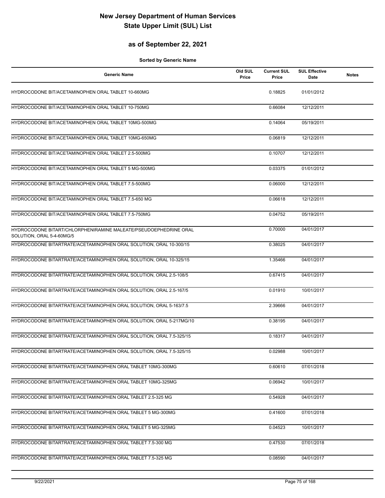## **as of September 22, 2021**

| <b>Generic Name</b>                                                                           | Old SUL<br>Price | <b>Current SUL</b><br>Price | <b>SUL Effective</b><br>Date | <b>Notes</b> |
|-----------------------------------------------------------------------------------------------|------------------|-----------------------------|------------------------------|--------------|
| HYDROCODONE BIT/ACETAMINOPHEN ORAL TABLET 10-660MG                                            |                  | 0.18825                     | 01/01/2012                   |              |
| HYDROCODONE BIT/ACETAMINOPHEN ORAL TABLET 10-750MG                                            |                  | 0.66084                     | 12/12/2011                   |              |
| HYDROCODONE BIT/ACETAMINOPHEN ORAL TABLET 10MG-500MG                                          |                  | 0.14064                     | 05/19/2011                   |              |
| HYDROCODONE BIT/ACETAMINOPHEN ORAL TABLET 10MG-650MG                                          |                  | 0.06819                     | 12/12/2011                   |              |
| HYDROCODONE BIT/ACETAMINOPHEN ORAL TABLET 2.5-500MG                                           |                  | 0.10707                     | 12/12/2011                   |              |
| HYDROCODONE BIT/ACETAMINOPHEN ORAL TABLET 5 MG-500MG                                          |                  | 0.03375                     | 01/01/2012                   |              |
| HYDROCODONE BIT/ACETAMINOPHEN ORAL TABLET 7.5-500MG                                           |                  | 0.06000                     | 12/12/2011                   |              |
| HYDROCODONE BIT/ACETAMINOPHEN ORAL TABLET 7.5-650 MG                                          |                  | 0.06618                     | 12/12/2011                   |              |
| HYDROCODONE BIT/ACETAMINOPHEN ORAL TABLET 7.5-750MG                                           |                  | 0.04752                     | 05/19/2011                   |              |
| HYDROCODONE BITART/CHLORPHENIRAMINE MALEATE/PSEUDOEPHEDRINE ORAL<br>SOLUTION, ORAL 5-4-60MG/5 |                  | 0.70000                     | 04/01/2017                   |              |
| HYDROCODONE BITARTRATE/ACETAMINOPHEN ORAL SOLUTION, ORAL 10-300/15                            |                  | 0.38025                     | 04/01/2017                   |              |
| HYDROCODONE BITARTRATE/ACETAMINOPHEN ORAL SOLUTION, ORAL 10-325/15                            |                  | 1.35466                     | 04/01/2017                   |              |
| HYDROCODONE BITARTRATE/ACETAMINOPHEN ORAL SOLUTION, ORAL 2.5-108/5                            |                  | 0.67415                     | 04/01/2017                   |              |
| HYDROCODONE BITARTRATE/ACETAMINOPHEN ORAL SOLUTION, ORAL 2.5-167/5                            |                  | 0.01910                     | 10/01/2017                   |              |
| HYDROCODONE BITARTRATE/ACETAMINOPHEN ORAL SOLUTION, ORAL 5-163/7.5                            |                  | 2.39666                     | 04/01/2017                   |              |
| HYDROCODONE BITARTRATE/ACETAMINOPHEN ORAL SOLUTION, ORAL 5-217MG/10                           |                  | 0.38195                     | 04/01/2017                   |              |
| HYDROCODONE BITARTRATE/ACETAMINOPHEN ORAL SOLUTION, ORAL 7.5-325/15                           |                  | 0.18317                     | 04/01/2017                   |              |
| HYDROCODONE BITARTRATE/ACETAMINOPHEN ORAL SOLUTION, ORAL 7.5-325/15                           |                  | 0.02988                     | 10/01/2017                   |              |
| HYDROCODONE BITARTRATE/ACETAMINOPHEN ORAL TABLET 10MG-300MG                                   |                  | 0.60610                     | 07/01/2018                   |              |
| HYDROCODONE BITARTRATE/ACETAMINOPHEN ORAL TABLET 10MG-325MG                                   |                  | 0.06942                     | 10/01/2017                   |              |
| HYDROCODONE BITARTRATE/ACETAMINOPHEN ORAL TABLET 2.5-325 MG                                   |                  | 0.54928                     | 04/01/2017                   |              |
| HYDROCODONE BITARTRATE/ACETAMINOPHEN ORAL TABLET 5 MG-300MG                                   |                  | 0.41600                     | 07/01/2018                   |              |
| HYDROCODONE BITARTRATE/ACETAMINOPHEN ORAL TABLET 5 MG-325MG                                   |                  | 0.04523                     | 10/01/2017                   |              |
| HYDROCODONE BITARTRATE/ACETAMINOPHEN ORAL TABLET 7.5-300 MG                                   |                  | 0.47530                     | 07/01/2018                   |              |
| HYDROCODONE BITARTRATE/ACETAMINOPHEN ORAL TABLET 7.5-325 MG                                   |                  | 0.08590                     | 04/01/2017                   |              |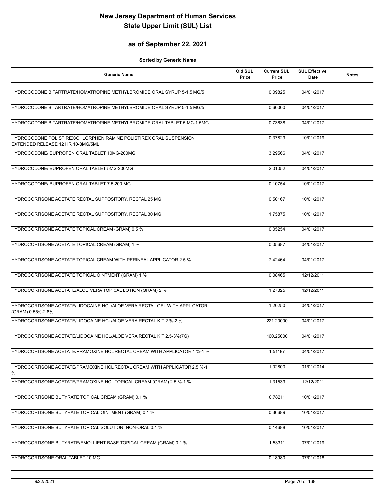## **as of September 22, 2021**

| <b>Generic Name</b>                                                                                      | Old SUL<br>Price | <b>Current SUL</b><br>Price | <b>SUL Effective</b><br>Date | <b>Notes</b> |
|----------------------------------------------------------------------------------------------------------|------------------|-----------------------------|------------------------------|--------------|
| HYDROCODONE BITARTRATE/HOMATROPINE METHYLBROMIDE ORAL SYRUP 5-1.5 MG/5                                   |                  | 0.09825                     | 04/01/2017                   |              |
| HYDROCODONE BITARTRATE/HOMATROPINE METHYLBROMIDE ORAL SYRUP 5-1.5 MG/5                                   |                  | 0.60000                     | 04/01/2017                   |              |
| HYDROCODONE BITARTRATE/HOMATROPINE METHYLBROMIDE ORAL TABLET 5 MG-1.5MG                                  |                  | 0.73638                     | 04/01/2017                   |              |
| HYDROCODONE POLISTIREX/CHLORPHENIRAMINE POLISTIREX ORAL SUSPENSION,<br>EXTENDED RELEASE 12 HR 10-8MG/5ML |                  | 0.37829                     | 10/01/2019                   |              |
| HYDROCODONE/IBUPROFEN ORAL TABLET 10MG-200MG                                                             |                  | 3.29566                     | 04/01/2017                   |              |
| HYDROCODONE/IBUPROFEN ORAL TABLET 5MG-200MG                                                              |                  | 2.01052                     | 04/01/2017                   |              |
| HYDROCODONE/IBUPROFEN ORAL TABLET 7.5-200 MG                                                             |                  | 0.10754                     | 10/01/2017                   |              |
| HYDROCORTISONE ACETATE RECTAL SUPPOSITORY, RECTAL 25 MG                                                  |                  | 0.50167                     | 10/01/2017                   |              |
| HYDROCORTISONE ACETATE RECTAL SUPPOSITORY, RECTAL 30 MG                                                  |                  | 1.75875                     | 10/01/2017                   |              |
| HYDROCORTISONE ACETATE TOPICAL CREAM (GRAM) 0.5 %                                                        |                  | 0.05254                     | 04/01/2017                   |              |
| HYDROCORTISONE ACETATE TOPICAL CREAM (GRAM) 1 %                                                          |                  | 0.05687                     | 04/01/2017                   |              |
| HYDROCORTISONE ACETATE TOPICAL CREAM WITH PERINEAL APPLICATOR 2.5 %                                      |                  | 7.42464                     | 04/01/2017                   |              |
| HYDROCORTISONE ACETATE TOPICAL OINTMENT (GRAM) 1 %                                                       |                  | 0.08465                     | 12/12/2011                   |              |
| HYDROCORTISONE ACETATE/ALOE VERA TOPICAL LOTION (GRAM) 2 %                                               |                  | 1.27825                     | 12/12/2011                   |              |
| HYDROCORTISONE ACETATE/LIDOCAINE HCL/ALOE VERA RECTAL GEL WITH APPLICATOR<br>(GRAM) 0.55%-2.8%           |                  | 1.20250                     | 04/01/2017                   |              |
| HYDROCORTISONE ACETATE/LIDOCAINE HCL/ALOE VERA RECTAL KIT 2 %-2 %                                        |                  | 221.20000                   | 04/01/2017                   |              |
| HYDROCORTISONE ACETATE/LIDOCAINE HCL/ALOE VERA RECTAL KIT 2.5-3%(7G)                                     |                  | 160.25000                   | 04/01/2017                   |              |
| HYDROCORTISONE ACETATE/PRAMOXINE HCL RECTAL CREAM WITH APPLICATOR 1 %-1 %                                |                  | 1.51187                     | 04/01/2017                   |              |
| HYDROCORTISONE ACETATE/PRAMOXINE HCL RECTAL CREAM WITH APPLICATOR 2.5 %-1<br>%                           |                  | 1.02800                     | 01/01/2014                   |              |
| HYDROCORTISONE ACETATE/PRAMOXINE HCL TOPICAL CREAM (GRAM) 2.5 %-1 %                                      |                  | 1.31539                     | 12/12/2011                   |              |
| HYDROCORTISONE BUTYRATE TOPICAL CREAM (GRAM) 0.1 %                                                       |                  | 0.78211                     | 10/01/2017                   |              |
| HYDROCORTISONE BUTYRATE TOPICAL OINTMENT (GRAM) 0.1 %                                                    |                  | 0.36689                     | 10/01/2017                   |              |
| HYDROCORTISONE BUTYRATE TOPICAL SOLUTION, NON-ORAL 0.1 %                                                 |                  | 0.14688                     | 10/01/2017                   |              |
| HYDROCORTISONE BUTYRATE/EMOLLIENT BASE TOPICAL CREAM (GRAM) 0.1 %                                        |                  | 1.53311                     | 07/01/2019                   |              |
| HYDROCORTISONE ORAL TABLET 10 MG                                                                         |                  | 0.18980                     | 07/01/2018                   |              |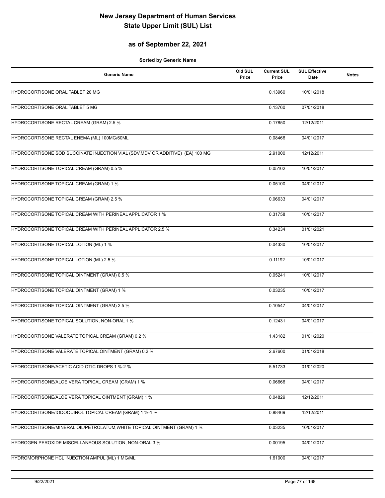## **as of September 22, 2021**

| <b>Generic Name</b>                                                            | Old SUL<br>Price | <b>Current SUL</b><br>Price | <b>SUL Effective</b><br>Date | <b>Notes</b> |
|--------------------------------------------------------------------------------|------------------|-----------------------------|------------------------------|--------------|
| HYDROCORTISONE ORAL TABLET 20 MG                                               |                  | 0.13960                     | 10/01/2018                   |              |
| HYDROCORTISONE ORAL TABLET 5 MG                                                |                  | 0.13760                     | 07/01/2018                   |              |
| HYDROCORTISONE RECTAL CREAM (GRAM) 2.5 %                                       |                  | 0.17850                     | 12/12/2011                   |              |
| HYDROCORTISONE RECTAL ENEMA (ML) 100MG/60ML                                    |                  | 0.08466                     | 04/01/2017                   |              |
| HYDROCORTISONE SOD SUCCINATE INJECTION VIAL (SDV, MDV OR ADDITIVE) (EA) 100 MG |                  | 2.91000                     | 12/12/2011                   |              |
| HYDROCORTISONE TOPICAL CREAM (GRAM) 0.5 %                                      |                  | 0.05102                     | 10/01/2017                   |              |
| HYDROCORTISONE TOPICAL CREAM (GRAM) 1 %                                        |                  | 0.05100                     | 04/01/2017                   |              |
| HYDROCORTISONE TOPICAL CREAM (GRAM) 2.5 %                                      |                  | 0.06633                     | 04/01/2017                   |              |
| HYDROCORTISONE TOPICAL CREAM WITH PERINEAL APPLICATOR 1 %                      |                  | 0.31758                     | 10/01/2017                   |              |
| HYDROCORTISONE TOPICAL CREAM WITH PERINEAL APPLICATOR 2.5 %                    |                  | 0.34234                     | 01/01/2021                   |              |
| HYDROCORTISONE TOPICAL LOTION (ML) 1 %                                         |                  | 0.04330                     | 10/01/2017                   |              |
| HYDROCORTISONE TOPICAL LOTION (ML) 2.5 %                                       |                  | 0.11192                     | 10/01/2017                   |              |
| HYDROCORTISONE TOPICAL OINTMENT (GRAM) 0.5 %                                   |                  | 0.05241                     | 10/01/2017                   |              |
| HYDROCORTISONE TOPICAL OINTMENT (GRAM) 1 %                                     |                  | 0.03235                     | 10/01/2017                   |              |
| HYDROCORTISONE TOPICAL OINTMENT (GRAM) 2.5 %                                   |                  | 0.10547                     | 04/01/2017                   |              |
| HYDROCORTISONE TOPICAL SOLUTION, NON-ORAL 1 %                                  |                  | 0.12431                     | 04/01/2017                   |              |
| HYDROCORTISONE VALERATE TOPICAL CREAM (GRAM) 0.2 %                             |                  | 1.43182                     | 01/01/2020                   |              |
| HYDROCORTISONE VALERATE TOPICAL OINTMENT (GRAM) 0.2 %                          |                  | 2.67600                     | 01/01/2018                   |              |
| HYDROCORTISONE/ACETIC ACID OTIC DROPS 1 %-2 %                                  |                  | 5.51733                     | 01/01/2020                   |              |
| HYDROCORTISONE/ALOE VERA TOPICAL CREAM (GRAM) 1 %                              |                  | 0.06666                     | 04/01/2017                   |              |
| HYDROCORTISONE/ALOE VERA TOPICAL OINTMENT (GRAM) 1 %                           |                  | 0.04829                     | 12/12/2011                   |              |
| HYDROCORTISONE/IODOQUINOL TOPICAL CREAM (GRAM) 1 %-1 %                         |                  | 0.88469                     | 12/12/2011                   |              |
| HYDROCORTISONE/MINERAL OIL/PETROLATUM, WHITE TOPICAL OINTMENT (GRAM) 1 %       |                  | 0.03235                     | 10/01/2017                   |              |
| HYDROGEN PEROXIDE MISCELLANEOUS SOLUTION, NON-ORAL 3 %                         |                  | 0.00195                     | 04/01/2017                   |              |
| HYDROMORPHONE HCL INJECTION AMPUL (ML) 1 MG/ML                                 |                  | 1.61000                     | 04/01/2017                   |              |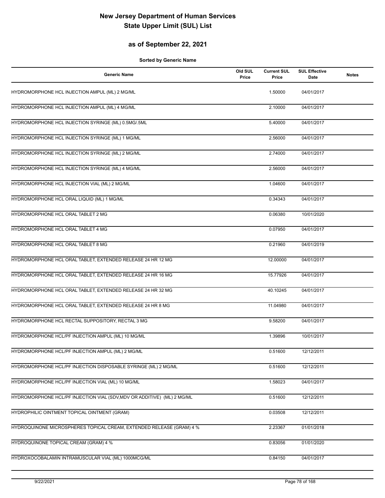## **as of September 22, 2021**

| <b>Generic Name</b>                                                     | Old SUL<br>Price | <b>Current SUL</b><br>Price | <b>SUL Effective</b><br>Date | <b>Notes</b> |
|-------------------------------------------------------------------------|------------------|-----------------------------|------------------------------|--------------|
| HYDROMORPHONE HCL INJECTION AMPUL (ML) 2 MG/ML                          |                  | 1.50000                     | 04/01/2017                   |              |
| HYDROMORPHONE HCL INJECTION AMPUL (ML) 4 MG/ML                          |                  | 2.10000                     | 04/01/2017                   |              |
| HYDROMORPHONE HCL INJECTION SYRINGE (ML) 0.5MG/.5ML                     |                  | 5.40000                     | 04/01/2017                   |              |
| HYDROMORPHONE HCL INJECTION SYRINGE (ML) 1 MG/ML                        |                  | 2.56000                     | 04/01/2017                   |              |
| HYDROMORPHONE HCL INJECTION SYRINGE (ML) 2 MG/ML                        |                  | 2.74000                     | 04/01/2017                   |              |
| HYDROMORPHONE HCL INJECTION SYRINGE (ML) 4 MG/ML                        |                  | 2.56000                     | 04/01/2017                   |              |
| HYDROMORPHONE HCL INJECTION VIAL (ML) 2 MG/ML                           |                  | 1.04600                     | 04/01/2017                   |              |
| HYDROMORPHONE HCL ORAL LIQUID (ML) 1 MG/ML                              |                  | 0.34343                     | 04/01/2017                   |              |
| HYDROMORPHONE HCL ORAL TABLET 2 MG                                      |                  | 0.06380                     | 10/01/2020                   |              |
| HYDROMORPHONE HCL ORAL TABLET 4 MG                                      |                  | 0.07950                     | 04/01/2017                   |              |
| HYDROMORPHONE HCL ORAL TABLET 8 MG                                      |                  | 0.21960                     | 04/01/2019                   |              |
| HYDROMORPHONE HCL ORAL TABLET, EXTENDED RELEASE 24 HR 12 MG             |                  | 12.00000                    | 04/01/2017                   |              |
| HYDROMORPHONE HCL ORAL TABLET, EXTENDED RELEASE 24 HR 16 MG             |                  | 15.77926                    | 04/01/2017                   |              |
| HYDROMORPHONE HCL ORAL TABLET, EXTENDED RELEASE 24 HR 32 MG             |                  | 40.10245                    | 04/01/2017                   |              |
| HYDROMORPHONE HCL ORAL TABLET, EXTENDED RELEASE 24 HR 8 MG              |                  | 11.04980                    | 04/01/2017                   |              |
| HYDROMORPHONE HCL RECTAL SUPPOSITORY, RECTAL 3 MG                       |                  | 9.58200                     | 04/01/2017                   |              |
| HYDROMORPHONE HCL/PF INJECTION AMPUL (ML) 10 MG/ML                      |                  | 1.39896                     | 10/01/2017                   |              |
| HYDROMORPHONE HCL/PF INJECTION AMPUL (ML) 2 MG/ML                       |                  | 0.51600                     | 12/12/2011                   |              |
| HYDROMORPHONE HCL/PF INJECTION DISPOSABLE SYRINGE (ML) 2 MG/ML          |                  | 0.51600                     | 12/12/2011                   |              |
| HYDROMORPHONE HCL/PF INJECTION VIAL (ML) 10 MG/ML                       |                  | 1.58023                     | 04/01/2017                   |              |
| HYDROMORPHONE HCL/PF INJECTION VIAL (SDV, MDV OR ADDITIVE) (ML) 2 MG/ML |                  | 0.51600                     | 12/12/2011                   |              |
| HYDROPHILIC OINTMENT TOPICAL OINTMENT (GRAM)                            |                  | 0.03508                     | 12/12/2011                   |              |
| HYDROQUINONE MICROSPHERES TOPICAL CREAM, EXTENDED RELEASE (GRAM) 4 %    |                  | 2.23367                     | 01/01/2018                   |              |
| HYDROQUINONE TOPICAL CREAM (GRAM) 4 %                                   |                  | 0.83056                     | 01/01/2020                   |              |
| HYDROXOCOBALAMIN INTRAMUSCULAR VIAL (ML) 1000MCG/ML                     |                  | 0.84150                     | 04/01/2017                   |              |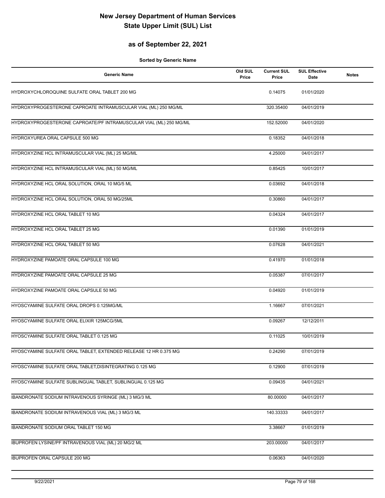## **as of September 22, 2021**

| <b>Generic Name</b>                                               | Old SUL<br>Price | <b>Current SUL</b><br>Price | <b>SUL Effective</b><br>Date | <b>Notes</b> |
|-------------------------------------------------------------------|------------------|-----------------------------|------------------------------|--------------|
| HYDROXYCHLOROQUINE SULFATE ORAL TABLET 200 MG                     |                  | 0.14075                     | 01/01/2020                   |              |
| HYDROXYPROGESTERONE CAPROATE INTRAMUSCULAR VIAL (ML) 250 MG/ML    |                  | 320.35400                   | 04/01/2019                   |              |
| HYDROXYPROGESTERONE CAPROATE/PF INTRAMUSCULAR VIAL (ML) 250 MG/ML |                  | 152.52000                   | 04/01/2020                   |              |
| HYDROXYUREA ORAL CAPSULE 500 MG                                   |                  | 0.18352                     | 04/01/2018                   |              |
| HYDROXYZINE HCL INTRAMUSCULAR VIAL (ML) 25 MG/ML                  |                  | 4.25000                     | 04/01/2017                   |              |
| HYDROXYZINE HCL INTRAMUSCULAR VIAL (ML) 50 MG/ML                  |                  | 0.85425                     | 10/01/2017                   |              |
| HYDROXYZINE HCL ORAL SOLUTION, ORAL 10 MG/5 ML                    |                  | 0.03692                     | 04/01/2018                   |              |
| HYDROXYZINE HCL ORAL SOLUTION, ORAL 50 MG/25ML                    |                  | 0.30860                     | 04/01/2017                   |              |
| HYDROXYZINE HCL ORAL TABLET 10 MG                                 |                  | 0.04324                     | 04/01/2017                   |              |
| HYDROXYZINE HCL ORAL TABLET 25 MG                                 |                  | 0.01390                     | 01/01/2019                   |              |
| HYDROXYZINE HCL ORAL TABLET 50 MG                                 |                  | 0.07628                     | 04/01/2021                   |              |
| HYDROXYZINE PAMOATE ORAL CAPSULE 100 MG                           |                  | 0.41970                     | 01/01/2018                   |              |
| HYDROXYZINE PAMOATE ORAL CAPSULE 25 MG                            |                  | 0.05387                     | 07/01/2017                   |              |
| HYDROXYZINE PAMOATE ORAL CAPSULE 50 MG                            |                  | 0.04920                     | 01/01/2019                   |              |
| HYOSCYAMINE SULFATE ORAL DROPS 0.125MG/ML                         |                  | 1.16667                     | 07/01/2021                   |              |
| HYOSCYAMINE SULFATE ORAL ELIXIR 125MCG/5ML                        |                  | 0.09267                     | 12/12/2011                   |              |
| HYOSCYAMINE SULFATE ORAL TABLET 0.125 MG                          |                  | 0.11025                     | 10/01/2019                   |              |
| HYOSCYAMINE SULFATE ORAL TABLET, EXTENDED RELEASE 12 HR 0.375 MG  |                  | 0.24290                     | 07/01/2019                   |              |
| HYOSCYAMINE SULFATE ORAL TABLET, DISINTEGRATING 0.125 MG          |                  | 0.12900                     | 07/01/2019                   |              |
| HYOSCYAMINE SULFATE SUBLINGUAL TABLET, SUBLINGUAL 0.125 MG        |                  | 0.09435                     | 04/01/2021                   |              |
| IBANDRONATE SODIUM INTRAVENOUS SYRINGE (ML) 3 MG/3 ML             |                  | 80.00000                    | 04/01/2017                   |              |
| IBANDRONATE SODIUM INTRAVENOUS VIAL (ML) 3 MG/3 ML                |                  | 140.33333                   | 04/01/2017                   |              |
| IBANDRONATE SODIUM ORAL TABLET 150 MG                             |                  | 3.38667                     | 01/01/2019                   |              |
| IBUPROFEN LYSINE/PF INTRAVENOUS VIAL (ML) 20 MG/2 ML              |                  | 203.00000                   | 04/01/2017                   |              |
| IBUPROFEN ORAL CAPSULE 200 MG                                     |                  | 0.06363                     | 04/01/2020                   |              |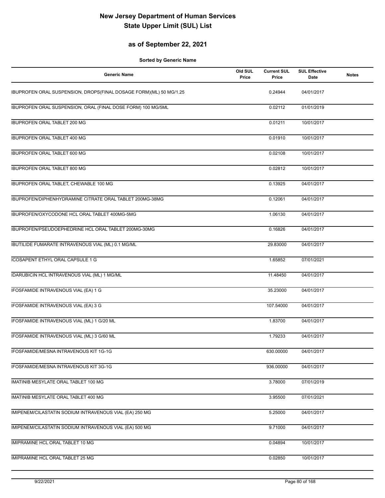## **as of September 22, 2021**

| <b>Generic Name</b>                                                | Old SUL<br>Price | <b>Current SUL</b><br>Price | <b>SUL Effective</b><br>Date | <b>Notes</b> |
|--------------------------------------------------------------------|------------------|-----------------------------|------------------------------|--------------|
| IBUPROFEN ORAL SUSPENSION, DROPS(FINAL DOSAGE FORM)(ML) 50 MG/1.25 |                  | 0.24944                     | 04/01/2017                   |              |
| IBUPROFEN ORAL SUSPENSION, ORAL (FINAL DOSE FORM) 100 MG/5ML       |                  | 0.02112                     | 01/01/2019                   |              |
| IBUPROFEN ORAL TABLET 200 MG                                       |                  | 0.01211                     | 10/01/2017                   |              |
| <b>IBUPROFEN ORAL TABLET 400 MG</b>                                |                  | 0.01910                     | 10/01/2017                   |              |
| <b>IBUPROFEN ORAL TABLET 600 MG</b>                                |                  | 0.02108                     | 10/01/2017                   |              |
| IBUPROFEN ORAL TABLET 800 MG                                       |                  | 0.02812                     | 10/01/2017                   |              |
| IBUPROFEN ORAL TABLET, CHEWABLE 100 MG                             |                  | 0.13925                     | 04/01/2017                   |              |
| IBUPROFEN/DIPHENHYDRAMINE CITRATE ORAL TABLET 200MG-38MG           |                  | 0.12061                     | 04/01/2017                   |              |
| IBUPROFEN/OXYCODONE HCL ORAL TABLET 400MG-5MG                      |                  | 1.06130                     | 04/01/2017                   |              |
| IBUPROFEN/PSEUDOEPHEDRINE HCL ORAL TABLET 200MG-30MG               |                  | 0.16826                     | 04/01/2017                   |              |
| IBUTILIDE FUMARATE INTRAVENOUS VIAL (ML) 0.1 MG/ML                 |                  | 29.83000                    | 04/01/2017                   |              |
| ICOSAPENT ETHYL ORAL CAPSULE 1 G                                   |                  | 1.65852                     | 07/01/2021                   |              |
| IDARUBICIN HCL INTRAVENOUS VIAL (ML) 1 MG/ML                       |                  | 11.48450                    | 04/01/2017                   |              |
| IFOSFAMIDE INTRAVENOUS VIAL (EA) 1 G                               |                  | 35.23000                    | 04/01/2017                   |              |
| IFOSFAMIDE INTRAVENOUS VIAL (EA) 3 G                               |                  | 107.54000                   | 04/01/2017                   |              |
| IFOSFAMIDE INTRAVENOUS VIAL (ML) 1 G/20 ML                         |                  | 1.83700                     | 04/01/2017                   |              |
| IFOSFAMIDE INTRAVENOUS VIAL (ML) 3 G/60 ML                         |                  | 1.79233                     | 04/01/2017                   |              |
| IFOSFAMIDE/MESNA INTRAVENOUS KIT 1G-1G                             |                  | 630.00000                   | 04/01/2017                   |              |
| IFOSFAMIDE/MESNA INTRAVENOUS KIT 3G-1G                             |                  | 936.00000                   | 04/01/2017                   |              |
| IMATINIB MESYLATE ORAL TABLET 100 MG                               |                  | 3.78000                     | 07/01/2019                   |              |
| IMATINIB MESYLATE ORAL TABLET 400 MG                               |                  | 3.95500                     | 07/01/2021                   |              |
| IMIPENEM/CILASTATIN SODIUM INTRAVENOUS VIAL (EA) 250 MG            |                  | 5.25000                     | 04/01/2017                   |              |
| IMIPENEM/CILASTATIN SODIUM INTRAVENOUS VIAL (EA) 500 MG            |                  | 9.71000                     | 04/01/2017                   |              |
| IMIPRAMINE HCL ORAL TABLET 10 MG                                   |                  | 0.04894                     | 10/01/2017                   |              |
| IMIPRAMINE HCL ORAL TABLET 25 MG                                   |                  | 0.02850                     | 10/01/2017                   |              |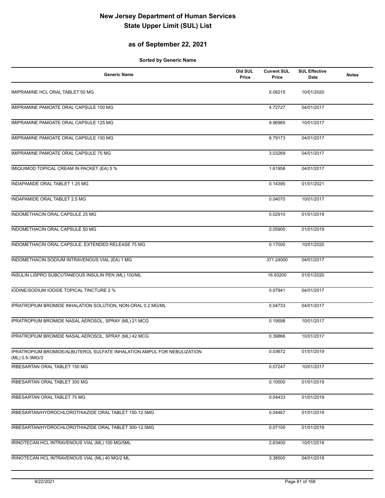## **as of September 22, 2021**

| <b>Generic Name</b>                                                                       | Old SUL<br>Price | <b>Current SUL</b><br>Price | <b>SUL Effective</b><br>Date | <b>Notes</b> |
|-------------------------------------------------------------------------------------------|------------------|-----------------------------|------------------------------|--------------|
| IMIPRAMINE HCL ORAL TABLET 50 MG                                                          |                  | 0.08215                     | 10/01/2020                   |              |
| IMIPRAMINE PAMOATE ORAL CAPSULE 100 MG                                                    |                  | 4.72727                     | 04/01/2017                   |              |
| IMIPRAMINE PAMOATE ORAL CAPSULE 125 MG                                                    |                  | 9.96960                     | 10/01/2017                   |              |
| IMIPRAMINE PAMOATE ORAL CAPSULE 150 MG                                                    |                  | 8.79173                     | 04/01/2017                   |              |
| IMIPRAMINE PAMOATE ORAL CAPSULE 75 MG                                                     |                  | 3.03269                     | 04/01/2017                   |              |
| IMIQUIMOD TOPICAL CREAM IN PACKET (EA) 5 %                                                |                  | 1.61958                     | 04/01/2017                   |              |
| INDAPAMIDE ORAL TABLET 1.25 MG                                                            |                  | 0.14390                     | 01/01/2021                   |              |
| INDAPAMIDE ORAL TABLET 2.5 MG                                                             |                  | 0.04070                     | 10/01/2017                   |              |
| INDOMETHACIN ORAL CAPSULE 25 MG                                                           |                  | 0.02910                     | 01/01/2019                   |              |
| INDOMETHACIN ORAL CAPSULE 50 MG                                                           |                  | 0.05900                     | 01/01/2019                   |              |
| INDOMETHACIN ORAL CAPSULE, EXTENDED RELEASE 75 MG                                         |                  | 0.17000                     | 10/01/2020                   |              |
| INDOMETHACIN SODIUM INTRAVENOUS VIAL (EA) 1 MG                                            |                  | 371.24000                   | 04/01/2017                   |              |
| INSULIN LISPRO SUBCUTANEOUS INSULIN PEN (ML) 100/ML                                       |                  | 16.93200                    | 01/01/2020                   |              |
| IODINE/SODIUM IODIDE TOPICAL TINCTURE 2 %                                                 |                  | 0.07941                     | 04/01/2017                   |              |
| IPRATROPIUM BROMIDE INHALATION SOLUTION, NON-ORAL 0.2 MG/ML                               |                  | 0.04733                     | 04/01/2017                   |              |
| IPRATROPIUM BROMIDE NASAL AEROSOL, SPRAY (ML) 21 MCG                                      |                  | 0.19598                     | 10/01/2017                   |              |
| IPRATROPIUM BROMIDE NASAL AEROSOL, SPRAY (ML) 42 MCG                                      |                  | 0.39866                     | 10/01/2017                   |              |
| IPRATROPIUM BROMIDE/ALBUTEROL SULFATE INHALATION AMPUL FOR NEBULIZATION<br>(ML) 0.5-3MG/3 |                  | 0.03672                     | 01/01/2019                   |              |
| IRBESARTAN ORAL TABLET 150 MG                                                             |                  | 0.07247                     | 10/01/2017                   |              |
| IRBESARTAN ORAL TABLET 300 MG                                                             |                  | 0.10000                     | 01/01/2019                   |              |
| IRBESARTAN ORAL TABLET 75 MG                                                              |                  | 0.04433                     | 01/01/2019                   |              |
| IRBESARTAN/HYDROCHLOROTHIAZIDE ORAL TABLET 150-12.5MG                                     |                  | 0.04467                     | 01/01/2019                   |              |
| IRBESARTAN/HYDROCHLOROTHIAZIDE ORAL TABLET 300-12.5MG                                     |                  | 0.07100                     | 01/01/2019                   |              |
| IRINOTECAN HCL INTRAVENOUS VIAL (ML) 100 MG/5ML                                           |                  | 2.63400                     | 10/01/2018                   |              |
| IRINOTECAN HCL INTRAVENOUS VIAL (ML) 40 MG/2 ML                                           |                  | 3.38500                     | 04/01/2019                   |              |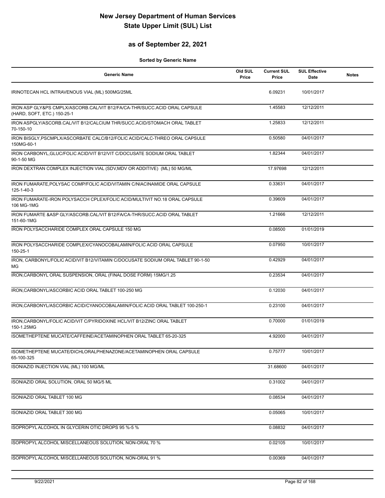## **as of September 22, 2021**

| <b>Generic Name</b>                                                                                      | Old SUL<br>Price | <b>Current SUL</b><br>Price | <b>SUL Effective</b><br>Date | <b>Notes</b> |
|----------------------------------------------------------------------------------------------------------|------------------|-----------------------------|------------------------------|--------------|
| IRINOTECAN HCL INTRAVENOUS VIAL (ML) 500MG/25ML                                                          |                  | 6.09231                     | 10/01/2017                   |              |
| IRON ASP GLY&PS CMPLX/ASCORB.CAL/VIT B12/FA/CA-THR/SUCC.ACID ORAL CAPSULE<br>(HARD, SOFT, ETC.) 150-25-1 |                  | 1.45583                     | 12/12/2011                   |              |
| IRON ASPGLY/ASCORB.CAL/VIT B12/CALCIUM THR/SUCC.ACID/STOMACH ORAL TABLET<br>70-150-10                    |                  | 1.25833                     | 12/12/2011                   |              |
| IRON BISGLY, PSCMPLX/ASCORBATE CALC/B12/FOLIC ACID/CALC-THREO ORAL CAPSULE<br>150MG-60-1                 |                  | 0.50580                     | 04/01/2017                   |              |
| IRON CARBONYL, GLUC/FOLIC ACID/VIT B12/VIT C/DOCUSATE SODIUM ORAL TABLET<br>90-1-50 MG                   |                  | 1.82344                     | 04/01/2017                   |              |
| IRON DEXTRAN COMPLEX INJECTION VIAL (SDV, MDV OR ADDITIVE) (ML) 50 MG/ML                                 |                  | 17.97698                    | 12/12/2011                   |              |
| IRON FUMARATE, POLYSAC COMP/FOLIC ACID/VITAMIN C/NIACINAMIDE ORAL CAPSULE<br>125-1-40-3                  |                  | 0.33631                     | 04/01/2017                   |              |
| IRON FUMARATE-IRON POLYSACCH CPLEX/FOLIC ACID/MULTIVIT NO.18 ORAL CAPSULE<br>106 MG-1MG                  |                  | 0.39609                     | 04/01/2017                   |              |
| IRON FUMARTE & ASP GLY/ASCORB.CAL/VIT B12/FA/CA-THR/SUCC.ACID ORAL TABLET<br>151-60-1MG                  |                  | 1.21666                     | 12/12/2011                   |              |
| IRON POLYSACCHARIDE COMPLEX ORAL CAPSULE 150 MG                                                          |                  | 0.08500                     | 01/01/2019                   |              |
| IRON POLYSACCHARIDE COMPLEX/CYANOCOBALAMIN/FOLIC ACID ORAL CAPSULE<br>150-25-1                           |                  | 0.07950                     | 10/01/2017                   |              |
| IRON, CARBONYL/FOLIC ACID/VIT B12/VITAMIN C/DOCUSATE SODIUM ORAL TABLET 90-1-50<br>МG                    |                  | 0.42929                     | 04/01/2017                   |              |
| IRON, CARBONYL ORAL SUSPENSION, ORAL (FINAL DOSE FORM) 15MG/1.25                                         |                  | 0.23534                     | 04/01/2017                   |              |
| IRON, CARBONYL/ASCORBIC ACID ORAL TABLET 100-250 MG                                                      |                  | 0.12030                     | 04/01/2017                   |              |
| IRON, CARBONYL/ASCORBIC ACID/CYANOCOBALAMIN/FOLIC ACID ORAL TABLET 100-250-1                             |                  | 0.23100                     | 04/01/2017                   |              |
| IRON, CARBONYL/FOLIC ACID/VIT C/PYRIDOXINE HCL/VIT B12/ZINC ORAL TABLET<br>150-1.25MG                    |                  | 0.70000                     | 01/01/2019                   |              |
| ISOMETHEPTENE MUCATE/CAFFEINE/ACETAMINOPHEN ORAL TABLET 65-20-325                                        |                  | 4.92000                     | 04/01/2017                   |              |
| ISOMETHEPTENE MUCATE/DICHLORALPHENAZONE/ACETAMINOPHEN ORAL CAPSULE<br>65-100-325                         |                  | 0.75777                     | 10/01/2017                   |              |
| ISONIAZID INJECTION VIAL (ML) 100 MG/ML                                                                  |                  | 31.68600                    | 04/01/2017                   |              |
| ISONIAZID ORAL SOLUTION, ORAL 50 MG/5 ML                                                                 |                  | 0.31002                     | 04/01/2017                   |              |
| ISONIAZID ORAL TABLET 100 MG                                                                             |                  | 0.08534                     | 04/01/2017                   |              |
| ISONIAZID ORAL TABLET 300 MG                                                                             |                  | 0.05065                     | 10/01/2017                   |              |
| ISOPROPYL ALCOHOL IN GLYCERIN OTIC DROPS 95 %-5 %                                                        |                  | 0.08832                     | 04/01/2017                   |              |
| ISOPROPYL ALCOHOL MISCELLANEOUS SOLUTION, NON-ORAL 70 %                                                  |                  | 0.02105                     | 10/01/2017                   |              |
| ISOPROPYL ALCOHOL MISCELLANEOUS SOLUTION, NON-ORAL 91 %                                                  |                  | 0.00369                     | 04/01/2017                   |              |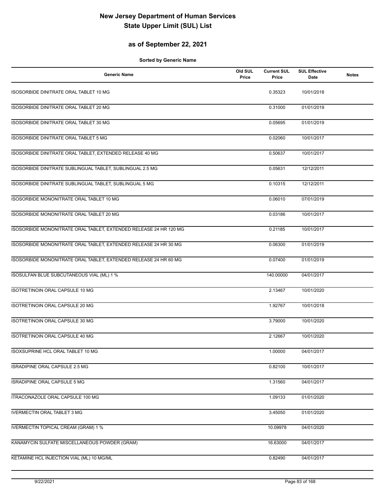## **as of September 22, 2021**

| <b>Generic Name</b>                                               | Old SUL<br>Price | <b>Current SUL</b><br>Price | <b>SUL Effective</b><br>Date | <b>Notes</b> |
|-------------------------------------------------------------------|------------------|-----------------------------|------------------------------|--------------|
| ISOSORBIDE DINITRATE ORAL TABLET 10 MG                            |                  | 0.35323                     | 10/01/2018                   |              |
| ISOSORBIDE DINITRATE ORAL TABLET 20 MG                            |                  | 0.31000                     | 01/01/2019                   |              |
| ISOSORBIDE DINITRATE ORAL TABLET 30 MG                            |                  | 0.05695                     | 01/01/2019                   |              |
| <b>ISOSORBIDE DINITRATE ORAL TABLET 5 MG</b>                      |                  | 0.02060                     | 10/01/2017                   |              |
| ISOSORBIDE DINITRATE ORAL TABLET, EXTENDED RELEASE 40 MG          |                  | 0.50637                     | 10/01/2017                   |              |
| ISOSORBIDE DINITRATE SUBLINGUAL TABLET, SUBLINGUAL 2.5 MG         |                  | 0.05631                     | 12/12/2011                   |              |
| ISOSORBIDE DINITRATE SUBLINGUAL TABLET, SUBLINGUAL 5 MG           |                  | 0.10315                     | 12/12/2011                   |              |
| ISOSORBIDE MONONITRATE ORAL TABLET 10 MG                          |                  | 0.06010                     | 07/01/2019                   |              |
| ISOSORBIDE MONONITRATE ORAL TABLET 20 MG                          |                  | 0.03186                     | 10/01/2017                   |              |
| ISOSORBIDE MONONITRATE ORAL TABLET, EXTENDED RELEASE 24 HR 120 MG |                  | 0.21185                     | 10/01/2017                   |              |
| ISOSORBIDE MONONITRATE ORAL TABLET, EXTENDED RELEASE 24 HR 30 MG  |                  | 0.06300                     | 01/01/2019                   |              |
| ISOSORBIDE MONONITRATE ORAL TABLET, EXTENDED RELEASE 24 HR 60 MG  |                  | 0.07400                     | 01/01/2019                   |              |
| ISOSULFAN BLUE SUBCUTANEOUS VIAL (ML) 1 %                         |                  | 140.00000                   | 04/01/2017                   |              |
| ISOTRETINOIN ORAL CAPSULE 10 MG                                   |                  | 2.13467                     | 10/01/2020                   |              |
| ISOTRETINOIN ORAL CAPSULE 20 MG                                   |                  | 1.92767                     | 10/01/2018                   |              |
| ISOTRETINOIN ORAL CAPSULE 30 MG                                   |                  | 3.79000                     | 10/01/2020                   |              |
| <b>ISOTRETINOIN ORAL CAPSULE 40 MG</b>                            |                  | 2.12667                     | 10/01/2020                   |              |
| <b>ISOXSUPRINE HCL ORAL TABLET 10 MG</b>                          |                  | 1.00000                     | 04/01/2017                   |              |
| ISRADIPINE ORAL CAPSULE 2.5 MG                                    |                  | 0.82100                     | 10/01/2017                   |              |
| ISRADIPINE ORAL CAPSULE 5 MG                                      |                  | 1.31560                     | 04/01/2017                   |              |
| ITRACONAZOLE ORAL CAPSULE 100 MG                                  |                  | 1.09133                     | 01/01/2020                   |              |
| <b>IVERMECTIN ORAL TABLET 3 MG</b>                                |                  | 3.45050                     | 01/01/2020                   |              |
| <b>IVERMECTIN TOPICAL CREAM (GRAM) 1 %</b>                        |                  | 10.09978                    | 04/01/2020                   |              |
| KANAMYCIN SULFATE MISCELLANEOUS POWDER (GRAM)                     |                  | 16.63000                    | 04/01/2017                   |              |
| KETAMINE HCL INJECTION VIAL (ML) 10 MG/ML                         |                  | 0.82490                     | 04/01/2017                   |              |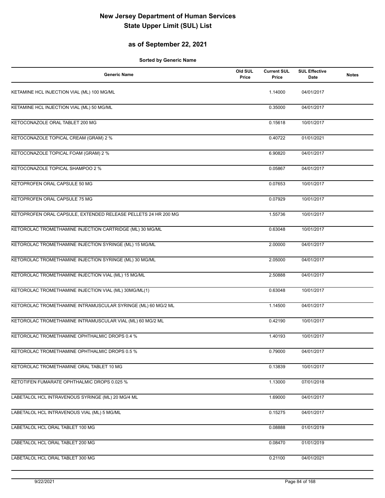## **as of September 22, 2021**

| <b>Generic Name</b>                                            | Old SUL<br>Price | <b>Current SUL</b><br>Price | <b>SUL Effective</b><br>Date | <b>Notes</b> |
|----------------------------------------------------------------|------------------|-----------------------------|------------------------------|--------------|
| KETAMINE HCL INJECTION VIAL (ML) 100 MG/ML                     |                  | 1.14000                     | 04/01/2017                   |              |
| KETAMINE HCL INJECTION VIAL (ML) 50 MG/ML                      |                  | 0.35000                     | 04/01/2017                   |              |
| KETOCONAZOLE ORAL TABLET 200 MG                                |                  | 0.15618                     | 10/01/2017                   |              |
| KETOCONAZOLE TOPICAL CREAM (GRAM) 2 %                          |                  | 0.40722                     | 01/01/2021                   |              |
| KETOCONAZOLE TOPICAL FOAM (GRAM) 2 %                           |                  | 6.90820                     | 04/01/2017                   |              |
| KETOCONAZOLE TOPICAL SHAMPOO 2 %                               |                  | 0.05867                     | 04/01/2017                   |              |
| KETOPROFEN ORAL CAPSULE 50 MG                                  |                  | 0.07653                     | 10/01/2017                   |              |
| KETOPROFEN ORAL CAPSULE 75 MG                                  |                  | 0.07929                     | 10/01/2017                   |              |
| KETOPROFEN ORAL CAPSULE, EXTENDED RELEASE PELLETS 24 HR 200 MG |                  | 1.55736                     | 10/01/2017                   |              |
| KETOROLAC TROMETHAMINE INJECTION CARTRIDGE (ML) 30 MG/ML       |                  | 0.63048                     | 10/01/2017                   |              |
| KETOROLAC TROMETHAMINE INJECTION SYRINGE (ML) 15 MG/ML         |                  | 2.00000                     | 04/01/2017                   |              |
| KETOROLAC TROMETHAMINE INJECTION SYRINGE (ML) 30 MG/ML         |                  | 2.05000                     | 04/01/2017                   |              |
| KETOROLAC TROMETHAMINE INJECTION VIAL (ML) 15 MG/ML            |                  | 2.50888                     | 04/01/2017                   |              |
| KETOROLAC TROMETHAMINE INJECTION VIAL (ML) 30MG/ML(1)          |                  | 0.63048                     | 10/01/2017                   |              |
| KETOROLAC TROMETHAMINE INTRAMUSCULAR SYRINGE (ML) 60 MG/2 ML   |                  | 1.14500                     | 04/01/2017                   |              |
| KETOROLAC TROMETHAMINE INTRAMUSCULAR VIAL (ML) 60 MG/2 ML      |                  | 0.42190                     | 10/01/2017                   |              |
| KETOROLAC TROMETHAMINE OPHTHALMIC DROPS 0.4 %                  |                  | 1.40193                     | 10/01/2017                   |              |
| KETOROLAC TROMETHAMINE OPHTHALMIC DROPS 0.5 %                  |                  | 0.79000                     | 04/01/2017                   |              |
| KETOROLAC TROMETHAMINE ORAL TABLET 10 MG                       |                  | 0.13839                     | 10/01/2017                   |              |
| KETOTIFEN FUMARATE OPHTHALMIC DROPS 0.025 %                    |                  | 1.13000                     | 07/01/2018                   |              |
| LABETALOL HCL INTRAVENOUS SYRINGE (ML) 20 MG/4 ML              |                  | 1.69000                     | 04/01/2017                   |              |
| LABETALOL HCL INTRAVENOUS VIAL (ML) 5 MG/ML                    |                  | 0.15275                     | 04/01/2017                   |              |
| LABETALOL HCL ORAL TABLET 100 MG                               |                  | 0.08888                     | 01/01/2019                   |              |
| LABETALOL HCL ORAL TABLET 200 MG                               |                  | 0.08470                     | 01/01/2019                   |              |
| LABETALOL HCL ORAL TABLET 300 MG                               |                  | 0.21100                     | 04/01/2021                   |              |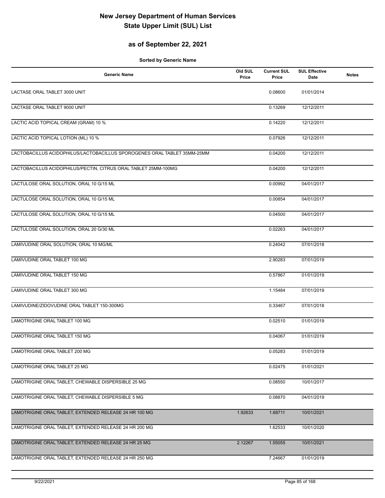## **as of September 22, 2021**

| <b>Generic Name</b>                                                      | Old SUL<br>Price | <b>Current SUL</b><br>Price | <b>SUL Effective</b><br>Date | <b>Notes</b> |
|--------------------------------------------------------------------------|------------------|-----------------------------|------------------------------|--------------|
| LACTASE ORAL TABLET 3000 UNIT                                            |                  | 0.08600                     | 01/01/2014                   |              |
| LACTASE ORAL TABLET 9000 UNIT                                            |                  | 0.13269                     | 12/12/2011                   |              |
| LACTIC ACID TOPICAL CREAM (GRAM) 10 %                                    |                  | 0.14220                     | 12/12/2011                   |              |
| LACTIC ACID TOPICAL LOTION (ML) 10 %                                     |                  | 0.07926                     | 12/12/2011                   |              |
| LACTOBACILLUS ACIDOPHILUS/LACTOBACILLUS SPOROGENES ORAL TABLET 35MM-25MM |                  | 0.04200                     | 12/12/2011                   |              |
| LACTOBACILLUS ACIDOPHILUS/PECTIN, CITRUS ORAL TABLET 25MM-100MG          |                  | 0.04200                     | 12/12/2011                   |              |
| LACTULOSE ORAL SOLUTION, ORAL 10 G/15 ML                                 |                  | 0.00992                     | 04/01/2017                   |              |
| LACTULOSE ORAL SOLUTION, ORAL 10 G/15 ML                                 |                  | 0.00854                     | 04/01/2017                   |              |
| LACTULOSE ORAL SOLUTION, ORAL 10 G/15 ML                                 |                  | 0.04500                     | 04/01/2017                   |              |
| LACTULOSE ORAL SOLUTION, ORAL 20 G/30 ML                                 |                  | 0.02263                     | 04/01/2017                   |              |
| LAMIVUDINE ORAL SOLUTION, ORAL 10 MG/ML                                  |                  | 0.24042                     | 07/01/2018                   |              |
| LAMIVUDINE ORAL TABLET 100 MG                                            |                  | 2.90283                     | 07/01/2019                   |              |
| LAMIVUDINE ORAL TABLET 150 MG                                            |                  | 0.57867                     | 01/01/2019                   |              |
| LAMIVUDINE ORAL TABLET 300 MG                                            |                  | 1.15484                     | 07/01/2019                   |              |
| LAMIVUDINE/ZIDOVUDINE ORAL TABLET 150-300MG                              |                  | 0.33467                     | 07/01/2018                   |              |
| LAMOTRIGINE ORAL TABLET 100 MG                                           |                  | 0.02510                     | 01/01/2019                   |              |
| LAMOTRIGINE ORAL TABLET 150 MG                                           |                  | 0.04067                     | 01/01/2019                   |              |
| LAMOTRIGINE ORAL TABLET 200 MG                                           |                  | 0.05283                     | 01/01/2019                   |              |
| LAMOTRIGINE ORAL TABLET 25 MG                                            |                  | 0.02475                     | 01/01/2021                   |              |
| LAMOTRIGINE ORAL TABLET, CHEWABLE DISPERSIBLE 25 MG                      |                  | 0.08550                     | 10/01/2017                   |              |
| LAMOTRIGINE ORAL TABLET, CHEWABLE DISPERSIBLE 5 MG                       |                  | 0.08870                     | 04/01/2019                   |              |
| LAMOTRIGINE ORAL TABLET, EXTENDED RELEASE 24 HR 100 MG                   | 1.92633          | 1.68711                     | 10/01/2021                   |              |
| LAMOTRIGINE ORAL TABLET, EXTENDED RELEASE 24 HR 200 MG                   |                  | 1.62533                     | 10/01/2020                   |              |
| LAMOTRIGINE ORAL TABLET, EXTENDED RELEASE 24 HR 25 MG                    | 2.12267          | 1.55055                     | 10/01/2021                   |              |
| LAMOTRIGINE ORAL TABLET, EXTENDED RELEASE 24 HR 250 MG                   |                  | 7.24667                     | 01/01/2019                   |              |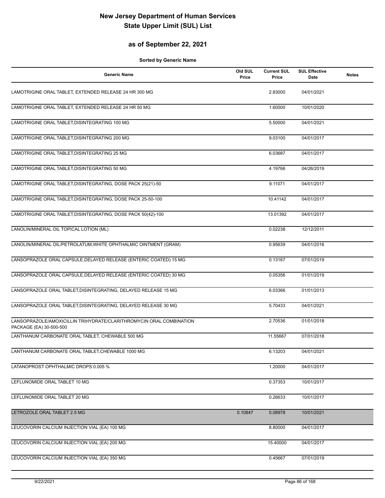## **as of September 22, 2021**

| <b>Generic Name</b>                                                                            | Old SUL<br>Price | <b>Current SUL</b><br>Price | <b>SUL Effective</b><br>Date | <b>Notes</b> |
|------------------------------------------------------------------------------------------------|------------------|-----------------------------|------------------------------|--------------|
| LAMOTRIGINE ORAL TABLET, EXTENDED RELEASE 24 HR 300 MG                                         |                  | 2.83000                     | 04/01/2021                   |              |
| LAMOTRIGINE ORAL TABLET, EXTENDED RELEASE 24 HR 50 MG                                          |                  | 1.60000                     | 10/01/2020                   |              |
| LAMOTRIGINE ORAL TABLET, DISINTEGRATING 100 MG                                                 |                  | 5.50000                     | 04/01/2021                   |              |
| LAMOTRIGINE ORAL TABLET, DISINTEGRATING 200 MG                                                 |                  | 9.03100                     | 04/01/2017                   |              |
| LAMOTRIGINE ORAL TABLET, DISINTEGRATING 25 MG                                                  |                  | 6.03687                     | 04/01/2017                   |              |
| LAMOTRIGINE ORAL TABLET, DISINTEGRATING 50 MG                                                  |                  | 4.19766                     | 04/26/2019                   |              |
| LAMOTRIGINE ORAL TABLET, DISINTEGRATING, DOSE PACK 25(21)-50                                   |                  | 9.11071                     | 04/01/2017                   |              |
| LAMOTRIGINE ORAL TABLET, DISINTEGRATING, DOSE PACK 25-50-100                                   |                  | 10.41142                    | 04/01/2017                   |              |
| LAMOTRIGINE ORAL TABLET, DISINTEGRATING, DOSE PACK 50(42)-100                                  |                  | 13.01392                    | 04/01/2017                   |              |
| LANOLIN/MINERAL OIL TOPICAL LOTION (ML)                                                        |                  | 0.02238                     | 12/12/2011                   |              |
| LANOLIN/MINERAL OIL/PETROLATUM, WHITE OPHTHALMIC OINTMENT (GRAM)                               |                  | 0.95639                     | 04/01/2016                   |              |
| LANSOPRAZOLE ORAL CAPSULE, DELAYED RELEASE (ENTERIC COATED) 15 MG                              |                  | 0.13167                     | 07/01/2019                   |              |
| LANSOPRAZOLE ORAL CAPSULE, DELAYED RELEASE (ENTERIC COATED) 30 MG                              |                  | 0.05356                     | 01/01/2019                   |              |
| LANSOPRAZOLE ORAL TABLET, DISINTEGRATING, DELAYED RELEASE 15 MG                                |                  | 6.03366                     | 01/01/2013                   |              |
| LANSOPRAZOLE ORAL TABLET, DISINTEGRATING, DELAYED RELEASE 30 MG                                |                  | 5.70433                     | 04/01/2021                   |              |
| LANSOPRAZOLE/AMOXICILLIN TRIHYDRATE/CLARITHROMYCIN ORAL COMBINATION<br>PACKAGE (EA) 30-500-500 |                  | 2.70536                     | 01/01/2018                   |              |
| LANTHANUM CARBONATE ORAL TABLET, CHEWABLE 500 MG                                               |                  | 11.55667                    | 07/01/2018                   |              |
| LANTHANUM CARBONATE ORAL TABLET, CHEWABLE 1000 MG                                              |                  | 6.13203                     | 04/01/2021                   |              |
| LATANOPROST OPHTHALMIC DROPS 0.005 %                                                           |                  | 1.20000                     | 04/01/2017                   |              |
| LEFLUNOMIDE ORAL TABLET 10 MG                                                                  |                  | 0.37353                     | 10/01/2017                   |              |
| LEFLUNOMIDE ORAL TABLET 20 MG                                                                  |                  | 0.26633                     | 10/01/2017                   |              |
| LETROZOLE ORAL TABLET 2.5 MG                                                                   | 0.10847          | 0.08978                     | 10/01/2021                   |              |
| LEUCOVORIN CALCIUM INJECTION VIAL (EA) 100 MG                                                  |                  | 8.80000                     | 04/01/2017                   |              |
| LEUCOVORIN CALCIUM INJECTION VIAL (EA) 200 MG                                                  |                  | 15.40000                    | 04/01/2017                   |              |
| LEUCOVORIN CALCIUM INJECTION VIAL (EA) 350 MG                                                  |                  | 0.45667                     | 07/01/2019                   |              |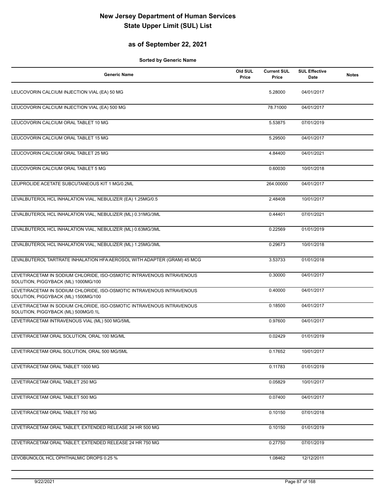## **as of September 22, 2021**

| <b>Generic Name</b>                                                                                          | Old SUL<br>Price | <b>Current SUL</b><br>Price | <b>SUL Effective</b><br>Date | <b>Notes</b> |
|--------------------------------------------------------------------------------------------------------------|------------------|-----------------------------|------------------------------|--------------|
| LEUCOVORIN CALCIUM INJECTION VIAL (EA) 50 MG                                                                 |                  | 5.28000                     | 04/01/2017                   |              |
| LEUCOVORIN CALCIUM INJECTION VIAL (EA) 500 MG                                                                |                  | 78.71000                    | 04/01/2017                   |              |
| LEUCOVORIN CALCIUM ORAL TABLET 10 MG                                                                         |                  | 5.53875                     | 07/01/2019                   |              |
| LEUCOVORIN CALCIUM ORAL TABLET 15 MG                                                                         |                  | 5.29500                     | 04/01/2017                   |              |
| LEUCOVORIN CALCIUM ORAL TABLET 25 MG                                                                         |                  | 4.84400                     | 04/01/2021                   |              |
| LEUCOVORIN CALCIUM ORAL TABLET 5 MG                                                                          |                  | 0.60030                     | 10/01/2018                   |              |
| LEUPROLIDE ACETATE SUBCUTANEOUS KIT 1 MG/0.2ML                                                               |                  | 264.00000                   | 04/01/2017                   |              |
| LEVALBUTEROL HCL INHALATION VIAL, NEBULIZER (EA) 1.25MG/0.5                                                  |                  | 2.48408                     | 10/01/2017                   |              |
| LEVALBUTEROL HCL INHALATION VIAL, NEBULIZER (ML) 0.31MG/3ML                                                  |                  | 0.44401                     | 07/01/2021                   |              |
| LEVALBUTEROL HCL INHALATION VIAL, NEBULIZER (ML) 0.63MG/3ML                                                  |                  | 0.22569                     | 01/01/2019                   |              |
| LEVALBUTEROL HCL INHALATION VIAL, NEBULIZER (ML) 1.25MG/3ML                                                  |                  | 0.29673                     | 10/01/2018                   |              |
| LEVALBUTEROL TARTRATE INHALATION HFA AEROSOL WITH ADAPTER (GRAM) 45 MCG                                      |                  | 3.53733                     | 01/01/2018                   |              |
| LEVETIRACETAM IN SODIUM CHLORIDE, ISO-OSMOTIC INTRAVENOUS INTRAVENOUS<br>SOLUTION, PIGGYBACK (ML) 1000MG/100 |                  | 0.30000                     | 04/01/2017                   |              |
| LEVETIRACETAM IN SODIUM CHLORIDE, ISO-OSMOTIC INTRAVENOUS INTRAVENOUS<br>SOLUTION, PIGGYBACK (ML) 1500MG/100 |                  | 0.40000                     | 04/01/2017                   |              |
| LEVETIRACETAM IN SODIUM CHLORIDE, ISO-OSMOTIC INTRAVENOUS INTRAVENOUS<br>SOLUTION, PIGGYBACK (ML) 500MG/0.1L |                  | 0.18500                     | 04/01/2017                   |              |
| LEVETIRACETAM INTRAVENOUS VIAL (ML) 500 MG/5ML                                                               |                  | 0.97600                     | 04/01/2017                   |              |
| LEVETIRACETAM ORAL SOLUTION, ORAL 100 MG/ML                                                                  |                  | 0.02429                     | 01/01/2019                   |              |
| LEVETIRACETAM ORAL SOLUTION, ORAL 500 MG/5ML                                                                 |                  | 0.17652                     | 10/01/2017                   |              |
| LEVETIRACETAM ORAL TABLET 1000 MG                                                                            |                  | 0.11783                     | 01/01/2019                   |              |
| LEVETIRACETAM ORAL TABLET 250 MG                                                                             |                  | 0.05829                     | 10/01/2017                   |              |
| LEVETIRACETAM ORAL TABLET 500 MG                                                                             |                  | 0.07400                     | 04/01/2017                   |              |
| LEVETIRACETAM ORAL TABLET 750 MG                                                                             |                  | 0.10150                     | 07/01/2018                   |              |
| LEVETIRACETAM ORAL TABLET, EXTENDED RELEASE 24 HR 500 MG                                                     |                  | 0.10150                     | 01/01/2019                   |              |
| LEVETIRACETAM ORAL TABLET, EXTENDED RELEASE 24 HR 750 MG                                                     |                  | 0.27750                     | 07/01/2019                   |              |
| LEVOBUNOLOL HCL OPHTHALMIC DROPS 0.25 %                                                                      |                  | 1.08462                     | 12/12/2011                   |              |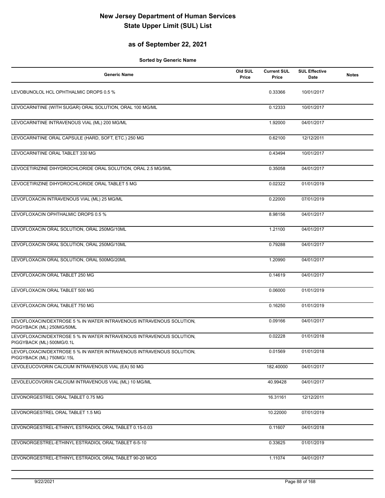## **as of September 22, 2021**

| <b>Generic Name</b>                                                                               | Old SUL<br>Price | <b>Current SUL</b><br>Price | <b>SUL Effective</b><br><b>Date</b> | <b>Notes</b> |
|---------------------------------------------------------------------------------------------------|------------------|-----------------------------|-------------------------------------|--------------|
| LEVOBUNOLOL HCL OPHTHALMIC DROPS 0.5 %                                                            |                  | 0.33366                     | 10/01/2017                          |              |
| LEVOCARNITINE (WITH SUGAR) ORAL SOLUTION, ORAL 100 MG/ML                                          |                  | 0.12333                     | 10/01/2017                          |              |
| LEVOCARNITINE INTRAVENOUS VIAL (ML) 200 MG/ML                                                     |                  | 1.92000                     | 04/01/2017                          |              |
| LEVOCARNITINE ORAL CAPSULE (HARD, SOFT, ETC.) 250 MG                                              |                  | 0.62100                     | 12/12/2011                          |              |
| LEVOCARNITINE ORAL TABLET 330 MG                                                                  |                  | 0.43494                     | 10/01/2017                          |              |
| LEVOCETIRIZINE DIHYDROCHLORIDE ORAL SOLUTION, ORAL 2.5 MG/5ML                                     |                  | 0.35058                     | 04/01/2017                          |              |
| LEVOCETIRIZINE DIHYDROCHLORIDE ORAL TABLET 5 MG                                                   |                  | 0.02322                     | 01/01/2019                          |              |
| LEVOFLOXACIN INTRAVENOUS VIAL (ML) 25 MG/ML                                                       |                  | 0.22000                     | 07/01/2019                          |              |
| LEVOFLOXACIN OPHTHALMIC DROPS 0.5 %                                                               |                  | 8.98156                     | 04/01/2017                          |              |
| LEVOFLOXACIN ORAL SOLUTION, ORAL 250MG/10ML                                                       |                  | 1.21100                     | 04/01/2017                          |              |
| LEVOFLOXACIN ORAL SOLUTION, ORAL 250MG/10ML                                                       |                  | 0.79288                     | 04/01/2017                          |              |
| LEVOFLOXACIN ORAL SOLUTION, ORAL 500MG/20ML                                                       |                  | 1.20990                     | 04/01/2017                          |              |
| LEVOFLOXACIN ORAL TABLET 250 MG                                                                   |                  | 0.14619                     | 04/01/2017                          |              |
| LEVOFLOXACIN ORAL TABLET 500 MG                                                                   |                  | 0.06000                     | 01/01/2019                          |              |
| LEVOFLOXACIN ORAL TABLET 750 MG                                                                   |                  | 0.16250                     | 01/01/2019                          |              |
| LEVOFLOXACIN/DEXTROSE 5 % IN WATER INTRAVENOUS INTRAVENOUS SOLUTION,<br>PIGGYBACK (ML) 250MG/50ML |                  | 0.09166                     | 04/01/2017                          |              |
| LEVOFLOXACIN/DEXTROSE 5 % IN WATER INTRAVENOUS INTRAVENOUS SOLUTION,<br>PIGGYBACK (ML) 500MG/0.1L |                  | 0.02228                     | 01/01/2018                          |              |
| LEVOFLOXACIN/DEXTROSE 5 % IN WATER INTRAVENOUS INTRAVENOUS SOLUTION,<br>PIGGYBACK (ML) 750MG/.15L |                  | 0.01569                     | 01/01/2018                          |              |
| LEVOLEUCOVORIN CALCIUM INTRAVENOUS VIAL (EA) 50 MG                                                |                  | 182.40000                   | 04/01/2017                          |              |
| LEVOLEUCOVORIN CALCIUM INTRAVENOUS VIAL (ML) 10 MG/ML                                             |                  | 40.99428                    | 04/01/2017                          |              |
| LEVONORGESTREL ORAL TABLET 0.75 MG                                                                |                  | 16.31161                    | 12/12/2011                          |              |
| LEVONORGESTREL ORAL TABLET 1.5 MG                                                                 |                  | 10.22000                    | 07/01/2019                          |              |
| LEVONORGESTREL-ETHINYL ESTRADIOL ORAL TABLET 0.15-0.03                                            |                  | 0.11607                     | 04/01/2018                          |              |
| LEVONORGESTREL-ETHINYL ESTRADIOL ORAL TABLET 6-5-10                                               |                  | 0.33625                     | 01/01/2019                          |              |
| LEVONORGESTREL-ETHINYL ESTRADIOL ORAL TABLET 90-20 MCG                                            |                  | 1.11074                     | 04/01/2017                          |              |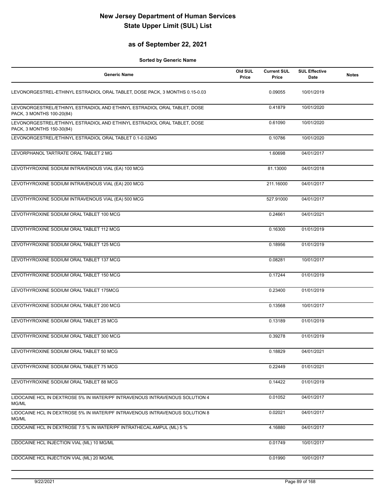## **as of September 22, 2021**

| <b>Generic Name</b>                                                                                   | Old SUL<br>Price | <b>Current SUL</b><br>Price | <b>SUL Effective</b><br>Date | <b>Notes</b> |
|-------------------------------------------------------------------------------------------------------|------------------|-----------------------------|------------------------------|--------------|
| LEVONORGESTREL-ETHINYL ESTRADIOL ORAL TABLET, DOSE PACK, 3 MONTHS 0.15-0.03                           |                  | 0.09055                     | 10/01/2019                   |              |
| LEVONORGESTREL/ETHINYL ESTRADIOL AND ETHINYL ESTRADIOL ORAL TABLET, DOSE<br>PACK, 3 MONTHS 100-20(84) |                  | 0.41879                     | 10/01/2020                   |              |
| LEVONORGESTREL/ETHINYL ESTRADIOL AND ETHINYL ESTRADIOL ORAL TABLET, DOSE<br>PACK, 3 MONTHS 150-30(84) |                  | 0.61090                     | 10/01/2020                   |              |
| LEVONORGESTREL/ETHINYL ESTRADIOL ORAL TABLET 0.1-0.02MG                                               |                  | 0.10786                     | 10/01/2020                   |              |
| LEVORPHANOL TARTRATE ORAL TABLET 2 MG                                                                 |                  | 1.60698                     | 04/01/2017                   |              |
| LEVOTHYROXINE SODIUM INTRAVENOUS VIAL (EA) 100 MCG                                                    |                  | 81.13000                    | 04/01/2018                   |              |
| LEVOTHYROXINE SODIUM INTRAVENOUS VIAL (EA) 200 MCG                                                    |                  | 211.16000                   | 04/01/2017                   |              |
| LEVOTHYROXINE SODIUM INTRAVENOUS VIAL (EA) 500 MCG                                                    |                  | 527.91000                   | 04/01/2017                   |              |
| LEVOTHYROXINE SODIUM ORAL TABLET 100 MCG                                                              |                  | 0.24661                     | 04/01/2021                   |              |
| LEVOTHYROXINE SODIUM ORAL TABLET 112 MCG                                                              |                  | 0.16300                     | 01/01/2019                   |              |
| LEVOTHYROXINE SODIUM ORAL TABLET 125 MCG                                                              |                  | 0.18956                     | 01/01/2019                   |              |
| LEVOTHYROXINE SODIUM ORAL TABLET 137 MCG                                                              |                  | 0.08281                     | 10/01/2017                   |              |
| LEVOTHYROXINE SODIUM ORAL TABLET 150 MCG                                                              |                  | 0.17244                     | 01/01/2019                   |              |
| LEVOTHYROXINE SODIUM ORAL TABLET 175MCG                                                               |                  | 0.23400                     | 01/01/2019                   |              |
| LEVOTHYROXINE SODIUM ORAL TABLET 200 MCG                                                              |                  | 0.13568                     | 10/01/2017                   |              |
| LEVOTHYROXINE SODIUM ORAL TABLET 25 MCG                                                               |                  | 0.13189                     | 01/01/2019                   |              |
| LEVOTHYROXINE SODIUM ORAL TABLET 300 MCG                                                              |                  | 0.39278                     | 01/01/2019                   |              |
| LEVOTHYROXINE SODIUM ORAL TABLET 50 MCG                                                               |                  | 0.18829                     | 04/01/2021                   |              |
| LEVOTHYROXINE SODIUM ORAL TABLET 75 MCG                                                               |                  | 0.22449                     | 01/01/2021                   |              |
| LEVOTHYROXINE SODIUM ORAL TABLET 88 MCG                                                               |                  | 0.14422                     | 01/01/2019                   |              |
| LIDOCAINE HCL IN DEXTROSE 5% IN WATER/PF INTRAVENOUS INTRAVENOUS SOLUTION 4<br>MG/ML                  |                  | 0.01052                     | 04/01/2017                   |              |
| LIDOCAINE HCL IN DEXTROSE 5% IN WATER/PF INTRAVENOUS INTRAVENOUS SOLUTION 8<br>MG/ML                  |                  | 0.02021                     | 04/01/2017                   |              |
| LIDOCAINE HCL IN DEXTROSE 7.5 % IN WATER/PF INTRATHECAL AMPUL (ML) 5 %                                |                  | 4.16880                     | 04/01/2017                   |              |
| LIDOCAINE HCL INJECTION VIAL (ML) 10 MG/ML                                                            |                  | 0.01749                     | 10/01/2017                   |              |
| LIDOCAINE HCL INJECTION VIAL (ML) 20 MG/ML                                                            |                  | 0.01990                     | 10/01/2017                   |              |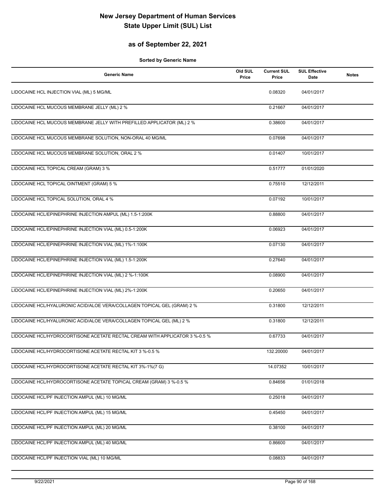## **as of September 22, 2021**

| <b>Generic Name</b>                                                         | Old SUL<br>Price | <b>Current SUL</b><br>Price | <b>SUL Effective</b><br>Date | <b>Notes</b> |
|-----------------------------------------------------------------------------|------------------|-----------------------------|------------------------------|--------------|
| LIDOCAINE HCL INJECTION VIAL (ML) 5 MG/ML                                   |                  | 0.08320                     | 04/01/2017                   |              |
| LIDOCAINE HCL MUCOUS MEMBRANE JELLY (ML) 2 %                                |                  | 0.21667                     | 04/01/2017                   |              |
| LIDOCAINE HCL MUCOUS MEMBRANE JELLY WITH PREFILLED APPLICATOR (ML) 2 %      |                  | 0.38600                     | 04/01/2017                   |              |
| LIDOCAINE HCL MUCOUS MEMBRANE SOLUTION, NON-ORAL 40 MG/ML                   |                  | 0.07698                     | 04/01/2017                   |              |
| LIDOCAINE HCL MUCOUS MEMBRANE SOLUTION, ORAL 2 %                            |                  | 0.01407                     | 10/01/2017                   |              |
| LIDOCAINE HCL TOPICAL CREAM (GRAM) 3 %                                      |                  | 0.51777                     | 01/01/2020                   |              |
| LIDOCAINE HCL TOPICAL OINTMENT (GRAM) 5 %                                   |                  | 0.75510                     | 12/12/2011                   |              |
| LIDOCAINE HCL TOPICAL SOLUTION, ORAL 4 %                                    |                  | 0.07192                     | 10/01/2017                   |              |
| LIDOCAINE HCL/EPINEPHRINE INJECTION AMPUL (ML) 1.5-1:200K                   |                  | 0.88800                     | 04/01/2017                   |              |
| LIDOCAINE HCL/EPINEPHRINE INJECTION VIAL (ML) 0.5-1:200K                    |                  | 0.06923                     | 04/01/2017                   |              |
| LIDOCAINE HCL/EPINEPHRINE INJECTION VIAL (ML) 1%-1:100K                     |                  | 0.07130                     | 04/01/2017                   |              |
| LIDOCAINE HCL/EPINEPHRINE INJECTION VIAL (ML) 1.5-1:200K                    |                  | 0.27640                     | 04/01/2017                   |              |
| LIDOCAINE HCL/EPINEPHRINE INJECTION VIAL (ML) 2 %-1:100K                    |                  | 0.08900                     | 04/01/2017                   |              |
| LIDOCAINE HCL/EPINEPHRINE INJECTION VIAL (ML) 2%-1:200K                     |                  | 0.20650                     | 04/01/2017                   |              |
| LIDOCAINE HCL/HYALURONIC ACID/ALOE VERA/COLLAGEN TOPICAL GEL (GRAM) 2 %     |                  | 0.31800                     | 12/12/2011                   |              |
| LIDOCAINE HCL/HYALURONIC ACID/ALOE VERA/COLLAGEN TOPICAL GEL (ML) 2 %       |                  | 0.31800                     | 12/12/2011                   |              |
| LIDOCAINE HCL/HYDROCORTISONE ACETATE RECTAL CREAM WITH APPLICATOR 3 %-0.5 % |                  | 0.67733                     | 04/01/2017                   |              |
| LIDOCAINE HCL/HYDROCORTISONE ACETATE RECTAL KIT 3 %-0.5 %                   |                  | 132.20000                   | 04/01/2017                   |              |
| LIDOCAINE HCL/HYDROCORTISONE ACETATE RECTAL KIT 3%-1%(7 G)                  |                  | 14.07352                    | 10/01/2017                   |              |
| LIDOCAINE HCL/HYDROCORTISONE ACETATE TOPICAL CREAM (GRAM) 3 %-0.5 %         |                  | 0.84656                     | 01/01/2018                   |              |
| LIDOCAINE HCL/PF INJECTION AMPUL (ML) 10 MG/ML                              |                  | 0.25018                     | 04/01/2017                   |              |
| LIDOCAINE HCL/PF INJECTION AMPUL (ML) 15 MG/ML                              |                  | 0.45450                     | 04/01/2017                   |              |
| LIDOCAINE HCL/PF INJECTION AMPUL (ML) 20 MG/ML                              |                  | 0.38100                     | 04/01/2017                   |              |
| LIDOCAINE HCL/PF INJECTION AMPUL (ML) 40 MG/ML                              |                  | 0.86600                     | 04/01/2017                   |              |
| LIDOCAINE HCL/PF INJECTION VIAL (ML) 10 MG/ML                               |                  | 0.08833                     | 04/01/2017                   |              |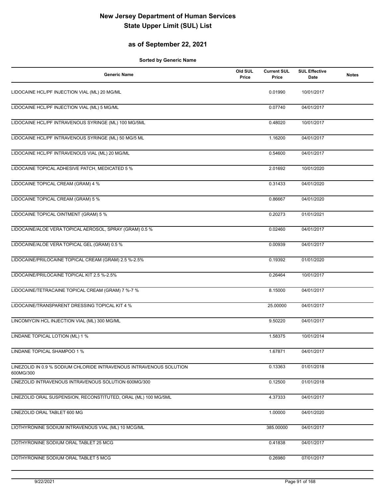## **as of September 22, 2021**

| <b>Generic Name</b>                                                              | Old SUL<br>Price | <b>Current SUL</b><br>Price | <b>SUL Effective</b><br><b>Date</b> | <b>Notes</b> |
|----------------------------------------------------------------------------------|------------------|-----------------------------|-------------------------------------|--------------|
| LIDOCAINE HCL/PF INJECTION VIAL (ML) 20 MG/ML                                    |                  | 0.01990                     | 10/01/2017                          |              |
| LIDOCAINE HCL/PF INJECTION VIAL (ML) 5 MG/ML                                     |                  | 0.07740                     | 04/01/2017                          |              |
| LIDOCAINE HCL/PF INTRAVENOUS SYRINGE (ML) 100 MG/5ML                             |                  | 0.48020                     | 10/01/2017                          |              |
| LIDOCAINE HCL/PF INTRAVENOUS SYRINGE (ML) 50 MG/5 ML                             |                  | 1.16200                     | 04/01/2017                          |              |
| LIDOCAINE HCL/PF INTRAVENOUS VIAL (ML) 20 MG/ML                                  |                  | 0.54600                     | 04/01/2017                          |              |
| LIDOCAINE TOPICAL ADHESIVE PATCH, MEDICATED 5 %                                  |                  | 2.01692                     | 10/01/2020                          |              |
| LIDOCAINE TOPICAL CREAM (GRAM) 4 %                                               |                  | 0.31433                     | 04/01/2020                          |              |
| LIDOCAINE TOPICAL CREAM (GRAM) 5 %                                               |                  | 0.86667                     | 04/01/2020                          |              |
| LIDOCAINE TOPICAL OINTMENT (GRAM) 5 %                                            |                  | 0.20273                     | 01/01/2021                          |              |
| LIDOCAINE/ALOE VERA TOPICAL AEROSOL, SPRAY (GRAM) 0.5 %                          |                  | 0.02460                     | 04/01/2017                          |              |
| LIDOCAINE/ALOE VERA TOPICAL GEL (GRAM) 0.5 %                                     |                  | 0.00939                     | 04/01/2017                          |              |
| LIDOCAINE/PRILOCAINE TOPICAL CREAM (GRAM) 2.5 %-2.5%                             |                  | 0.19392                     | 01/01/2020                          |              |
| LIDOCAINE/PRILOCAINE TOPICAL KIT 2.5 %-2.5%                                      |                  | 0.26464                     | 10/01/2017                          |              |
| LIDOCAINE/TETRACAINE TOPICAL CREAM (GRAM) 7 %-7 %                                |                  | 8.15000                     | 04/01/2017                          |              |
| LIDOCAINE/TRANSPARENT DRESSING TOPICAL KIT 4 %                                   |                  | 25.00000                    | 04/01/2017                          |              |
| LINCOMYCIN HCL INJECTION VIAL (ML) 300 MG/ML                                     |                  | 9.50220                     | 04/01/2017                          |              |
| LINDANE TOPICAL LOTION (ML) 1 %                                                  |                  | 1.58375                     | 10/01/2014                          |              |
| LINDANE TOPICAL SHAMPOO 1 %                                                      |                  | 1.67871                     | 04/01/2017                          |              |
| LINEZOLID IN 0.9 % SODIUM CHLORIDE INTRAVENOUS INTRAVENOUS SOLUTION<br>600MG/300 |                  | 0.13363                     | 01/01/2018                          |              |
| LINEZOLID INTRAVENOUS INTRAVENOUS SOLUTION 600MG/300                             |                  | 0.12500                     | 01/01/2018                          |              |
| LINEZOLID ORAL SUSPENSION, RECONSTITUTED, ORAL (ML) 100 MG/5ML                   |                  | 4.37333                     | 04/01/2017                          |              |
| LINEZOLID ORAL TABLET 600 MG                                                     |                  | 1.00000                     | 04/01/2020                          |              |
| LIOTHYRONINE SODIUM INTRAVENOUS VIAL (ML) 10 MCG/ML                              |                  | 385.00000                   | 04/01/2017                          |              |
| LIOTHYRONINE SODIUM ORAL TABLET 25 MCG                                           |                  | 0.41838                     | 04/01/2017                          |              |
| LIOTHYRONINE SODIUM ORAL TABLET 5 MCG                                            |                  | 0.26980                     | 07/01/2017                          |              |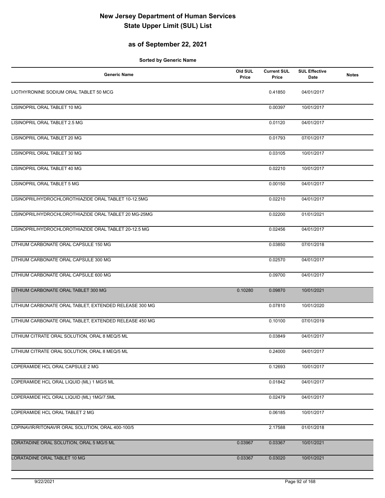## **as of September 22, 2021**

| <b>Generic Name</b>                                    | Old SUL<br>Price | <b>Current SUL</b><br>Price | <b>SUL Effective</b><br>Date | <b>Notes</b> |
|--------------------------------------------------------|------------------|-----------------------------|------------------------------|--------------|
| LIOTHYRONINE SODIUM ORAL TABLET 50 MCG                 |                  | 0.41850                     | 04/01/2017                   |              |
| LISINOPRIL ORAL TABLET 10 MG                           |                  | 0.00397                     | 10/01/2017                   |              |
| LISINOPRIL ORAL TABLET 2.5 MG                          |                  | 0.01120                     | 04/01/2017                   |              |
| LISINOPRIL ORAL TABLET 20 MG                           |                  | 0.01793                     | 07/01/2017                   |              |
| LISINOPRIL ORAL TABLET 30 MG                           |                  | 0.03105                     | 10/01/2017                   |              |
| LISINOPRIL ORAL TABLET 40 MG                           |                  | 0.02210                     | 10/01/2017                   |              |
| LISINOPRIL ORAL TABLET 5 MG                            |                  | 0.00150                     | 04/01/2017                   |              |
| LISINOPRIL/HYDROCHLOROTHIAZIDE ORAL TABLET 10-12.5MG   |                  | 0.02210                     | 04/01/2017                   |              |
| LISINOPRIL/HYDROCHLOROTHIAZIDE ORAL TABLET 20 MG-25MG  |                  | 0.02200                     | 01/01/2021                   |              |
| LISINOPRIL/HYDROCHLOROTHIAZIDE ORAL TABLET 20-12.5 MG  |                  | 0.02456                     | 04/01/2017                   |              |
| LITHIUM CARBONATE ORAL CAPSULE 150 MG                  |                  | 0.03850                     | 07/01/2018                   |              |
| LITHIUM CARBONATE ORAL CAPSULE 300 MG                  |                  | 0.02570                     | 04/01/2017                   |              |
| LITHIUM CARBONATE ORAL CAPSULE 600 MG                  |                  | 0.09700                     | 04/01/2017                   |              |
| LITHIUM CARBONATE ORAL TABLET 300 MG                   | 0.10280          | 0.09870                     | 10/01/2021                   |              |
| LITHIUM CARBONATE ORAL TABLET, EXTENDED RELEASE 300 MG |                  | 0.07810                     | 10/01/2020                   |              |
| LITHIUM CARBONATE ORAL TABLET, EXTENDED RELEASE 450 MG |                  | 0.10100                     | 07/01/2019                   |              |
| LITHIUM CITRATE ORAL SOLUTION, ORAL 8 MEQ/5 ML         |                  | 0.03849                     | 04/01/2017                   |              |
| LITHIUM CITRATE ORAL SOLUTION, ORAL 8 MEQ/5 ML         |                  | 0.24000                     | 04/01/2017                   |              |
| LOPERAMIDE HCL ORAL CAPSULE 2 MG                       |                  | 0.12693                     | 10/01/2017                   |              |
| LOPERAMIDE HCL ORAL LIQUID (ML) 1 MG/5 ML              |                  | 0.01842                     | 04/01/2017                   |              |
| LOPERAMIDE HCL ORAL LIQUID (ML) 1MG/7.5ML              |                  | 0.02479                     | 04/01/2017                   |              |
| LOPERAMIDE HCL ORAL TABLET 2 MG                        |                  | 0.06185                     | 10/01/2017                   |              |
| LOPINAVIR/RITONAVIR ORAL SOLUTION, ORAL 400-100/5      |                  | 2.17588                     | 01/01/2018                   |              |
| LORATADINE ORAL SOLUTION, ORAL 5 MG/5 ML               | 0.03967          | 0.03367                     | 10/01/2021                   |              |
| LORATADINE ORAL TABLET 10 MG                           | 0.03367          | 0.03020                     | 10/01/2021                   |              |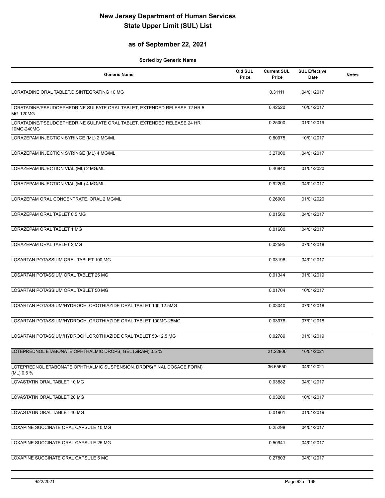## **as of September 22, 2021**

| <b>Generic Name</b>                                                                         | Old SUL<br>Price | <b>Current SUL</b><br>Price | <b>SUL Effective</b><br>Date | <b>Notes</b> |
|---------------------------------------------------------------------------------------------|------------------|-----------------------------|------------------------------|--------------|
| LORATADINE ORAL TABLET, DISINTEGRATING 10 MG                                                |                  | 0.31111                     | 04/01/2017                   |              |
| LORATADINE/PSEUDOEPHEDRINE SULFATE ORAL TABLET, EXTENDED RELEASE 12 HR 5<br><b>MG-120MG</b> |                  | 0.42520                     | 10/01/2017                   |              |
| LORATADINE/PSEUDOEPHEDRINE SULFATE ORAL TABLET, EXTENDED RELEASE 24 HR<br>10MG-240MG        |                  | 0.25000                     | 01/01/2019                   |              |
| LORAZEPAM INJECTION SYRINGE (ML) 2 MG/ML                                                    |                  | 0.80975                     | 10/01/2017                   |              |
| LORAZEPAM INJECTION SYRINGE (ML) 4 MG/ML                                                    |                  | 3.27000                     | 04/01/2017                   |              |
| LORAZEPAM INJECTION VIAL (ML) 2 MG/ML                                                       |                  | 0.46840                     | 01/01/2020                   |              |
| LORAZEPAM INJECTION VIAL (ML) 4 MG/ML                                                       |                  | 0.92200                     | 04/01/2017                   |              |
| LORAZEPAM ORAL CONCENTRATE, ORAL 2 MG/ML                                                    |                  | 0.26900                     | 01/01/2020                   |              |
| LORAZEPAM ORAL TABLET 0.5 MG                                                                |                  | 0.01560                     | 04/01/2017                   |              |
| LORAZEPAM ORAL TABLET 1 MG                                                                  |                  | 0.01600                     | 04/01/2017                   |              |
| LORAZEPAM ORAL TABLET 2 MG                                                                  |                  | 0.02595                     | 07/01/2018                   |              |
| LOSARTAN POTASSIUM ORAL TABLET 100 MG                                                       |                  | 0.03196                     | 04/01/2017                   |              |
| LOSARTAN POTASSIUM ORAL TABLET 25 MG                                                        |                  | 0.01344                     | 01/01/2019                   |              |
| LOSARTAN POTASSIUM ORAL TABLET 50 MG                                                        |                  | 0.01704                     | 10/01/2017                   |              |
| LOSARTAN POTASSIUM/HYDROCHLOROTHIAZIDE ORAL TABLET 100-12.5MG                               |                  | 0.03040                     | 07/01/2018                   |              |
| LOSARTAN POTASSIUM/HYDROCHLOROTHIAZIDE ORAL TABLET 100MG-25MG                               |                  | 0.03978                     | 07/01/2018                   |              |
| LOSARTAN POTASSIUM/HYDROCHLOROTHIAZIDE ORAL TABLET 50-12.5 MG                               |                  | 0.02789                     | 01/01/2019                   |              |
| LOTEPREDNOL ETABONATE OPHTHALMIC DROPS, GEL (GRAM) 0.5 %                                    |                  | 21.22800                    | 10/01/2021                   |              |
| LOTEPREDNOL ETABONATE OPHTHALMIC SUSPENSION, DROPS(FINAL DOSAGE FORM)<br>(ML) 0.5 %         |                  | 36.65650                    | 04/01/2021                   |              |
| LOVASTATIN ORAL TABLET 10 MG                                                                |                  | 0.03882                     | 04/01/2017                   |              |
| LOVASTATIN ORAL TABLET 20 MG                                                                |                  | 0.03200                     | 10/01/2017                   |              |
| LOVASTATIN ORAL TABLET 40 MG                                                                |                  | 0.01901                     | 01/01/2019                   |              |
| LOXAPINE SUCCINATE ORAL CAPSULE 10 MG                                                       |                  | 0.25298                     | 04/01/2017                   |              |
| LOXAPINE SUCCINATE ORAL CAPSULE 25 MG                                                       |                  | 0.50941                     | 04/01/2017                   |              |
| LOXAPINE SUCCINATE ORAL CAPSULE 5 MG                                                        |                  | 0.27803                     | 04/01/2017                   |              |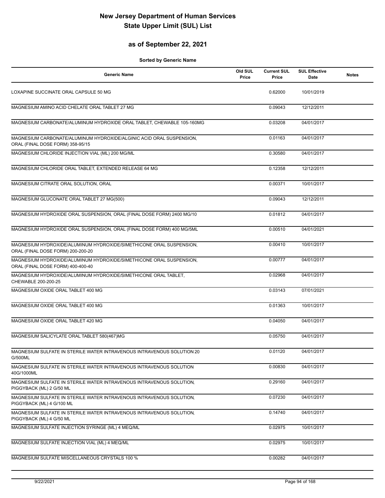## **as of September 22, 2021**

| <b>Generic Name</b>                                                                                      | Old SUL<br>Price | <b>Current SUL</b><br>Price | <b>SUL Effective</b><br>Date | <b>Notes</b> |
|----------------------------------------------------------------------------------------------------------|------------------|-----------------------------|------------------------------|--------------|
| LOXAPINE SUCCINATE ORAL CAPSULE 50 MG                                                                    |                  | 0.62000                     | 10/01/2019                   |              |
| MAGNESIUM AMINO ACID CHELATE ORAL TABLET 27 MG                                                           |                  | 0.09043                     | 12/12/2011                   |              |
| MAGNESIUM CARBONATE/ALUMINUM HYDROXIDE ORAL TABLET, CHEWABLE 105-160MG                                   |                  | 0.03208                     | 04/01/2017                   |              |
| MAGNESIUM CARBONATE/ALUMINUM HYDROXIDE/ALGINIC ACID ORAL SUSPENSION,<br>ORAL (FINAL DOSE FORM) 358-95/15 |                  | 0.01163                     | 04/01/2017                   |              |
| MAGNESIUM CHLORIDE INJECTION VIAL (ML) 200 MG/ML                                                         |                  | 0.30580                     | 04/01/2017                   |              |
| MAGNESIUM CHLORIDE ORAL TABLET, EXTENDED RELEASE 64 MG                                                   |                  | 0.12358                     | 12/12/2011                   |              |
| MAGNESIUM CITRATE ORAL SOLUTION, ORAL                                                                    |                  | 0.00371                     | 10/01/2017                   |              |
| MAGNESIUM GLUCONATE ORAL TABLET 27 MG(500)                                                               |                  | 0.09043                     | 12/12/2011                   |              |
| MAGNESIUM HYDROXIDE ORAL SUSPENSION, ORAL (FINAL DOSE FORM) 2400 MG/10                                   |                  | 0.01812                     | 04/01/2017                   |              |
| MAGNESIUM HYDROXIDE ORAL SUSPENSION, ORAL (FINAL DOSE FORM) 400 MG/5ML                                   |                  | 0.00510                     | 04/01/2021                   |              |
| MAGNESIUM HYDROXIDE/ALUMINUM HYDROXIDE/SIMETHICONE ORAL SUSPENSION,<br>ORAL (FINAL DOSE FORM) 200-200-20 |                  | 0.00410                     | 10/01/2017                   |              |
| MAGNESIUM HYDROXIDE/ALUMINUM HYDROXIDE/SIMETHICONE ORAL SUSPENSION,<br>ORAL (FINAL DOSE FORM) 400-400-40 |                  | 0.00777                     | 04/01/2017                   |              |
| MAGNESIUM HYDROXIDE/ALUMINUM HYDROXIDE/SIMETHICONE ORAL TABLET,<br>CHEWABLE 200-200-25                   |                  | 0.02968                     | 04/01/2017                   |              |
| MAGNESIUM OXIDE ORAL TABLET 400 MG                                                                       |                  | 0.03143                     | 07/01/2021                   |              |
| MAGNESIUM OXIDE ORAL TABLET 400 MG                                                                       |                  | 0.01363                     | 10/01/2017                   |              |
| MAGNESIUM OXIDE ORAL TABLET 420 MG                                                                       |                  | 0.04050                     | 04/01/2017                   |              |
| MAGNESIUM SALICYLATE ORAL TABLET 580(467)MG                                                              |                  | 0.05750                     | 04/01/2017                   |              |
| MAGNESIUM SULFATE IN STERILE WATER INTRAVENOUS INTRAVENOUS SOLUTION 20<br>G/500ML                        |                  | 0.01120                     | 04/01/2017                   |              |
| MAGNESIUM SULFATE IN STERILE WATER INTRAVENOUS INTRAVENOUS SOLUTION<br>40G/1000ML                        |                  | 0.00830                     | 04/01/2017                   |              |
| MAGNESIUM SULFATE IN STERILE WATER INTRAVENOUS INTRAVENOUS SOLUTION.<br>PIGGYBACK (ML) 2 G/50 ML         |                  | 0.29160                     | 04/01/2017                   |              |
| MAGNESIUM SULFATE IN STERILE WATER INTRAVENOUS INTRAVENOUS SOLUTION,<br>PIGGYBACK (ML) 4 G/100 ML        |                  | 0.07230                     | 04/01/2017                   |              |
| MAGNESIUM SULFATE IN STERILE WATER INTRAVENOUS INTRAVENOUS SOLUTION,<br>PIGGYBACK (ML) 4 G/50 ML         |                  | 0.14740                     | 04/01/2017                   |              |
| MAGNESIUM SULFATE INJECTION SYRINGE (ML) 4 MEQ/ML                                                        |                  | 0.02975                     | 10/01/2017                   |              |
| MAGNESIUM SULFATE INJECTION VIAL (ML) 4 MEQ/ML                                                           |                  | 0.02975                     | 10/01/2017                   |              |
| MAGNESIUM SULFATE MISCELLANEOUS CRYSTALS 100 %                                                           |                  | 0.00282                     | 04/01/2017                   |              |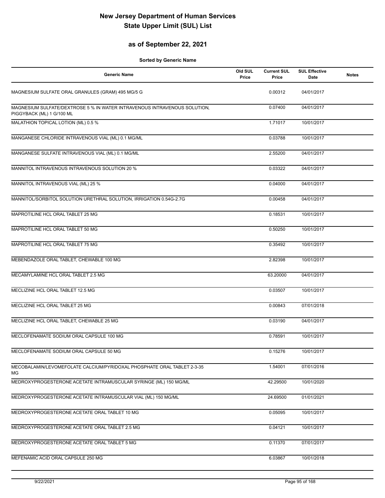## **as of September 22, 2021**

| <b>Generic Name</b>                                                                                    | Old SUL<br>Price | <b>Current SUL</b><br>Price | <b>SUL Effective</b><br><b>Date</b> | <b>Notes</b> |
|--------------------------------------------------------------------------------------------------------|------------------|-----------------------------|-------------------------------------|--------------|
| MAGNESIUM SULFATE ORAL GRANULES (GRAM) 495 MG/5 G                                                      |                  | 0.00312                     | 04/01/2017                          |              |
| MAGNESIUM SULFATE/DEXTROSE 5 % IN WATER INTRAVENOUS INTRAVENOUS SOLUTION,<br>PIGGYBACK (ML) 1 G/100 ML |                  | 0.07400                     | 04/01/2017                          |              |
| MALATHION TOPICAL LOTION (ML) 0.5 %                                                                    |                  | 1.71017                     | 10/01/2017                          |              |
| MANGANESE CHLORIDE INTRAVENOUS VIAL (ML) 0.1 MG/ML                                                     |                  | 0.03788                     | 10/01/2017                          |              |
| MANGANESE SULFATE INTRAVENOUS VIAL (ML) 0.1 MG/ML                                                      |                  | 2.55200                     | 04/01/2017                          |              |
| MANNITOL INTRAVENOUS INTRAVENOUS SOLUTION 20 %                                                         |                  | 0.03322                     | 04/01/2017                          |              |
| MANNITOL INTRAVENOUS VIAL (ML) 25 %                                                                    |                  | 0.04000                     | 04/01/2017                          |              |
| MANNITOL/SORBITOL SOLUTION URETHRAL SOLUTION, IRRIGATION 0.54G-2.7G                                    |                  | 0.00458                     | 04/01/2017                          |              |
| MAPROTILINE HCL ORAL TABLET 25 MG                                                                      |                  | 0.18531                     | 10/01/2017                          |              |
| MAPROTILINE HCL ORAL TABLET 50 MG                                                                      |                  | 0.50250                     | 10/01/2017                          |              |
| MAPROTILINE HCL ORAL TABLET 75 MG                                                                      |                  | 0.35492                     | 10/01/2017                          |              |
| MEBENDAZOLE ORAL TABLET, CHEWABLE 100 MG                                                               |                  | 2.82398                     | 10/01/2017                          |              |
| MECAMYLAMINE HCL ORAL TABLET 2.5 MG                                                                    |                  | 63.20000                    | 04/01/2017                          |              |
| MECLIZINE HCL ORAL TABLET 12.5 MG                                                                      |                  | 0.03507                     | 10/01/2017                          |              |
| MECLIZINE HCL ORAL TABLET 25 MG                                                                        |                  | 0.00843                     | 07/01/2018                          |              |
| MECLIZINE HCL ORAL TABLET, CHEWABLE 25 MG                                                              |                  | 0.03190                     | 04/01/2017                          |              |
| MECLOFENAMATE SODIUM ORAL CAPSULE 100 MG                                                               |                  | 0.78591                     | 10/01/2017                          |              |
| MECLOFENAMATE SODIUM ORAL CAPSULE 50 MG                                                                |                  | 0.15276                     | 10/01/2017                          |              |
| MECOBALAMIN/LEVOMEFOLATE CALCIUM/PYRIDOXAL PHOSPHATE ORAL TABLET 2-3-35<br>МG                          |                  | 1.54001                     | 07/01/2016                          |              |
| MEDROXYPROGESTERONE ACETATE INTRAMUSCULAR SYRINGE (ML) 150 MG/ML                                       |                  | 42.29500                    | 10/01/2020                          |              |
| MEDROXYPROGESTERONE ACETATE INTRAMUSCULAR VIAL (ML) 150 MG/ML                                          |                  | 24.69500                    | 01/01/2021                          |              |
| MEDROXYPROGESTERONE ACETATE ORAL TABLET 10 MG                                                          |                  | 0.05095                     | 10/01/2017                          |              |
| MEDROXYPROGESTERONE ACETATE ORAL TABLET 2.5 MG                                                         |                  | 0.04121                     | 10/01/2017                          |              |
| MEDROXYPROGESTERONE ACETATE ORAL TABLET 5 MG                                                           |                  | 0.11370                     | 07/01/2017                          |              |
| MEFENAMIC ACID ORAL CAPSULE 250 MG                                                                     |                  | 6.03867                     | 10/01/2018                          |              |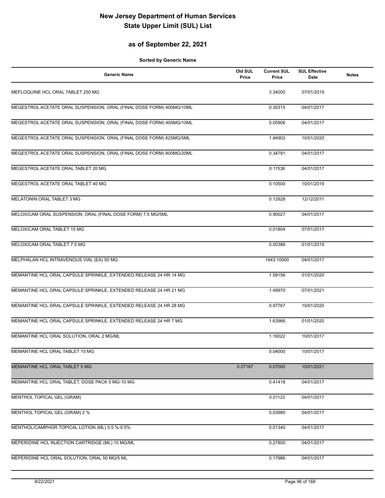## **as of September 22, 2021**

| <b>Generic Name</b>                                                  | Old SUL<br>Price | <b>Current SUL</b><br>Price | <b>SUL Effective</b><br>Date | <b>Notes</b> |
|----------------------------------------------------------------------|------------------|-----------------------------|------------------------------|--------------|
| MEFLOQUINE HCL ORAL TABLET 250 MG                                    |                  | 3.34000                     | 07/01/2019                   |              |
| MEGESTROL ACETATE ORAL SUSPENSION, ORAL (FINAL DOSE FORM) 400MG/10ML |                  | 0.30315                     | 04/01/2017                   |              |
| MEGESTROL ACETATE ORAL SUSPENSION, ORAL (FINAL DOSE FORM) 400MG/10ML |                  | 0.05906                     | 04/01/2017                   |              |
| MEGESTROL ACETATE ORAL SUSPENSION, ORAL (FINAL DOSE FORM) 625MG/5ML  |                  | 1.94902                     | 10/01/2020                   |              |
| MEGESTROL ACETATE ORAL SUSPENSION, ORAL (FINAL DOSE FORM) 800MG/20ML |                  | 0.34791                     | 04/01/2017                   |              |
| MEGESTROL ACETATE ORAL TABLET 20 MG                                  |                  | 0.11536                     | 04/01/2017                   |              |
| MEGESTROL ACETATE ORAL TABLET 40 MG                                  |                  | 0.10500                     | 10/01/2019                   |              |
| MELATONIN ORAL TABLET 3 MG                                           |                  | 0.12828                     | 12/12/2011                   |              |
| MELOXICAM ORAL SUSPENSION, ORAL (FINAL DOSE FORM) 7.5 MG/5ML         |                  | 0.90027                     | 04/01/2017                   |              |
| MELOXICAM ORAL TABLET 15 MG                                          |                  | 0.01804                     | 07/01/2017                   |              |
| MELOXICAM ORAL TABLET 7.5 MG                                         |                  | 0.00386                     | 01/01/2019                   |              |
| MELPHALAN HCL INTRAVENOUS VIAL (EA) 50 MG                            |                  | 1643.10000                  | 04/01/2017                   |              |
| MEMANTINE HCL ORAL CAPSULE SPRINKLE, EXTENDED RELEASE 24 HR 14 MG    |                  | 1.59156                     | 01/01/2020                   |              |
| MEMANTINE HCL ORAL CAPSULE SPRINKLE, EXTENDED RELEASE 24 HR 21 MG    |                  | 1.49970                     | 07/01/2021                   |              |
| MEMANTINE HCL ORAL CAPSULE SPRINKLE, EXTENDED RELEASE 24 HR 28 MG    |                  | 0.97767                     | 10/01/2020                   |              |
| MEMANTINE HCL ORAL CAPSULE SPRINKLE, EXTENDED RELEASE 24 HR 7 MG     |                  | 1.63966                     | 01/01/2020                   |              |
| MEMANTINE HCL ORAL SOLUTION, ORAL 2 MG/ML                            |                  | 1.16022                     | 10/01/2017                   |              |
| MEMANTINE HCL ORAL TABLET 10 MG                                      |                  | 0.04000                     | 10/01/2017                   |              |
| MEMANTINE HCL ORAL TABLET 5 MG                                       | 0.07167          | 0.07000                     | 10/01/2021                   |              |
| MEMANTINE HCL ORAL TABLET, DOSE PACK 5 MG-10 MG                      |                  | 0.41418                     | 04/01/2017                   |              |
| MENTHOL TOPICAL GEL (GRAM)                                           |                  | 0.01123                     | 04/01/2017                   |              |
| MENTHOL TOPICAL GEL (GRAM) 2 %                                       |                  | 0.03980                     | 04/01/2017                   |              |
| MENTHOL/CAMPHOR TOPICAL LOTION (ML) 0.5 %-0.5%                       |                  | 0.01340                     | 04/01/2017                   |              |
| MEPERIDINE HCL INJECTION CARTRIDGE (ML) 10 MG/ML                     |                  | 0.27800                     | 04/01/2017                   |              |
| MEPERIDINE HCL ORAL SOLUTION, ORAL 50 MG/5 ML                        |                  | 0.17986                     | 04/01/2017                   |              |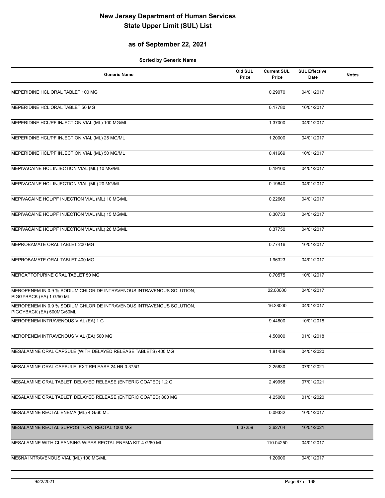## **as of September 22, 2021**

| <b>Generic Name</b>                                                                               | Old SUL<br>Price | <b>Current SUL</b><br>Price | <b>SUL Effective</b><br>Date | <b>Notes</b> |
|---------------------------------------------------------------------------------------------------|------------------|-----------------------------|------------------------------|--------------|
| MEPERIDINE HCL ORAL TABLET 100 MG                                                                 |                  | 0.29070                     | 04/01/2017                   |              |
| MEPERIDINE HCL ORAL TABLET 50 MG                                                                  |                  | 0.17780                     | 10/01/2017                   |              |
| MEPERIDINE HCL/PF INJECTION VIAL (ML) 100 MG/ML                                                   |                  | 1.37000                     | 04/01/2017                   |              |
| MEPERIDINE HCL/PF INJECTION VIAL (ML) 25 MG/ML                                                    |                  | 1.20000                     | 04/01/2017                   |              |
| MEPERIDINE HCL/PF INJECTION VIAL (ML) 50 MG/ML                                                    |                  | 0.41669                     | 10/01/2017                   |              |
| MEPIVACAINE HCL INJECTION VIAL (ML) 10 MG/ML                                                      |                  | 0.19100                     | 04/01/2017                   |              |
| MEPIVACAINE HCL INJECTION VIAL (ML) 20 MG/ML                                                      |                  | 0.19640                     | 04/01/2017                   |              |
| MEPIVACAINE HCL/PF INJECTION VIAL (ML) 10 MG/ML                                                   |                  | 0.22666                     | 04/01/2017                   |              |
| MEPIVACAINE HCL/PF INJECTION VIAL (ML) 15 MG/ML                                                   |                  | 0.30733                     | 04/01/2017                   |              |
| MEPIVACAINE HCL/PF INJECTION VIAL (ML) 20 MG/ML                                                   |                  | 0.37750                     | 04/01/2017                   |              |
| MEPROBAMATE ORAL TABLET 200 MG                                                                    |                  | 0.77416                     | 10/01/2017                   |              |
| MEPROBAMATE ORAL TABLET 400 MG                                                                    |                  | 1.96323                     | 04/01/2017                   |              |
| MERCAPTOPURINE ORAL TABLET 50 MG                                                                  |                  | 0.70575                     | 10/01/2017                   |              |
| MEROPENEM IN 0.9 % SODIUM CHLORIDE INTRAVENOUS INTRAVENOUS SOLUTION,<br>PIGGYBACK (EA) 1 G/50 ML  |                  | 22.00000                    | 04/01/2017                   |              |
| MEROPENEM IN 0.9 % SODIUM CHLORIDE INTRAVENOUS INTRAVENOUS SOLUTION,<br>PIGGYBACK (EA) 500MG/50ML |                  | 16.28000                    | 04/01/2017                   |              |
| MEROPENEM INTRAVENOUS VIAL (EA) 1 G                                                               |                  | 9.44800                     | 10/01/2018                   |              |
| MEROPENEM INTRAVENOUS VIAL (EA) 500 MG                                                            |                  | 4.50000                     | 01/01/2018                   |              |
| MESALAMINE ORAL CAPSULE (WITH DELAYED RELEASE TABLETS) 400 MG                                     |                  | 1.81439                     | 04/01/2020                   |              |
| MESALAMINE ORAL CAPSULE, EXT RELEASE 24 HR 0.375G                                                 |                  | 2.25630                     | 07/01/2021                   |              |
| MESALAMINE ORAL TABLET, DELAYED RELEASE (ENTERIC COATED) 1.2 G                                    |                  | 2.49958                     | 07/01/2021                   |              |
| MESALAMINE ORAL TABLET, DELAYED RELEASE (ENTERIC COATED) 800 MG                                   |                  | 4.25000                     | 01/01/2020                   |              |
| MESALAMINE RECTAL ENEMA (ML) 4 G/60 ML                                                            |                  | 0.09332                     | 10/01/2017                   |              |
| MESALAMINE RECTAL SUPPOSITORY, RECTAL 1000 MG                                                     | 6.37259          | 3.62764                     | 10/01/2021                   |              |
| MESALAMINE WITH CLEANSING WIPES RECTAL ENEMA KIT 4 G/60 ML                                        |                  | 110.04250                   | 04/01/2017                   |              |
| MESNA INTRAVENOUS VIAL (ML) 100 MG/ML                                                             |                  | 1.20000                     | 04/01/2017                   |              |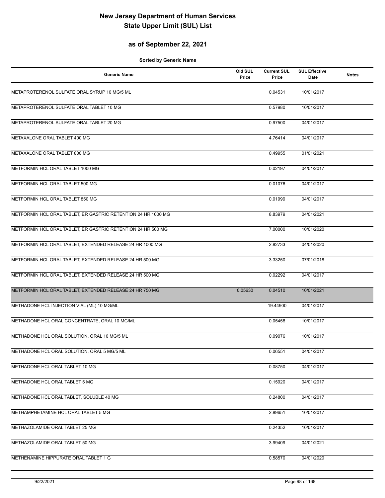## **as of September 22, 2021**

| <b>Generic Name</b>                                           | Old SUL<br>Price | <b>Current SUL</b><br>Price | <b>SUL Effective</b><br>Date | <b>Notes</b> |
|---------------------------------------------------------------|------------------|-----------------------------|------------------------------|--------------|
| METAPROTERENOL SULFATE ORAL SYRUP 10 MG/5 ML                  |                  | 0.04531                     | 10/01/2017                   |              |
| METAPROTERENOL SULFATE ORAL TABLET 10 MG                      |                  | 0.57980                     | 10/01/2017                   |              |
| METAPROTERENOL SULFATE ORAL TABLET 20 MG                      |                  | 0.97500                     | 04/01/2017                   |              |
| METAXALONE ORAL TABLET 400 MG                                 |                  | 4.76414                     | 04/01/2017                   |              |
| METAXALONE ORAL TABLET 800 MG                                 |                  | 0.49955                     | 01/01/2021                   |              |
| METFORMIN HCL ORAL TABLET 1000 MG                             |                  | 0.02197                     | 04/01/2017                   |              |
| METFORMIN HCL ORAL TABLET 500 MG                              |                  | 0.01076                     | 04/01/2017                   |              |
| METFORMIN HCL ORAL TABLET 850 MG                              |                  | 0.01999                     | 04/01/2017                   |              |
| METFORMIN HCL ORAL TABLET, ER GASTRIC RETENTION 24 HR 1000 MG |                  | 8.83979                     | 04/01/2021                   |              |
| METFORMIN HCL ORAL TABLET, ER GASTRIC RETENTION 24 HR 500 MG  |                  | 7.00000                     | 10/01/2020                   |              |
| METFORMIN HCL ORAL TABLET, EXTENDED RELEASE 24 HR 1000 MG     |                  | 2.82733                     | 04/01/2020                   |              |
| METFORMIN HCL ORAL TABLET, EXTENDED RELEASE 24 HR 500 MG      |                  | 3.33250                     | 07/01/2018                   |              |
| METFORMIN HCL ORAL TABLET, EXTENDED RELEASE 24 HR 500 MG      |                  | 0.02292                     | 04/01/2017                   |              |
| METFORMIN HCL ORAL TABLET, EXTENDED RELEASE 24 HR 750 MG      | 0.05630          | 0.04510                     | 10/01/2021                   |              |
| METHADONE HCL INJECTION VIAL (ML) 10 MG/ML                    |                  | 19.44900                    | 04/01/2017                   |              |
| METHADONE HCL ORAL CONCENTRATE, ORAL 10 MG/ML                 |                  | 0.05458                     | 10/01/2017                   |              |
| METHADONE HCL ORAL SOLUTION, ORAL 10 MG/5 ML                  |                  | 0.09076                     | 10/01/2017                   |              |
| METHADONE HCL ORAL SOLUTION, ORAL 5 MG/5 ML                   |                  | 0.06551                     | 04/01/2017                   |              |
| METHADONE HCL ORAL TABLET 10 MG                               |                  | 0.08750                     | 04/01/2017                   |              |
| METHADONE HCL ORAL TABLET 5 MG                                |                  | 0.15920                     | 04/01/2017                   |              |
| METHADONE HCL ORAL TABLET, SOLUBLE 40 MG                      |                  | 0.24800                     | 04/01/2017                   |              |
| METHAMPHETAMINE HCL ORAL TABLET 5 MG                          |                  | 2.89651                     | 10/01/2017                   |              |
| METHAZOLAMIDE ORAL TABLET 25 MG                               |                  | 0.24352                     | 10/01/2017                   |              |
| METHAZOLAMIDE ORAL TABLET 50 MG                               |                  | 3.99409                     | 04/01/2021                   |              |
| METHENAMINE HIPPURATE ORAL TABLET 1 G                         |                  | 0.58570                     | 04/01/2020                   |              |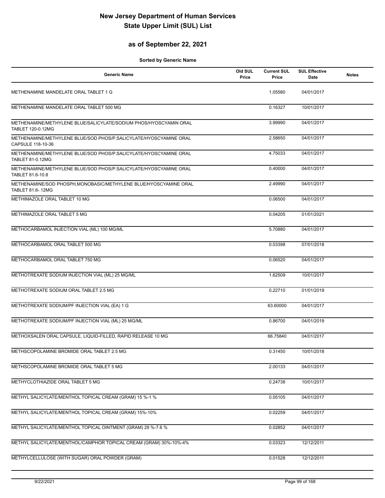## **as of September 22, 2021**

| <b>Generic Name</b>                                                                          | Old SUL<br>Price | <b>Current SUL</b><br>Price | <b>SUL Effective</b><br>Date | <b>Notes</b> |
|----------------------------------------------------------------------------------------------|------------------|-----------------------------|------------------------------|--------------|
| METHENAMINE MANDELATE ORAL TABLET 1 G                                                        |                  | 1.05580                     | 04/01/2017                   |              |
| METHENAMINE MANDELATE ORAL TABLET 500 MG                                                     |                  | 0.16327                     | 10/01/2017                   |              |
| METHENAMINE/METHYLENE BLUE/SALICYLATE/SODIUM PHOS/HYOSCYAMIN ORAL<br>TABLET 120-0.12MG       |                  | 3.99990                     | 04/01/2017                   |              |
| METHENAMINE/METHYLENE BLUE/SOD PHOS/P.SALICYLATE/HYOSCYAMINE ORAL<br>CAPSULE 118-10-36       |                  | 2.58650                     | 04/01/2017                   |              |
| METHENAMINE/METHYLENE BLUE/SOD PHOS/P.SALICYLATE/HYOSCYAMINE ORAL<br><b>TABLET 81-0.12MG</b> |                  | 4.75033                     | 04/01/2017                   |              |
| METHENAMINE/METHYLENE BLUE/SOD PHOS/P.SALICYLATE/HYOSCYAMINE ORAL<br>TABLET 81.6-10.8        |                  | 0.40000                     | 04/01/2017                   |              |
| METHENAMINE/SOD PHOSPH, MONOBASIC/METHYLENE BLUE/HYOSCYAMINE ORAL<br>TABLET 81.6-.12MG       |                  | 2.49990                     | 04/01/2017                   |              |
| METHIMAZOLE ORAL TABLET 10 MG                                                                |                  | 0.06500                     | 04/01/2017                   |              |
| METHIMAZOLE ORAL TABLET 5 MG                                                                 |                  | 0.04205                     | 01/01/2021                   |              |
| METHOCARBAMOL INJECTION VIAL (ML) 100 MG/ML                                                  |                  | 5.70880                     | 04/01/2017                   |              |
| METHOCARBAMOL ORAL TABLET 500 MG                                                             |                  | 0.03398                     | 07/01/2018                   |              |
| METHOCARBAMOL ORAL TABLET 750 MG                                                             |                  | 0.06520                     | 04/01/2017                   |              |
| METHOTREXATE SODIUM INJECTION VIAL (ML) 25 MG/ML                                             |                  | 1.62509                     | 10/01/2017                   |              |
| METHOTREXATE SODIUM ORAL TABLET 2.5 MG                                                       |                  | 0.22710                     | 01/01/2019                   |              |
| METHOTREXATE SODIUM/PF INJECTION VIAL (EA) 1 G                                               |                  | 63.60000                    | 04/01/2017                   |              |
| METHOTREXATE SODIUM/PF INJECTION VIAL (ML) 25 MG/ML                                          |                  | 0.86700                     | 04/01/2019                   |              |
| METHOXSALEN ORAL CAPSULE, LIQUID-FILLED, RAPID RELEASE 10 MG                                 |                  | 66.75840                    | 04/01/2017                   |              |
| METHSCOPOLAMINE BROMIDE ORAL TABLET 2.5 MG                                                   |                  | 0.31450                     | 10/01/2018                   |              |
| METHSCOPOLAMINE BROMIDE ORAL TABLET 5 MG                                                     |                  | 2.00133                     | 04/01/2017                   |              |
| METHYCLOTHIAZIDE ORAL TABLET 5 MG                                                            |                  | 0.24738                     | 10/01/2017                   |              |
| METHYL SALICYLATE/MENTHOL TOPICAL CREAM (GRAM) 15 %-1 %                                      |                  | 0.05105                     | 04/01/2017                   |              |
| METHYL SALICYLATE/MENTHOL TOPICAL CREAM (GRAM) 15%-10%                                       |                  | 0.02259                     | 04/01/2017                   |              |
| METHYL SALICYLATE/MENTHOL TOPICAL OINTMENT (GRAM) 29 %-7.6 %                                 |                  | 0.02852                     | 04/01/2017                   |              |
| METHYL SALICYLATE/MENTHOL/CAMPHOR TOPICAL CREAM (GRAM) 30%-10%-4%                            |                  | 0.03323                     | 12/12/2011                   |              |
| METHYLCELLULOSE (WITH SUGAR) ORAL POWDER (GRAM)                                              |                  | 0.01528                     | 12/12/2011                   |              |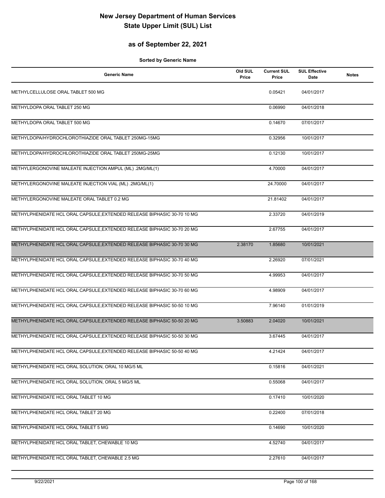## **as of September 22, 2021**

| <b>Generic Name</b>                                                     | Old SUL<br>Price | <b>Current SUL</b><br>Price | <b>SUL Effective</b><br>Date | <b>Notes</b> |
|-------------------------------------------------------------------------|------------------|-----------------------------|------------------------------|--------------|
| METHYLCELLULOSE ORAL TABLET 500 MG                                      |                  | 0.05421                     | 04/01/2017                   |              |
| METHYLDOPA ORAL TABLET 250 MG                                           |                  | 0.06990                     | 04/01/2018                   |              |
| METHYLDOPA ORAL TABLET 500 MG                                           |                  | 0.14670                     | 07/01/2017                   |              |
| METHYLDOPA/HYDROCHLOROTHIAZIDE ORAL TABLET 250MG-15MG                   |                  | 0.32956                     | 10/01/2017                   |              |
| METHYLDOPA/HYDROCHLOROTHIAZIDE ORAL TABLET 250MG-25MG                   |                  | 0.12130                     | 10/01/2017                   |              |
| METHYLERGONOVINE MALEATE INJECTION AMPUL (ML) .2MG/ML(1)                |                  | 4.70000                     | 04/01/2017                   |              |
| METHYLERGONOVINE MALEATE INJECTION VIAL (ML) .2MG/ML(1)                 |                  | 24.70000                    | 04/01/2017                   |              |
| METHYLERGONOVINE MALEATE ORAL TABLET 0.2 MG                             |                  | 21.81402                    | 04/01/2017                   |              |
| METHYLPHENIDATE HCL ORAL CAPSULE, EXTENDED RELEASE BIPHASIC 30-70 10 MG |                  | 2.33720                     | 04/01/2019                   |              |
| METHYLPHENIDATE HCL ORAL CAPSULE, EXTENDED RELEASE BIPHASIC 30-70 20 MG |                  | 2.67755                     | 04/01/2017                   |              |
| METHYLPHENIDATE HCL ORAL CAPSULE, EXTENDED RELEASE BIPHASIC 30-70 30 MG | 2.38170          | 1.85680                     | 10/01/2021                   |              |
| METHYLPHENIDATE HCL ORAL CAPSULE, EXTENDED RELEASE BIPHASIC 30-70 40 MG |                  | 2.26920                     | 07/01/2021                   |              |
| METHYLPHENIDATE HCL ORAL CAPSULE, EXTENDED RELEASE BIPHASIC 30-70 50 MG |                  | 4.99953                     | 04/01/2017                   |              |
| METHYLPHENIDATE HCL ORAL CAPSULE, EXTENDED RELEASE BIPHASIC 30-70 60 MG |                  | 4.98909                     | 04/01/2017                   |              |
| METHYLPHENIDATE HCL ORAL CAPSULE, EXTENDED RELEASE BIPHASIC 50-50 10 MG |                  | 7.96140                     | 01/01/2019                   |              |
| METHYLPHENIDATE HCL ORAL CAPSULE, EXTENDED RELEASE BIPHASIC 50-50 20 MG | 3.50883          | 2.04020                     | 10/01/2021                   |              |
| METHYLPHENIDATE HCL ORAL CAPSULE, EXTENDED RELEASE BIPHASIC 50-50 30 MG |                  | 3.67445                     | 04/01/2017                   |              |
| METHYLPHENIDATE HCL ORAL CAPSULE, EXTENDED RELEASE BIPHASIC 50-50 40 MG |                  | 4.21424                     | 04/01/2017                   |              |
| METHYLPHENIDATE HCL ORAL SOLUTION, ORAL 10 MG/5 ML                      |                  | 0.15816                     | 04/01/2021                   |              |
| METHYLPHENIDATE HCL ORAL SOLUTION, ORAL 5 MG/5 ML                       |                  | 0.55068                     | 04/01/2017                   |              |
| METHYLPHENIDATE HCL ORAL TABLET 10 MG                                   |                  | 0.17410                     | 10/01/2020                   |              |
| METHYLPHENIDATE HCL ORAL TABLET 20 MG                                   |                  | 0.22400                     | 07/01/2018                   |              |
| METHYLPHENIDATE HCL ORAL TABLET 5 MG                                    |                  | 0.14690                     | 10/01/2020                   |              |
| METHYLPHENIDATE HCL ORAL TABLET, CHEWABLE 10 MG                         |                  | 4.52740                     | 04/01/2017                   |              |
| METHYLPHENIDATE HCL ORAL TABLET, CHEWABLE 2.5 MG                        |                  | 2.27610                     | 04/01/2017                   |              |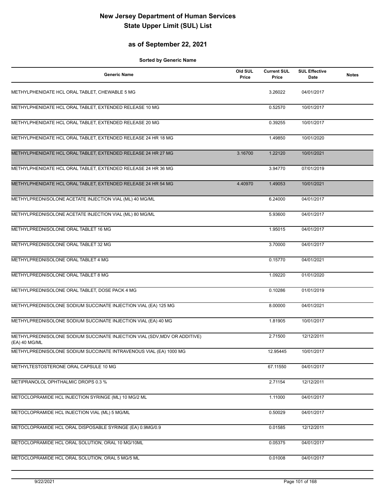## **as of September 22, 2021**

| <b>Generic Name</b>                                                                        | Old SUL<br>Price | <b>Current SUL</b><br>Price | <b>SUL Effective</b><br>Date | <b>Notes</b> |
|--------------------------------------------------------------------------------------------|------------------|-----------------------------|------------------------------|--------------|
| METHYLPHENIDATE HCL ORAL TABLET, CHEWABLE 5 MG                                             |                  | 3.26022                     | 04/01/2017                   |              |
| METHYLPHENIDATE HCL ORAL TABLET, EXTENDED RELEASE 10 MG                                    |                  | 0.52570                     | 10/01/2017                   |              |
| METHYLPHENIDATE HCL ORAL TABLET, EXTENDED RELEASE 20 MG                                    |                  | 0.39255                     | 10/01/2017                   |              |
| METHYLPHENIDATE HCL ORAL TABLET, EXTENDED RELEASE 24 HR 18 MG                              |                  | 1.49850                     | 10/01/2020                   |              |
| METHYLPHENIDATE HCL ORAL TABLET, EXTENDED RELEASE 24 HR 27 MG                              | 3.16700          | 1.22120                     | 10/01/2021                   |              |
| METHYLPHENIDATE HCL ORAL TABLET, EXTENDED RELEASE 24 HR 36 MG                              |                  | 3.94770                     | 07/01/2019                   |              |
| METHYLPHENIDATE HCL ORAL TABLET, EXTENDED RELEASE 24 HR 54 MG                              | 4.40970          | 1.49053                     | 10/01/2021                   |              |
| METHYLPREDNISOLONE ACETATE INJECTION VIAL (ML) 40 MG/ML                                    |                  | 6.24000                     | 04/01/2017                   |              |
| METHYLPREDNISOLONE ACETATE INJECTION VIAL (ML) 80 MG/ML                                    |                  | 5.93600                     | 04/01/2017                   |              |
| METHYLPREDNISOLONE ORAL TABLET 16 MG                                                       |                  | 1.95015                     | 04/01/2017                   |              |
| METHYLPREDNISOLONE ORAL TABLET 32 MG                                                       |                  | 3.70000                     | 04/01/2017                   |              |
| METHYLPREDNISOLONE ORAL TABLET 4 MG                                                        |                  | 0.15770                     | 04/01/2021                   |              |
| METHYLPREDNISOLONE ORAL TABLET 8 MG                                                        |                  | 1.09220                     | 01/01/2020                   |              |
| METHYLPREDNISOLONE ORAL TABLET, DOSE PACK 4 MG                                             |                  | 0.10286                     | 01/01/2019                   |              |
| METHYLPREDNISOLONE SODIUM SUCCINATE INJECTION VIAL (EA) 125 MG                             |                  | 8.00000                     | 04/01/2021                   |              |
| METHYLPREDNISOLONE SODIUM SUCCINATE INJECTION VIAL (EA) 40 MG                              |                  | 1.81905                     | 10/01/2017                   |              |
| METHYLPREDNISOLONE SODIUM SUCCINATE INJECTION VIAL (SDV, MDV OR ADDITIVE)<br>(EA) 40 MG/ML |                  | 2.71500                     | 12/12/2011                   |              |
| METHYLPREDNISOLONE SODIUM SUCCINATE INTRAVENOUS VIAL (EA) 1000 MG                          |                  | 12.95445                    | 10/01/2017                   |              |
| METHYLTESTOSTERONE ORAL CAPSULE 10 MG                                                      |                  | 67.11550                    | 04/01/2017                   |              |
| METIPRANOLOL OPHTHALMIC DROPS 0.3 %                                                        |                  | 2.71154                     | 12/12/2011                   |              |
| METOCLOPRAMIDE HCL INJECTION SYRINGE (ML) 10 MG/2 ML                                       |                  | 1.11000                     | 04/01/2017                   |              |
| METOCLOPRAMIDE HCL INJECTION VIAL (ML) 5 MG/ML                                             |                  | 0.50029                     | 04/01/2017                   |              |
| METOCLOPRAMIDE HCL ORAL DISPOSABLE SYRINGE (EA) 0.9MG/0.9                                  |                  | 0.01585                     | 12/12/2011                   |              |
| METOCLOPRAMIDE HCL ORAL SOLUTION, ORAL 10 MG/10ML                                          |                  | 0.05375                     | 04/01/2017                   |              |
| METOCLOPRAMIDE HCL ORAL SOLUTION, ORAL 5 MG/5 ML                                           |                  | 0.01008                     | 04/01/2017                   |              |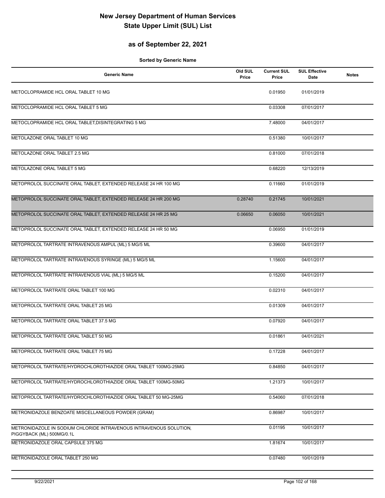## **as of September 22, 2021**

| <b>Generic Name</b>                                                | Old SUL<br>Price | <b>Current SUL</b><br>Price | <b>SUL Effective</b><br>Date | <b>Notes</b> |
|--------------------------------------------------------------------|------------------|-----------------------------|------------------------------|--------------|
| METOCLOPRAMIDE HCL ORAL TABLET 10 MG                               |                  | 0.01950                     | 01/01/2019                   |              |
| METOCLOPRAMIDE HCL ORAL TABLET 5 MG                                |                  | 0.03308                     | 07/01/2017                   |              |
| METOCLOPRAMIDE HCL ORAL TABLET, DISINTEGRATING 5 MG                |                  | 7.48000                     | 04/01/2017                   |              |
| METOLAZONE ORAL TABLET 10 MG                                       |                  | 0.51380                     | 10/01/2017                   |              |
| METOLAZONE ORAL TABLET 2.5 MG                                      |                  | 0.81000                     | 07/01/2018                   |              |
| METOLAZONE ORAL TABLET 5 MG                                        |                  | 0.68220                     | 12/13/2019                   |              |
| METOPROLOL SUCCINATE ORAL TABLET, EXTENDED RELEASE 24 HR 100 MG    |                  | 0.11660                     | 01/01/2019                   |              |
| METOPROLOL SUCCINATE ORAL TABLET, EXTENDED RELEASE 24 HR 200 MG    | 0.28740          | 0.21745                     | 10/01/2021                   |              |
| METOPROLOL SUCCINATE ORAL TABLET, EXTENDED RELEASE 24 HR 25 MG     | 0.06650          | 0.06050                     | 10/01/2021                   |              |
| METOPROLOL SUCCINATE ORAL TABLET, EXTENDED RELEASE 24 HR 50 MG     |                  | 0.06950                     | 01/01/2019                   |              |
| METOPROLOL TARTRATE INTRAVENOUS AMPUL (ML) 5 MG/5 ML               |                  | 0.39600                     | 04/01/2017                   |              |
| METOPROLOL TARTRATE INTRAVENOUS SYRINGE (ML) 5 MG/5 ML             |                  | 1.15600                     | 04/01/2017                   |              |
| METOPROLOL TARTRATE INTRAVENOUS VIAL (ML) 5 MG/5 ML                |                  | 0.15200                     | 04/01/2017                   |              |
| METOPROLOL TARTRATE ORAL TABLET 100 MG                             |                  | 0.02310                     | 04/01/2017                   |              |
| METOPROLOL TARTRATE ORAL TABLET 25 MG                              |                  | 0.01309                     | 04/01/2017                   |              |
| METOPROLOL TARTRATE ORAL TABLET 37.5 MG                            |                  | 0.07920                     | 04/01/2017                   |              |
| METOPROLOL TARTRATE ORAL TABLET 50 MG                              |                  | 0.01861                     | 04/01/2021                   |              |
| METOPROLOL TARTRATE ORAL TABLET 75 MG                              |                  | 0.17228                     | 04/01/2017                   |              |
| METOPROLOL TARTRATE/HYDROCHLOROTHIAZIDE ORAL TABLET 100MG-25MG     |                  | 0.84850                     | 04/01/2017                   |              |
| METOPROLOL TARTRATE/HYDROCHLOROTHIAZIDE ORAL TABLET 100MG-50MG     |                  | 1.21373                     | 10/01/2017                   |              |
| METOPROLOL TARTRATE/HYDROCHLOROTHIAZIDE ORAL TABLET 50 MG-25MG     |                  | 0.54060                     | 07/01/2018                   |              |
| METRONIDAZOLE BENZOATE MISCELLANEOUS POWDER (GRAM)                 |                  | 0.86987                     | 10/01/2017                   |              |
| METRONIDAZOLE IN SODIUM CHLORIDE INTRAVENOUS INTRAVENOUS SOLUTION. |                  | 0.01195                     | 10/01/2017                   |              |
| PIGGYBACK (ML) 500MG/0.1L<br>METRONIDAZOLE ORAL CAPSULE 375 MG     |                  | 1.81674                     | 10/01/2017                   |              |
| METRONIDAZOLE ORAL TABLET 250 MG                                   |                  | 0.07480                     | 10/01/2019                   |              |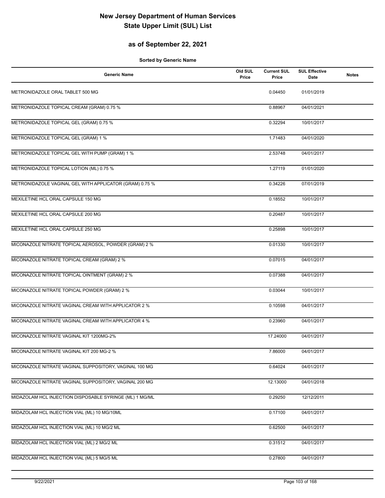## **as of September 22, 2021**

| <b>Generic Name</b>                                     | Old SUL<br>Price | <b>Current SUL</b><br>Price | <b>SUL Effective</b><br><b>Date</b> | <b>Notes</b> |
|---------------------------------------------------------|------------------|-----------------------------|-------------------------------------|--------------|
| METRONIDAZOLE ORAL TABLET 500 MG                        |                  | 0.04450                     | 01/01/2019                          |              |
| METRONIDAZOLE TOPICAL CREAM (GRAM) 0.75 %               |                  | 0.88967                     | 04/01/2021                          |              |
| METRONIDAZOLE TOPICAL GEL (GRAM) 0.75 %                 |                  | 0.32294                     | 10/01/2017                          |              |
| METRONIDAZOLE TOPICAL GEL (GRAM) 1 %                    |                  | 1.71483                     | 04/01/2020                          |              |
| METRONIDAZOLE TOPICAL GEL WITH PUMP (GRAM) 1 %          |                  | 2.53748                     | 04/01/2017                          |              |
| METRONIDAZOLE TOPICAL LOTION (ML) 0.75 %                |                  | 1.27119                     | 01/01/2020                          |              |
| METRONIDAZOLE VAGINAL GEL WITH APPLICATOR (GRAM) 0.75 % |                  | 0.34226                     | 07/01/2019                          |              |
| MEXILETINE HCL ORAL CAPSULE 150 MG                      |                  | 0.18552                     | 10/01/2017                          |              |
| MEXILETINE HCL ORAL CAPSULE 200 MG                      |                  | 0.20487                     | 10/01/2017                          |              |
| MEXILETINE HCL ORAL CAPSULE 250 MG                      |                  | 0.25898                     | 10/01/2017                          |              |
| MICONAZOLE NITRATE TOPICAL AEROSOL, POWDER (GRAM) 2 %   |                  | 0.01330                     | 10/01/2017                          |              |
| MICONAZOLE NITRATE TOPICAL CREAM (GRAM) 2 %             |                  | 0.07015                     | 04/01/2017                          |              |
| MICONAZOLE NITRATE TOPICAL OINTMENT (GRAM) 2 %          |                  | 0.07388                     | 04/01/2017                          |              |
| MICONAZOLE NITRATE TOPICAL POWDER (GRAM) 2 %            |                  | 0.03044                     | 10/01/2017                          |              |
| MICONAZOLE NITRATE VAGINAL CREAM WITH APPLICATOR 2 %    |                  | 0.10598                     | 04/01/2017                          |              |
| MICONAZOLE NITRATE VAGINAL CREAM WITH APPLICATOR 4 %    |                  | 0.23960                     | 04/01/2017                          |              |
| MICONAZOLE NITRATE VAGINAL KIT 1200MG-2%                |                  | 17.24000                    | 04/01/2017                          |              |
| MICONAZOLE NITRATE VAGINAL KIT 200 MG-2 %               |                  | 7.86000                     | 04/01/2017                          |              |
| MICONAZOLE NITRATE VAGINAL SUPPOSITORY, VAGINAL 100 MG  |                  | 0.64024                     | 04/01/2017                          |              |
| MICONAZOLE NITRATE VAGINAL SUPPOSITORY, VAGINAL 200 MG  |                  | 12.13000                    | 04/01/2018                          |              |
| MIDAZOLAM HCL INJECTION DISPOSABLE SYRINGE (ML) 1 MG/ML |                  | 0.29250                     | 12/12/2011                          |              |
| MIDAZOLAM HCL INJECTION VIAL (ML) 10 MG/10ML            |                  | 0.17100                     | 04/01/2017                          |              |
| MIDAZOLAM HCL INJECTION VIAL (ML) 10 MG/2 ML            |                  | 0.62500                     | 04/01/2017                          |              |
| MIDAZOLAM HCL INJECTION VIAL (ML) 2 MG/2 ML             |                  | 0.31512                     | 04/01/2017                          |              |
| MIDAZOLAM HCL INJECTION VIAL (ML) 5 MG/5 ML             |                  | 0.27800                     | 04/01/2017                          |              |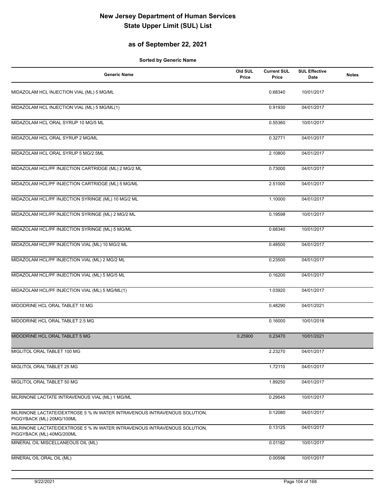## **as of September 22, 2021**

| Generic Name                                                                                           | Old SUL<br>Price | <b>Current SUL</b><br>Price | <b>SUL Effective</b><br>Date | <b>Notes</b> |
|--------------------------------------------------------------------------------------------------------|------------------|-----------------------------|------------------------------|--------------|
| MIDAZOLAM HCL INJECTION VIAL (ML) 5 MG/ML                                                              |                  | 0.68340                     | 10/01/2017                   |              |
| MIDAZOLAM HCL INJECTION VIAL (ML) 5 MG/ML(1)                                                           |                  | 0.91930                     | 04/01/2017                   |              |
| MIDAZOLAM HCL ORAL SYRUP 10 MG/5 ML                                                                    |                  | 0.55360                     | 10/01/2017                   |              |
| MIDAZOLAM HCL ORAL SYRUP 2 MG/ML                                                                       |                  | 0.32771                     | 04/01/2017                   |              |
| MIDAZOLAM HCL ORAL SYRUP 5 MG/2.5ML                                                                    |                  | 2.10800                     | 04/01/2017                   |              |
| MIDAZOLAM HCL/PF INJECTION CARTRIDGE (ML) 2 MG/2 ML                                                    |                  | 0.73000                     | 04/01/2017                   |              |
| MIDAZOLAM HCL/PF INJECTION CARTRIDGE (ML) 5 MG/ML                                                      |                  | 2.51000                     | 04/01/2017                   |              |
| MIDAZOLAM HCL/PF INJECTION SYRINGE (ML) 10 MG/2 ML                                                     |                  | 1.10000                     | 04/01/2017                   |              |
| MIDAZOLAM HCL/PF INJECTION SYRINGE (ML) 2 MG/2 ML                                                      |                  | 0.19598                     | 10/01/2017                   |              |
| MIDAZOLAM HCL/PF INJECTION SYRINGE (ML) 5 MG/ML                                                        |                  | 0.68340                     | 10/01/2017                   |              |
| MIDAZOLAM HCL/PF INJECTION VIAL (ML) 10 MG/2 ML                                                        |                  | 0.48500                     | 04/01/2017                   |              |
| MIDAZOLAM HCL/PF INJECTION VIAL (ML) 2 MG/2 ML                                                         |                  | 0.23500                     | 04/01/2017                   |              |
| MIDAZOLAM HCL/PF INJECTION VIAL (ML) 5 MG/5 ML                                                         |                  | 0.16200                     | 04/01/2017                   |              |
| MIDAZOLAM HCL/PF INJECTION VIAL (ML) 5 MG/ML(1)                                                        |                  | 1.03920                     | 04/01/2017                   |              |
| MIDODRINE HCL ORAL TABLET 10 MG                                                                        |                  | 0.48290                     | 04/01/2021                   |              |
| MIDODRINE HCL ORAL TABLET 2.5 MG                                                                       |                  | 0.16000                     | 10/01/2018                   |              |
| MIDODRINE HCL ORAL TABLET 5 MG                                                                         | 0.25900          | 0.23470                     | 10/01/2021                   |              |
| MIGLITOL ORAL TABLET 100 MG                                                                            |                  | 2.23270                     | 04/01/2017                   |              |
| MIGLITOL ORAL TABLET 25 MG                                                                             |                  | 1.72110                     | 04/01/2017                   |              |
| MIGLITOL ORAL TABLET 50 MG                                                                             |                  | 1.89250                     | 04/01/2017                   |              |
| MILRINONE LACTATE INTRAVENOUS VIAL (ML) 1 MG/ML                                                        |                  | 0.29545                     | 10/01/2017                   |              |
| MILRINONE LACTATE/DEXTROSE 5 % IN WATER INTRAVENOUS INTRAVENOUS SOLUTION,<br>PIGGYBACK (ML) 20MG/100ML |                  | 0.12080                     | 04/01/2017                   |              |
| MILRINONE LACTATE/DEXTROSE 5 % IN WATER INTRAVENOUS INTRAVENOUS SOLUTION.<br>PIGGYBACK (ML) 40MG/200ML |                  | 0.13125                     | 04/01/2017                   |              |
| MINERAL OIL MISCELLANEOUS OIL (ML)                                                                     |                  | 0.01182                     | 10/01/2017                   |              |
| MINERAL OIL ORAL OIL (ML)                                                                              |                  | 0.00596                     | 10/01/2017                   |              |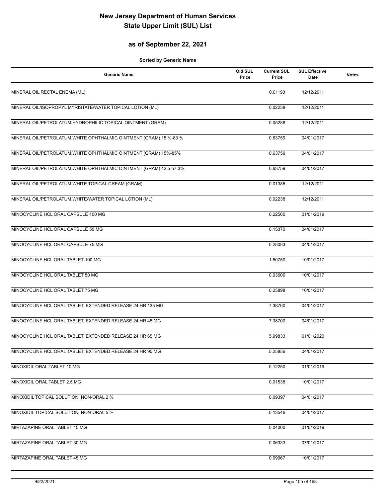## **as of September 22, 2021**

| <b>Generic Name</b>                                                 | Old SUL<br>Price | <b>Current SUL</b><br>Price | <b>SUL Effective</b><br>Date | <b>Notes</b> |
|---------------------------------------------------------------------|------------------|-----------------------------|------------------------------|--------------|
| MINERAL OIL RECTAL ENEMA (ML)                                       |                  | 0.01190                     | 12/12/2011                   |              |
| MINERAL OIL/ISOPROPYL MYRISTATE/WATER TOPICAL LOTION (ML)           |                  | 0.02238                     | 12/12/2011                   |              |
| MINERAL OIL/PETROLATUM, HYDROPHILIC TOPICAL OINTMENT (GRAM)         |                  | 0.05288                     | 12/12/2011                   |              |
| MINERAL OIL/PETROLATUM, WHITE OPHTHALMIC OINTMENT (GRAM) 15 %-83 %  |                  | 0.63759                     | 04/01/2017                   |              |
| MINERAL OIL/PETROLATUM, WHITE OPHTHALMIC OINTMENT (GRAM) 15%-85%    |                  | 0.63759                     | 04/01/2017                   |              |
| MINERAL OIL/PETROLATUM, WHITE OPHTHALMIC OINTMENT (GRAM) 42.5-57.3% |                  | 0.63759                     | 04/01/2017                   |              |
| MINERAL OIL/PETROLATUM, WHITE TOPICAL CREAM (GRAM)                  |                  | 0.01385                     | 12/12/2011                   |              |
| MINERAL OIL/PETROLATUM, WHITE/WATER TOPICAL LOTION (ML)             |                  | 0.02238                     | 12/12/2011                   |              |
| MINOCYCLINE HCL ORAL CAPSULE 100 MG                                 |                  | 0.22560                     | 01/01/2019                   |              |
| MINOCYCLINE HCL ORAL CAPSULE 50 MG                                  |                  | 0.15370                     | 04/01/2017                   |              |
| MINOCYCLINE HCL ORAL CAPSULE 75 MG                                  |                  | 0.28083                     | 04/01/2017                   |              |
| MINOCYCLINE HCL ORAL TABLET 100 MG                                  |                  | 1.50750                     | 10/01/2017                   |              |
| MINOCYCLINE HCL ORAL TABLET 50 MG                                   |                  | 0.93606                     | 10/01/2017                   |              |
| MINOCYCLINE HCL ORAL TABLET 75 MG                                   |                  | 0.25898                     | 10/01/2017                   |              |
| MINOCYCLINE HCL ORAL TABLET, EXTENDED RELEASE 24 HR 135 MG          |                  | 7.38700                     | 04/01/2017                   |              |
| MINOCYCLINE HCL ORAL TABLET, EXTENDED RELEASE 24 HR 45 MG           |                  | 7.38700                     | 04/01/2017                   |              |
| MINOCYCLINE HCL ORAL TABLET, EXTENDED RELEASE 24 HR 65 MG           |                  | 5.99833                     | 01/01/2020                   |              |
| MINOCYCLINE HCL ORAL TABLET, EXTENDED RELEASE 24 HR 90 MG           |                  | 5.25856                     | 04/01/2017                   |              |
| MINOXIDIL ORAL TABLET 10 MG                                         |                  | 0.12250                     | 01/01/2019                   |              |
| MINOXIDIL ORAL TABLET 2.5 MG                                        |                  | 0.01538                     | 10/01/2017                   |              |
| MINOXIDIL TOPICAL SOLUTION, NON-ORAL 2 %                            |                  | 0.09397                     | 04/01/2017                   |              |
| MINOXIDIL TOPICAL SOLUTION, NON-ORAL 5 %                            |                  | 0.13546                     | 04/01/2017                   |              |
| MIRTAZAPINE ORAL TABLET 15 MG                                       |                  | 0.04000                     | 01/01/2019                   |              |
| MIRTAZAPINE ORAL TABLET 30 MG                                       |                  | 0.06333                     | 07/01/2017                   |              |
| MIRTAZAPINE ORAL TABLET 45 MG                                       |                  | 0.09967                     | 10/01/2017                   |              |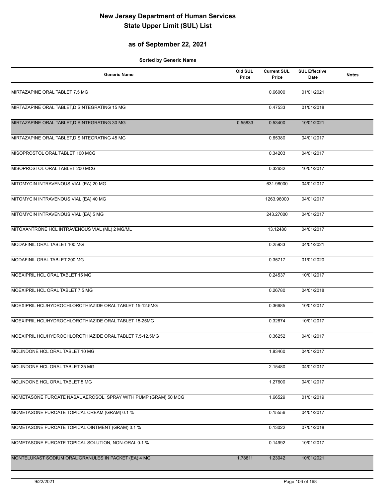## **as of September 22, 2021**

| <b>Generic Name</b>                                             | Old SUL<br>Price | <b>Current SUL</b><br>Price | <b>SUL Effective</b><br>Date | <b>Notes</b> |
|-----------------------------------------------------------------|------------------|-----------------------------|------------------------------|--------------|
| MIRTAZAPINE ORAL TABLET 7.5 MG                                  |                  | 0.66000                     | 01/01/2021                   |              |
| MIRTAZAPINE ORAL TABLET, DISINTEGRATING 15 MG                   |                  | 0.47533                     | 01/01/2018                   |              |
| MIRTAZAPINE ORAL TABLET, DISINTEGRATING 30 MG                   | 0.55833          | 0.53400                     | 10/01/2021                   |              |
| MIRTAZAPINE ORAL TABLET, DISINTEGRATING 45 MG                   |                  | 0.65380                     | 04/01/2017                   |              |
| MISOPROSTOL ORAL TABLET 100 MCG                                 |                  | 0.34203                     | 04/01/2017                   |              |
| MISOPROSTOL ORAL TABLET 200 MCG                                 |                  | 0.32632                     | 10/01/2017                   |              |
| MITOMYCIN INTRAVENOUS VIAL (EA) 20 MG                           |                  | 631.98000                   | 04/01/2017                   |              |
| MITOMYCIN INTRAVENOUS VIAL (EA) 40 MG                           |                  | 1263.96000                  | 04/01/2017                   |              |
| MITOMYCIN INTRAVENOUS VIAL (EA) 5 MG                            |                  | 243.27000                   | 04/01/2017                   |              |
| MITOXANTRONE HCL INTRAVENOUS VIAL (ML) 2 MG/ML                  |                  | 13.12480                    | 04/01/2017                   |              |
| MODAFINIL ORAL TABLET 100 MG                                    |                  | 0.25933                     | 04/01/2021                   |              |
| MODAFINIL ORAL TABLET 200 MG                                    |                  | 0.35717                     | 01/01/2020                   |              |
| MOEXIPRIL HCL ORAL TABLET 15 MG                                 |                  | 0.24537                     | 10/01/2017                   |              |
| MOEXIPRIL HCL ORAL TABLET 7.5 MG                                |                  | 0.26780                     | 04/01/2018                   |              |
| MOEXIPRIL HCL/HYDROCHLOROTHIAZIDE ORAL TABLET 15-12.5MG         |                  | 0.36685                     | 10/01/2017                   |              |
| MOEXIPRIL HCL/HYDROCHLOROTHIAZIDE ORAL TABLET 15-25MG           |                  | 0.32874                     | 10/01/2017                   |              |
| MOEXIPRIL HCL/HYDROCHLOROTHIAZIDE ORAL TABLET 7.5-12.5MG        |                  | 0.36252                     | 04/01/2017                   |              |
| MOLINDONE HCL ORAL TABLET 10 MG                                 |                  | 1.83460                     | 04/01/2017                   |              |
| MOLINDONE HCL ORAL TABLET 25 MG                                 |                  | 2.15480                     | 04/01/2017                   |              |
| MOLINDONE HCL ORAL TABLET 5 MG                                  |                  | 1.27600                     | 04/01/2017                   |              |
| MOMETASONE FUROATE NASAL AEROSOL, SPRAY WITH PUMP (GRAM) 50 MCG |                  | 1.66529                     | 01/01/2019                   |              |
| MOMETASONE FUROATE TOPICAL CREAM (GRAM) 0.1 %                   |                  | 0.15556                     | 04/01/2017                   |              |
| MOMETASONE FUROATE TOPICAL OINTMENT (GRAM) 0.1 %                |                  | 0.13022                     | 07/01/2018                   |              |
| MOMETASONE FUROATE TOPICAL SOLUTION, NON-ORAL 0.1 %             |                  | 0.14992                     | 10/01/2017                   |              |
| MONTELUKAST SODIUM ORAL GRANULES IN PACKET (EA) 4 MG            | 1.78811          | 1.23042                     | 10/01/2021                   |              |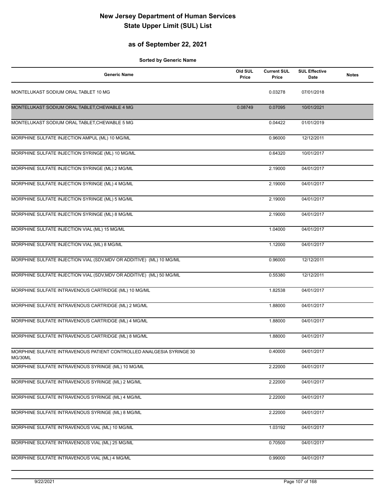## **as of September 22, 2021**

| <b>Generic Name</b>                                                             | Old SUL<br>Price | <b>Current SUL</b><br>Price | <b>SUL Effective</b><br>Date | <b>Notes</b> |
|---------------------------------------------------------------------------------|------------------|-----------------------------|------------------------------|--------------|
| MONTELUKAST SODIUM ORAL TABLET 10 MG                                            |                  | 0.03278                     | 07/01/2018                   |              |
| MONTELUKAST SODIUM ORAL TABLET, CHEWABLE 4 MG                                   | 0.08749          | 0.07095                     | 10/01/2021                   |              |
| MONTELUKAST SODIUM ORAL TABLET, CHEWABLE 5 MG                                   |                  | 0.04422                     | 01/01/2019                   |              |
| MORPHINE SULFATE INJECTION AMPUL (ML) 10 MG/ML                                  |                  | 0.96000                     | 12/12/2011                   |              |
| MORPHINE SULFATE INJECTION SYRINGE (ML) 10 MG/ML                                |                  | 0.64320                     | 10/01/2017                   |              |
| MORPHINE SULFATE INJECTION SYRINGE (ML) 2 MG/ML                                 |                  | 2.19000                     | 04/01/2017                   |              |
| MORPHINE SULFATE INJECTION SYRINGE (ML) 4 MG/ML                                 |                  | 2.19000                     | 04/01/2017                   |              |
| MORPHINE SULFATE INJECTION SYRINGE (ML) 5 MG/ML                                 |                  | 2.19000                     | 04/01/2017                   |              |
| MORPHINE SULFATE INJECTION SYRINGE (ML) 8 MG/ML                                 |                  | 2.19000                     | 04/01/2017                   |              |
| MORPHINE SULFATE INJECTION VIAL (ML) 15 MG/ML                                   |                  | 1.04000                     | 04/01/2017                   |              |
| MORPHINE SULFATE INJECTION VIAL (ML) 8 MG/ML                                    |                  | 1.12000                     | 04/01/2017                   |              |
| MORPHINE SULFATE INJECTION VIAL (SDV, MDV OR ADDITIVE) (ML) 10 MG/ML            |                  | 0.96000                     | 12/12/2011                   |              |
| MORPHINE SULFATE INJECTION VIAL (SDV, MDV OR ADDITIVE) (ML) 50 MG/ML            |                  | 0.55380                     | 12/12/2011                   |              |
| MORPHINE SULFATE INTRAVENOUS CARTRIDGE (ML) 10 MG/ML                            |                  | 1.82538                     | 04/01/2017                   |              |
| MORPHINE SULFATE INTRAVENOUS CARTRIDGE (ML) 2 MG/ML                             |                  | 1.88000                     | 04/01/2017                   |              |
| MORPHINE SULFATE INTRAVENOUS CARTRIDGE (ML) 4 MG/ML                             |                  | 1.88000                     | 04/01/2017                   |              |
| MORPHINE SULFATE INTRAVENOUS CARTRIDGE (ML) 8 MG/ML                             |                  | 1.88000                     | 04/01/2017                   |              |
| MORPHINE SULFATE INTRAVENOUS PATIENT CONTROLLED ANALGESIA SYRINGE 30<br>MG/30ML |                  | 0.40000                     | 04/01/2017                   |              |
| MORPHINE SULFATE INTRAVENOUS SYRINGE (ML) 10 MG/ML                              |                  | 2.22000                     | 04/01/2017                   |              |
| MORPHINE SULFATE INTRAVENOUS SYRINGE (ML) 2 MG/ML                               |                  | 2.22000                     | 04/01/2017                   |              |
| MORPHINE SULFATE INTRAVENOUS SYRINGE (ML) 4 MG/ML                               |                  | 2.22000                     | 04/01/2017                   |              |
| MORPHINE SULFATE INTRAVENOUS SYRINGE (ML) 8 MG/ML                               |                  | 2.22000                     | 04/01/2017                   |              |
| MORPHINE SULFATE INTRAVENOUS VIAL (ML) 10 MG/ML                                 |                  | 1.03192                     | 04/01/2017                   |              |
| MORPHINE SULFATE INTRAVENOUS VIAL (ML) 25 MG/ML                                 |                  | 0.70500                     | 04/01/2017                   |              |
| MORPHINE SULFATE INTRAVENOUS VIAL (ML) 4 MG/ML                                  |                  | 0.99000                     | 04/01/2017                   |              |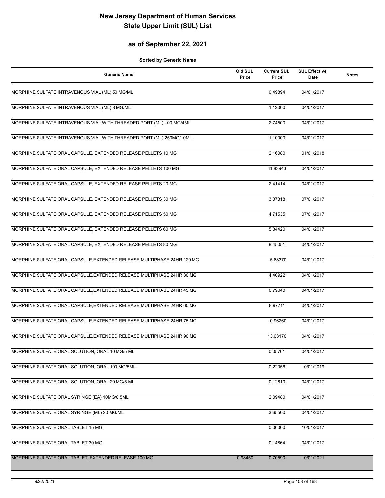## **as of September 22, 2021**

| <b>Generic Name</b>                                                    | Old SUL<br>Price | <b>Current SUL</b><br>Price | <b>SUL Effective</b><br>Date | <b>Notes</b> |
|------------------------------------------------------------------------|------------------|-----------------------------|------------------------------|--------------|
| MORPHINE SULFATE INTRAVENOUS VIAL (ML) 50 MG/ML                        |                  | 0.49894                     | 04/01/2017                   |              |
| MORPHINE SULFATE INTRAVENOUS VIAL (ML) 8 MG/ML                         |                  | 1.12000                     | 04/01/2017                   |              |
| MORPHINE SULFATE INTRAVENOUS VIAL WITH THREADED PORT (ML) 100 MG/4ML   |                  | 2.74500                     | 04/01/2017                   |              |
| MORPHINE SULFATE INTRAVENOUS VIAL WITH THREADED PORT (ML) 250MG/10ML   |                  | 1.10000                     | 04/01/2017                   |              |
| MORPHINE SULFATE ORAL CAPSULE, EXTENDED RELEASE PELLETS 10 MG          |                  | 2.16080                     | 01/01/2018                   |              |
| MORPHINE SULFATE ORAL CAPSULE, EXTENDED RELEASE PELLETS 100 MG         |                  | 11.83943                    | 04/01/2017                   |              |
| MORPHINE SULFATE ORAL CAPSULE, EXTENDED RELEASE PELLETS 20 MG          |                  | 2.41414                     | 04/01/2017                   |              |
| MORPHINE SULFATE ORAL CAPSULE, EXTENDED RELEASE PELLETS 30 MG          |                  | 3.37318                     | 07/01/2017                   |              |
| MORPHINE SULFATE ORAL CAPSULE, EXTENDED RELEASE PELLETS 50 MG          |                  | 4.71535                     | 07/01/2017                   |              |
| MORPHINE SULFATE ORAL CAPSULE, EXTENDED RELEASE PELLETS 60 MG          |                  | 5.34420                     | 04/01/2017                   |              |
| MORPHINE SULFATE ORAL CAPSULE, EXTENDED RELEASE PELLETS 80 MG          |                  | 8.45051                     | 04/01/2017                   |              |
| MORPHINE SULFATE ORAL CAPSULE, EXTENDED RELEASE MULTIPHASE 24HR 120 MG |                  | 15.68370                    | 04/01/2017                   |              |
| MORPHINE SULFATE ORAL CAPSULE, EXTENDED RELEASE MULTIPHASE 24HR 30 MG  |                  | 4.40922                     | 04/01/2017                   |              |
| MORPHINE SULFATE ORAL CAPSULE, EXTENDED RELEASE MULTIPHASE 24HR 45 MG  |                  | 6.79640                     | 04/01/2017                   |              |
| MORPHINE SULFATE ORAL CAPSULE, EXTENDED RELEASE MULTIPHASE 24HR 60 MG  |                  | 8.97711                     | 04/01/2017                   |              |
| MORPHINE SULFATE ORAL CAPSULE, EXTENDED RELEASE MULTIPHASE 24HR 75 MG  |                  | 10.96260                    | 04/01/2017                   |              |
| MORPHINE SULFATE ORAL CAPSULE, EXTENDED RELEASE MULTIPHASE 24HR 90 MG  |                  | 13.63170                    | 04/01/2017                   |              |
| MORPHINE SULFATE ORAL SOLUTION, ORAL 10 MG/5 ML                        |                  | 0.05761                     | 04/01/2017                   |              |
| MORPHINE SULFATE ORAL SOLUTION, ORAL 100 MG/5ML                        |                  | 0.22056                     | 10/01/2019                   |              |
| MORPHINE SULFATE ORAL SOLUTION, ORAL 20 MG/5 ML                        |                  | 0.12610                     | 04/01/2017                   |              |
| MORPHINE SULFATE ORAL SYRINGE (EA) 10MG/0.5ML                          |                  | 2.09480                     | 04/01/2017                   |              |
| MORPHINE SULFATE ORAL SYRINGE (ML) 20 MG/ML                            |                  | 3.65500                     | 04/01/2017                   |              |
| MORPHINE SULFATE ORAL TABLET 15 MG                                     |                  | 0.06000                     | 10/01/2017                   |              |
| MORPHINE SULFATE ORAL TABLET 30 MG                                     |                  | 0.14864                     | 04/01/2017                   |              |
| MORPHINE SULFATE ORAL TABLET, EXTENDED RELEASE 100 MG                  | 0.98450          | 0.70590                     | 10/01/2021                   |              |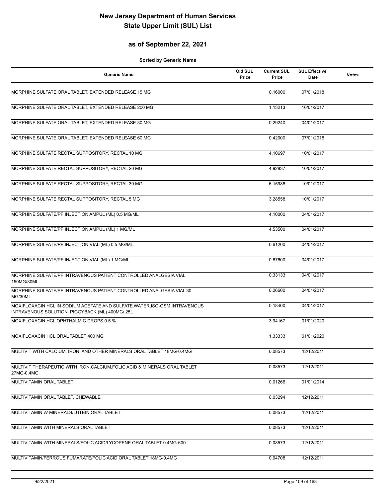### **as of September 22, 2021**

| <b>Generic Name</b>                                                                                                           | Old SUL<br>Price | <b>Current SUL</b><br>Price | <b>SUL Effective</b><br>Date | <b>Notes</b> |
|-------------------------------------------------------------------------------------------------------------------------------|------------------|-----------------------------|------------------------------|--------------|
| MORPHINE SULFATE ORAL TABLET, EXTENDED RELEASE 15 MG                                                                          |                  | 0.16000                     | 07/01/2018                   |              |
| MORPHINE SULFATE ORAL TABLET, EXTENDED RELEASE 200 MG                                                                         |                  | 1.13213                     | 10/01/2017                   |              |
| MORPHINE SULFATE ORAL TABLET, EXTENDED RELEASE 30 MG                                                                          |                  | 0.29240                     | 04/01/2017                   |              |
| MORPHINE SULFATE ORAL TABLET, EXTENDED RELEASE 60 MG                                                                          |                  | 0.42000                     | 07/01/2018                   |              |
| MORPHINE SULFATE RECTAL SUPPOSITORY, RECTAL 10 MG                                                                             |                  | 4.10697                     | 10/01/2017                   |              |
| MORPHINE SULFATE RECTAL SUPPOSITORY, RECTAL 20 MG                                                                             |                  | 4.92837                     | 10/01/2017                   |              |
| MORPHINE SULFATE RECTAL SUPPOSITORY, RECTAL 30 MG                                                                             |                  | 6.15988                     | 10/01/2017                   |              |
| MORPHINE SULFATE RECTAL SUPPOSITORY, RECTAL 5 MG                                                                              |                  | 3.28558                     | 10/01/2017                   |              |
| MORPHINE SULFATE/PF INJECTION AMPUL (ML) 0.5 MG/ML                                                                            |                  | 4.10000                     | 04/01/2017                   |              |
| MORPHINE SULFATE/PF INJECTION AMPUL (ML) 1 MG/ML                                                                              |                  | 4.53500                     | 04/01/2017                   |              |
| MORPHINE SULFATE/PF INJECTION VIAL (ML) 0.5 MG/ML                                                                             |                  | 0.61200                     | 04/01/2017                   |              |
| MORPHINE SULFATE/PF INJECTION VIAL (ML) 1 MG/ML                                                                               |                  | 0.67600                     | 04/01/2017                   |              |
| MORPHINE SULFATE/PF INTRAVENOUS PATIENT CONTROLLED ANALGESIA VIAL<br>150MG/30ML                                               |                  | 0.33133                     | 04/01/2017                   |              |
| MORPHINE SULFATE/PF INTRAVENOUS PATIENT CONTROLLED ANALGESIA VIAL 30<br>MG/30ML                                               |                  | 0.26600                     | 04/01/2017                   |              |
| MOXIFLOXACIN HCL IN SODIUM ACETATE AND SULFATE, WATER, ISO-OSM INTRAVENOUS<br>INTRAVENOUS SOLUTION, PIGGYBACK (ML) 400MG/.25L |                  | 0.18400                     | 04/01/2017                   |              |
| MOXIFLOXACIN HCL OPHTHALMIC DROPS 0.5 %                                                                                       |                  | 3.94167                     | 01/01/2020                   |              |
| MOXIFLOXACIN HCL ORAL TABLET 400 MG                                                                                           |                  | 1.33333                     | 01/01/2020                   |              |
| MULTIVIT WITH CALCIUM, IRON, AND OTHER MINERALS ORAL TABLET 18MG-0.4MG                                                        |                  | 0.08573                     | 12/12/2011                   |              |
| MULTIVIT, THERAPEUTIC WITH IRON, CALCIUM, FOLIC ACID & MINERALS ORAL TABLET<br>27MG-0.4MG                                     |                  | 0.08573                     | 12/12/2011                   |              |
| MULTIVITAMIN ORAL TABLET                                                                                                      |                  | 0.01266                     | 01/01/2014                   |              |
| MULTIVITAMIN ORAL TABLET, CHEWABLE                                                                                            |                  | 0.03294                     | 12/12/2011                   |              |
| MULTIVITAMIN W-MINERALS/LUTEIN ORAL TABLET                                                                                    |                  | 0.08573                     | 12/12/2011                   |              |
| MULTIVITAMIN WITH MINERALS ORAL TABLET                                                                                        |                  | 0.08573                     | 12/12/2011                   |              |
| MULTIVITAMIN WITH MINERALS/FOLIC ACID/LYCOPENE ORAL TABLET 0.4MG-600                                                          |                  | 0.08573                     | 12/12/2011                   |              |
| MULTIVITAMIN/FERROUS FUMARATE/FOLIC ACID ORAL TABLET 18MG-0.4MG                                                               |                  | 0.04708                     | 12/12/2011                   |              |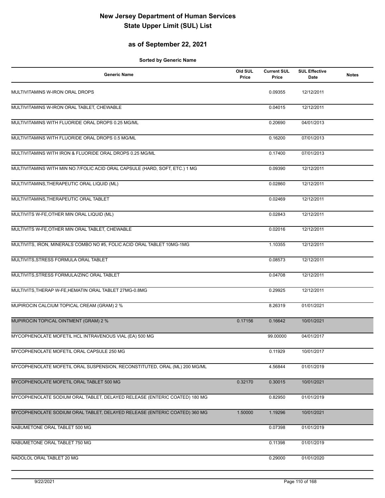### **as of September 22, 2021**

| <b>Generic Name</b>                                                         | Old SUL<br>Price | <b>Current SUL</b><br>Price | <b>SUL Effective</b><br><b>Date</b> | <b>Notes</b> |
|-----------------------------------------------------------------------------|------------------|-----------------------------|-------------------------------------|--------------|
| MULTIVITAMINS W-IRON ORAL DROPS                                             |                  | 0.09355                     | 12/12/2011                          |              |
| MULTIVITAMINS W-IRON ORAL TABLET, CHEWABLE                                  |                  | 0.04015                     | 12/12/2011                          |              |
| MULTIVITAMINS WITH FLUORIDE ORAL DROPS 0.25 MG/ML                           |                  | 0.20690                     | 04/01/2013                          |              |
| MULTIVITAMINS WITH FLUORIDE ORAL DROPS 0.5 MG/ML                            |                  | 0.16200                     | 07/01/2013                          |              |
| MULTIVITAMINS WITH IRON & FLUORIDE ORAL DROPS 0.25 MG/ML                    |                  | 0.17400                     | 07/01/2013                          |              |
| MULTIVITAMINS WITH MIN NO.7/FOLIC ACID ORAL CAPSULE (HARD, SOFT, ETC.) 1 MG |                  | 0.09390                     | 12/12/2011                          |              |
| MULTIVITAMINS, THERAPEUTIC ORAL LIQUID (ML)                                 |                  | 0.02860                     | 12/12/2011                          |              |
| MULTIVITAMINS, THERAPEUTIC ORAL TABLET                                      |                  | 0.02469                     | 12/12/2011                          |              |
| MULTIVITS W-FE, OTHER MIN ORAL LIQUID (ML)                                  |                  | 0.02843                     | 12/12/2011                          |              |
| MULTIVITS W-FE, OTHER MIN ORAL TABLET, CHEWABLE                             |                  | 0.02016                     | 12/12/2011                          |              |
| MULTIVITS, IRON, MINERALS COMBO NO #5, FOLIC ACID ORAL TABLET 10MG-1MG      |                  | 1.10355                     | 12/12/2011                          |              |
| MULTIVITS, STRESS FORMULA ORAL TABLET                                       |                  | 0.08573                     | 12/12/2011                          |              |
| MULTIVITS, STRESS FORMULA/ZINC ORAL TABLET                                  |                  | 0.04708                     | 12/12/2011                          |              |
| MULTIVITS, THERAP W-FE, HEMATIN ORAL TABLET 27MG-0.8MG                      |                  | 0.29925                     | 12/12/2011                          |              |
| MUPIROCIN CALCIUM TOPICAL CREAM (GRAM) 2 %                                  |                  | 8.26319                     | 01/01/2021                          |              |
| MUPIROCIN TOPICAL OINTMENT (GRAM) 2 %                                       | 0.17156          | 0.16642                     | 10/01/2021                          |              |
| MYCOPHENOLATE MOFETIL HCL INTRAVENOUS VIAL (EA) 500 MG                      |                  | 99.00000                    | 04/01/2017                          |              |
| MYCOPHENOLATE MOFETIL ORAL CAPSULE 250 MG                                   |                  | 0.11929                     | 10/01/2017                          |              |
| MYCOPHENOLATE MOFETIL ORAL SUSPENSION, RECONSTITUTED, ORAL (ML) 200 MG/ML   |                  | 4.56844                     | 01/01/2019                          |              |
| MYCOPHENOLATE MOFETIL ORAL TABLET 500 MG                                    | 0.32170          | 0.30015                     | 10/01/2021                          |              |
| MYCOPHENOLATE SODIUM ORAL TABLET, DELAYED RELEASE (ENTERIC COATED) 180 MG   |                  | 0.82950                     | 01/01/2019                          |              |
| MYCOPHENOLATE SODIUM ORAL TABLET, DELAYED RELEASE (ENTERIC COATED) 360 MG   | 1.50000          | 1.19296                     | 10/01/2021                          |              |
| NABUMETONE ORAL TABLET 500 MG                                               |                  | 0.07398                     | 01/01/2019                          |              |
| NABUMETONE ORAL TABLET 750 MG                                               |                  | 0.11398                     | 01/01/2019                          |              |
| NADOLOL ORAL TABLET 20 MG                                                   |                  | 0.29000                     | 01/01/2020                          |              |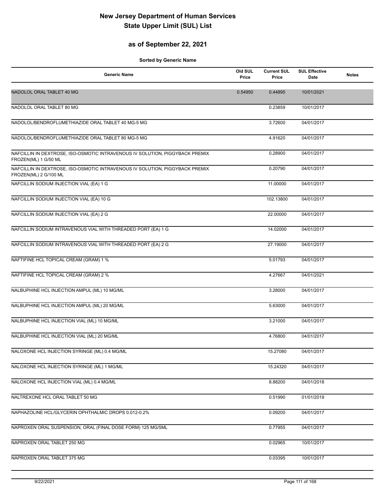### **as of September 22, 2021**

| <b>Generic Name</b>                                                                                   | Old SUL<br>Price | <b>Current SUL</b><br>Price | <b>SUL Effective</b><br>Date | <b>Notes</b> |
|-------------------------------------------------------------------------------------------------------|------------------|-----------------------------|------------------------------|--------------|
| NADOLOL ORAL TABLET 40 MG                                                                             | 0.54950          | 0.44895                     | 10/01/2021                   |              |
| NADOLOL ORAL TABLET 80 MG                                                                             |                  | 0.23859                     | 10/01/2017                   |              |
| NADOLOL/BENDROFLUMETHIAZIDE ORAL TABLET 40 MG-5 MG                                                    |                  | 3.72600                     | 04/01/2017                   |              |
| NADOLOL/BENDROFLUMETHIAZIDE ORAL TABLET 80 MG-5 MG                                                    |                  | 4.91620                     | 04/01/2017                   |              |
| NAFCILLIN IN DEXTROSE, ISO-OSMOTIC INTRAVENOUS IV SOLUTION, PIGGYBACK PREMIX<br>FROZEN(ML) 1 G/50 ML  |                  | 0.28900                     | 04/01/2017                   |              |
| NAFCILLIN IN DEXTROSE, ISO-OSMOTIC INTRAVENOUS IV SOLUTION, PIGGYBACK PREMIX<br>FROZEN(ML) 2 G/100 ML |                  | 0.20790                     | 04/01/2017                   |              |
| NAFCILLIN SODIUM INJECTION VIAL (EA) 1 G                                                              |                  | 11.00000                    | 04/01/2017                   |              |
| NAFCILLIN SODIUM INJECTION VIAL (EA) 10 G                                                             |                  | 102.13800                   | 04/01/2017                   |              |
| NAFCILLIN SODIUM INJECTION VIAL (EA) 2 G                                                              |                  | 22.00000                    | 04/01/2017                   |              |
| NAFCILLIN SODIUM INTRAVENOUS VIAL WITH THREADED PORT (EA) 1 G                                         |                  | 14.02000                    | 04/01/2017                   |              |
| NAFCILLIN SODIUM INTRAVENOUS VIAL WITH THREADED PORT (EA) 2 G                                         |                  | 27.19000                    | 04/01/2017                   |              |
| NAFTIFINE HCL TOPICAL CREAM (GRAM) 1 %                                                                |                  | 5.01793                     | 04/01/2017                   |              |
| NAFTIFINE HCL TOPICAL CREAM (GRAM) 2 %                                                                |                  | 4.27667                     | 04/01/2021                   |              |
| NALBUPHINE HCL INJECTION AMPUL (ML) 10 MG/ML                                                          |                  | 3.28000                     | 04/01/2017                   |              |
| NALBUPHINE HCL INJECTION AMPUL (ML) 20 MG/ML                                                          |                  | 5.63000                     | 04/01/2017                   |              |
| NALBUPHINE HCL INJECTION VIAL (ML) 10 MG/ML                                                           |                  | 3.21000                     | 04/01/2017                   |              |
| NALBUPHINE HCL INJECTION VIAL (ML) 20 MG/ML                                                           |                  | 4.76800                     | 04/01/2017                   |              |
| NALOXONE HCL INJECTION SYRINGE (ML) 0.4 MG/ML                                                         |                  | 15.27080                    | 04/01/2017                   |              |
| NALOXONE HCL INJECTION SYRINGE (ML) 1 MG/ML                                                           |                  | 15.24320                    | 04/01/2017                   |              |
| NALOXONE HCL INJECTION VIAL (ML) 0.4 MG/ML                                                            |                  | 8.88200                     | 04/01/2018                   |              |
| NALTREXONE HCL ORAL TABLET 50 MG                                                                      |                  | 0.51990                     | 01/01/2019                   |              |
| NAPHAZOLINE HCL/GLYCERIN OPHTHALMIC DROPS 0.012-0.2%                                                  |                  | 0.09200                     | 04/01/2017                   |              |
| NAPROXEN ORAL SUSPENSION, ORAL (FINAL DOSE FORM) 125 MG/5ML                                           |                  | 0.77955                     | 04/01/2017                   |              |
| NAPROXEN ORAL TABLET 250 MG                                                                           |                  | 0.02965                     | 10/01/2017                   |              |
| NAPROXEN ORAL TABLET 375 MG                                                                           |                  | 0.03395                     | 10/01/2017                   |              |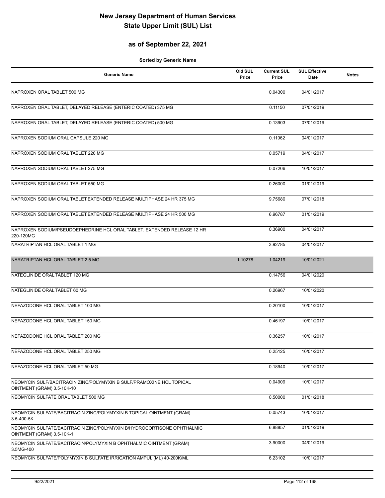### **as of September 22, 2021**

| <b>Generic Name</b>                                                                                 | Old SUL<br>Price | <b>Current SUL</b><br>Price | <b>SUL Effective</b><br>Date | <b>Notes</b> |
|-----------------------------------------------------------------------------------------------------|------------------|-----------------------------|------------------------------|--------------|
| NAPROXEN ORAL TABLET 500 MG                                                                         |                  | 0.04300                     | 04/01/2017                   |              |
| NAPROXEN ORAL TABLET, DELAYED RELEASE (ENTERIC COATED) 375 MG                                       |                  | 0.11150                     | 07/01/2019                   |              |
| NAPROXEN ORAL TABLET, DELAYED RELEASE (ENTERIC COATED) 500 MG                                       |                  | 0.13903                     | 07/01/2019                   |              |
| NAPROXEN SODIUM ORAL CAPSULE 220 MG                                                                 |                  | 0.11062                     | 04/01/2017                   |              |
| NAPROXEN SODIUM ORAL TABLET 220 MG                                                                  |                  | 0.05719                     | 04/01/2017                   |              |
| NAPROXEN SODIUM ORAL TABLET 275 MG                                                                  |                  | 0.07206                     | 10/01/2017                   |              |
| NAPROXEN SODIUM ORAL TABLET 550 MG                                                                  |                  | 0.26000                     | 01/01/2019                   |              |
| NAPROXEN SODIUM ORAL TABLET, EXTENDED RELEASE MULTIPHASE 24 HR 375 MG                               |                  | 9.75680                     | 07/01/2018                   |              |
| NAPROXEN SODIUM ORAL TABLET, EXTENDED RELEASE MULTIPHASE 24 HR 500 MG                               |                  | 6.96787                     | 01/01/2019                   |              |
| NAPROXEN SODIUM/PSEUDOEPHEDRINE HCL ORAL TABLET, EXTENDED RELEASE 12 HR<br>220-120MG                |                  | 0.36900                     | 04/01/2017                   |              |
| NARATRIPTAN HCL ORAL TABLET 1 MG                                                                    |                  | 3.92785                     | 04/01/2017                   |              |
| NARATRIPTAN HCL ORAL TABLET 2.5 MG                                                                  | 1.10278          | 1.04219                     | 10/01/2021                   |              |
| NATEGLINIDE ORAL TABLET 120 MG                                                                      |                  | 0.14756                     | 04/01/2020                   |              |
| NATEGLINIDE ORAL TABLET 60 MG                                                                       |                  | 0.26967                     | 10/01/2020                   |              |
| NEFAZODONE HCL ORAL TABLET 100 MG                                                                   |                  | 0.20100                     | 10/01/2017                   |              |
| NEFAZODONE HCL ORAL TABLET 150 MG                                                                   |                  | 0.46197                     | 10/01/2017                   |              |
| NEFAZODONE HCL ORAL TABLET 200 MG                                                                   |                  | 0.36257                     | 10/01/2017                   |              |
| NEFAZODONE HCL ORAL TABLET 250 MG                                                                   |                  | 0.25125                     | 10/01/2017                   |              |
| NEFAZODONE HCL ORAL TABLET 50 MG                                                                    |                  | 0.18940                     | 10/01/2017                   |              |
| NEOMYCIN SULF/BACITRACIN ZINC/POLYMYXIN B SULF/PRAMOXINE HCL TOPICAL<br>OINTMENT (GRAM) 3.5-10K-10  |                  | 0.04909                     | 10/01/2017                   |              |
| NEOMYCIN SULFATE ORAL TABLET 500 MG                                                                 |                  | 0.50000                     | 01/01/2018                   |              |
| NEOMYCIN SULFATE/BACITRACIN ZINC/POLYMYXIN B TOPICAL OINTMENT (GRAM)<br>3.5-400-5K                  |                  | 0.05743                     | 10/01/2017                   |              |
| NEOMYCIN SULFATE/BACITRACIN ZINC/POLYMYXIN B/HYDROCORTISONE OPHTHALMIC<br>OINTMENT (GRAM) 3.5-10K-1 |                  | 6.88857                     | 01/01/2019                   |              |
| NEOMYCIN SULFATE/BACITRACIN/POLYMYXIN B OPHTHALMIC OINTMENT (GRAM)<br>3.5MG-400                     |                  | 3.90000                     | 04/01/2019                   |              |
| NEOMYCIN SULFATE/POLYMYXIN B SULFATE IRRIGATION AMPUL (ML) 40-200K/ML                               |                  | 6.23102                     | 10/01/2017                   |              |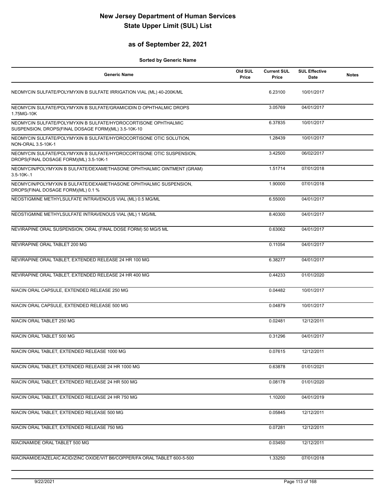### **as of September 22, 2021**

| <b>Generic Name</b>                                                                                                   | Old SUL<br>Price | <b>Current SUL</b><br>Price | <b>SUL Effective</b><br><b>Date</b> | <b>Notes</b> |
|-----------------------------------------------------------------------------------------------------------------------|------------------|-----------------------------|-------------------------------------|--------------|
| NEOMYCIN SULFATE/POLYMYXIN B SULFATE IRRIGATION VIAL (ML) 40-200K/ML                                                  |                  | 6.23100                     | 10/01/2017                          |              |
| NEOMYCIN SULFATE/POLYMYXIN B SULFATE/GRAMICIDIN D OPHTHALMIC DROPS<br>1.75MG-10K                                      |                  | 3.05769                     | 04/01/2017                          |              |
| NEOMYCIN SULFATE/POLYMYXIN B SULFATE/HYDROCORTISONE OPHTHALMIC<br>SUSPENSION, DROPS(FINAL DOSAGE FORM)(ML) 3.5-10K-10 |                  | 6.37835                     | 10/01/2017                          |              |
| NEOMYCIN SULFATE/POLYMYXIN B SULFATE/HYDROCORTISONE OTIC SOLUTION,<br>NON-ORAL 3.5-10K-1                              |                  | 1.28439                     | 10/01/2017                          |              |
| NEOMYCIN SULFATE/POLYMYXIN B SULFATE/HYDROCORTISONE OTIC SUSPENSION,<br>DROPS(FINAL DOSAGE FORM)(ML) 3.5-10K-1        |                  | 3.42500                     | 06/02/2017                          |              |
| NEOMYCIN/POLYMYXIN B SULFATE/DEXAMETHASONE OPHTHALMIC OINTMENT (GRAM)<br>$3.5 - 10K - 1$                              |                  | 1.51714                     | 07/01/2018                          |              |
| NEOMYCIN/POLYMYXIN B SULFATE/DEXAMETHASONE OPHTHALMIC SUSPENSION,<br>DROPS(FINAL DOSAGE FORM)(ML) 0.1 %               |                  | 1.90000                     | 07/01/2018                          |              |
| NEOSTIGMINE METHYLSULFATE INTRAVENOUS VIAL (ML) 0.5 MG/ML                                                             |                  | 6.55000                     | 04/01/2017                          |              |
| NEOSTIGMINE METHYLSULFATE INTRAVENOUS VIAL (ML) 1 MG/ML                                                               |                  | 8.40300                     | 04/01/2017                          |              |
| NEVIRAPINE ORAL SUSPENSION, ORAL (FINAL DOSE FORM) 50 MG/5 ML                                                         |                  | 0.63062                     | 04/01/2017                          |              |
| NEVIRAPINE ORAL TABLET 200 MG                                                                                         |                  | 0.11054                     | 04/01/2017                          |              |
| NEVIRAPINE ORAL TABLET, EXTENDED RELEASE 24 HR 100 MG                                                                 |                  | 6.38277                     | 04/01/2017                          |              |
| NEVIRAPINE ORAL TABLET, EXTENDED RELEASE 24 HR 400 MG                                                                 |                  | 0.44233                     | 01/01/2020                          |              |
| NIACIN ORAL CAPSULE, EXTENDED RELEASE 250 MG                                                                          |                  | 0.04482                     | 10/01/2017                          |              |
| NIACIN ORAL CAPSULE, EXTENDED RELEASE 500 MG                                                                          |                  | 0.04879                     | 10/01/2017                          |              |
| NIACIN ORAL TABLET 250 MG                                                                                             |                  | 0.02481                     | 12/12/2011                          |              |
| NIACIN ORAL TABLET 500 MG                                                                                             |                  | 0.31296                     | 04/01/2017                          |              |
| NIACIN ORAL TABLET, EXTENDED RELEASE 1000 MG                                                                          |                  | 0.07615                     | 12/12/2011                          |              |
| NIACIN ORAL TABLET, EXTENDED RELEASE 24 HR 1000 MG                                                                    |                  | 0.63878                     | 01/01/2021                          |              |
| NIACIN ORAL TABLET, EXTENDED RELEASE 24 HR 500 MG                                                                     |                  | 0.08178                     | 01/01/2020                          |              |
| NIACIN ORAL TABLET, EXTENDED RELEASE 24 HR 750 MG                                                                     |                  | 1.10200                     | 04/01/2019                          |              |
| NIACIN ORAL TABLET, EXTENDED RELEASE 500 MG                                                                           |                  | 0.05845                     | 12/12/2011                          |              |
| NIACIN ORAL TABLET, EXTENDED RELEASE 750 MG                                                                           |                  | 0.07281                     | 12/12/2011                          |              |
| NIACINAMIDE ORAL TABLET 500 MG                                                                                        |                  | 0.03450                     | 12/12/2011                          |              |
| NIACINAMIDE/AZELAIC ACID/ZINC OXIDE/VIT B6/COPPER/FA ORAL TABLET 600-5-500                                            |                  | 1.33250                     | 07/01/2018                          |              |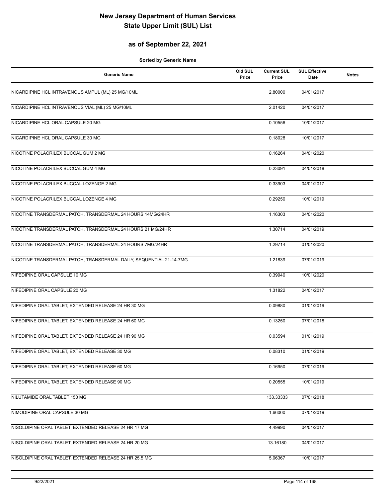### **as of September 22, 2021**

| <b>Generic Name</b>                                                 | Old SUL<br>Price | <b>Current SUL</b><br>Price | <b>SUL Effective</b><br>Date | <b>Notes</b> |
|---------------------------------------------------------------------|------------------|-----------------------------|------------------------------|--------------|
| NICARDIPINE HCL INTRAVENOUS AMPUL (ML) 25 MG/10ML                   |                  | 2.80000                     | 04/01/2017                   |              |
| NICARDIPINE HCL INTRAVENOUS VIAL (ML) 25 MG/10ML                    |                  | 2.01420                     | 04/01/2017                   |              |
| NICARDIPINE HCL ORAL CAPSULE 20 MG                                  |                  | 0.10556                     | 10/01/2017                   |              |
| NICARDIPINE HCL ORAL CAPSULE 30 MG                                  |                  | 0.18028                     | 10/01/2017                   |              |
| NICOTINE POLACRILEX BUCCAL GUM 2 MG                                 |                  | 0.16264                     | 04/01/2020                   |              |
| NICOTINE POLACRILEX BUCCAL GUM 4 MG                                 |                  | 0.23091                     | 04/01/2018                   |              |
| NICOTINE POLACRILEX BUCCAL LOZENGE 2 MG                             |                  | 0.33903                     | 04/01/2017                   |              |
| NICOTINE POLACRILEX BUCCAL LOZENGE 4 MG                             |                  | 0.29250                     | 10/01/2019                   |              |
| NICOTINE TRANSDERMAL PATCH, TRANSDERMAL 24 HOURS 14MG/24HR          |                  | 1.16303                     | 04/01/2020                   |              |
| NICOTINE TRANSDERMAL PATCH, TRANSDERMAL 24 HOURS 21 MG/24HR         |                  | 1.30714                     | 04/01/2019                   |              |
| NICOTINE TRANSDERMAL PATCH, TRANSDERMAL 24 HOURS 7MG/24HR           |                  | 1.29714                     | 01/01/2020                   |              |
| NICOTINE TRANSDERMAL PATCH, TRANSDERMAL DAILY, SEQUENTIAL 21-14-7MG |                  | 1.21839                     | 07/01/2019                   |              |
| NIFEDIPINE ORAL CAPSULE 10 MG                                       |                  | 0.39940                     | 10/01/2020                   |              |
| NIFEDIPINE ORAL CAPSULE 20 MG                                       |                  | 1.31822                     | 04/01/2017                   |              |
| NIFEDIPINE ORAL TABLET, EXTENDED RELEASE 24 HR 30 MG                |                  | 0.09880                     | 01/01/2019                   |              |
| NIFEDIPINE ORAL TABLET, EXTENDED RELEASE 24 HR 60 MG                |                  | 0.13250                     | 07/01/2018                   |              |
| NIFEDIPINE ORAL TABLET, EXTENDED RELEASE 24 HR 90 MG                |                  | 0.03594                     | 01/01/2019                   |              |
| NIFEDIPINE ORAL TABLET, EXTENDED RELEASE 30 MG                      |                  | 0.08310                     | 01/01/2019                   |              |
| NIFEDIPINE ORAL TABLET, EXTENDED RELEASE 60 MG                      |                  | 0.16950                     | 07/01/2019                   |              |
| NIFEDIPINE ORAL TABLET, EXTENDED RELEASE 90 MG                      |                  | 0.20555                     | 10/01/2019                   |              |
| NILUTAMIDE ORAL TABLET 150 MG                                       |                  | 133.33333                   | 07/01/2018                   |              |
| NIMODIPINE ORAL CAPSULE 30 MG                                       |                  | 1.66000                     | 07/01/2019                   |              |
| NISOLDIPINE ORAL TABLET, EXTENDED RELEASE 24 HR 17 MG               |                  | 4.49990                     | 04/01/2017                   |              |
| NISOLDIPINE ORAL TABLET, EXTENDED RELEASE 24 HR 20 MG               |                  | 13.16180                    | 04/01/2017                   |              |
| NISOLDIPINE ORAL TABLET, EXTENDED RELEASE 24 HR 25.5 MG             |                  | 5.06367                     | 10/01/2017                   |              |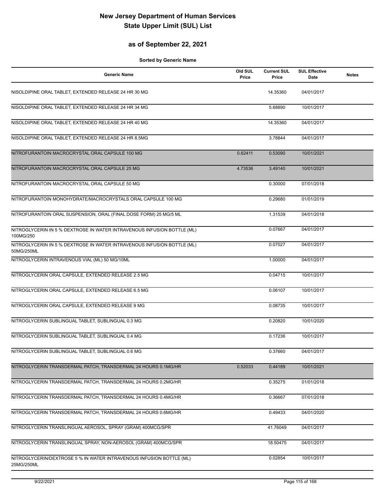### **as of September 22, 2021**

| <b>Generic Name</b>                                                                   | Old SUL<br>Price | <b>Current SUL</b><br>Price | <b>SUL Effective</b><br>Date | <b>Notes</b> |
|---------------------------------------------------------------------------------------|------------------|-----------------------------|------------------------------|--------------|
| NISOLDIPINE ORAL TABLET, EXTENDED RELEASE 24 HR 30 MG                                 |                  | 14.35360                    | 04/01/2017                   |              |
| NISOLDIPINE ORAL TABLET, EXTENDED RELEASE 24 HR 34 MG                                 |                  | 5.68890                     | 10/01/2017                   |              |
| NISOLDIPINE ORAL TABLET, EXTENDED RELEASE 24 HR 40 MG                                 |                  | 14.35360                    | 04/01/2017                   |              |
| NISOLDIPINE ORAL TABLET, EXTENDED RELEASE 24 HR 8.5MG                                 |                  | 3.78844                     | 04/01/2017                   |              |
| NITROFURANTOIN MACROCRYSTAL ORAL CAPSULE 100 MG                                       | 0.62411          | 0.53090                     | 10/01/2021                   |              |
| NITROFURANTOIN MACROCRYSTAL ORAL CAPSULE 25 MG                                        | 4.73536          | 3.49140                     | 10/01/2021                   |              |
| NITROFURANTOIN MACROCRYSTAL ORAL CAPSULE 50 MG                                        |                  | 0.30000                     | 07/01/2018                   |              |
| NITROFURANTOIN MONOHYDRATE/MACROCRYSTALS ORAL CAPSULE 100 MG                          |                  | 0.29680                     | 01/01/2019                   |              |
| NITROFURANTOIN ORAL SUSPENSION, ORAL (FINAL DOSE FORM) 25 MG/5 ML                     |                  | 1.31539                     | 04/01/2018                   |              |
| NITROGLYCERIN IN 5 % DEXTROSE IN WATER INTRAVENOUS INFUSION BOTTLE (ML)<br>100MG/250  |                  | 0.07667                     | 04/01/2017                   |              |
| NITROGLYCERIN IN 5 % DEXTROSE IN WATER INTRAVENOUS INFUSION BOTTLE (ML)<br>50MG/250ML |                  | 0.07027                     | 04/01/2017                   |              |
| NITROGLYCERIN INTRAVENOUS VIAL (ML) 50 MG/10ML                                        |                  | 1.00000                     | 04/01/2017                   |              |
| NITROGLYCERIN ORAL CAPSULE, EXTENDED RELEASE 2.5 MG                                   |                  | 0.04715                     | 10/01/2017                   |              |
| NITROGLYCERIN ORAL CAPSULE, EXTENDED RELEASE 6.5 MG                                   |                  | 0.06107                     | 10/01/2017                   |              |
| NITROGLYCERIN ORAL CAPSULE, EXTENDED RELEASE 9 MG                                     |                  | 0.08735                     | 10/01/2017                   |              |
| NITROGLYCERIN SUBLINGUAL TABLET, SUBLINGUAL 0.3 MG                                    |                  | 0.20820                     | 10/01/2020                   |              |
| NITROGLYCERIN SUBLINGUAL TABLET, SUBLINGUAL 0.4 MG                                    |                  | 0.17236                     | 10/01/2017                   |              |
| NITROGLYCERIN SUBLINGUAL TABLET, SUBLINGUAL 0.6 MG                                    |                  | 0.37660                     | 04/01/2017                   |              |
| NITROGLYCERIN TRANSDERMAL PATCH, TRANSDERMAL 24 HOURS 0.1MG/HR                        | 0.52033          | 0.44189                     | 10/01/2021                   |              |
| NITROGLYCERIN TRANSDERMAL PATCH, TRANSDERMAL 24 HOURS 0.2MG/HR                        |                  | 0.35275                     | 01/01/2018                   |              |
| NITROGLYCERIN TRANSDERMAL PATCH, TRANSDERMAL 24 HOURS 0.4MG/HR                        |                  | 0.36667                     | 07/01/2018                   |              |
| NITROGLYCERIN TRANSDERMAL PATCH, TRANSDERMAL 24 HOURS 0.6MG/HR                        |                  | 0.49433                     | 04/01/2020                   |              |
| NITROGLYCERIN TRANSLINGUAL AEROSOL, SPRAY (GRAM) 400MCG/SPR                           |                  | 41.76049                    | 04/01/2017                   |              |
| NITROGLYCERIN TRANSLINGUAL SPRAY, NON-AEROSOL (GRAM) 400MCG/SPR                       |                  | 18.50475                    | 04/01/2017                   |              |
| NITROGLYCERIN/DEXTROSE 5 % IN WATER INTRAVENOUS INFUSION BOTTLE (ML)<br>25MG/250ML    |                  | 0.02854                     | 10/01/2017                   |              |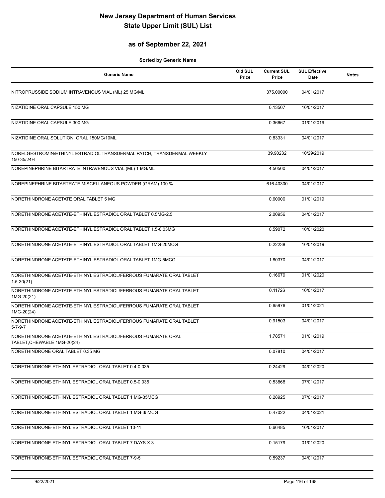### **as of September 22, 2021**

| <b>Generic Name</b>                                                                          | Old SUL<br>Price | <b>Current SUL</b><br>Price | <b>SUL Effective</b><br>Date | <b>Notes</b> |
|----------------------------------------------------------------------------------------------|------------------|-----------------------------|------------------------------|--------------|
| NITROPRUSSIDE SODIUM INTRAVENOUS VIAL (ML) 25 MG/ML                                          |                  | 375.00000                   | 04/01/2017                   |              |
| NIZATIDINE ORAL CAPSULE 150 MG                                                               |                  | 0.13507                     | 10/01/2017                   |              |
| NIZATIDINE ORAL CAPSULE 300 MG                                                               |                  | 0.36667                     | 01/01/2019                   |              |
| NIZATIDINE ORAL SOLUTION, ORAL 150MG/10ML                                                    |                  | 0.83331                     | 04/01/2017                   |              |
| NORELGESTROMIN/ETHINYL ESTRADIOL TRANSDERMAL PATCH, TRANSDERMAL WEEKLY<br>150-35/24H         |                  | 39.90232                    | 10/29/2019                   |              |
| NOREPINEPHRINE BITARTRATE INTRAVENOUS VIAL (ML) 1 MG/ML                                      |                  | 4.50500                     | 04/01/2017                   |              |
| NOREPINEPHRINE BITARTRATE MISCELLANEOUS POWDER (GRAM) 100 %                                  |                  | 616.40300                   | 04/01/2017                   |              |
| NORETHINDRONE ACETATE ORAL TABLET 5 MG                                                       |                  | 0.60000                     | 01/01/2019                   |              |
| NORETHINDRONE ACETATE-ETHINYL ESTRADIOL ORAL TABLET 0.5MG-2.5                                |                  | 2.00956                     | 04/01/2017                   |              |
| NORETHINDRONE ACETATE-ETHINYL ESTRADIOL ORAL TABLET 1.5-0.03MG                               |                  | 0.59072                     | 10/01/2020                   |              |
| NORETHINDRONE ACETATE-ETHINYL ESTRADIOL ORAL TABLET 1MG-20MCG                                |                  | 0.22238                     | 10/01/2019                   |              |
| NORETHINDRONE ACETATE-ETHINYL ESTRADIOL ORAL TABLET 1MG-5MCG                                 |                  | 1.80370                     | 04/01/2017                   |              |
| NORETHINDRONE ACETATE-ETHINYL ESTRADIOL/FERROUS FUMARATE ORAL TABLET<br>$1.5 - 30(21)$       |                  | 0.16679                     | 01/01/2020                   |              |
| NORETHINDRONE ACETATE-ETHINYL ESTRADIOL/FERROUS FUMARATE ORAL TABLET<br>1MG-20(21)           |                  | 0.11726                     | 10/01/2017                   |              |
| NORETHINDRONE ACETATE-ETHINYL ESTRADIOL/FERROUS FUMARATE ORAL TABLET<br>1MG-20(24)           |                  | 0.65976                     | 01/01/2021                   |              |
| NORETHINDRONE ACETATE-ETHINYL ESTRADIOL/FERROUS FUMARATE ORAL TABLET<br>$5 - 7 - 9 - 7$      |                  | 0.91503                     | 04/01/2017                   |              |
| NORETHINDRONE ACETATE-ETHINYL ESTRADIOL/FERROUS FUMARATE ORAL<br>TABLET, CHEWABLE 1MG-20(24) |                  | 1.78571                     | 01/01/2019                   |              |
| NORETHINDRONE ORAL TABLET 0.35 MG                                                            |                  | 0.07810                     | 04/01/2017                   |              |
| NORETHINDRONE-ETHINYL ESTRADIOL ORAL TABLET 0.4-0.035                                        |                  | 0.24429                     | 04/01/2020                   |              |
| NORETHINDRONE-ETHINYL ESTRADIOL ORAL TABLET 0.5-0.035                                        |                  | 0.53868                     | 07/01/2017                   |              |
| NORETHINDRONE-ETHINYL ESTRADIOL ORAL TABLET 1 MG-35MCG                                       |                  | 0.28925                     | 07/01/2017                   |              |
| NORETHINDRONE-ETHINYL ESTRADIOL ORAL TABLET 1 MG-35MCG                                       |                  | 0.47022                     | 04/01/2021                   |              |
| NORETHINDRONE-ETHINYL ESTRADIOL ORAL TABLET 10-11                                            |                  | 0.66485                     | 10/01/2017                   |              |
| NORETHINDRONE-ETHINYL ESTRADIOL ORAL TABLET 7 DAYS X 3                                       |                  | 0.15179                     | 01/01/2020                   |              |
| NORETHINDRONE-ETHINYL ESTRADIOL ORAL TABLET 7-9-5                                            |                  | 0.59237                     | 04/01/2017                   |              |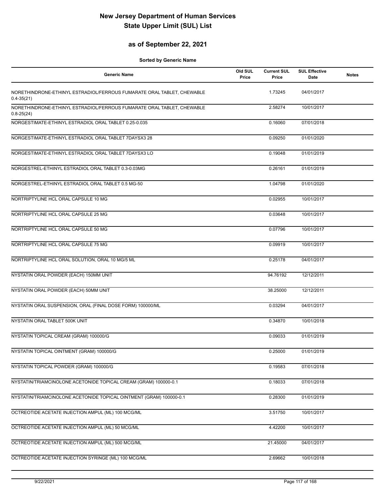### **as of September 22, 2021**

| <b>Generic Name</b>                                                                      | Old SUL<br>Price | <b>Current SUL</b><br>Price | <b>SUL Effective</b><br>Date | <b>Notes</b> |
|------------------------------------------------------------------------------------------|------------------|-----------------------------|------------------------------|--------------|
| NORETHINDRONE-ETHINYL ESTRADIOL/FERROUS FUMARATE ORAL TABLET, CHEWABLE<br>$0.4 - 35(21)$ |                  | 1.73245                     | 04/01/2017                   |              |
| NORETHINDRONE-ETHINYL ESTRADIOL/FERROUS FUMARATE ORAL TABLET, CHEWABLE<br>$0.8 - 25(24)$ |                  | 2.58274                     | 10/01/2017                   |              |
| NORGESTIMATE-ETHINYL ESTRADIOL ORAL TABLET 0.25-0.035                                    |                  | 0.16060                     | 07/01/2018                   |              |
| NORGESTIMATE-ETHINYL ESTRADIOL ORAL TABLET 7DAYSX3 28                                    |                  | 0.09250                     | 01/01/2020                   |              |
| NORGESTIMATE-ETHINYL ESTRADIOL ORAL TABLET 7DAYSX3 LO                                    |                  | 0.19048                     | 01/01/2019                   |              |
| NORGESTREL-ETHINYL ESTRADIOL ORAL TABLET 0.3-0.03MG                                      |                  | 0.26161                     | 01/01/2019                   |              |
| NORGESTREL-ETHINYL ESTRADIOL ORAL TABLET 0.5 MG-50                                       |                  | 1.04798                     | 01/01/2020                   |              |
| NORTRIPTYLINE HCL ORAL CAPSULE 10 MG                                                     |                  | 0.02955                     | 10/01/2017                   |              |
| NORTRIPTYLINE HCL ORAL CAPSULE 25 MG                                                     |                  | 0.03648                     | 10/01/2017                   |              |
| NORTRIPTYLINE HCL ORAL CAPSULE 50 MG                                                     |                  | 0.07796                     | 10/01/2017                   |              |
| NORTRIPTYLINE HCL ORAL CAPSULE 75 MG                                                     |                  | 0.09919                     | 10/01/2017                   |              |
| NORTRIPTYLINE HCL ORAL SOLUTION, ORAL 10 MG/5 ML                                         |                  | 0.25178                     | 04/01/2017                   |              |
| NYSTATIN ORAL POWDER (EACH) 150MM UNIT                                                   |                  | 94.76192                    | 12/12/2011                   |              |
| NYSTATIN ORAL POWDER (EACH) 50MM UNIT                                                    |                  | 38.25000                    | 12/12/2011                   |              |
| NYSTATIN ORAL SUSPENSION, ORAL (FINAL DOSE FORM) 100000/ML                               |                  | 0.03294                     | 04/01/2017                   |              |
| NYSTATIN ORAL TABLET 500K UNIT                                                           |                  | 0.34870                     | 10/01/2018                   |              |
| NYSTATIN TOPICAL CREAM (GRAM) 100000/G                                                   |                  | 0.09033                     | 01/01/2019                   |              |
| NYSTATIN TOPICAL OINTMENT (GRAM) 100000/G                                                |                  | 0.25000                     | 01/01/2019                   |              |
| NYSTATIN TOPICAL POWDER (GRAM) 100000/G                                                  |                  | 0.19583                     | 07/01/2018                   |              |
| NYSTATIN/TRIAMCINOLONE ACETONIDE TOPICAL CREAM (GRAM) 100000-0.1                         |                  | 0.18033                     | 07/01/2018                   |              |
| NYSTATIN/TRIAMCINOLONE ACETONIDE TOPICAL OINTMENT (GRAM) 100000-0.1                      |                  | 0.28300                     | 01/01/2019                   |              |
| OCTREOTIDE ACETATE INJECTION AMPUL (ML) 100 MCG/ML                                       |                  | 3.51750                     | 10/01/2017                   |              |
| OCTREOTIDE ACETATE INJECTION AMPUL (ML) 50 MCG/ML                                        |                  | 4.42200                     | 10/01/2017                   |              |
| OCTREOTIDE ACETATE INJECTION AMPUL (ML) 500 MCG/ML                                       |                  | 21.45000                    | 04/01/2017                   |              |
| OCTREOTIDE ACETATE INJECTION SYRINGE (ML) 100 MCG/ML                                     |                  | 2.69662                     | 10/01/2018                   |              |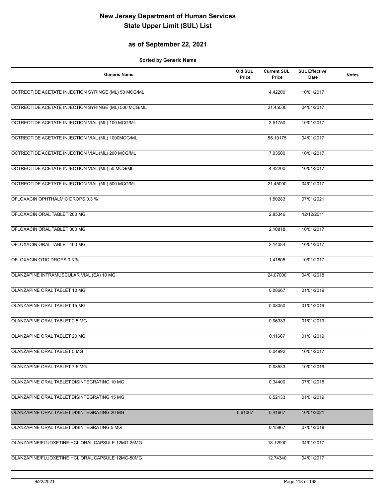### **as of September 22, 2021**

| <b>Generic Name</b>                                  | Old SUL<br>Price | <b>Current SUL</b><br>Price | <b>SUL Effective</b><br>Date | <b>Notes</b> |
|------------------------------------------------------|------------------|-----------------------------|------------------------------|--------------|
| OCTREOTIDE ACETATE INJECTION SYRINGE (ML) 50 MCG/ML  |                  | 4.42200                     | 10/01/2017                   |              |
| OCTREOTIDE ACETATE INJECTION SYRINGE (ML) 500 MCG/ML |                  | 21.45000                    | 04/01/2017                   |              |
| OCTREOTIDE ACETATE INJECTION VIAL (ML) 100 MCG/ML    |                  | 3.51750                     | 10/01/2017                   |              |
| OCTREOTIDE ACETATE INJECTION VIAL (ML) 1000MCG/ML    |                  | 55.10175                    | 04/01/2017                   |              |
| OCTREOTIDE ACETATE INJECTION VIAL (ML) 200 MCG/ML    |                  | 7.03500                     | 10/01/2017                   |              |
| OCTREOTIDE ACETATE INJECTION VIAL (ML) 50 MCG/ML     |                  | 4.42200                     | 10/01/2017                   |              |
| OCTREOTIDE ACETATE INJECTION VIAL (ML) 500 MCG/ML    |                  | 21.45000                    | 04/01/2017                   |              |
| OFLOXACIN OPHTHALMIC DROPS 0.3 %                     |                  | 1.50283                     | 07/01/2021                   |              |
| OFLOXACIN ORAL TABLET 200 MG                         |                  | 2.85346                     | 12/12/2011                   |              |
| OFLOXACIN ORAL TABLET 300 MG                         |                  | 2.10818                     | 10/01/2017                   |              |
| OFLOXACIN ORAL TABLET 400 MG                         |                  | 2.14084                     | 10/01/2017                   |              |
| OFLOXACIN OTIC DROPS 0.3 %                           |                  | 1.41605                     | 10/01/2017                   |              |
| OLANZAPINE INTRAMUSCULAR VIAL (EA) 10 MG             |                  | 24.07000                    | 04/01/2018                   |              |
| OLANZAPINE ORAL TABLET 10 MG                         |                  | 0.08667                     | 01/01/2019                   |              |
| OLANZAPINE ORAL TABLET 15 MG                         |                  | 0.08050                     | 01/01/2019                   |              |
| OLANZAPINE ORAL TABLET 2.5 MG                        |                  | 0.06333                     | 01/01/2019                   |              |
| OLANZAPINE ORAL TABLET 20 MG                         |                  | 0.11667                     | 01/01/2019                   |              |
| OLANZAPINE ORAL TABLET 5 MG                          |                  | 0.04992                     | 10/01/2017                   |              |
| OLANZAPINE ORAL TABLET 7.5 MG                        |                  | 0.08533                     | 10/01/2019                   |              |
| OLANZAPINE ORAL TABLET, DISINTEGRATING 10 MG         |                  | 0.34400                     | 07/01/2018                   |              |
| OLANZAPINE ORAL TABLET, DISINTEGRATING 15 MG         |                  | 0.52133                     | 01/01/2019                   |              |
| OLANZAPINE ORAL TABLET, DISINTEGRATING 20 MG         | 0.61067          | 0.41667                     | 10/01/2021                   |              |
| OLANZAPINE ORAL TABLET, DISINTEGRATING 5 MG          |                  | 0.15867                     | 07/01/2018                   |              |
| OLANZAPINE/FLUOXETINE HCL ORAL CAPSULE 12MG-25MG     |                  | 13.12900                    | 04/01/2017                   |              |
| OLANZAPINE/FLUOXETINE HCL ORAL CAPSULE 12MG-50MG     |                  | 12.74340                    | 04/01/2017                   |              |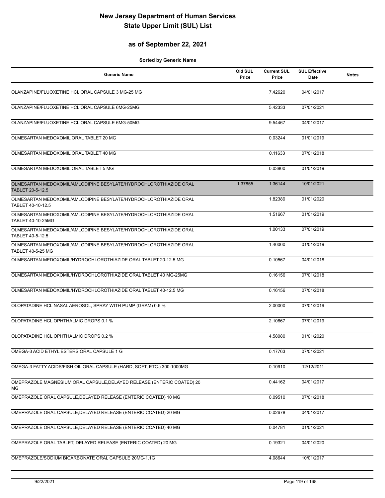### **as of September 22, 2021**

| <b>Generic Name</b>                                                                           | Old SUL<br>Price | <b>Current SUL</b><br>Price | <b>SUL Effective</b><br>Date | <b>Notes</b> |
|-----------------------------------------------------------------------------------------------|------------------|-----------------------------|------------------------------|--------------|
| OLANZAPINE/FLUOXETINE HCL ORAL CAPSULE 3 MG-25 MG                                             |                  | 7.42620                     | 04/01/2017                   |              |
| OLANZAPINE/FLUOXETINE HCL ORAL CAPSULE 6MG-25MG                                               |                  | 5.42333                     | 07/01/2021                   |              |
| OLANZAPINE/FLUOXETINE HCL ORAL CAPSULE 6MG-50MG                                               |                  | 9.54467                     | 04/01/2017                   |              |
| OLMESARTAN MEDOXOMIL ORAL TABLET 20 MG                                                        |                  | 0.03244                     | 01/01/2019                   |              |
| OLMESARTAN MEDOXOMIL ORAL TABLET 40 MG                                                        |                  | 0.11633                     | 07/01/2018                   |              |
| OLMESARTAN MEDOXOMIL ORAL TABLET 5 MG                                                         |                  | 0.03800                     | 01/01/2019                   |              |
| OLMESARTAN MEDOXOMIL/AMLODIPINE BESYLATE/HYDROCHLOROTHIAZIDE ORAL<br>TABLET 20-5-12.5         | 1.37855          | 1.36144                     | 10/01/2021                   |              |
| OLMESARTAN MEDOXOMIL/AMLODIPINE BESYLATE/HYDROCHLOROTHIAZIDE ORAL<br>TABLET 40-10-12.5        |                  | 1.82389                     | 01/01/2020                   |              |
| OLMESARTAN MEDOXOMIL/AMLODIPINE BESYLATE/HYDROCHLOROTHIAZIDE ORAL<br>TABLET 40-10-25MG        |                  | 1.51667                     | 01/01/2019                   |              |
| OLMESARTAN MEDOXOMIL/AMLODIPINE BESYLATE/HYDROCHLOROTHIAZIDE ORAL<br>TABLET 40-5-12.5         |                  | 1.00133                     | 07/01/2019                   |              |
| OLMESARTAN MEDOXOMIL/AMLODIPINE BESYLATE/HYDROCHLOROTHIAZIDE ORAL<br><b>TABLET 40-5-25 MG</b> |                  | 1.40000                     | 01/01/2019                   |              |
| OLMESARTAN MEDOXOMIL/HYDROCHLOROTHIAZIDE ORAL TABLET 20-12.5 MG                               |                  | 0.10567                     | 04/01/2018                   |              |
| OLMESARTAN MEDOXOMIL/HYDROCHLOROTHIAZIDE ORAL TABLET 40 MG-25MG                               |                  | 0.16156                     | 07/01/2018                   |              |
| OLMESARTAN MEDOXOMIL/HYDROCHLOROTHIAZIDE ORAL TABLET 40-12.5 MG                               |                  | 0.16156                     | 07/01/2018                   |              |
| OLOPATADINE HCL NASAL AEROSOL, SPRAY WITH PUMP (GRAM) 0.6 %                                   |                  | 2.00000                     | 07/01/2019                   |              |
| OLOPATADINE HCL OPHTHALMIC DROPS 0.1 %                                                        |                  | 2.10667                     | 07/01/2019                   |              |
| OLOPATADINE HCL OPHTHALMIC DROPS 0.2 %                                                        |                  | 4.58080                     | 01/01/2020                   |              |
| OMEGA-3 ACID ETHYL ESTERS ORAL CAPSULE 1 G                                                    |                  | 0.17763                     | 07/01/2021                   |              |
| OMEGA-3 FATTY ACIDS/FISH OIL ORAL CAPSULE (HARD, SOFT, ETC.) 300-1000MG                       |                  | 0.10910                     | 12/12/2011                   |              |
| OMEPRAZOLE MAGNESIUM ORAL CAPSULE, DELAYED RELEASE (ENTERIC COATED) 20<br>МG                  |                  | 0.44162                     | 04/01/2017                   |              |
| OMEPRAZOLE ORAL CAPSULE, DELAYED RELEASE (ENTERIC COATED) 10 MG                               |                  | 0.09510                     | 07/01/2018                   |              |
| OMEPRAZOLE ORAL CAPSULE, DELAYED RELEASE (ENTERIC COATED) 20 MG                               |                  | 0.02678                     | 04/01/2017                   |              |
| OMEPRAZOLE ORAL CAPSULE, DELAYED RELEASE (ENTERIC COATED) 40 MG                               |                  | 0.04781                     | 01/01/2021                   |              |
| OMEPRAZOLE ORAL TABLET, DELAYED RELEASE (ENTERIC COATED) 20 MG                                |                  | 0.19321                     | 04/01/2020                   |              |
| OMEPRAZOLE/SODIUM BICARBONATE ORAL CAPSULE 20MG-1.1G                                          |                  | 4.08644                     | 10/01/2017                   |              |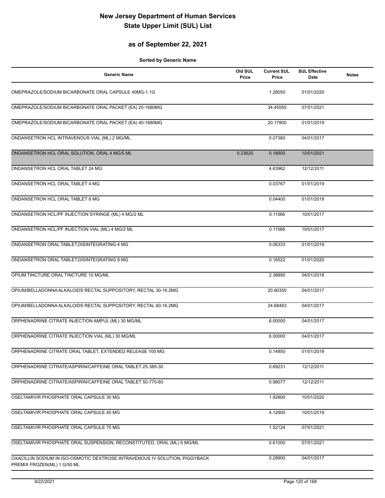### **as of September 22, 2021**

| <b>Generic Name</b>                                                                                        | Old SUL<br>Price | <b>Current SUL</b><br>Price | <b>SUL Effective</b><br>Date | <b>Notes</b> |
|------------------------------------------------------------------------------------------------------------|------------------|-----------------------------|------------------------------|--------------|
| OMEPRAZOLE/SODIUM BICARBONATE ORAL CAPSULE 40MG-1.1G                                                       |                  | 1.28050                     | 01/01/2020                   |              |
| OMEPRAZOLE/SODIUM BICARBONATE ORAL PACKET (EA) 20-1680MG                                                   |                  | 34.45550                    | 07/01/2021                   |              |
| OMEPRAZOLE/SODIUM BICARBONATE ORAL PACKET (EA) 40-1680MG                                                   |                  | 20.17800                    | 01/01/2019                   |              |
| ONDANSETRON HCL INTRAVENOUS VIAL (ML) 2 MG/ML                                                              |                  | 0.07380                     | 04/01/2017                   |              |
| ONDANSETRON HCL ORAL SOLUTION, ORAL 4 MG/5 ML                                                              | 0.23620          | 0.18500                     | 10/01/2021                   |              |
| ONDANSETRON HCL ORAL TABLET 24 MG                                                                          |                  | 4.63962                     | 12/12/2011                   |              |
| ONDANSETRON HCL ORAL TABLET 4 MG                                                                           |                  | 0.03767                     | 01/01/2019                   |              |
| ONDANSETRON HCL ORAL TABLET 8 MG                                                                           |                  | 0.04400                     | 01/01/2019                   |              |
| ONDANSETRON HCL/PF INJECTION SYRINGE (ML) 4 MG/2 ML                                                        |                  | 0.11566                     | 10/01/2017                   |              |
| ONDANSETRON HCL/PF INJECTION VIAL (ML) 4 MG/2 ML                                                           |                  | 0.11566                     | 10/01/2017                   |              |
| ONDANSETRON ORAL TABLET, DISINTEGRATING 4 MG                                                               |                  | 0.06333                     | 01/01/2019                   |              |
| ONDANSETRON ORAL TABLET, DISINTEGRATING 8 MG                                                               |                  | 0.16522                     | 01/01/2020                   |              |
| OPIUM TINCTURE ORAL TINCTURE 10 MG/ML                                                                      |                  | 2.38890                     | 04/01/2018                   |              |
| OPIUM/BELLADONNA ALKALOIDS RECTAL SUPPOSITORY, RECTAL 30-16.2MG                                            |                  | 20.90350                    | 04/01/2017                   |              |
| OPIUM/BELLADONNA ALKALOIDS RECTAL SUPPOSITORY, RECTAL 60-16.2MG                                            |                  | 24.68483                    | 04/01/2017                   |              |
| ORPHENADRINE CITRATE INJECTION AMPUL (ML) 30 MG/ML                                                         |                  | 6.00000                     | 04/01/2017                   |              |
| ORPHENADRINE CITRATE INJECTION VIAL (ML) 30 MG/ML                                                          |                  | 6.00000                     | 04/01/2017                   |              |
| ORPHENADRINE CITRATE ORAL TABLET, EXTENDED RELEASE 100 MG                                                  |                  | 0.14850                     | 01/01/2019                   |              |
| ORPHENADRINE CITRATE/ASPIRIN/CAFFEINE ORAL TABLET 25-385-30                                                |                  | 0.69231                     | 12/12/2011                   |              |
| ORPHENADRINE CITRATE/ASPIRIN/CAFFEINE ORAL TABLET 50-770-60                                                |                  | 0.98077                     | 12/12/2011                   |              |
| OSELTAMIVIR PHOSPHATE ORAL CAPSULE 30 MG                                                                   |                  | 1.92800                     | 10/01/2020                   |              |
| OSELTAMIVIR PHOSPHATE ORAL CAPSULE 45 MG                                                                   |                  | 4.12900                     | 10/01/2019                   |              |
| OSELTAMIVIR PHOSPHATE ORAL CAPSULE 75 MG                                                                   |                  | 1.52124                     | 07/01/2021                   |              |
| OSELTAMIVIR PHOSPHATE ORAL SUSPENSION, RECONSTITUTED, ORAL (ML) 6 MG/ML                                    |                  | 0.61000                     | 07/01/2021                   |              |
| OXACILLIN SODIUM IN ISO-OSMOTIC DEXTROSE INTRAVENOUS IV SOLUTION, PIGGYBACK<br>PREMIX FROZEN(ML) 1 G/50 ML |                  | 0.28900                     | 04/01/2017                   |              |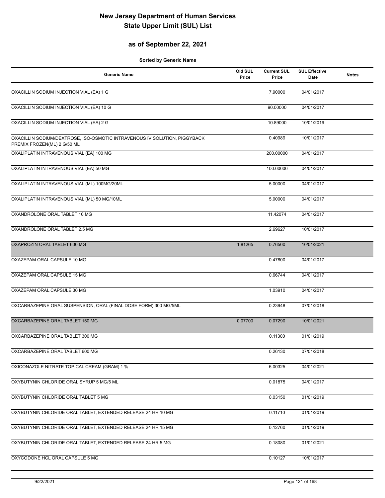### **as of September 22, 2021**

| <b>Generic Name</b>                                                                                      | Old SUL<br>Price | <b>Current SUL</b><br>Price | <b>SUL Effective</b><br>Date | <b>Notes</b> |
|----------------------------------------------------------------------------------------------------------|------------------|-----------------------------|------------------------------|--------------|
| OXACILLIN SODIUM INJECTION VIAL (EA) 1 G                                                                 |                  | 7.90000                     | 04/01/2017                   |              |
| OXACILLIN SODIUM INJECTION VIAL (EA) 10 G                                                                |                  | 90.00000                    | 04/01/2017                   |              |
| OXACILLIN SODIUM INJECTION VIAL (EA) 2 G                                                                 |                  | 10.89000                    | 10/01/2019                   |              |
| OXACILLIN SODIUM/DEXTROSE, ISO-OSMOTIC INTRAVENOUS IV SOLUTION, PIGGYBACK<br>PREMIX FROZEN(ML) 2 G/50 ML |                  | 0.40989                     | 10/01/2017                   |              |
| OXALIPLATIN INTRAVENOUS VIAL (EA) 100 MG                                                                 |                  | 200.00000                   | 04/01/2017                   |              |
| OXALIPLATIN INTRAVENOUS VIAL (EA) 50 MG                                                                  |                  | 100.00000                   | 04/01/2017                   |              |
| OXALIPLATIN INTRAVENOUS VIAL (ML) 100MG/20ML                                                             |                  | 5.00000                     | 04/01/2017                   |              |
| OXALIPLATIN INTRAVENOUS VIAL (ML) 50 MG/10ML                                                             |                  | 5.00000                     | 04/01/2017                   |              |
| OXANDROLONE ORAL TABLET 10 MG                                                                            |                  | 11.42074                    | 04/01/2017                   |              |
| OXANDROLONE ORAL TABLET 2.5 MG                                                                           |                  | 2.69627                     | 10/01/2017                   |              |
| OXAPROZIN ORAL TABLET 600 MG                                                                             | 1.81265          | 0.76500                     | 10/01/2021                   |              |
| OXAZEPAM ORAL CAPSULE 10 MG                                                                              |                  | 0.47800                     | 04/01/2017                   |              |
| OXAZEPAM ORAL CAPSULE 15 MG                                                                              |                  | 0.66744                     | 04/01/2017                   |              |
| OXAZEPAM ORAL CAPSULE 30 MG                                                                              |                  | 1.03910                     | 04/01/2017                   |              |
| OXCARBAZEPINE ORAL SUSPENSION, ORAL (FINAL DOSE FORM) 300 MG/5ML                                         |                  | 0.23948                     | 07/01/2018                   |              |
| OXCARBAZEPINE ORAL TABLET 150 MG                                                                         | 0.07700          | 0.07290                     | 10/01/2021                   |              |
| OXCARBAZEPINE ORAL TABLET 300 MG                                                                         |                  | 0.11300                     | 01/01/2019                   |              |
| OXCARBAZEPINE ORAL TABLET 600 MG                                                                         |                  | 0.26130                     | 07/01/2018                   |              |
| OXICONAZOLE NITRATE TOPICAL CREAM (GRAM) 1 %                                                             |                  | 6.00325                     | 04/01/2021                   |              |
| OXYBUTYNIN CHLORIDE ORAL SYRUP 5 MG/5 ML                                                                 |                  | 0.01875                     | 04/01/2017                   |              |
| OXYBUTYNIN CHLORIDE ORAL TABLET 5 MG                                                                     |                  | 0.03150                     | 01/01/2019                   |              |
| OXYBUTYNIN CHLORIDE ORAL TABLET, EXTENDED RELEASE 24 HR 10 MG                                            |                  | 0.11710                     | 01/01/2019                   |              |
| OXYBUTYNIN CHLORIDE ORAL TABLET, EXTENDED RELEASE 24 HR 15 MG                                            |                  | 0.12760                     | 01/01/2019                   |              |
| OXYBUTYNIN CHLORIDE ORAL TABLET, EXTENDED RELEASE 24 HR 5 MG                                             |                  | 0.18080                     | 01/01/2021                   |              |
| OXYCODONE HCL ORAL CAPSULE 5 MG                                                                          |                  | 0.10127                     | 10/01/2017                   |              |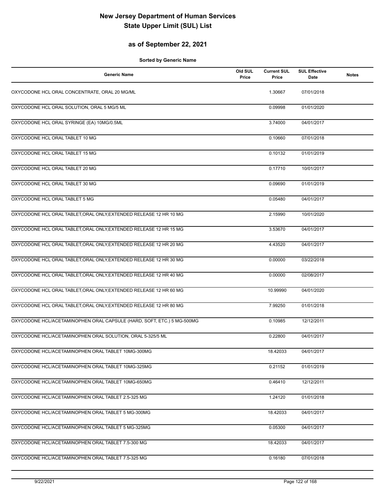### **as of September 22, 2021**

| <b>Generic Name</b>                                                    | Old SUL<br>Price | <b>Current SUL</b><br>Price | <b>SUL Effective</b><br>Date | <b>Notes</b> |
|------------------------------------------------------------------------|------------------|-----------------------------|------------------------------|--------------|
| OXYCODONE HCL ORAL CONCENTRATE, ORAL 20 MG/ML                          |                  | 1.30667                     | 07/01/2018                   |              |
| OXYCODONE HCL ORAL SOLUTION, ORAL 5 MG/5 ML                            |                  | 0.09998                     | 01/01/2020                   |              |
| OXYCODONE HCL ORAL SYRINGE (EA) 10MG/0.5ML                             |                  | 3.74000                     | 04/01/2017                   |              |
| OXYCODONE HCL ORAL TABLET 10 MG                                        |                  | 0.10660                     | 07/01/2018                   |              |
| OXYCODONE HCL ORAL TABLET 15 MG                                        |                  | 0.10132                     | 01/01/2019                   |              |
| OXYCODONE HCL ORAL TABLET 20 MG                                        |                  | 0.17710                     | 10/01/2017                   |              |
| OXYCODONE HCL ORAL TABLET 30 MG                                        |                  | 0.09690                     | 01/01/2019                   |              |
| OXYCODONE HCL ORAL TABLET 5 MG                                         |                  | 0.05480                     | 04/01/2017                   |              |
| OXYCODONE HCL ORAL TABLET, ORAL ONLY, EXTENDED RELEASE 12 HR 10 MG     |                  | 2.15990                     | 10/01/2020                   |              |
| OXYCODONE HCL ORAL TABLET, ORAL ONLY, EXTENDED RELEASE 12 HR 15 MG     |                  | 3.53670                     | 04/01/2017                   |              |
| OXYCODONE HCL ORAL TABLET, ORAL ONLY, EXTENDED RELEASE 12 HR 20 MG     |                  | 4.43520                     | 04/01/2017                   |              |
| OXYCODONE HCL ORAL TABLET, ORAL ONLY, EXTENDED RELEASE 12 HR 30 MG     |                  | 0.00000                     | 03/22/2018                   |              |
| OXYCODONE HCL ORAL TABLET, ORAL ONLY, EXTENDED RELEASE 12 HR 40 MG     |                  | 0.00000                     | 02/08/2017                   |              |
| OXYCODONE HCL ORAL TABLET, ORAL ONLY, EXTENDED RELEASE 12 HR 60 MG     |                  | 10.99990                    | 04/01/2020                   |              |
| OXYCODONE HCL ORAL TABLET, ORAL ONLY, EXTENDED RELEASE 12 HR 80 MG     |                  | 7.99250                     | 01/01/2018                   |              |
| OXYCODONE HCL/ACETAMINOPHEN ORAL CAPSULE (HARD, SOFT, ETC.) 5 MG-500MG |                  | 0.10985                     | 12/12/2011                   |              |
| OXYCODONE HCL/ACETAMINOPHEN ORAL SOLUTION, ORAL 5-325/5 ML             |                  | 0.22800                     | 04/01/2017                   |              |
| OXYCODONE HCL/ACETAMINOPHEN ORAL TABLET 10MG-300MG                     |                  | 18.42033                    | 04/01/2017                   |              |
| OXYCODONE HCL/ACETAMINOPHEN ORAL TABLET 10MG-325MG                     |                  | 0.21152                     | 01/01/2019                   |              |
| OXYCODONE HCL/ACETAMINOPHEN ORAL TABLET 10MG-650MG                     |                  | 0.46410                     | 12/12/2011                   |              |
| OXYCODONE HCL/ACETAMINOPHEN ORAL TABLET 2.5-325 MG                     |                  | 1.24120                     | 01/01/2018                   |              |
| OXYCODONE HCL/ACETAMINOPHEN ORAL TABLET 5 MG-300MG                     |                  | 18.42033                    | 04/01/2017                   |              |
| OXYCODONE HCL/ACETAMINOPHEN ORAL TABLET 5 MG-325MG                     |                  | 0.05300                     | 04/01/2017                   |              |
| OXYCODONE HCL/ACETAMINOPHEN ORAL TABLET 7.5-300 MG                     |                  | 18.42033                    | 04/01/2017                   |              |
| OXYCODONE HCL/ACETAMINOPHEN ORAL TABLET 7.5-325 MG                     |                  | 0.16180                     | 07/01/2018                   |              |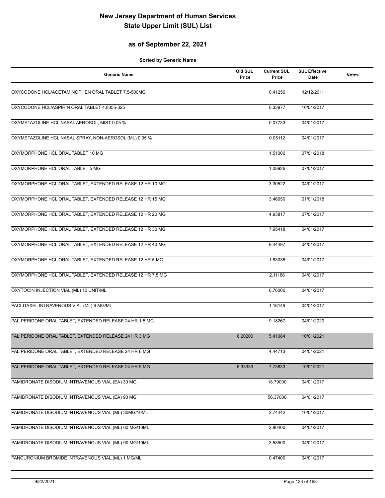### **as of September 22, 2021**

| <b>Generic Name</b>                                        | Old SUL<br>Price | <b>Current SUL</b><br>Price | <b>SUL Effective</b><br>Date | <b>Notes</b> |
|------------------------------------------------------------|------------------|-----------------------------|------------------------------|--------------|
| OXYCODONE HCL/ACETAMINOPHEN ORAL TABLET 7.5-500MG          |                  | 0.41250                     | 12/12/2011                   |              |
| OXYCODONE HCL/ASPIRIN ORAL TABLET 4.8355-325               |                  | 0.33977                     | 10/01/2017                   |              |
| OXYMETAZOLINE HCL NASAL AEROSOL, MIST 0.05 %               |                  | 0.07733                     | 04/01/2017                   |              |
| OXYMETAZOLINE HCL NASAL SPRAY, NON-AEROSOL (ML) 0.05 %     |                  | 0.05112                     | 04/01/2017                   |              |
| OXYMORPHONE HCL ORAL TABLET 10 MG                          |                  | 1.51000                     | 07/01/2018                   |              |
| OXYMORPHONE HCL ORAL TABLET 5 MG                           |                  | 1.08926                     | 07/01/2017                   |              |
| OXYMORPHONE HCL ORAL TABLET, EXTENDED RELEASE 12 HR 10 MG  |                  | 3.30522                     | 04/01/2017                   |              |
| OXYMORPHONE HCL ORAL TABLET, EXTENDED RELEASE 12 HR 15 MG  |                  | 3.46650                     | 01/01/2018                   |              |
| OXYMORPHONE HCL ORAL TABLET, EXTENDED RELEASE 12 HR 20 MG  |                  | 4.93817                     | 07/01/2017                   |              |
| OXYMORPHONE HCL ORAL TABLET, EXTENDED RELEASE 12 HR 30 MG  |                  | 7.95418                     | 04/01/2017                   |              |
| OXYMORPHONE HCL ORAL TABLET, EXTENDED RELEASE 12 HR 40 MG  |                  | 9.44497                     | 04/01/2017                   |              |
| OXYMORPHONE HCL ORAL TABLET, EXTENDED RELEASE 12 HR 5 MG   |                  | 1.83035                     | 04/01/2017                   |              |
| OXYMORPHONE HCL ORAL TABLET, EXTENDED RELEASE 12 HR 7.5 MG |                  | 2.11186                     | 04/01/2017                   |              |
| OXYTOCIN INJECTION VIAL (ML) 10 UNIT/ML                    |                  | 0.76000                     | 04/01/2017                   |              |
| PACLITAXEL INTRAVENOUS VIAL (ML) 6 MG/ML                   |                  | 1.16149                     | 04/01/2017                   |              |
| PALIPERIDONE ORAL TABLET, EXTENDED RELEASE 24 HR 1.5 MG    |                  | 9.18267                     | 04/01/2020                   |              |
| PALIPERIDONE ORAL TABLET, EXTENDED RELEASE 24 HR 3 MG      | 6.20200          | 5.41084                     | 10/01/2021                   |              |
| PALIPERIDONE ORAL TABLET, EXTENDED RELEASE 24 HR 6 MG      |                  | 4.44713                     | 04/01/2021                   |              |
| PALIPERIDONE ORAL TABLET, EXTENDED RELEASE 24 HR 9 MG      | 8.33333          | 7.73833                     | 10/01/2021                   |              |
| PAMIDRONATE DISODIUM INTRAVENOUS VIAL (EA) 30 MG           |                  | 18.79000                    | 04/01/2017                   |              |
| PAMIDRONATE DISODIUM INTRAVENOUS VIAL (EA) 90 MG           |                  | 56.37000                    | 04/01/2017                   |              |
| PAMIDRONATE DISODIUM INTRAVENOUS VIAL (ML) 30MG/10ML       |                  | 2.74442                     | 10/01/2017                   |              |
| PAMIDRONATE DISODIUM INTRAVENOUS VIAL (ML) 60 MG/10ML      |                  | 2.80400                     | 04/01/2017                   |              |
| PAMIDRONATE DISODIUM INTRAVENOUS VIAL (ML) 90 MG/10ML      |                  | 3.58500                     | 04/01/2017                   |              |
| PANCURONIUM BROMIDE INTRAVENOUS VIAL (ML) 1 MG/ML          |                  | 0.47400                     | 04/01/2017                   |              |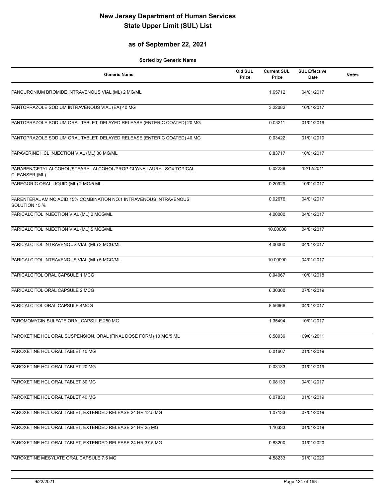### **as of September 22, 2021**

| <b>Generic Name</b>                                                                   | Old SUL<br>Price | <b>Current SUL</b><br>Price | <b>SUL Effective</b><br>Date | <b>Notes</b> |
|---------------------------------------------------------------------------------------|------------------|-----------------------------|------------------------------|--------------|
| PANCURONIUM BROMIDE INTRAVENOUS VIAL (ML) 2 MG/ML                                     |                  | 1.65712                     | 04/01/2017                   |              |
| PANTOPRAZOLE SODIUM INTRAVENOUS VIAL (EA) 40 MG                                       |                  | 3.22082                     | 10/01/2017                   |              |
| PANTOPRAZOLE SODIUM ORAL TABLET, DELAYED RELEASE (ENTERIC COATED) 20 MG               |                  | 0.03211                     | 01/01/2019                   |              |
| PANTOPRAZOLE SODIUM ORAL TABLET, DELAYED RELEASE (ENTERIC COATED) 40 MG               |                  | 0.03422                     | 01/01/2019                   |              |
| PAPAVERINE HCL INJECTION VIAL (ML) 30 MG/ML                                           |                  | 0.83717                     | 10/01/2017                   |              |
| PARABEN/CETYL ALCOHOL/STEARYL ALCOHOL/PROP GLY/NA LAURYL SO4 TOPICAL<br>CLEANSER (ML) |                  | 0.02238                     | 12/12/2011                   |              |
| PAREGORIC ORAL LIQUID (ML) 2 MG/5 ML                                                  |                  | 0.20929                     | 10/01/2017                   |              |
| PARENTERAL AMINO ACID 15% COMBINATION NO.1 INTRAVENOUS INTRAVENOUS<br>SOLUTION 15 %   |                  | 0.02676                     | 04/01/2017                   |              |
| PARICALCITOL INJECTION VIAL (ML) 2 MCG/ML                                             |                  | 4.00000                     | 04/01/2017                   |              |
| PARICALCITOL INJECTION VIAL (ML) 5 MCG/ML                                             |                  | 10.00000                    | 04/01/2017                   |              |
| PARICALCITOL INTRAVENOUS VIAL (ML) 2 MCG/ML                                           |                  | 4.00000                     | 04/01/2017                   |              |
| PARICALCITOL INTRAVENOUS VIAL (ML) 5 MCG/ML                                           |                  | 10.00000                    | 04/01/2017                   |              |
| PARICALCITOL ORAL CAPSULE 1 MCG                                                       |                  | 0.94067                     | 10/01/2018                   |              |
| PARICALCITOL ORAL CAPSULE 2 MCG                                                       |                  | 6.30300                     | 07/01/2019                   |              |
| PARICALCITOL ORAL CAPSULE 4MCG                                                        |                  | 8.56666                     | 04/01/2017                   |              |
| PAROMOMYCIN SULFATE ORAL CAPSULE 250 MG                                               |                  | 1.35494                     | 10/01/2017                   |              |
| PAROXETINE HCL ORAL SUSPENSION, ORAL (FINAL DOSE FORM) 10 MG/5 ML                     |                  | 0.58039                     | 09/01/2011                   |              |
| PAROXETINE HCL ORAL TABLET 10 MG                                                      |                  | 0.01667                     | 01/01/2019                   |              |
| PAROXETINE HCL ORAL TABLET 20 MG                                                      |                  | 0.03133                     | 01/01/2019                   |              |
| PAROXETINE HCL ORAL TABLET 30 MG                                                      |                  | 0.08133                     | 04/01/2017                   |              |
| PAROXETINE HCL ORAL TABLET 40 MG                                                      |                  | 0.07833                     | 01/01/2019                   |              |
| PAROXETINE HCL ORAL TABLET, EXTENDED RELEASE 24 HR 12.5 MG                            |                  | 1.07133                     | 07/01/2019                   |              |
| PAROXETINE HCL ORAL TABLET, EXTENDED RELEASE 24 HR 25 MG                              |                  | 1.16333                     | 01/01/2019                   |              |
| PAROXETINE HCL ORAL TABLET, EXTENDED RELEASE 24 HR 37.5 MG                            |                  | 0.83200                     | 01/01/2020                   |              |
| PAROXETINE MESYLATE ORAL CAPSULE 7.5 MG                                               |                  | 4.58233                     | 01/01/2020                   |              |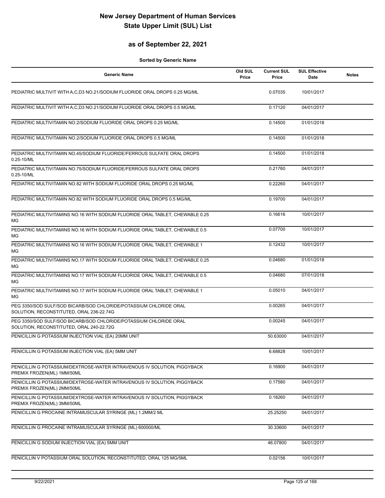### **as of September 22, 2021**

| <b>Generic Name</b>                                                                                           | Old SUL<br>Price | <b>Current SUL</b><br>Price | <b>SUL Effective</b><br>Date | <b>Notes</b> |
|---------------------------------------------------------------------------------------------------------------|------------------|-----------------------------|------------------------------|--------------|
| PEDIATRIC MULTIVIT WITH A,C,D3 NO.21/SODIUM FLUORIDE ORAL DROPS 0.25 MG/ML                                    |                  | 0.07035                     | 10/01/2017                   |              |
| PEDIATRIC MULTIVIT WITH A.C.D3 NO.21/SODIUM FLUORIDE ORAL DROPS 0.5 MG/ML                                     |                  | 0.17120                     | 04/01/2017                   |              |
| PEDIATRIC MULTIVITAMIN NO.2/SODIUM FLUORIDE ORAL DROPS 0.25 MG/ML                                             |                  | 0.14500                     | 01/01/2018                   |              |
| PEDIATRIC MULTIVITAMIN NO.2/SODIUM FLUORIDE ORAL DROPS 0.5 MG/ML                                              |                  | 0.14500                     | 01/01/2018                   |              |
| PEDIATRIC MULTIVITAMIN NO.45/SODIUM FLUORIDE/FERROUS SULFATE ORAL DROPS<br>0.25-10/ML                         |                  | 0.14500                     | 01/01/2018                   |              |
| PEDIATRIC MULTIVITAMIN NO.75/SODIUM FLUORIDE/FERROUS SULFATE ORAL DROPS<br>0.25-10/ML                         |                  | 0.21760                     | 04/01/2017                   |              |
| PEDIATRIC MULTIVITAMIN NO.82 WITH SODIUM FLUORIDE ORAL DROPS 0.25 MG/ML                                       |                  | 0.22260                     | 04/01/2017                   |              |
| PEDIATRIC MULTIVITAMIN NO.82 WITH SODIUM FLUORIDE ORAL DROPS 0.5 MG/ML                                        |                  | 0.19700                     | 04/01/2017                   |              |
| PEDIATRIC MULTIVITAMINS NO.16 WITH SODIUM FLUORIDE ORAL TABLET, CHEWABLE 0.25<br>МG                           |                  | 0.16616                     | 10/01/2017                   |              |
| PEDIATRIC MULTIVITAMINS NO.16 WITH SODIUM FLUORIDE ORAL TABLET, CHEWABLE 0.5<br>MG                            |                  | 0.07700                     | 10/01/2017                   |              |
| PEDIATRIC MULTIVITAMINS NO.16 WITH SODIUM FLUORIDE ORAL TABLET, CHEWABLE 1<br>МG                              |                  | 0.12432                     | 10/01/2017                   |              |
| PEDIATRIC MULTIVITAMINS NO.17 WITH SODIUM FLUORIDE ORAL TABLET, CHEWABLE 0.25<br>МG                           |                  | 0.04680                     | 01/01/2018                   |              |
| PEDIATRIC MULTIVITAMINS NO.17 WITH SODIUM FLUORIDE ORAL TABLET, CHEWABLE 0.5<br>МG                            |                  | 0.04680                     | 07/01/2018                   |              |
| PEDIATRIC MULTIVITAMINS NO.17 WITH SODIUM FLUORIDE ORAL TABLET, CHEWABLE 1<br>МG                              |                  | 0.05010                     | 04/01/2017                   |              |
| PEG 3350/SOD SULF/SOD BICARB/SOD CHLORIDE/POTASSIUM CHLORIDE ORAL<br>SOLUTION, RECONSTITUTED, ORAL 236-22.74G |                  | 0.00265                     | 04/01/2017                   |              |
| PEG 3350/SOD SULF/SOD BICARB/SOD CHLORIDE/POTASSIUM CHLORIDE ORAL<br>SOLUTION, RECONSTITUTED, ORAL 240-22.72G |                  | 0.00245                     | 04/01/2017                   |              |
| PENICILLIN G POTASSIUM INJECTION VIAL (EA) 20MM UNIT                                                          |                  | 50.63000                    | 04/01/2017                   |              |
| PENICILLIN G POTASSIUM INJECTION VIAL (EA) 5MM UNIT                                                           |                  | 6.68828                     | 10/01/2017                   |              |
| PENICILLIN G POTASSIUM/DEXTROSE-WATER INTRAVENOUS IV SOLUTION, PIGGYBACK<br>PREMIX FROZEN(ML) 1MM/50ML        |                  | 0.16900                     | 04/01/2017                   |              |
| PENICILLIN G POTASSIUM/DEXTROSE-WATER INTRAVENOUS IV SOLUTION, PIGGYBACK<br>PREMIX FROZEN(ML) 2MM/50ML        |                  | 0.17580                     | 04/01/2017                   |              |
| PENICILLIN G POTASSIUM/DEXTROSE-WATER INTRAVENOUS IV SOLUTION, PIGGYBACK<br>PREMIX FROZEN(ML) 3MM/50ML        |                  | 0.18260                     | 04/01/2017                   |              |
| PENICILLIN G PROCAINE INTRAMUSCULAR SYRINGE (ML) 1.2MM/2 ML                                                   |                  | 25.25250                    | 04/01/2017                   |              |
| PENICILLIN G PROCAINE INTRAMUSCULAR SYRINGE (ML) 600000/ML                                                    |                  | 30.33600                    | 04/01/2017                   |              |
| PENICILLIN G SODIUM INJECTION VIAL (EA) 5MM UNIT                                                              |                  | 46.07800                    | 04/01/2017                   |              |
| PENICILLIN V POTASSIUM ORAL SOLUTION, RECONSTITUTED, ORAL 125 MG/5ML                                          |                  | 0.02156                     | 10/01/2017                   |              |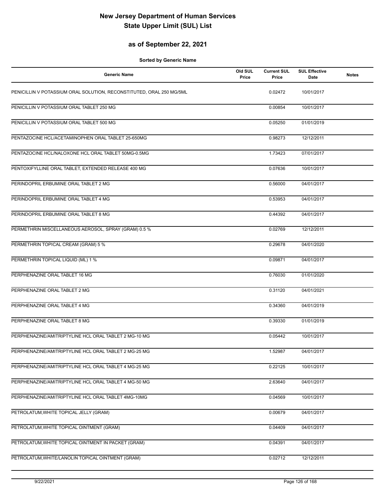### **as of September 22, 2021**

| <b>Generic Name</b>                                                  | Old SUL<br>Price | <b>Current SUL</b><br>Price | <b>SUL Effective</b><br>Date | <b>Notes</b> |
|----------------------------------------------------------------------|------------------|-----------------------------|------------------------------|--------------|
| PENICILLIN V POTASSIUM ORAL SOLUTION, RECONSTITUTED, ORAL 250 MG/5ML |                  | 0.02472                     | 10/01/2017                   |              |
| PENICILLIN V POTASSIUM ORAL TABLET 250 MG                            |                  | 0.00854                     | 10/01/2017                   |              |
| PENICILLIN V POTASSIUM ORAL TABLET 500 MG                            |                  | 0.05250                     | 01/01/2019                   |              |
| PENTAZOCINE HCL/ACETAMINOPHEN ORAL TABLET 25-650MG                   |                  | 0.98273                     | 12/12/2011                   |              |
| PENTAZOCINE HCL/NALOXONE HCL ORAL TABLET 50MG-0.5MG                  |                  | 1.73423                     | 07/01/2017                   |              |
| PENTOXIFYLLINE ORAL TABLET, EXTENDED RELEASE 400 MG                  |                  | 0.07636                     | 10/01/2017                   |              |
| PERINDOPRIL ERBUMINE ORAL TABLET 2 MG                                |                  | 0.56000                     | 04/01/2017                   |              |
| PERINDOPRIL ERBUMINE ORAL TABLET 4 MG                                |                  | 0.53953                     | 04/01/2017                   |              |
| PERINDOPRIL ERBUMINE ORAL TABLET 8 MG                                |                  | 0.44392                     | 04/01/2017                   |              |
| PERMETHRIN MISCELLANEOUS AEROSOL, SPRAY (GRAM) 0.5 %                 |                  | 0.02769                     | 12/12/2011                   |              |
| PERMETHRIN TOPICAL CREAM (GRAM) 5 %                                  |                  | 0.29678                     | 04/01/2020                   |              |
| PERMETHRIN TOPICAL LIQUID (ML) 1 %                                   |                  | 0.09871                     | 04/01/2017                   |              |
| PERPHENAZINE ORAL TABLET 16 MG                                       |                  | 0.76030                     | 01/01/2020                   |              |
| PERPHENAZINE ORAL TABLET 2 MG                                        |                  | 0.31120                     | 04/01/2021                   |              |
| PERPHENAZINE ORAL TABLET 4 MG                                        |                  | 0.34360                     | 04/01/2019                   |              |
| PERPHENAZINE ORAL TABLET 8 MG                                        |                  | 0.39330                     | 01/01/2019                   |              |
| PERPHENAZINE/AMITRIPTYLINE HCL ORAL TABLET 2 MG-10 MG                |                  | 0.05442                     | 10/01/2017                   |              |
| PERPHENAZINE/AMITRIPTYLINE HCL ORAL TABLET 2 MG-25 MG                |                  | 1.52987                     | 04/01/2017                   |              |
| PERPHENAZINE/AMITRIPTYLINE HCL ORAL TABLET 4 MG-25 MG                |                  | 0.22125                     | 10/01/2017                   |              |
| PERPHENAZINE/AMITRIPTYLINE HCL ORAL TABLET 4 MG-50 MG                |                  | 2.63640                     | 04/01/2017                   |              |
| PERPHENAZINE/AMITRIPTYLINE HCL ORAL TABLET 4MG-10MG                  |                  | 0.04569                     | 10/01/2017                   |              |
| PETROLATUM, WHITE TOPICAL JELLY (GRAM)                               |                  | 0.00679                     | 04/01/2017                   |              |
| PETROLATUM, WHITE TOPICAL OINTMENT (GRAM)                            |                  | 0.04409                     | 04/01/2017                   |              |
| PETROLATUM, WHITE TOPICAL OINTMENT IN PACKET (GRAM)                  |                  | 0.04391                     | 04/01/2017                   |              |
| PETROLATUM, WHITE/LANOLIN TOPICAL OINTMENT (GRAM)                    |                  | 0.02712                     | 12/12/2011                   |              |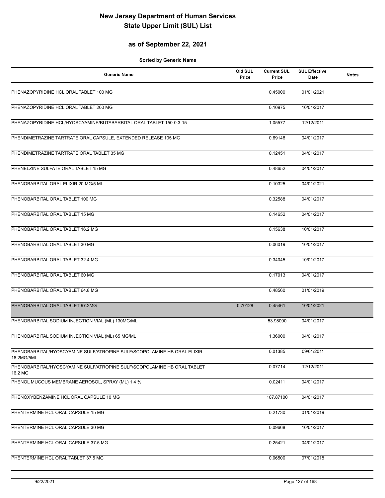### **as of September 22, 2021**

| <b>Generic Name</b>                                                                   | Old SUL<br>Price | <b>Current SUL</b><br>Price | <b>SUL Effective</b><br>Date | <b>Notes</b> |
|---------------------------------------------------------------------------------------|------------------|-----------------------------|------------------------------|--------------|
| PHENAZOPYRIDINE HCL ORAL TABLET 100 MG                                                |                  | 0.45000                     | 01/01/2021                   |              |
| PHENAZOPYRIDINE HCL ORAL TABLET 200 MG                                                |                  | 0.10975                     | 10/01/2017                   |              |
| PHENAZOPYRIDINE HCL/HYOSCYAMINE/BUTABARBITAL ORAL TABLET 150-0.3-15                   |                  | 1.05577                     | 12/12/2011                   |              |
| PHENDIMETRAZINE TARTRATE ORAL CAPSULE, EXTENDED RELEASE 105 MG                        |                  | 0.69148                     | 04/01/2017                   |              |
| PHENDIMETRAZINE TARTRATE ORAL TABLET 35 MG                                            |                  | 0.12451                     | 04/01/2017                   |              |
| PHENELZINE SULFATE ORAL TABLET 15 MG                                                  |                  | 0.48652                     | 04/01/2017                   |              |
| PHENOBARBITAL ORAL ELIXIR 20 MG/5 ML                                                  |                  | 0.10325                     | 04/01/2021                   |              |
| PHENOBARBITAL ORAL TABLET 100 MG                                                      |                  | 0.32588                     | 04/01/2017                   |              |
| PHENOBARBITAL ORAL TABLET 15 MG                                                       |                  | 0.14652                     | 04/01/2017                   |              |
| PHENOBARBITAL ORAL TABLET 16.2 MG                                                     |                  | 0.15638                     | 10/01/2017                   |              |
| PHENOBARBITAL ORAL TABLET 30 MG                                                       |                  | 0.06019                     | 10/01/2017                   |              |
| PHENOBARBITAL ORAL TABLET 32.4 MG                                                     |                  | 0.34045                     | 10/01/2017                   |              |
| PHENOBARBITAL ORAL TABLET 60 MG                                                       |                  | 0.17013                     | 04/01/2017                   |              |
| PHENOBARBITAL ORAL TABLET 64.8 MG                                                     |                  | 0.48560                     | 01/01/2019                   |              |
| PHENOBARBITAL ORAL TABLET 97.2MG                                                      | 0.70128          | 0.45461                     | 10/01/2021                   |              |
| PHENOBARBITAL SODIUM INJECTION VIAL (ML) 130MG/ML                                     |                  | 53.98000                    | 04/01/2017                   |              |
| PHENOBARBITAL SODIUM INJECTION VIAL (ML) 65 MG/ML                                     |                  | 1.36000                     | 04/01/2017                   |              |
| PHENOBARBITAL/HYOSCYAMINE SULF/ATROPINE SULF/SCOPOLAMINE HB ORAL ELIXIR<br>16.2MG/5ML |                  | 0.01385                     | 09/01/2011                   |              |
| PHENOBARBITAL/HYOSCYAMINE SULF/ATROPINE SULF/SCOPOLAMINE HB ORAL TABLET<br>16.2 MG    |                  | 0.07714                     | 12/12/2011                   |              |
| PHENOL MUCOUS MEMBRANE AEROSOL, SPRAY (ML) 1.4 %                                      |                  | 0.02411                     | 04/01/2017                   |              |
| PHENOXYBENZAMINE HCL ORAL CAPSULE 10 MG                                               |                  | 107.87100                   | 04/01/2017                   |              |
| PHENTERMINE HCL ORAL CAPSULE 15 MG                                                    |                  | 0.21730                     | 01/01/2019                   |              |
| PHENTERMINE HCL ORAL CAPSULE 30 MG                                                    |                  | 0.09668                     | 10/01/2017                   |              |
| PHENTERMINE HCL ORAL CAPSULE 37.5 MG                                                  |                  | 0.25421                     | 04/01/2017                   |              |
| PHENTERMINE HCL ORAL TABLET 37.5 MG                                                   |                  | 0.06500                     | 07/01/2018                   |              |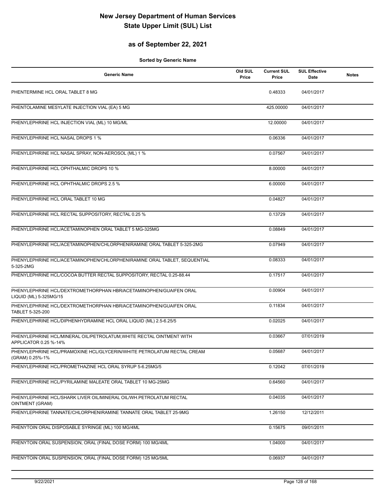### **as of September 22, 2021**

| <b>Generic Name</b>                                                                           | Old SUL<br>Price | <b>Current SUL</b><br>Price | <b>SUL Effective</b><br>Date | <b>Notes</b> |
|-----------------------------------------------------------------------------------------------|------------------|-----------------------------|------------------------------|--------------|
| PHENTERMINE HCL ORAL TABLET 8 MG                                                              |                  | 0.48333                     | 04/01/2017                   |              |
| PHENTOLAMINE MESYLATE INJECTION VIAL (EA) 5 MG                                                |                  | 425.00000                   | 04/01/2017                   |              |
| PHENYLEPHRINE HCL INJECTION VIAL (ML) 10 MG/ML                                                |                  | 12.00000                    | 04/01/2017                   |              |
| PHENYLEPHRINE HCL NASAL DROPS 1 %                                                             |                  | 0.06336                     | 04/01/2017                   |              |
| PHENYLEPHRINE HCL NASAL SPRAY, NON-AEROSOL (ML) 1 %                                           |                  | 0.07567                     | 04/01/2017                   |              |
| PHENYLEPHRINE HCL OPHTHALMIC DROPS 10 %                                                       |                  | 8.00000                     | 04/01/2017                   |              |
| PHENYLEPHRINE HCL OPHTHALMIC DROPS 2.5 %                                                      |                  | 6.00000                     | 04/01/2017                   |              |
| PHENYLEPHRINE HCL ORAL TABLET 10 MG                                                           |                  | 0.04827                     | 04/01/2017                   |              |
| PHENYLEPHRINE HCL RECTAL SUPPOSITORY, RECTAL 0.25 %                                           |                  | 0.13729                     | 04/01/2017                   |              |
| PHENYLEPHRINE HCL/ACETAMINOPHEN ORAL TABLET 5 MG-325MG                                        |                  | 0.08849                     | 04/01/2017                   |              |
| PHENYLEPHRINE HCL/ACETAMINOPHEN/CHLORPHENIRAMINE ORAL TABLET 5-325-2MG                        |                  | 0.07949                     | 04/01/2017                   |              |
| PHENYLEPHRINE HCL/ACETAMINOPHEN/CHLORPHENIRAMINE ORAL TABLET, SEQUENTIAL<br>5-325-2MG         |                  | 0.08333                     | 04/01/2017                   |              |
| PHENYLEPHRINE HCL/COCOA BUTTER RECTAL SUPPOSITORY, RECTAL 0.25-88.44                          |                  | 0.17517                     | 04/01/2017                   |              |
| PHENYLEPHRINE HCL/DEXTROMETHORPHAN HBR/ACETAMINOPHEN/GUAIFEN ORAL<br>LIQUID (ML) 5-325MG/15   |                  | 0.00904                     | 04/01/2017                   |              |
| PHENYLEPHRINE HCL/DEXTROMETHORPHAN HBR/ACETAMINOPHEN/GUAIFEN ORAL<br>TABLET 5-325-200         |                  | 0.11834                     | 04/01/2017                   |              |
| PHENYLEPHRINE HCL/DIPHENHYDRAMINE HCL ORAL LIQUID (ML) 2.5-6.25/5                             |                  | 0.02025                     | 04/01/2017                   |              |
| PHENYLEPHRINE HCL/MINERAL OIL/PETROLATUM, WHITE RECTAL OINTMENT WITH<br>APPLICATOR 0.25 %-14% |                  | 0.03667                     | 07/01/2019                   |              |
| PHENYLEPHRINE HCL/PRAMOXINE HCL/GLYCERIN/WHITE PETROLATUM RECTAL CREAM<br>(GRAM) 0.25%-1%     |                  | 0.05687                     | 04/01/2017                   |              |
| PHENYLEPHRINE HCL/PROMETHAZINE HCL ORAL SYRUP 5-6.25MG/5                                      |                  | 0.12042                     | 07/01/2019                   |              |
| PHENYLEPHRINE HCL/PYRILAMINE MALEATE ORAL TABLET 10 MG-25MG                                   |                  | 0.64560                     | 04/01/2017                   |              |
| PHENYLEPHRINE HCL/SHARK LIVER OIL/MINERAL OIL/WH.PETROLATUM RECTAL<br>OINTMENT (GRAM)         |                  | 0.04035                     | 04/01/2017                   |              |
| PHENYLEPHRINE TANNATE/CHLORPHENIRAMINE TANNATE ORAL TABLET 25-9MG                             |                  | 1.26150                     | 12/12/2011                   |              |
| PHENYTOIN ORAL DISPOSABLE SYRINGE (ML) 100 MG/4ML                                             |                  | 0.15675                     | 09/01/2011                   |              |
| PHENYTOIN ORAL SUSPENSION, ORAL (FINAL DOSE FORM) 100 MG/4ML                                  |                  | 1.04000                     | 04/01/2017                   |              |
| PHENYTOIN ORAL SUSPENSION, ORAL (FINAL DOSE FORM) 125 MG/5ML                                  |                  | 0.06937                     | 04/01/2017                   |              |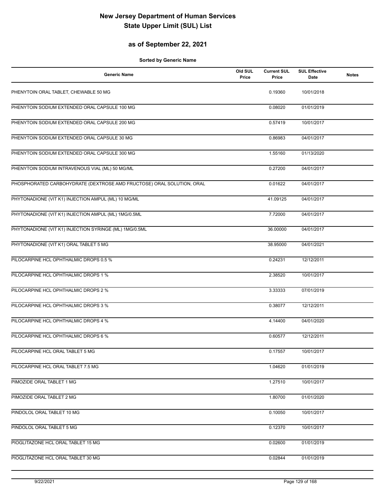### **as of September 22, 2021**

| <b>Generic Name</b>                                                   | Old SUL<br>Price | <b>Current SUL</b><br>Price | <b>SUL Effective</b><br><b>Date</b> | <b>Notes</b> |
|-----------------------------------------------------------------------|------------------|-----------------------------|-------------------------------------|--------------|
| PHENYTOIN ORAL TABLET, CHEWABLE 50 MG                                 |                  | 0.19360                     | 10/01/2018                          |              |
| PHENYTOIN SODIUM EXTENDED ORAL CAPSULE 100 MG                         |                  | 0.08020                     | 01/01/2019                          |              |
| PHENYTOIN SODIUM EXTENDED ORAL CAPSULE 200 MG                         |                  | 0.57419                     | 10/01/2017                          |              |
| PHENYTOIN SODIUM EXTENDED ORAL CAPSULE 30 MG                          |                  | 0.86983                     | 04/01/2017                          |              |
| PHENYTOIN SODIUM EXTENDED ORAL CAPSULE 300 MG                         |                  | 1.55160                     | 01/13/2020                          |              |
| PHENYTOIN SODIUM INTRAVENOUS VIAL (ML) 50 MG/ML                       |                  | 0.27200                     | 04/01/2017                          |              |
| PHOSPHORATED CARBOHYDRATE (DEXTROSE AMD FRUCTOSE) ORAL SOLUTION, ORAL |                  | 0.01622                     | 04/01/2017                          |              |
| PHYTONADIONE (VIT K1) INJECTION AMPUL (ML) 10 MG/ML                   |                  | 41.09125                    | 04/01/2017                          |              |
| PHYTONADIONE (VIT K1) INJECTION AMPUL (ML) 1MG/0.5ML                  |                  | 7.72000                     | 04/01/2017                          |              |
| PHYTONADIONE (VIT K1) INJECTION SYRINGE (ML) 1MG/0.5ML                |                  | 36.00000                    | 04/01/2017                          |              |
| PHYTONADIONE (VIT K1) ORAL TABLET 5 MG                                |                  | 38.95000                    | 04/01/2021                          |              |
| PILOCARPINE HCL OPHTHALMIC DROPS 0.5 %                                |                  | 0.24231                     | 12/12/2011                          |              |
| PILOCARPINE HCL OPHTHALMIC DROPS 1 %                                  |                  | 2.38520                     | 10/01/2017                          |              |
| PILOCARPINE HCL OPHTHALMIC DROPS 2 %                                  |                  | 3.33333                     | 07/01/2019                          |              |
| PILOCARPINE HCL OPHTHALMIC DROPS 3 %                                  |                  | 0.38077                     | 12/12/2011                          |              |
| PILOCARPINE HCL OPHTHALMIC DROPS 4 %                                  |                  | 4.14400                     | 04/01/2020                          |              |
| PILOCARPINE HCL OPHTHALMIC DROPS 6 %                                  |                  | 0.60577                     | 12/12/2011                          |              |
| PILOCARPINE HCL ORAL TABLET 5 MG                                      |                  | 0.17557                     | 10/01/2017                          |              |
| PILOCARPINE HCL ORAL TABLET 7.5 MG                                    |                  | 1.04620                     | 01/01/2019                          |              |
| PIMOZIDE ORAL TABLET 1 MG                                             |                  | 1.27510                     | 10/01/2017                          |              |
| PIMOZIDE ORAL TABLET 2 MG                                             |                  | 1.80700                     | 01/01/2020                          |              |
| PINDOLOL ORAL TABLET 10 MG                                            |                  | 0.10050                     | 10/01/2017                          |              |
| PINDOLOL ORAL TABLET 5 MG                                             |                  | 0.12370                     | 10/01/2017                          |              |
| PIOGLITAZONE HCL ORAL TABLET 15 MG                                    |                  | 0.02600                     | 01/01/2019                          |              |
| PIOGLITAZONE HCL ORAL TABLET 30 MG                                    |                  | 0.02844                     | 01/01/2019                          |              |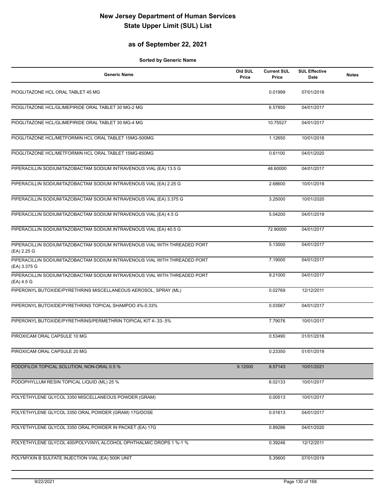### **as of September 22, 2021**

| <b>Generic Name</b>                                                                       | Old SUL<br>Price | <b>Current SUL</b><br>Price | <b>SUL Effective</b><br>Date | <b>Notes</b> |
|-------------------------------------------------------------------------------------------|------------------|-----------------------------|------------------------------|--------------|
| PIOGLITAZONE HCL ORAL TABLET 45 MG                                                        |                  | 0.01999                     | 07/01/2018                   |              |
| PIOGLITAZONE HCL/GLIMEPIRIDE ORAL TABLET 30 MG-2 MG                                       |                  | 6.57850                     | 04/01/2017                   |              |
| PIOGLITAZONE HCL/GLIMEPIRIDE ORAL TABLET 30 MG-4 MG                                       |                  | 10.75527                    | 04/01/2017                   |              |
| PIOGLITAZONE HCL/METFORMIN HCL ORAL TABLET 15MG-500MG                                     |                  | 1.12650                     | 10/01/2018                   |              |
| PIOGLITAZONE HCL/METFORMIN HCL ORAL TABLET 15MG-850MG                                     |                  | 0.61100                     | 04/01/2020                   |              |
| PIPERACILLIN SODIUM/TAZOBACTAM SODIUM INTRAVENOUS VIAL (EA) 13.5 G                        |                  | 48.60000                    | 04/01/2017                   |              |
| PIPERACILLIN SODIUM/TAZOBACTAM SODIUM INTRAVENOUS VIAL (EA) 2.25 G                        |                  | 2.68600                     | 10/01/2019                   |              |
| PIPERACILLIN SODIUM/TAZOBACTAM SODIUM INTRAVENOUS VIAL (EA) 3.375 G                       |                  | 3.25000                     | 10/01/2020                   |              |
| PIPERACILLIN SODIUM/TAZOBACTAM SODIUM INTRAVENOUS VIAL (EA) 4.5 G                         |                  | 5.04200                     | 04/01/2019                   |              |
| PIPERACILLIN SODIUM/TAZOBACTAM SODIUM INTRAVENOUS VIAL (EA) 40.5 G                        |                  | 72.90000                    | 04/01/2017                   |              |
| PIPERACILLIN SODIUM/TAZOBACTAM SODIUM INTRAVENOUS VIAL WITH THREADED PORT<br>(EA) 2.25 G  |                  | 5.13000                     | 04/01/2017                   |              |
| PIPERACILLIN SODIUM/TAZOBACTAM SODIUM INTRAVENOUS VIAL WITH THREADED PORT<br>(EA) 3.375 G |                  | 7.19000                     | 04/01/2017                   |              |
| PIPERACILLIN SODIUM/TAZOBACTAM SODIUM INTRAVENOUS VIAL WITH THREADED PORT<br>(EA) 4.5 G   |                  | 9.21000                     | 04/01/2017                   |              |
| PIPERONYL BUTOXIDE/PYRETHRINS MISCELLANEOUS AEROSOL, SPRAY (ML)                           |                  | 0.02769                     | 12/12/2011                   |              |
| PIPERONYL BUTOXIDE/PYRETHRINS TOPICAL SHAMPOO 4%-0.33%                                    |                  | 0.03567                     | 04/01/2017                   |              |
| PIPERONYL BUTOXIDE/PYRETHRINS/PERMETHRIN TOPICAL KIT 4-.33-.5%                            |                  | 7.79076                     | 10/01/2017                   |              |
| PIROXICAM ORAL CAPSULE 10 MG                                                              |                  | 0.53490                     | 01/01/2018                   |              |
| PIROXICAM ORAL CAPSULE 20 MG                                                              |                  | 0.23350                     | 01/01/2019                   |              |
| PODOFILOX TOPICAL SOLUTION, NON-ORAL 0.5 %                                                | 9.12000          | 8.57143                     | 10/01/2021                   |              |
| PODOPHYLLUM RESIN TOPICAL LIQUID (ML) 25 %                                                |                  | 6.02133                     | 10/01/2017                   |              |
| POLYETHYLENE GLYCOL 3350 MISCELLANEOUS POWDER (GRAM)                                      |                  | 0.00513                     | 10/01/2017                   |              |
| POLYETHYLENE GLYCOL 3350 ORAL POWDER (GRAM) 17G/DOSE                                      |                  | 0.01613                     | 04/01/2017                   |              |
| POLYETHYLENE GLYCOL 3350 ORAL POWDER IN PACKET (EA) 17G                                   |                  | 0.89286                     | 04/01/2020                   |              |
| POLYETHYLENE GLYCOL 400/POLYVINYL ALCOHOL OPHTHALMIC DROPS 1 %-1 %                        |                  | 0.39246                     | 12/12/2011                   |              |
| POLYMYXIN B SULFATE INJECTION VIAL (EA) 500K UNIT                                         |                  | 5.35600                     | 07/01/2019                   |              |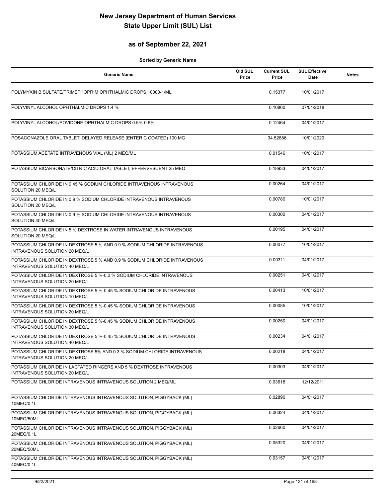### **as of September 22, 2021**

| <b>Generic Name</b>                                                                                       | Old SUL<br>Price | <b>Current SUL</b><br>Price | <b>SUL Effective</b><br>Date | <b>Notes</b> |
|-----------------------------------------------------------------------------------------------------------|------------------|-----------------------------|------------------------------|--------------|
| POLYMYXIN B SULFATE/TRIMETHOPRIM OPHTHALMIC DROPS 10000-1/ML                                              |                  | 0.15377                     | 10/01/2017                   |              |
| POLYVINYL ALCOHOL OPHTHALMIC DROPS 1.4 %                                                                  |                  | 0.10800                     | 07/01/2018                   |              |
| POLYVINYL ALCOHOL/POVIDONE OPHTHALMIC DROPS 0.5%-0.6%                                                     |                  | 0.12464                     | 04/01/2017                   |              |
| POSACONAZOLE ORAL TABLET, DELAYED RELEASE (ENTERIC COATED) 100 MG                                         |                  | 34.52886                    | 10/01/2020                   |              |
| POTASSIUM ACETATE INTRAVENOUS VIAL (ML) 2 MEQ/ML                                                          |                  | 0.01546                     | 10/01/2017                   |              |
| POTASSIUM BICARBONATE/CITRIC ACID ORAL TABLET, EFFERVESCENT 25 MEQ                                        |                  | 0.18933                     | 04/01/2017                   |              |
| POTASSIUM CHLORIDE IN 0.45 % SODIUM CHLORIDE INTRAVENOUS INTRAVENOUS<br>SOLUTION 20 MEQ/L                 |                  | 0.00264                     | 04/01/2017                   |              |
| POTASSIUM CHLORIDE IN 0.9 % SODIUM CHLORIDE INTRAVENOUS INTRAVENOUS<br>SOLUTION 20 MEQ/L                  |                  | 0.00780                     | 10/01/2017                   |              |
| POTASSIUM CHLORIDE IN 0.9 % SODIUM CHLORIDE INTRAVENOUS INTRAVENOUS<br>SOLUTION 40 MEQ/L                  |                  | 0.00300                     | 04/01/2017                   |              |
| POTASSIUM CHLORIDE IN 5 % DEXTROSE IN WATER INTRAVENOUS INTRAVENOUS<br>SOLUTION 20 MEQ/L                  |                  | 0.00195                     | 04/01/2017                   |              |
| POTASSIUM CHLORIDE IN DEXTROSE 5 % AND 0.9 % SODIUM CHLORIDE INTRAVENOUS<br>INTRAVENOUS SOLUTION 20 MEQ/L |                  | 0.00077                     | 10/01/2017                   |              |
| POTASSIUM CHLORIDE IN DEXTROSE 5 % AND 0.9 % SODIUM CHLORIDE INTRAVENOUS<br>INTRAVENOUS SOLUTION 40 MEQ/L |                  | 0.00311                     | 04/01/2017                   |              |
| POTASSIUM CHLORIDE IN DEXTROSE 5 %-0.2 % SODIUM CHLORIDE INTRAVENOUS<br>INTRAVENOUS SOLUTION 20 MEQ/L     |                  | 0.00251                     | 04/01/2017                   |              |
| POTASSIUM CHLORIDE IN DEXTROSE 5 %-0.45 % SODIUM CHLORIDE INTRAVENOUS<br>INTRAVENOUS SOLUTION 10 MEQ/L    |                  | 0.00413                     | 10/01/2017                   |              |
| POTASSIUM CHLORIDE IN DEXTROSE 5 %-0.45 % SODIUM CHLORIDE INTRAVENOUS<br>INTRAVENOUS SOLUTION 20 MEQ/L    |                  | 0.00085                     | 10/01/2017                   |              |
| POTASSIUM CHLORIDE IN DEXTROSE 5 %-0.45 % SODIUM CHLORIDE INTRAVENOUS<br>INTRAVENOUS SOLUTION 30 MEQ/L    |                  | 0.00250                     | 04/01/2017                   |              |
| POTASSIUM CHLORIDE IN DEXTROSE 5 %-0.45 % SODIUM CHLORIDE INTRAVENOUS<br>INTRAVENOUS SOLUTION 40 MEQ/L    |                  | 0.00234                     | 04/01/2017                   |              |
| POTASSIUM CHLORIDE IN DEXTROSE 5% AND 0.3 % SODIUM CHLORIDE INTRAVENOUS<br>INTRAVENOUS SOLUTION 20 MEQ/L  |                  | 0.00218                     | 04/01/2017                   |              |
| POTASSIUM CHLORIDE IN LACTATED RINGERS AND 5 % DEXTROSE INTRAVENOUS<br>INTRAVENOUS SOLUTION 20 MEQ/L      |                  | 0.00303                     | 04/01/2017                   |              |
| POTASSIUM CHLORIDE INTRAVENOUS INTRAVENOUS SOLUTION 2 MEQ/ML                                              |                  | 0.03618                     | 12/12/2011                   |              |
| POTASSIUM CHLORIDE INTRAVENOUS INTRAVENOUS SOLUTION, PIGGYBACK (ML)<br>10MEQ/0.1L                         |                  | 0.02890                     | 04/01/2017                   |              |
| POTASSIUM CHLORIDE INTRAVENOUS INTRAVENOUS SOLUTION, PIGGYBACK (ML)<br>10MEQ/50ML                         |                  | 0.06324                     | 04/01/2017                   |              |
| POTASSIUM CHLORIDE INTRAVENOUS INTRAVENOUS SOLUTION, PIGGYBACK (ML)<br>20MEQ/0.1L                         |                  | 0.02660                     | 04/01/2017                   |              |
| POTASSIUM CHLORIDE INTRAVENOUS INTRAVENOUS SOLUTION, PIGGYBACK (ML)<br>20MEQ/50ML                         |                  | 0.05320                     | 04/01/2017                   |              |
| POTASSIUM CHLORIDE INTRAVENOUS INTRAVENOUS SOLUTION, PIGGYBACK (ML)<br>40MEQ/0.1L                         |                  | 0.03157                     | 04/01/2017                   |              |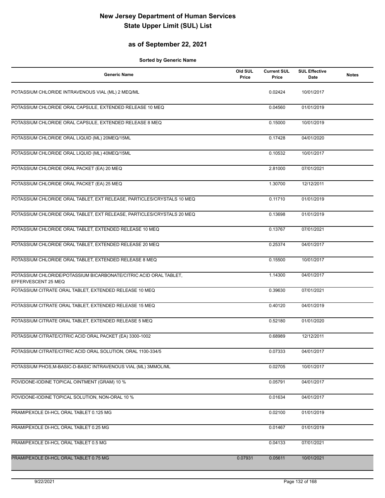### **as of September 22, 2021**

| <b>Generic Name</b>                                                                      | Old SUL<br>Price | <b>Current SUL</b><br>Price | <b>SUL Effective</b><br>Date | <b>Notes</b> |
|------------------------------------------------------------------------------------------|------------------|-----------------------------|------------------------------|--------------|
| POTASSIUM CHLORIDE INTRAVENOUS VIAL (ML) 2 MEQ/ML                                        |                  | 0.02424                     | 10/01/2017                   |              |
| POTASSIUM CHLORIDE ORAL CAPSULE, EXTENDED RELEASE 10 MEQ                                 |                  | 0.04560                     | 01/01/2019                   |              |
| POTASSIUM CHLORIDE ORAL CAPSULE, EXTENDED RELEASE 8 MEQ                                  |                  | 0.15000                     | 10/01/2019                   |              |
| POTASSIUM CHLORIDE ORAL LIQUID (ML) 20MEQ/15ML                                           |                  | 0.17428                     | 04/01/2020                   |              |
| POTASSIUM CHLORIDE ORAL LIQUID (ML) 40MEQ/15ML                                           |                  | 0.10532                     | 10/01/2017                   |              |
| POTASSIUM CHLORIDE ORAL PACKET (EA) 20 MEQ                                               |                  | 2.81000                     | 07/01/2021                   |              |
| POTASSIUM CHLORIDE ORAL PACKET (EA) 25 MEQ                                               |                  | 1.30700                     | 12/12/2011                   |              |
| POTASSIUM CHLORIDE ORAL TABLET, EXT RELEASE, PARTICLES/CRYSTALS 10 MEQ                   |                  | 0.11710                     | 01/01/2019                   |              |
| POTASSIUM CHLORIDE ORAL TABLET, EXT RELEASE, PARTICLES/CRYSTALS 20 MEQ                   |                  | 0.13698                     | 01/01/2019                   |              |
| POTASSIUM CHLORIDE ORAL TABLET, EXTENDED RELEASE 10 MEQ                                  |                  | 0.13767                     | 07/01/2021                   |              |
| POTASSIUM CHLORIDE ORAL TABLET, EXTENDED RELEASE 20 MEQ                                  |                  | 0.25374                     | 04/01/2017                   |              |
| POTASSIUM CHLORIDE ORAL TABLET, EXTENDED RELEASE 8 MEQ                                   |                  | 0.15500                     | 10/01/2017                   |              |
| POTASSIUM CHLORIDE/POTASSIUM BICARBONATE/CITRIC ACID ORAL TABLET,<br>EFFERVESCENT 25 MEQ |                  | 1.14300                     | 04/01/2017                   |              |
| POTASSIUM CITRATE ORAL TABLET, EXTENDED RELEASE 10 MEQ                                   |                  | 0.39630                     | 07/01/2021                   |              |
| POTASSIUM CITRATE ORAL TABLET, EXTENDED RELEASE 15 MEQ                                   |                  | 0.40120                     | 04/01/2019                   |              |
| POTASSIUM CITRATE ORAL TABLET, EXTENDED RELEASE 5 MEQ                                    |                  | 0.52180                     | 01/01/2020                   |              |
| POTASSIUM CITRATE/CITRIC ACID ORAL PACKET (EA) 3300-1002                                 |                  | 0.68989                     | 12/12/2011                   |              |
| POTASSIUM CITRATE/CITRIC ACID ORAL SOLUTION, ORAL 1100-334/5                             |                  | 0.07333                     | 04/01/2017                   |              |
| POTASSIUM PHOS, M-BASIC-D-BASIC INTRAVENOUS VIAL (ML) 3MMOL/ML                           |                  | 0.02705                     | 10/01/2017                   |              |
| POVIDONE-IODINE TOPICAL OINTMENT (GRAM) 10 %                                             |                  | 0.05791                     | 04/01/2017                   |              |
| POVIDONE-IODINE TOPICAL SOLUTION, NON-ORAL 10 %                                          |                  | 0.01634                     | 04/01/2017                   |              |
| PRAMIPEXOLE DI-HCL ORAL TABLET 0.125 MG                                                  |                  | 0.02100                     | 01/01/2019                   |              |
| PRAMIPEXOLE DI-HCL ORAL TABLET 0.25 MG                                                   |                  | 0.01467                     | 01/01/2019                   |              |
| PRAMIPEXOLE DI-HCL ORAL TABLET 0.5 MG                                                    |                  | 0.04133                     | 07/01/2021                   |              |
| PRAMIPEXOLE DI-HCL ORAL TABLET 0.75 MG                                                   | 0.07931          | 0.05611                     | 10/01/2021                   |              |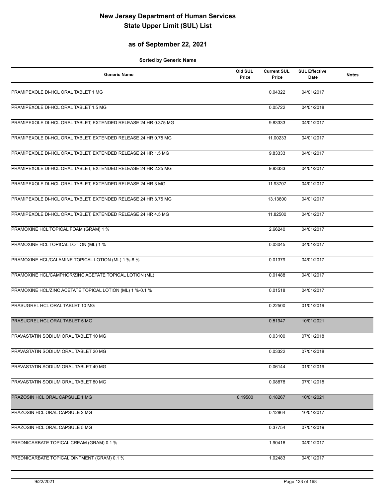### **as of September 22, 2021**

| <b>Generic Name</b>                                             | Old SUL<br>Price | <b>Current SUL</b><br>Price | <b>SUL Effective</b><br>Date | <b>Notes</b> |
|-----------------------------------------------------------------|------------------|-----------------------------|------------------------------|--------------|
| PRAMIPEXOLE DI-HCL ORAL TABLET 1 MG                             |                  | 0.04322                     | 04/01/2017                   |              |
| PRAMIPEXOLE DI-HCL ORAL TABLET 1.5 MG                           |                  | 0.05722                     | 04/01/2018                   |              |
| PRAMIPEXOLE DI-HCL ORAL TABLET, EXTENDED RELEASE 24 HR 0.375 MG |                  | 9.83333                     | 04/01/2017                   |              |
| PRAMIPEXOLE DI-HCL ORAL TABLET, EXTENDED RELEASE 24 HR 0.75 MG  |                  | 11.00233                    | 04/01/2017                   |              |
| PRAMIPEXOLE DI-HCL ORAL TABLET, EXTENDED RELEASE 24 HR 1.5 MG   |                  | 9.83333                     | 04/01/2017                   |              |
| PRAMIPEXOLE DI-HCL ORAL TABLET, EXTENDED RELEASE 24 HR 2.25 MG  |                  | 9.83333                     | 04/01/2017                   |              |
| PRAMIPEXOLE DI-HCL ORAL TABLET, EXTENDED RELEASE 24 HR 3 MG     |                  | 11.93707                    | 04/01/2017                   |              |
| PRAMIPEXOLE DI-HCL ORAL TABLET, EXTENDED RELEASE 24 HR 3.75 MG  |                  | 13.13800                    | 04/01/2017                   |              |
| PRAMIPEXOLE DI-HCL ORAL TABLET, EXTENDED RELEASE 24 HR 4.5 MG   |                  | 11.82500                    | 04/01/2017                   |              |
| PRAMOXINE HCL TOPICAL FOAM (GRAM) 1 %                           |                  | 2.66240                     | 04/01/2017                   |              |
| PRAMOXINE HCL TOPICAL LOTION (ML) 1 %                           |                  | 0.03045                     | 04/01/2017                   |              |
| PRAMOXINE HCL/CALAMINE TOPICAL LOTION (ML) 1 %-8 %              |                  | 0.01379                     | 04/01/2017                   |              |
| PRAMOXINE HCL/CAMPHOR/ZINC ACETATE TOPICAL LOTION (ML)          |                  | 0.01488                     | 04/01/2017                   |              |
| PRAMOXINE HCL/ZINC ACETATE TOPICAL LOTION (ML) 1 %-0.1 %        |                  | 0.01518                     | 04/01/2017                   |              |
| PRASUGREL HCL ORAL TABLET 10 MG                                 |                  | 0.22500                     | 01/01/2019                   |              |
| PRASUGREL HCL ORAL TABLET 5 MG                                  |                  | 0.51947                     | 10/01/2021                   |              |
| PRAVASTATIN SODIUM ORAL TABLET 10 MG                            |                  | 0.03100                     | 07/01/2018                   |              |
| PRAVASTATIN SODIUM ORAL TABLET 20 MG                            |                  | 0.03322                     | 07/01/2018                   |              |
| PRAVASTATIN SODIUM ORAL TABLET 40 MG                            |                  | 0.06144                     | 01/01/2019                   |              |
| PRAVASTATIN SODIUM ORAL TABLET 80 MG                            |                  | 0.08878                     | 07/01/2018                   |              |
| PRAZOSIN HCL ORAL CAPSULE 1 MG                                  | 0.19500          | 0.18267                     | 10/01/2021                   |              |
| PRAZOSIN HCL ORAL CAPSULE 2 MG                                  |                  | 0.12864                     | 10/01/2017                   |              |
| PRAZOSIN HCL ORAL CAPSULE 5 MG                                  |                  | 0.37754                     | 07/01/2019                   |              |
| PREDNICARBATE TOPICAL CREAM (GRAM) 0.1 %                        |                  | 1.90416                     | 04/01/2017                   |              |
| PREDNICARBATE TOPICAL OINTMENT (GRAM) 0.1 %                     |                  | 1.02483                     | 04/01/2017                   |              |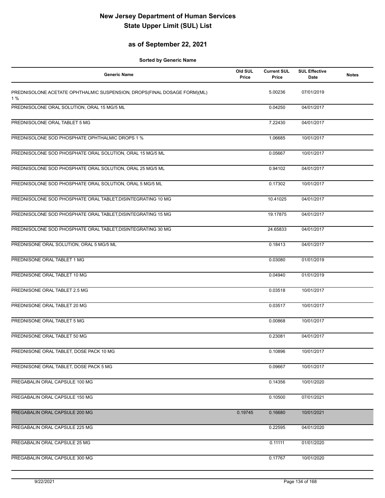### **as of September 22, 2021**

| <b>Generic Name</b>                                                            | Old SUL<br>Price | <b>Current SUL</b><br>Price | <b>SUL Effective</b><br>Date | <b>Notes</b> |
|--------------------------------------------------------------------------------|------------------|-----------------------------|------------------------------|--------------|
| PREDNISOLONE ACETATE OPHTHALMIC SUSPENSION, DROPS(FINAL DOSAGE FORM)(ML)<br>1% |                  | 5.00236                     | 07/01/2019                   |              |
| PREDNISOLONE ORAL SOLUTION, ORAL 15 MG/5 ML                                    |                  | 0.04250                     | 04/01/2017                   |              |
| PREDNISOLONE ORAL TABLET 5 MG                                                  |                  | 7.22430                     | 04/01/2017                   |              |
| PREDNISOLONE SOD PHOSPHATE OPHTHALMIC DROPS 1 %                                |                  | 1.06685                     | 10/01/2017                   |              |
| PREDNISOLONE SOD PHOSPHATE ORAL SOLUTION, ORAL 15 MG/5 ML                      |                  | 0.05667                     | 10/01/2017                   |              |
| PREDNISOLONE SOD PHOSPHATE ORAL SOLUTION, ORAL 25 MG/5 ML                      |                  | 0.94102                     | 04/01/2017                   |              |
| PREDNISOLONE SOD PHOSPHATE ORAL SOLUTION, ORAL 5 MG/5 ML                       |                  | 0.17302                     | 10/01/2017                   |              |
| PREDNISOLONE SOD PHOSPHATE ORAL TABLET, DISINTEGRATING 10 MG                   |                  | 10.41025                    | 04/01/2017                   |              |
| PREDNISOLONE SOD PHOSPHATE ORAL TABLET, DISINTEGRATING 15 MG                   |                  | 19.17875                    | 04/01/2017                   |              |
| PREDNISOLONE SOD PHOSPHATE ORAL TABLET, DISINTEGRATING 30 MG                   |                  | 24.65833                    | 04/01/2017                   |              |
| PREDNISONE ORAL SOLUTION, ORAL 5 MG/5 ML                                       |                  | 0.18413                     | 04/01/2017                   |              |
| PREDNISONE ORAL TABLET 1 MG                                                    |                  | 0.03080                     | 01/01/2019                   |              |
| PREDNISONE ORAL TABLET 10 MG                                                   |                  | 0.04940                     | 01/01/2019                   |              |
| PREDNISONE ORAL TABLET 2.5 MG                                                  |                  | 0.03518                     | 10/01/2017                   |              |
| PREDNISONE ORAL TABLET 20 MG                                                   |                  | 0.03517                     | 10/01/2017                   |              |
| PREDNISONE ORAL TABLET 5 MG                                                    |                  | 0.00868                     | 10/01/2017                   |              |
| PREDNISONE ORAL TABLET 50 MG                                                   |                  | 0.23081                     | 04/01/2017                   |              |
| PREDNISONE ORAL TABLET, DOSE PACK 10 MG                                        |                  | 0.10896                     | 10/01/2017                   |              |
| PREDNISONE ORAL TABLET, DOSE PACK 5 MG                                         |                  | 0.09667                     | 10/01/2017                   |              |
| PREGABALIN ORAL CAPSULE 100 MG                                                 |                  | 0.14356                     | 10/01/2020                   |              |
| PREGABALIN ORAL CAPSULE 150 MG                                                 |                  | 0.10500                     | 07/01/2021                   |              |
| PREGABALIN ORAL CAPSULE 200 MG                                                 | 0.19745          | 0.16680                     | 10/01/2021                   |              |
| PREGABALIN ORAL CAPSULE 225 MG                                                 |                  | 0.22595                     | 04/01/2020                   |              |
| PREGABALIN ORAL CAPSULE 25 MG                                                  |                  | 0.11111                     | 01/01/2020                   |              |
| PREGABALIN ORAL CAPSULE 300 MG                                                 |                  | 0.17767                     | 10/01/2020                   |              |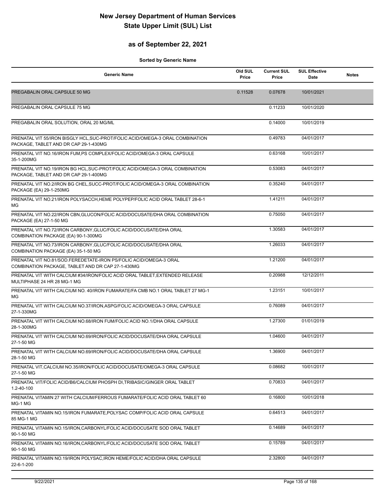### **as of September 22, 2021**

| <b>Generic Name</b>                                                                                                    | Old SUL<br>Price | <b>Current SUL</b><br>Price | <b>SUL Effective</b><br>Date | <b>Notes</b> |
|------------------------------------------------------------------------------------------------------------------------|------------------|-----------------------------|------------------------------|--------------|
| PREGABALIN ORAL CAPSULE 50 MG                                                                                          | 0.11528          | 0.07678                     | 10/01/2021                   |              |
| PREGABALIN ORAL CAPSULE 75 MG                                                                                          |                  | 0.11233                     | 10/01/2020                   |              |
| PREGABALIN ORAL SOLUTION, ORAL 20 MG/ML                                                                                |                  | 0.14000                     | 10/01/2019                   |              |
| PRENATAL VIT 55/IRON BISGLY HCL, SUC-PROT/FOLIC ACID/OMEGA-3 ORAL COMBINATION<br>PACKAGE. TABLET AND DR CAP 29-1-430MG |                  | 0.49783                     | 04/01/2017                   |              |
| PRENATAL VIT NO.16/IRON FUM, PS COMPLEX/FOLIC ACID/OMEGA-3 ORAL CAPSULE<br>35-1-200MG                                  |                  | 0.63168                     | 10/01/2017                   |              |
| PRENATAL VIT NO.19/IRON BG HCL, SUC-PROT/FOLIC ACID/OMEGA-3 ORAL COMBINATION<br>PACKAGE, TABLET AND DR CAP 29-1-400MG  |                  | 0.53083                     | 04/01/2017                   |              |
| PRENATAL VIT NO.2/IRON BG CHEL, SUCC-PROT/FOLIC ACID/OMEGA-3 ORAL COMBINATION<br>PACKAGE (EA) 29-1-250MG               |                  | 0.35240                     | 04/01/2017                   |              |
| PRENATAL VIT NO.21/IRON POLYSACCH, HEME POLYPEP/FOLIC ACID ORAL TABLET 28-6-1<br>MG                                    |                  | 1.41211                     | 04/01/2017                   |              |
| PRENATAL VIT NO.22/IRON CBN, GLUCON/FOLIC ACID/DOCUSATE/DHA ORAL COMBINATION<br>PACKAGE (EA) 27-1-50 MG                |                  | 0.75050                     | 04/01/2017                   |              |
| PRENATAL VIT NO.72/IRON CARBONY, GLUC/FOLIC ACID/DOCUSATE/DHA ORAL<br>COMBINATION PACKAGE (EA) 90-1-300MG              |                  | 1.30583                     | 04/01/2017                   |              |
| PRENATAL VIT NO.73/IRON CARBONY, GLUC/FOLIC ACID/DOCUSATE/DHA ORAL<br>COMBINATION PACKAGE (EA) 35-1-50 MG              |                  | 1.26033                     | 04/01/2017                   |              |
| PRENATAL VIT NO.81/SOD.FEREDETATE-IRON PS/FOLIC ACID/OMEGA-3 ORAL<br>COMBINATION PACKAGE, TABLET AND DR CAP 27-1-430MG |                  | 1.21200                     | 04/01/2017                   |              |
| PRENATAL VIT WITH CALCIUM #34/IRON/FOLIC ACID ORAL TABLET, EXTENDED RELEASE<br>MULTIPHASE 24 HR 28 MG-1 MG             |                  | 0.20988                     | 12/12/2011                   |              |
| PRENATAL VIT WITH CALCIUM NO. 40/IRON FUMARATE/FA CMB NO.1 ORAL TABLET 27 MG-1<br>MG                                   |                  | 1.23151                     | 10/01/2017                   |              |
| PRENATAL VIT WITH CALCIUM NO.37/IRON, ASPG/FOLIC ACID/OMEGA-3 ORAL CAPSULE<br>27-1-330MG                               |                  | 0.76089                     | 04/01/2017                   |              |
| PRENATAL VIT WITH CALCIUM NO.68/IRON FUM/FOLIC ACID NO.1/DHA ORAL CAPSULE<br>28-1-300MG                                |                  | 1.27300                     | 01/01/2019                   |              |
| PRENATAL VIT WITH CALCIUM NO.69/IRON/FOLIC ACID/DOCUSATE/DHA ORAL CAPSULE<br>27-1-50 MG                                |                  | 1.04600                     | 04/01/2017                   |              |
| PRENATAL VIT WITH CALCIUM NO.69/IRON/FOLIC ACID/DOCUSATE/DHA ORAL CAPSULE<br>28-1-50 MG                                |                  | 1.36900                     | 04/01/2017                   |              |
| PRENATAL VIT, CALCIUM NO.35/IRON/FOLIC ACID/DOCUSATE/OMEGA-3 ORAL CAPSULE<br>27-1-50 MG                                |                  | 0.08682                     | 10/01/2017                   |              |
| PRENATAL VIT/FOLIC ACID/B6/CALCIUM PHOSPH DI, TRIBASIC/GINGER ORAL TABLET<br>1.2-40-100                                |                  | 0.70833                     | 04/01/2017                   |              |
| PRENATAL VITAMIN 27 WITH CALCIUM/FERROUS FUMARATE/FOLIC ACID ORAL TABLET 60<br>MG-1 MG                                 |                  | 0.16800                     | 10/01/2018                   |              |
| PRENATAL VITAMIN NO.15/IRON FUMARATE, POLYSAC COMP/FOLIC ACID ORAL CAPSULE<br>85 MG-1 MG                               |                  | 0.64513                     | 04/01/2017                   |              |
| PRENATAL VITAMIN NO.15/IRON, CARBONYL/FOLIC ACID/DOCUSATE SOD ORAL TABLET<br>90-1-50 MG                                |                  | 0.14689                     | 04/01/2017                   |              |
| PRENATAL VITAMIN NO.16/IRON, CARBONYL/FOLIC ACID/DOCUSATE SOD ORAL TABLET<br>90-1-50 MG                                |                  | 0.15789                     | 04/01/2017                   |              |
| PRENATAL VITAMIN NO.19/IRON POLYSAC, IRON HEME/FOLIC ACID/DHA ORAL CAPSULE<br>22-6-1-200                               |                  | 2.32800                     | 04/01/2017                   |              |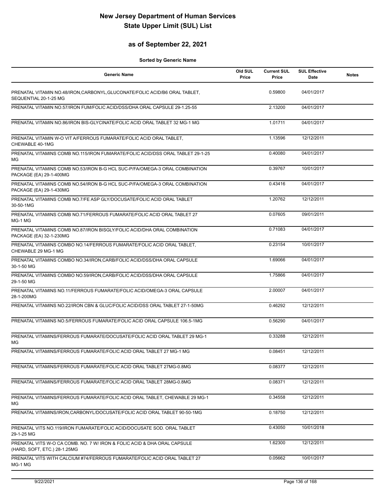### **as of September 22, 2021**

| <b>Generic Name</b>                                                                                      | Old SUL<br>Price | <b>Current SUL</b><br>Price | <b>SUL Effective</b><br>Date | <b>Notes</b> |
|----------------------------------------------------------------------------------------------------------|------------------|-----------------------------|------------------------------|--------------|
| PRENATAL VITAMIN NO.48/IRON, CARBONYL, GLUCONATE/FOLIC ACID/B6 ORAL TABLET,<br>SEQUENTIAL 20-1-25 MG     |                  | 0.59800                     | 04/01/2017                   |              |
| PRENATAL VITAMIN NO.57/IRON FUM/FOLIC ACID/DSS/DHA ORAL CAPSULE 29-1.25-55                               |                  | 2.13200                     | 04/01/2017                   |              |
| PRENATAL VITAMIN NO.86/IRON BIS-GLYCINATE/FOLIC ACID ORAL TABLET 32 MG-1 MG                              |                  | 1.01711                     | 04/01/2017                   |              |
| PRENATAL VITAMIN W-O VIT A/FERROUS FUMARATE/FOLIC ACID ORAL TABLET,<br>CHEWABLE 40-1MG                   |                  | 1.13596                     | 12/12/2011                   |              |
| PRENATAL VITAMINS COMB NO.115/IRON FUMARATE/FOLIC ACID/DSS ORAL TABLET 29-1-25<br>MG                     |                  | 0.40080                     | 04/01/2017                   |              |
| PRENATAL VITAMINS COMB NO.53/IRON B-G HCL SUC-P/FA/OMEGA-3 ORAL COMBINATION<br>PACKAGE (EA) 29-1-400MG   |                  | 0.39767                     | 10/01/2017                   |              |
| PRENATAL VITAMINS COMB NO.54/IRON B-G HCL SUC-P/FA/OMEGA-3 ORAL COMBINATION<br>PACKAGE (EA) 29-1-430MG   |                  | 0.43416                     | 04/01/2017                   |              |
| PRENATAL VITAMINS COMB NO.7/FE ASP GLY/DOCUSATE/FOLIC ACID ORAL TABLET<br>30-50-1MG                      |                  | 1.20762                     | 12/12/2011                   |              |
| PRENATAL VITAMINS COMB NO.71/FERROUS FUMARATE/FOLIC ACID ORAL TABLET 27<br>MG-1 MG                       |                  | 0.07605                     | 09/01/2011                   |              |
| PRENATAL VITAMINS COMB NO.87/IRON BISGLY/FOLIC ACID/DHA ORAL COMBINATION<br>PACKAGE (EA) 32-1-230MG      |                  | 0.71083                     | 04/01/2017                   |              |
| PRENATAL VITAMINS COMBO NO.14/FERROUS FUMARATE/FOLIC ACID ORAL TABLET.<br>CHEWABLE 29 MG-1 MG            |                  | 0.23154                     | 10/01/2017                   |              |
| PRENATAL VITAMINS COMBO NO.34/IRON, CARB/FOLIC ACID/DSS/DHA ORAL CAPSULE<br>30-1-50 MG                   |                  | 1.69066                     | 04/01/2017                   |              |
| PRENATAL VITAMINS COMBO NO.59/IRON, CARB/FOLIC ACID/DSS/DHA ORAL CAPSULE<br>29-1-50 MG                   |                  | 1.75866                     | 04/01/2017                   |              |
| PRENATAL VITAMINS NO.11/FERROUS FUMARATE/FOLIC ACID/OMEGA-3 ORAL CAPSULE<br>28-1-200MG                   |                  | 2.00007                     | 04/01/2017                   |              |
| PRENATAL VITAMINS NO.22/IRON CBN & GLUC/FOLIC ACID/DSS ORAL TABLET 27-1-50MG                             |                  | 0.46292                     | 12/12/2011                   |              |
| PRENATAL VITAMINS NO.5/FERROUS FUMARATE/FOLIC ACID ORAL CAPSULE 106.5-1MG                                |                  | 0.56290                     | 04/01/2017                   |              |
| PRENATAL VITAMINS/FERROUS FUMARATE/DOCUSATE/FOLIC ACID ORAL TABLET 29 MG-1<br>МG                         |                  | 0.33288                     | 12/12/2011                   |              |
| PRENATAL VITAMINS/FERROUS FUMARATE/FOLIC ACID ORAL TABLET 27 MG-1 MG                                     |                  | 0.08451                     | 12/12/2011                   |              |
| PRENATAL VITAMINS/FERROUS FUMARATE/FOLIC ACID ORAL TABLET 27MG-0.8MG                                     |                  | 0.08377                     | 12/12/2011                   |              |
| PRENATAL VITAMINS/FERROUS FUMARATE/FOLIC ACID ORAL TABLET 28MG-0.8MG                                     |                  | 0.08371                     | 12/12/2011                   |              |
| PRENATAL VITAMINS/FERROUS FUMARATE/FOLIC ACID ORAL TABLET, CHEWABLE 29 MG-1<br>МG                        |                  | 0.34558                     | 12/12/2011                   |              |
| PRENATAL VITAMINS/IRON, CARBONYL/DOCUSATE/FOLIC ACID ORAL TABLET 90-50-1MG                               |                  | 0.18750                     | 12/12/2011                   |              |
| PRENATAL VITS NO.119/IRON FUMARATE/FOLIC ACID/DOCUSATE SOD, ORAL TABLET<br>29-1-25 MG                    |                  | 0.43050                     | 10/01/2018                   |              |
| PRENATAL VITS W-O CA COMB. NO. 7 W/ IRON & FOLIC ACID & DHA ORAL CAPSULE<br>(HARD, SOFT, ETC.) 28-1.25MG |                  | 1.62300                     | 12/12/2011                   |              |
| PRENATAL VITS WITH CALCIUM #74/FERROUS FUMARATE/FOLIC ACID ORAL TABLET 27<br>MG-1 MG                     |                  | 0.05662                     | 10/01/2017                   |              |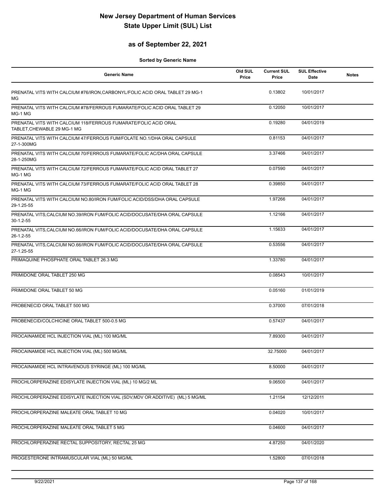### **as of September 22, 2021**

| <b>Generic Name</b>                                                                            | Old SUL<br>Price | <b>Current SUL</b><br>Price | <b>SUL Effective</b><br>Date | <b>Notes</b> |
|------------------------------------------------------------------------------------------------|------------------|-----------------------------|------------------------------|--------------|
| PRENATAL VITS WITH CALCIUM #76/IRON, CARBONYL/FOLIC ACID ORAL TABLET 29 MG-1<br>MG             |                  | 0.13802                     | 10/01/2017                   |              |
| PRENATAL VITS WITH CALCIUM #78/FERROUS FUMARATE/FOLIC ACID ORAL TABLET 29<br>MG-1 MG           |                  | 0.12050                     | 10/01/2017                   |              |
| PRENATAL VITS WITH CALCIUM 118/FERROUS FUMARATE/FOLIC ACID ORAL<br>TABLET, CHEWABLE 29 MG-1 MG |                  | 0.19280                     | 04/01/2019                   |              |
| PRENATAL VITS WITH CALCIUM 47/FERROUS FUM/FOLATE NO.1/DHA ORAL CAPSULE<br>27-1-300MG           |                  | 0.81153                     | 04/01/2017                   |              |
| PRENATAL VITS WITH CALCIUM 70/FERROUS FUMARATE/FOLIC AC/DHA ORAL CAPSULE<br>28-1-250MG         |                  | 3.37466                     | 04/01/2017                   |              |
| PRENATAL VITS WITH CALCIUM 72/FERROUS FUMARATE/FOLIC ACID ORAL TABLET 27<br>MG-1 MG            |                  | 0.07590                     | 04/01/2017                   |              |
| PRENATAL VITS WITH CALCIUM 73/FERROUS FUMARATE/FOLIC ACID ORAL TABLET 28<br>MG-1 MG            |                  | 0.39850                     | 04/01/2017                   |              |
| PRENATAL VITS WITH CALCIUM NO.80/IRON FUM/FOLIC ACID/DSS/DHA ORAL CAPSULE<br>29-1.25-55        |                  | 1.97266                     | 04/01/2017                   |              |
| PRENATAL VITS, CALCIUM NO.39/IRON FUM/FOLIC ACID/DOCUSATE/DHA ORAL CAPSULE<br>$30-1.2-55$      |                  | 1.12166                     | 04/01/2017                   |              |
| PRENATAL VITS, CALCIUM NO.66/IRON FUM/FOLIC ACID/DOCUSATE/DHA ORAL CAPSULE<br>26-1.2-55        |                  | 1.15633                     | 04/01/2017                   |              |
| PRENATAL VITS, CALCIUM NO.66/IRON FUM/FOLIC ACID/DOCUSATE/DHA ORAL CAPSULE<br>27-1.25-55       |                  | 0.53556                     | 04/01/2017                   |              |
| PRIMAQUINE PHOSPHATE ORAL TABLET 26.3 MG                                                       |                  | 1.33780                     | 04/01/2017                   |              |
| PRIMIDONE ORAL TABLET 250 MG                                                                   |                  | 0.08543                     | 10/01/2017                   |              |
| PRIMIDONE ORAL TABLET 50 MG                                                                    |                  | 0.05160                     | 01/01/2019                   |              |
| PROBENECID ORAL TABLET 500 MG                                                                  |                  | 0.37000                     | 07/01/2018                   |              |
| PROBENECID/COLCHICINE ORAL TABLET 500-0.5 MG                                                   |                  | 0.57437                     | 04/01/2017                   |              |
| PROCAINAMIDE HCL INJECTION VIAL (ML) 100 MG/ML                                                 |                  | 7.89300                     | 04/01/2017                   |              |
| PROCAINAMIDE HCL INJECTION VIAL (ML) 500 MG/ML                                                 |                  | 32.75000                    | 04/01/2017                   |              |
| PROCAINAMIDE HCL INTRAVENOUS SYRINGE (ML) 100 MG/ML                                            |                  | 8.50000                     | 04/01/2017                   |              |
| PROCHLORPERAZINE EDISYLATE INJECTION VIAL (ML) 10 MG/2 ML                                      |                  | 9.06500                     | 04/01/2017                   |              |
| PROCHLORPERAZINE EDISYLATE INJECTION VIAL (SDV, MDV OR ADDITIVE) (ML) 5 MG/ML                  |                  | 1.21154                     | 12/12/2011                   |              |
| PROCHLORPERAZINE MALEATE ORAL TABLET 10 MG                                                     |                  | 0.04020                     | 10/01/2017                   |              |
| PROCHLORPERAZINE MALEATE ORAL TABLET 5 MG                                                      |                  | 0.04600                     | 04/01/2017                   |              |
| PROCHLORPERAZINE RECTAL SUPPOSITORY, RECTAL 25 MG                                              |                  | 4.87250                     | 04/01/2020                   |              |
| PROGESTERONE INTRAMUSCULAR VIAL (ML) 50 MG/ML                                                  |                  | 1.52800                     | 07/01/2018                   |              |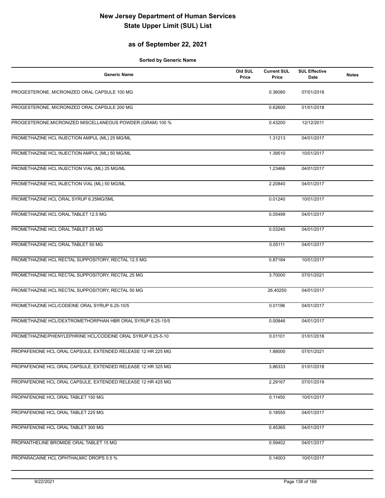### **as of September 22, 2021**

| <b>Generic Name</b>                                         | Old SUL<br>Price | <b>Current SUL</b><br>Price | <b>SUL Effective</b><br>Date | <b>Notes</b> |
|-------------------------------------------------------------|------------------|-----------------------------|------------------------------|--------------|
| PROGESTERONE, MICRONIZED ORAL CAPSULE 100 MG                |                  | 0.36080                     | 07/01/2018                   |              |
| PROGESTERONE, MICRONIZED ORAL CAPSULE 200 MG                |                  | 0.62600                     | 01/01/2018                   |              |
| PROGESTERONE, MICRONIZED MISCELLANEOUS POWDER (GRAM) 100 %  |                  | 0.43200                     | 12/12/2011                   |              |
| PROMETHAZINE HCL INJECTION AMPUL (ML) 25 MG/ML              |                  | 1.31213                     | 04/01/2017                   |              |
| PROMETHAZINE HCL INJECTION AMPUL (ML) 50 MG/ML              |                  | 1.39510                     | 10/01/2017                   |              |
| PROMETHAZINE HCL INJECTION VIAL (ML) 25 MG/ML               |                  | 1.23466                     | 04/01/2017                   |              |
| PROMETHAZINE HCL INJECTION VIAL (ML) 50 MG/ML               |                  | 2.20840                     | 04/01/2017                   |              |
| PROMETHAZINE HCL ORAL SYRUP 6.25MG/5ML                      |                  | 0.01240                     | 10/01/2017                   |              |
| PROMETHAZINE HCL ORAL TABLET 12.5 MG                        |                  | 0.05499                     | 04/01/2017                   |              |
| PROMETHAZINE HCL ORAL TABLET 25 MG                          |                  | 0.03240                     | 04/01/2017                   |              |
| PROMETHAZINE HCL ORAL TABLET 50 MG                          |                  | 0.05111                     | 04/01/2017                   |              |
| PROMETHAZINE HCL RECTAL SUPPOSITORY, RECTAL 12.5 MG         |                  | 0.87184                     | 10/01/2017                   |              |
| PROMETHAZINE HCL RECTAL SUPPOSITORY, RECTAL 25 MG           |                  | 3.70000                     | 07/01/2021                   |              |
| PROMETHAZINE HCL RECTAL SUPPOSITORY, RECTAL 50 MG           |                  | 26.40250                    | 04/01/2017                   |              |
| PROMETHAZINE HCL/CODEINE ORAL SYRUP 6.25-10/5               |                  | 0.01196                     | 04/01/2017                   |              |
| PROMETHAZINE HCL/DEXTROMETHORPHAN HBR ORAL SYRUP 6.25-15/5  |                  | 0.00846                     | 04/01/2017                   |              |
| PROMETHAZINE/PHENYLEPHRINE HCL/CODEINE ORAL SYRUP 6.25-5-10 |                  | 0.01101                     | 01/01/2018                   |              |
| PROPAFENONE HCL ORAL CAPSULE, EXTENDED RELEASE 12 HR 225 MG |                  | 1.88000                     | 07/01/2021                   |              |
| PROPAFENONE HCL ORAL CAPSULE, EXTENDED RELEASE 12 HR 325 MG |                  | 3.86333                     | 01/01/2018                   |              |
| PROPAFENONE HCL ORAL CAPSULE, EXTENDED RELEASE 12 HR 425 MG |                  | 2.29167                     | 07/01/2019                   |              |
| PROPAFENONE HCL ORAL TABLET 150 MG                          |                  | 0.11450                     | 10/01/2017                   |              |
| PROPAFENONE HCL ORAL TABLET 225 MG                          |                  | 0.18555                     | 04/01/2017                   |              |
| PROPAFENONE HCL ORAL TABLET 300 MG                          |                  | 0.45365                     | 04/01/2017                   |              |
| PROPANTHELINE BROMIDE ORAL TABLET 15 MG                     |                  | 0.59402                     | 04/01/2017                   |              |
| PROPARACAINE HCL OPHTHALMIC DROPS 0.5 %                     |                  | 0.14003                     | 10/01/2017                   |              |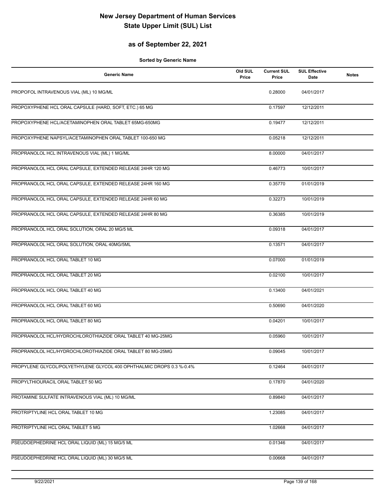### **as of September 22, 2021**

| <b>Generic Name</b>                                                  | Old SUL<br>Price | <b>Current SUL</b><br>Price | <b>SUL Effective</b><br>Date | <b>Notes</b> |
|----------------------------------------------------------------------|------------------|-----------------------------|------------------------------|--------------|
| PROPOFOL INTRAVENOUS VIAL (ML) 10 MG/ML                              |                  | 0.28000                     | 04/01/2017                   |              |
| PROPOXYPHENE HCL ORAL CAPSULE (HARD, SOFT, ETC.) 65 MG               |                  | 0.17597                     | 12/12/2011                   |              |
| PROPOXYPHENE HCL/ACETAMINOPHEN ORAL TABLET 65MG-650MG                |                  | 0.19477                     | 12/12/2011                   |              |
| PROPOXYPHENE NAPSYL/ACETAMINOPHEN ORAL TABLET 100-650 MG             |                  | 0.05218                     | 12/12/2011                   |              |
| PROPRANOLOL HCL INTRAVENOUS VIAL (ML) 1 MG/ML                        |                  | 8.00000                     | 04/01/2017                   |              |
| PROPRANOLOL HCL ORAL CAPSULE, EXTENDED RELEASE 24HR 120 MG           |                  | 0.46773                     | 10/01/2017                   |              |
| PROPRANOLOL HCL ORAL CAPSULE, EXTENDED RELEASE 24HR 160 MG           |                  | 0.35770                     | 01/01/2019                   |              |
| PROPRANOLOL HCL ORAL CAPSULE, EXTENDED RELEASE 24HR 60 MG            |                  | 0.32273                     | 10/01/2019                   |              |
| PROPRANOLOL HCL ORAL CAPSULE, EXTENDED RELEASE 24HR 80 MG            |                  | 0.36385                     | 10/01/2019                   |              |
| PROPRANOLOL HCL ORAL SOLUTION, ORAL 20 MG/5 ML                       |                  | 0.09318                     | 04/01/2017                   |              |
| PROPRANOLOL HCL ORAL SOLUTION, ORAL 40MG/5ML                         |                  | 0.13571                     | 04/01/2017                   |              |
| PROPRANOLOL HCL ORAL TABLET 10 MG                                    |                  | 0.07000                     | 01/01/2019                   |              |
| PROPRANOLOL HCL ORAL TABLET 20 MG                                    |                  | 0.02100                     | 10/01/2017                   |              |
| PROPRANOLOL HCL ORAL TABLET 40 MG                                    |                  | 0.13400                     | 04/01/2021                   |              |
| PROPRANOLOL HCL ORAL TABLET 60 MG                                    |                  | 0.50690                     | 04/01/2020                   |              |
| PROPRANOLOL HCL ORAL TABLET 80 MG                                    |                  | 0.04201                     | 10/01/2017                   |              |
| PROPRANOLOL HCL/HYDROCHLOROTHIAZIDE ORAL TABLET 40 MG-25MG           |                  | 0.05960                     | 10/01/2017                   |              |
| PROPRANOLOL HCL/HYDROCHLOROTHIAZIDE ORAL TABLET 80 MG-25MG           |                  | 0.09045                     | 10/01/2017                   |              |
| PROPYLENE GLYCOL/POLYETHYLENE GLYCOL 400 OPHTHALMIC DROPS 0.3 %-0.4% |                  | 0.12464                     | 04/01/2017                   |              |
| PROPYLTHIOURACIL ORAL TABLET 50 MG                                   |                  | 0.17870                     | 04/01/2020                   |              |
| PROTAMINE SULFATE INTRAVENOUS VIAL (ML) 10 MG/ML                     |                  | 0.89840                     | 04/01/2017                   |              |
| PROTRIPTYLINE HCL ORAL TABLET 10 MG                                  |                  | 1.23085                     | 04/01/2017                   |              |
| PROTRIPTYLINE HCL ORAL TABLET 5 MG                                   |                  | 1.02668                     | 04/01/2017                   |              |
| PSEUDOEPHEDRINE HCL ORAL LIQUID (ML) 15 MG/5 ML                      |                  | 0.01346                     | 04/01/2017                   |              |
| PSEUDOEPHEDRINE HCL ORAL LIQUID (ML) 30 MG/5 ML                      |                  | 0.00668                     | 04/01/2017                   |              |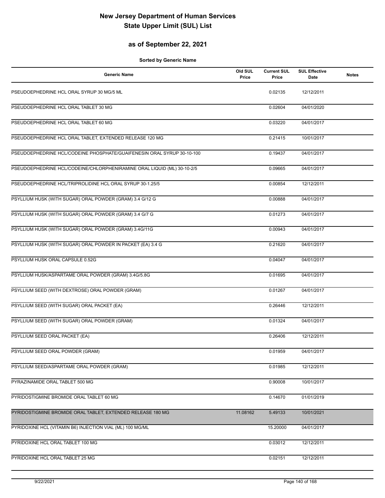### **as of September 22, 2021**

| <b>Generic Name</b>                                                     | Old SUL<br>Price | <b>Current SUL</b><br>Price | <b>SUL Effective</b><br>Date | <b>Notes</b> |
|-------------------------------------------------------------------------|------------------|-----------------------------|------------------------------|--------------|
| PSEUDOEPHEDRINE HCL ORAL SYRUP 30 MG/5 ML                               |                  | 0.02135                     | 12/12/2011                   |              |
| PSEUDOEPHEDRINE HCL ORAL TABLET 30 MG                                   |                  | 0.02604                     | 04/01/2020                   |              |
| PSEUDOEPHEDRINE HCL ORAL TABLET 60 MG                                   |                  | 0.03220                     | 04/01/2017                   |              |
| PSEUDOEPHEDRINE HCL ORAL TABLET, EXTENDED RELEASE 120 MG                |                  | 0.21415                     | 10/01/2017                   |              |
| PSEUDOEPHEDRINE HCL/CODEINE PHOSPHATE/GUAIFENESIN ORAL SYRUP 30-10-100  |                  | 0.19437                     | 04/01/2017                   |              |
| PSEUDOEPHEDRINE HCL/CODEINE/CHLORPHENIRAMINE ORAL LIQUID (ML) 30-10-2/5 |                  | 0.09665                     | 04/01/2017                   |              |
| PSEUDOEPHEDRINE HCL/TRIPROLIDINE HCL ORAL SYRUP 30-1.25/5               |                  | 0.00854                     | 12/12/2011                   |              |
| PSYLLIUM HUSK (WITH SUGAR) ORAL POWDER (GRAM) 3.4 G/12 G                |                  | 0.00888                     | 04/01/2017                   |              |
| PSYLLIUM HUSK (WITH SUGAR) ORAL POWDER (GRAM) 3.4 G/7 G                 |                  | 0.01273                     | 04/01/2017                   |              |
| PSYLLIUM HUSK (WITH SUGAR) ORAL POWDER (GRAM) 3.4G/11G                  |                  | 0.00943                     | 04/01/2017                   |              |
| PSYLLIUM HUSK (WITH SUGAR) ORAL POWDER IN PACKET (EA) 3.4 G             |                  | 0.21620                     | 04/01/2017                   |              |
| PSYLLIUM HUSK ORAL CAPSULE 0.52G                                        |                  | 0.04047                     | 04/01/2017                   |              |
| PSYLLIUM HUSK/ASPARTAME ORAL POWDER (GRAM) 3.4G/5.8G                    |                  | 0.01695                     | 04/01/2017                   |              |
| PSYLLIUM SEED (WITH DEXTROSE) ORAL POWDER (GRAM)                        |                  | 0.01267                     | 04/01/2017                   |              |
| PSYLLIUM SEED (WITH SUGAR) ORAL PACKET (EA)                             |                  | 0.26446                     | 12/12/2011                   |              |
| PSYLLIUM SEED (WITH SUGAR) ORAL POWDER (GRAM)                           |                  | 0.01324                     | 04/01/2017                   |              |
| PSYLLIUM SEED ORAL PACKET (EA)                                          |                  | 0.26406                     | 12/12/2011                   |              |
| PSYLLIUM SEED ORAL POWDER (GRAM)                                        |                  | 0.01959                     | 04/01/2017                   |              |
| PSYLLIUM SEED/ASPARTAME ORAL POWDER (GRAM)                              |                  | 0.01985                     | 12/12/2011                   |              |
| PYRAZINAMIDE ORAL TABLET 500 MG                                         |                  | 0.90008                     | 10/01/2017                   |              |
| PYRIDOSTIGMINE BROMIDE ORAL TABLET 60 MG                                |                  | 0.14670                     | 01/01/2019                   |              |
| PYRIDOSTIGMINE BROMIDE ORAL TABLET, EXTENDED RELEASE 180 MG             | 11.08162         | 5.49133                     | 10/01/2021                   |              |
| PYRIDOXINE HCL (VITAMIN B6) INJECTION VIAL (ML) 100 MG/ML               |                  | 15.20000                    | 04/01/2017                   |              |
| PYRIDOXINE HCL ORAL TABLET 100 MG                                       |                  | 0.03012                     | 12/12/2011                   |              |
| PYRIDOXINE HCL ORAL TABLET 25 MG                                        |                  | 0.02151                     | 12/12/2011                   |              |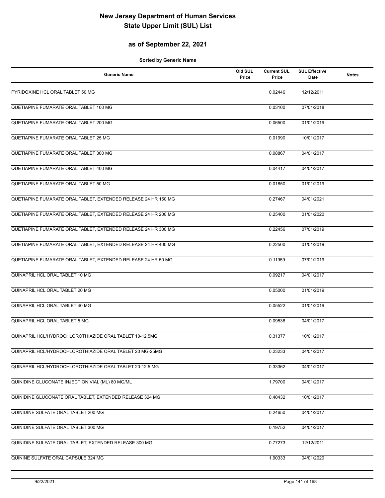### **as of September 22, 2021**

| <b>Generic Name</b>                                            | Old SUL<br>Price | <b>Current SUL</b><br>Price | <b>SUL Effective</b><br>Date | <b>Notes</b> |
|----------------------------------------------------------------|------------------|-----------------------------|------------------------------|--------------|
| PYRIDOXINE HCL ORAL TABLET 50 MG                               |                  | 0.02446                     | 12/12/2011                   |              |
| QUETIAPINE FUMARATE ORAL TABLET 100 MG                         |                  | 0.03100                     | 07/01/2018                   |              |
| QUETIAPINE FUMARATE ORAL TABLET 200 MG                         |                  | 0.06500                     | 01/01/2019                   |              |
| QUETIAPINE FUMARATE ORAL TABLET 25 MG                          |                  | 0.01990                     | 10/01/2017                   |              |
| QUETIAPINE FUMARATE ORAL TABLET 300 MG                         |                  | 0.08867                     | 04/01/2017                   |              |
| QUETIAPINE FUMARATE ORAL TABLET 400 MG                         |                  | 0.04417                     | 04/01/2017                   |              |
| QUETIAPINE FUMARATE ORAL TABLET 50 MG                          |                  | 0.01850                     | 01/01/2019                   |              |
| QUETIAPINE FUMARATE ORAL TABLET, EXTENDED RELEASE 24 HR 150 MG |                  | 0.27467                     | 04/01/2021                   |              |
| QUETIAPINE FUMARATE ORAL TABLET, EXTENDED RELEASE 24 HR 200 MG |                  | 0.25400                     | 01/01/2020                   |              |
| QUETIAPINE FUMARATE ORAL TABLET, EXTENDED RELEASE 24 HR 300 MG |                  | 0.22456                     | 07/01/2019                   |              |
| QUETIAPINE FUMARATE ORAL TABLET, EXTENDED RELEASE 24 HR 400 MG |                  | 0.22500                     | 01/01/2019                   |              |
| QUETIAPINE FUMARATE ORAL TABLET, EXTENDED RELEASE 24 HR 50 MG  |                  | 0.11959                     | 07/01/2019                   |              |
| QUINAPRIL HCL ORAL TABLET 10 MG                                |                  | 0.09217                     | 04/01/2017                   |              |
| QUINAPRIL HCL ORAL TABLET 20 MG                                |                  | 0.05000                     | 01/01/2019                   |              |
| QUINAPRIL HCL ORAL TABLET 40 MG                                |                  | 0.05522                     | 01/01/2019                   |              |
| QUINAPRIL HCL ORAL TABLET 5 MG                                 |                  | 0.09536                     | 04/01/2017                   |              |
| QUINAPRIL HCL/HYDROCHLOROTHIAZIDE ORAL TABLET 10-12.5MG        |                  | 0.31377                     | 10/01/2017                   |              |
| QUINAPRIL HCL/HYDROCHLOROTHIAZIDE ORAL TABLET 20 MG-25MG       |                  | 0.23233                     | 04/01/2017                   |              |
| QUINAPRIL HCL/HYDROCHLOROTHIAZIDE ORAL TABLET 20-12.5 MG       |                  | 0.33362                     | 04/01/2017                   |              |
| QUINIDINE GLUCONATE INJECTION VIAL (ML) 80 MG/ML               |                  | 1.79700                     | 04/01/2017                   |              |
| QUINIDINE GLUCONATE ORAL TABLET, EXTENDED RELEASE 324 MG       |                  | 0.40432                     | 10/01/2017                   |              |
| QUINIDINE SULFATE ORAL TABLET 200 MG                           |                  | 0.24650                     | 04/01/2017                   |              |
| QUINIDINE SULFATE ORAL TABLET 300 MG                           |                  | 0.19752                     | 04/01/2017                   |              |
| QUINIDINE SULFATE ORAL TABLET, EXTENDED RELEASE 300 MG         |                  | 0.77273                     | 12/12/2011                   |              |
| QUININE SULFATE ORAL CAPSULE 324 MG                            |                  | 1.90333                     | 04/01/2020                   |              |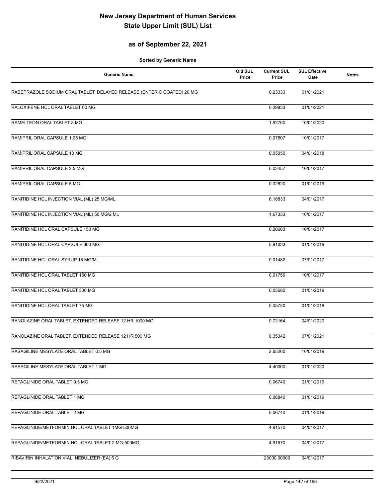### **as of September 22, 2021**

| <b>Generic Name</b>                                                    | Old SUL<br>Price | <b>Current SUL</b><br>Price | <b>SUL Effective</b><br>Date | <b>Notes</b> |
|------------------------------------------------------------------------|------------------|-----------------------------|------------------------------|--------------|
| RABEPRAZOLE SODIUM ORAL TABLET, DELAYED RELEASE (ENTERIC COATED) 20 MG |                  | 0.23333                     | 01/01/2021                   |              |
| RALOXIFENE HCL ORAL TABLET 60 MG                                       |                  | 0.29833                     | 01/01/2021                   |              |
| RAMELTEON ORAL TABLET 8 MG                                             |                  | 1.92700                     | 10/01/2020                   |              |
| RAMIPRIL ORAL CAPSULE 1.25 MG                                          |                  | 0.07507                     | 10/01/2017                   |              |
| RAMIPRIL ORAL CAPSULE 10 MG                                            |                  | 0.05050                     | 04/01/2018                   |              |
| RAMIPRIL ORAL CAPSULE 2.5 MG                                           |                  | 0.03457                     | 10/01/2017                   |              |
| RAMIPRIL ORAL CAPSULE 5 MG                                             |                  | 0.02820                     | 01/01/2019                   |              |
| RANITIDINE HCL INJECTION VIAL (ML) 25 MG/ML                            |                  | 6.18833                     | 04/01/2017                   |              |
| RANITIDINE HCL INJECTION VIAL (ML) 50 MG/2 ML                          |                  | 1.67333                     | 10/01/2017                   |              |
| RANITIDINE HCL ORAL CAPSULE 150 MG                                     |                  | 0.20603                     | 10/01/2017                   |              |
| RANITIDINE HCL ORAL CAPSULE 300 MG                                     |                  | 0.81033                     | 01/01/2019                   |              |
| RANITIDINE HCL ORAL SYRUP 15 MG/ML                                     |                  | 0.01482                     | 07/01/2017                   |              |
| RANITIDINE HCL ORAL TABLET 150 MG                                      |                  | 0.01759                     | 10/01/2017                   |              |
| RANITIDINE HCL ORAL TABLET 300 MG                                      |                  | 0.05680                     | 01/01/2019                   |              |
| RANITIDINE HCL ORAL TABLET 75 MG                                       |                  | 0.05750                     | 01/01/2018                   |              |
| RANOLAZINE ORAL TABLET, EXTENDED RELEASE 12 HR 1000 MG                 |                  | 0.72164                     | 04/01/2020                   |              |
| RANOLAZINE ORAL TABLET, EXTENDED RELEASE 12 HR 500 MG                  |                  | 0.35342                     | 07/01/2021                   |              |
| RASAGILINE MESYLATE ORAL TABLET 0.5 MG                                 |                  | 2.65200                     | 10/01/2019                   |              |
| RASAGILINE MESYLATE ORAL TABLET 1 MG                                   |                  | 4.40000                     | 01/01/2020                   |              |
| REPAGLINIDE ORAL TABLET 0.5 MG                                         |                  | 0.06740                     | 01/01/2019                   |              |
| REPAGLINIDE ORAL TABLET 1 MG                                           |                  | 0.06840                     | 01/01/2019                   |              |
| REPAGLINIDE ORAL TABLET 2 MG                                           |                  | 0.06740                     | 01/01/2019                   |              |
| REPAGLINIDE/METFORMIN HCL ORAL TABLET 1MG-500MG                        |                  | 4.91570                     | 04/01/2017                   |              |
| REPAGLINIDE/METFORMIN HCL ORAL TABLET 2 MG-500MG                       |                  | 4.91570                     | 04/01/2017                   |              |
| RIBAVIRIN INHALATION VIAL, NEBULIZER (EA) 6 G                          |                  | 23000.00000                 | 04/01/2017                   |              |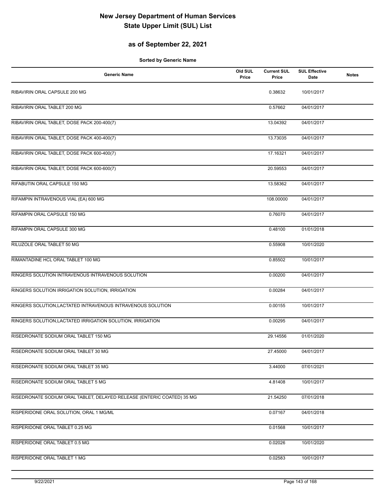### **as of September 22, 2021**

| <b>Generic Name</b>                                                    | Old SUL<br>Price | <b>Current SUL</b><br>Price | <b>SUL Effective</b><br>Date | <b>Notes</b> |
|------------------------------------------------------------------------|------------------|-----------------------------|------------------------------|--------------|
| RIBAVIRIN ORAL CAPSULE 200 MG                                          |                  | 0.38632                     | 10/01/2017                   |              |
| RIBAVIRIN ORAL TABLET 200 MG                                           |                  | 0.57662                     | 04/01/2017                   |              |
| RIBAVIRIN ORAL TABLET, DOSE PACK 200-400(7)                            |                  | 13.04392                    | 04/01/2017                   |              |
| RIBAVIRIN ORAL TABLET, DOSE PACK 400-400(7)                            |                  | 13.73035                    | 04/01/2017                   |              |
| RIBAVIRIN ORAL TABLET, DOSE PACK 600-400(7)                            |                  | 17.16321                    | 04/01/2017                   |              |
| RIBAVIRIN ORAL TABLET, DOSE PACK 600-600(7)                            |                  | 20.59553                    | 04/01/2017                   |              |
| RIFABUTIN ORAL CAPSULE 150 MG                                          |                  | 13.58362                    | 04/01/2017                   |              |
| RIFAMPIN INTRAVENOUS VIAL (EA) 600 MG                                  |                  | 108.00000                   | 04/01/2017                   |              |
| RIFAMPIN ORAL CAPSULE 150 MG                                           |                  | 0.76070                     | 04/01/2017                   |              |
| RIFAMPIN ORAL CAPSULE 300 MG                                           |                  | 0.48100                     | 01/01/2018                   |              |
| RILUZOLE ORAL TABLET 50 MG                                             |                  | 0.55908                     | 10/01/2020                   |              |
| RIMANTADINE HCL ORAL TABLET 100 MG                                     |                  | 0.85502                     | 10/01/2017                   |              |
| RINGERS SOLUTION INTRAVENOUS INTRAVENOUS SOLUTION                      |                  | 0.00200                     | 04/01/2017                   |              |
| RINGERS SOLUTION IRRIGATION SOLUTION, IRRIGATION                       |                  | 0.00284                     | 04/01/2017                   |              |
| RINGERS SOLUTION, LACTATED INTRAVENOUS INTRAVENOUS SOLUTION            |                  | 0.00155                     | 10/01/2017                   |              |
| RINGERS SOLUTION, LACTATED IRRIGATION SOLUTION, IRRIGATION             |                  | 0.00295                     | 04/01/2017                   |              |
| RISEDRONATE SODIUM ORAL TABLET 150 MG                                  |                  | 29.14556                    | 01/01/2020                   |              |
| RISEDRONATE SODIUM ORAL TABLET 30 MG                                   |                  | 27.45000                    | 04/01/2017                   |              |
| RISEDRONATE SODIUM ORAL TABLET 35 MG                                   |                  | 3.44000                     | 07/01/2021                   |              |
| RISEDRONATE SODIUM ORAL TABLET 5 MG                                    |                  | 4.81408                     | 10/01/2017                   |              |
| RISEDRONATE SODIUM ORAL TABLET, DELAYED RELEASE (ENTERIC COATED) 35 MG |                  | 21.54250                    | 07/01/2018                   |              |
| RISPERIDONE ORAL SOLUTION, ORAL 1 MG/ML                                |                  | 0.07167                     | 04/01/2018                   |              |
| RISPERIDONE ORAL TABLET 0.25 MG                                        |                  | 0.01568                     | 10/01/2017                   |              |
| RISPERIDONE ORAL TABLET 0.5 MG                                         |                  | 0.02026                     | 10/01/2020                   |              |
| RISPERIDONE ORAL TABLET 1 MG                                           |                  | 0.02583                     | 10/01/2017                   |              |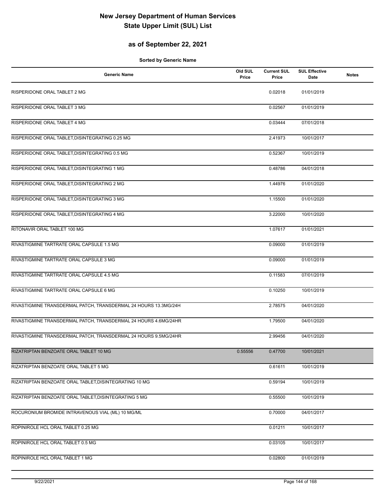### **as of September 22, 2021**

| <b>Generic Name</b>                                             | Old SUL<br>Price | <b>Current SUL</b><br>Price | <b>SUL Effective</b><br>Date | <b>Notes</b> |
|-----------------------------------------------------------------|------------------|-----------------------------|------------------------------|--------------|
| RISPERIDONE ORAL TABLET 2 MG                                    |                  | 0.02018                     | 01/01/2019                   |              |
| RISPERIDONE ORAL TABLET 3 MG                                    |                  | 0.02567                     | 01/01/2019                   |              |
| RISPERIDONE ORAL TABLET 4 MG                                    |                  | 0.03444                     | 07/01/2018                   |              |
| RISPERIDONE ORAL TABLET, DISINTEGRATING 0.25 MG                 |                  | 2.41973                     | 10/01/2017                   |              |
| RISPERIDONE ORAL TABLET, DISINTEGRATING 0.5 MG                  |                  | 0.52367                     | 10/01/2019                   |              |
| RISPERIDONE ORAL TABLET, DISINTEGRATING 1 MG                    |                  | 0.48786                     | 04/01/2018                   |              |
| RISPERIDONE ORAL TABLET, DISINTEGRATING 2 MG                    |                  | 1.44976                     | 01/01/2020                   |              |
| RISPERIDONE ORAL TABLET, DISINTEGRATING 3 MG                    |                  | 1.15500                     | 01/01/2020                   |              |
| RISPERIDONE ORAL TABLET, DISINTEGRATING 4 MG                    |                  | 3.22000                     | 10/01/2020                   |              |
| RITONAVIR ORAL TABLET 100 MG                                    |                  | 1.07617                     | 01/01/2021                   |              |
| RIVASTIGMINE TARTRATE ORAL CAPSULE 1.5 MG                       |                  | 0.09000                     | 01/01/2019                   |              |
| RIVASTIGMINE TARTRATE ORAL CAPSULE 3 MG                         |                  | 0.09000                     | 01/01/2019                   |              |
| RIVASTIGMINE TARTRATE ORAL CAPSULE 4.5 MG                       |                  | 0.11583                     | 07/01/2019                   |              |
| RIVASTIGMINE TARTRATE ORAL CAPSULE 6 MG                         |                  | 0.10250                     | 10/01/2019                   |              |
| RIVASTIGMINE TRANSDERMAL PATCH, TRANSDERMAL 24 HOURS 13.3MG/24H |                  | 2.78575                     | 04/01/2020                   |              |
| RIVASTIGMINE TRANSDERMAL PATCH, TRANSDERMAL 24 HOURS 4.6MG/24HR |                  | 1.79500                     | 04/01/2020                   |              |
| RIVASTIGMINE TRANSDERMAL PATCH, TRANSDERMAL 24 HOURS 9.5MG/24HR |                  | 2.99456                     | 04/01/2020                   |              |
| RIZATRIPTAN BENZOATE ORAL TABLET 10 MG                          | 0.55556          | 0.47700                     | 10/01/2021                   |              |
| RIZATRIPTAN BENZOATE ORAL TABLET 5 MG                           |                  | 0.61611                     | 10/01/2019                   |              |
| RIZATRIPTAN BENZOATE ORAL TABLET, DISINTEGRATING 10 MG          |                  | 0.59194                     | 10/01/2019                   |              |
| RIZATRIPTAN BENZOATE ORAL TABLET, DISINTEGRATING 5 MG           |                  | 0.55500                     | 10/01/2019                   |              |
| ROCURONIUM BROMIDE INTRAVENOUS VIAL (ML) 10 MG/ML               |                  | 0.70000                     | 04/01/2017                   |              |
| ROPINIROLE HCL ORAL TABLET 0.25 MG                              |                  | 0.01211                     | 10/01/2017                   |              |
| ROPINIROLE HCL ORAL TABLET 0.5 MG                               |                  | 0.03105                     | 10/01/2017                   |              |
| ROPINIROLE HCL ORAL TABLET 1 MG                                 |                  | 0.02800                     | 01/01/2019                   |              |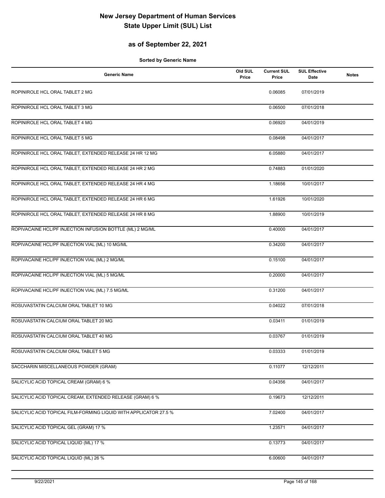#### **as of September 22, 2021**

| <b>Generic Name</b>                                               | Old SUL<br>Price | <b>Current SUL</b><br>Price | <b>SUL Effective</b><br>Date | <b>Notes</b> |
|-------------------------------------------------------------------|------------------|-----------------------------|------------------------------|--------------|
| ROPINIROLE HCL ORAL TABLET 2 MG                                   |                  | 0.06085                     | 07/01/2019                   |              |
| ROPINIROLE HCL ORAL TABLET 3 MG                                   |                  | 0.06500                     | 07/01/2018                   |              |
| ROPINIROLE HCL ORAL TABLET 4 MG                                   |                  | 0.06920                     | 04/01/2019                   |              |
| ROPINIROLE HCL ORAL TABLET 5 MG                                   |                  | 0.08498                     | 04/01/2017                   |              |
| ROPINIROLE HCL ORAL TABLET, EXTENDED RELEASE 24 HR 12 MG          |                  | 6.05880                     | 04/01/2017                   |              |
| ROPINIROLE HCL ORAL TABLET, EXTENDED RELEASE 24 HR 2 MG           |                  | 0.74883                     | 01/01/2020                   |              |
| ROPINIROLE HCL ORAL TABLET, EXTENDED RELEASE 24 HR 4 MG           |                  | 1.18656                     | 10/01/2017                   |              |
| ROPINIROLE HCL ORAL TABLET, EXTENDED RELEASE 24 HR 6 MG           |                  | 1.61926                     | 10/01/2020                   |              |
| ROPINIROLE HCL ORAL TABLET, EXTENDED RELEASE 24 HR 8 MG           |                  | 1.88900                     | 10/01/2019                   |              |
| ROPIVACAINE HCL/PF INJECTION INFUSION BOTTLE (ML) 2 MG/ML         |                  | 0.40000                     | 04/01/2017                   |              |
| ROPIVACAINE HCL/PF INJECTION VIAL (ML) 10 MG/ML                   |                  | 0.34200                     | 04/01/2017                   |              |
| ROPIVACAINE HCL/PF INJECTION VIAL (ML) 2 MG/ML                    |                  | 0.15100                     | 04/01/2017                   |              |
| ROPIVACAINE HCL/PF INJECTION VIAL (ML) 5 MG/ML                    |                  | 0.20000                     | 04/01/2017                   |              |
| ROPIVACAINE HCL/PF INJECTION VIAL (ML) 7.5 MG/ML                  |                  | 0.31200                     | 04/01/2017                   |              |
| ROSUVASTATIN CALCIUM ORAL TABLET 10 MG                            |                  | 0.04022                     | 07/01/2018                   |              |
| ROSUVASTATIN CALCIUM ORAL TABLET 20 MG                            |                  | 0.03411                     | 01/01/2019                   |              |
| ROSUVASTATIN CALCIUM ORAL TABLET 40 MG                            |                  | 0.03767                     | 01/01/2019                   |              |
| ROSUVASTATIN CALCIUM ORAL TABLET 5 MG                             |                  | 0.03333                     | 01/01/2019                   |              |
| SACCHARIN MISCELLANEOUS POWDER (GRAM)                             |                  | 0.11077                     | 12/12/2011                   |              |
| SALICYLIC ACID TOPICAL CREAM (GRAM) 6 %                           |                  | 0.04356                     | 04/01/2017                   |              |
| SALICYLIC ACID TOPICAL CREAM, EXTENDED RELEASE (GRAM) 6 %         |                  | 0.19673                     | 12/12/2011                   |              |
| SALICYLIC ACID TOPICAL FILM-FORMING LIQUID WITH APPLICATOR 27.5 % |                  | 7.02400                     | 04/01/2017                   |              |
| SALICYLIC ACID TOPICAL GEL (GRAM) 17 %                            |                  | 1.23571                     | 04/01/2017                   |              |
| SALICYLIC ACID TOPICAL LIQUID (ML) 17 %                           |                  | 0.13773                     | 04/01/2017                   |              |
| SALICYLIC ACID TOPICAL LIQUID (ML) 26 %                           |                  | 6.00600                     | 04/01/2017                   |              |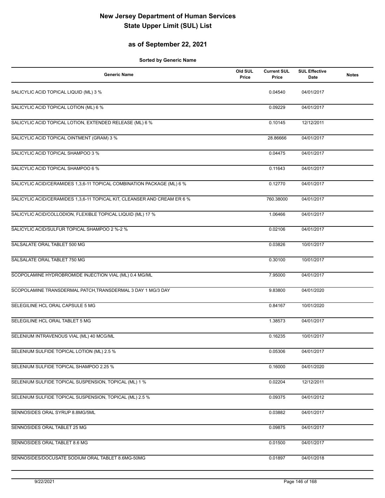#### **as of September 22, 2021**

| <b>Generic Name</b>                                                      | Old SUL<br>Price | <b>Current SUL</b><br>Price | <b>SUL Effective</b><br>Date | <b>Notes</b> |
|--------------------------------------------------------------------------|------------------|-----------------------------|------------------------------|--------------|
| SALICYLIC ACID TOPICAL LIQUID (ML) 3 %                                   |                  | 0.04540                     | 04/01/2017                   |              |
| SALICYLIC ACID TOPICAL LOTION (ML) 6 %                                   |                  | 0.09229                     | 04/01/2017                   |              |
| SALICYLIC ACID TOPICAL LOTION, EXTENDED RELEASE (ML) 6 %                 |                  | 0.10145                     | 12/12/2011                   |              |
| SALICYLIC ACID TOPICAL OINTMENT (GRAM) 3 %                               |                  | 28.86666                    | 04/01/2017                   |              |
| SALICYLIC ACID TOPICAL SHAMPOO 3 %                                       |                  | 0.04475                     | 04/01/2017                   |              |
| SALICYLIC ACID TOPICAL SHAMPOO 6 %                                       |                  | 0.11643                     | 04/01/2017                   |              |
| SALICYLIC ACID/CERAMIDES 1,3,6-11 TOPICAL COMBINATION PACKAGE (ML) 6 %   |                  | 0.12770                     | 04/01/2017                   |              |
| SALICYLIC ACID/CERAMIDES 1,3,6-11 TOPICAL KIT, CLEANSER AND CREAM ER 6 % |                  | 760.38000                   | 04/01/2017                   |              |
| SALICYLIC ACID/COLLODION, FLEXIBLE TOPICAL LIQUID (ML) 17 %              |                  | 1.06466                     | 04/01/2017                   |              |
| SALICYLIC ACID/SULFUR TOPICAL SHAMPOO 2 %-2 %                            |                  | 0.02106                     | 04/01/2017                   |              |
| SALSALATE ORAL TABLET 500 MG                                             |                  | 0.03826                     | 10/01/2017                   |              |
| SALSALATE ORAL TABLET 750 MG                                             |                  | 0.30100                     | 10/01/2017                   |              |
| SCOPOLAMINE HYDROBROMIDE INJECTION VIAL (ML) 0.4 MG/ML                   |                  | 7.95000                     | 04/01/2017                   |              |
| SCOPOLAMINE TRANSDERMAL PATCH, TRANSDERMAL 3 DAY 1 MG/3 DAY              |                  | 9.83800                     | 04/01/2020                   |              |
| SELEGILINE HCL ORAL CAPSULE 5 MG                                         |                  | 0.84167                     | 10/01/2020                   |              |
| SELEGILINE HCL ORAL TABLET 5 MG                                          |                  | 1.38573                     | 04/01/2017                   |              |
| SELENIUM INTRAVENOUS VIAL (ML) 40 MCG/ML                                 |                  | 0.16235                     | 10/01/2017                   |              |
| SELENIUM SULFIDE TOPICAL LOTION (ML) 2.5 %                               |                  | 0.05306                     | 04/01/2017                   |              |
| SELENIUM SULFIDE TOPICAL SHAMPOO 2.25 %                                  |                  | 0.16000                     | 04/01/2020                   |              |
| SELENIUM SULFIDE TOPICAL SUSPENSION, TOPICAL (ML) 1 %                    |                  | 0.02204                     | 12/12/2011                   |              |
| SELENIUM SULFIDE TOPICAL SUSPENSION, TOPICAL (ML) 2.5 %                  |                  | 0.09375                     | 04/01/2012                   |              |
| SENNOSIDES ORAL SYRUP 8.8MG/5ML                                          |                  | 0.03882                     | 04/01/2017                   |              |
| SENNOSIDES ORAL TABLET 25 MG                                             |                  | 0.09875                     | 04/01/2017                   |              |
| SENNOSIDES ORAL TABLET 8.6 MG                                            |                  | 0.01500                     | 04/01/2017                   |              |
| SENNOSIDES/DOCUSATE SODIUM ORAL TABLET 8.6MG-50MG                        |                  | 0.01897                     | 04/01/2018                   |              |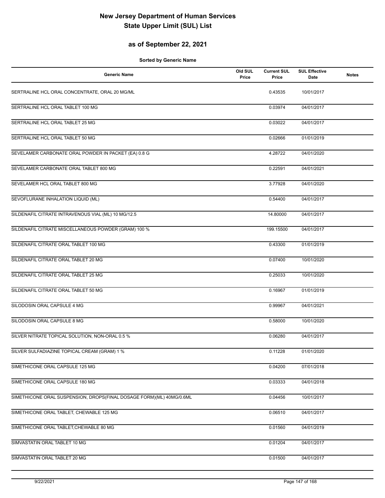#### **as of September 22, 2021**

| <b>Generic Name</b>                                                  | Old SUL<br>Price | <b>Current SUL</b><br>Price | <b>SUL Effective</b><br>Date | <b>Notes</b> |
|----------------------------------------------------------------------|------------------|-----------------------------|------------------------------|--------------|
| SERTRALINE HCL ORAL CONCENTRATE, ORAL 20 MG/ML                       |                  | 0.43535                     | 10/01/2017                   |              |
| SERTRALINE HCL ORAL TABLET 100 MG                                    |                  | 0.03974                     | 04/01/2017                   |              |
| SERTRALINE HCL ORAL TABLET 25 MG                                     |                  | 0.03022                     | 04/01/2017                   |              |
| SERTRALINE HCL ORAL TABLET 50 MG                                     |                  | 0.02666                     | 01/01/2019                   |              |
| SEVELAMER CARBONATE ORAL POWDER IN PACKET (EA) 0.8 G                 |                  | 4.28722                     | 04/01/2020                   |              |
| SEVELAMER CARBONATE ORAL TABLET 800 MG                               |                  | 0.22591                     | 04/01/2021                   |              |
| SEVELAMER HCL ORAL TABLET 800 MG                                     |                  | 3.77928                     | 04/01/2020                   |              |
| SEVOFLURANE INHALATION LIQUID (ML)                                   |                  | 0.54400                     | 04/01/2017                   |              |
| SILDENAFIL CITRATE INTRAVENOUS VIAL (ML) 10 MG/12.5                  |                  | 14.80000                    | 04/01/2017                   |              |
| SILDENAFIL CITRATE MISCELLANEOUS POWDER (GRAM) 100 %                 |                  | 199.15500                   | 04/01/2017                   |              |
| SILDENAFIL CITRATE ORAL TABLET 100 MG                                |                  | 0.43300                     | 01/01/2019                   |              |
| SILDENAFIL CITRATE ORAL TABLET 20 MG                                 |                  | 0.07400                     | 10/01/2020                   |              |
| SILDENAFIL CITRATE ORAL TABLET 25 MG                                 |                  | 0.25033                     | 10/01/2020                   |              |
| SILDENAFIL CITRATE ORAL TABLET 50 MG                                 |                  | 0.16967                     | 01/01/2019                   |              |
| SILODOSIN ORAL CAPSULE 4 MG                                          |                  | 0.99967                     | 04/01/2021                   |              |
| SILODOSIN ORAL CAPSULE 8 MG                                          |                  | 0.58000                     | 10/01/2020                   |              |
| SILVER NITRATE TOPICAL SOLUTION, NON-ORAL 0.5 %                      |                  | 0.06280                     | 04/01/2017                   |              |
| SILVER SULFADIAZINE TOPICAL CREAM (GRAM) 1 %                         |                  | 0.11228                     | 01/01/2020                   |              |
| SIMETHICONE ORAL CAPSULE 125 MG                                      |                  | 0.04200                     | 07/01/2018                   |              |
| SIMETHICONE ORAL CAPSULE 180 MG                                      |                  | 0.03333                     | 04/01/2018                   |              |
| SIMETHICONE ORAL SUSPENSION, DROPS(FINAL DOSAGE FORM)(ML) 40MG/0.6ML |                  | 0.04456                     | 10/01/2017                   |              |
| SIMETHICONE ORAL TABLET, CHEWABLE 125 MG                             |                  | 0.06510                     | 04/01/2017                   |              |
| SIMETHICONE ORAL TABLET, CHEWABLE 80 MG                              |                  | 0.01560                     | 04/01/2019                   |              |
| SIMVASTATIN ORAL TABLET 10 MG                                        |                  | 0.01204                     | 04/01/2017                   |              |
| SIMVASTATIN ORAL TABLET 20 MG                                        |                  | 0.01500                     | 04/01/2017                   |              |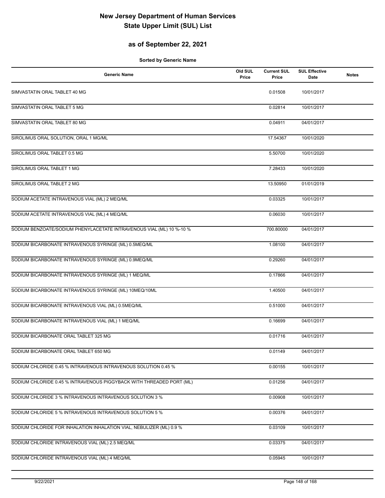#### **as of September 22, 2021**

| <b>Generic Name</b>                                                  | Old SUL<br>Price | <b>Current SUL</b><br>Price | <b>SUL Effective</b><br><b>Date</b> | <b>Notes</b> |
|----------------------------------------------------------------------|------------------|-----------------------------|-------------------------------------|--------------|
| SIMVASTATIN ORAL TABLET 40 MG                                        |                  | 0.01508                     | 10/01/2017                          |              |
| SIMVASTATIN ORAL TABLET 5 MG                                         |                  | 0.02814                     | 10/01/2017                          |              |
| SIMVASTATIN ORAL TABLET 80 MG                                        |                  | 0.04911                     | 04/01/2017                          |              |
| SIROLIMUS ORAL SOLUTION, ORAL 1 MG/ML                                |                  | 17.54367                    | 10/01/2020                          |              |
| SIROLIMUS ORAL TABLET 0.5 MG                                         |                  | 5.50700                     | 10/01/2020                          |              |
| SIROLIMUS ORAL TABLET 1 MG                                           |                  | 7.28433                     | 10/01/2020                          |              |
| SIROLIMUS ORAL TABLET 2 MG                                           |                  | 13.50950                    | 01/01/2019                          |              |
| SODIUM ACETATE INTRAVENOUS VIAL (ML) 2 MEQ/ML                        |                  | 0.03325                     | 10/01/2017                          |              |
| SODIUM ACETATE INTRAVENOUS VIAL (ML) 4 MEQ/ML                        |                  | 0.06030                     | 10/01/2017                          |              |
| SODIUM BENZOATE/SODIUM PHENYLACETATE INTRAVENOUS VIAL (ML) 10 %-10 % |                  | 700.80000                   | 04/01/2017                          |              |
| SODIUM BICARBONATE INTRAVENOUS SYRINGE (ML) 0.5MEQ/ML                |                  | 1.08100                     | 04/01/2017                          |              |
| SODIUM BICARBONATE INTRAVENOUS SYRINGE (ML) 0.9MEQ/ML                |                  | 0.29260                     | 04/01/2017                          |              |
| SODIUM BICARBONATE INTRAVENOUS SYRINGE (ML) 1 MEQ/ML                 |                  | 0.17866                     | 04/01/2017                          |              |
| SODIUM BICARBONATE INTRAVENOUS SYRINGE (ML) 10MEQ/10ML               |                  | 1.40500                     | 04/01/2017                          |              |
| SODIUM BICARBONATE INTRAVENOUS VIAL (ML) 0.5MEQ/ML                   |                  | 0.51000                     | 04/01/2017                          |              |
| SODIUM BICARBONATE INTRAVENOUS VIAL (ML) 1 MEQ/ML                    |                  | 0.16699                     | 04/01/2017                          |              |
| SODIUM BICARBONATE ORAL TABLET 325 MG                                |                  | 0.01716                     | 04/01/2017                          |              |
| SODIUM BICARBONATE ORAL TABLET 650 MG                                |                  | 0.01149                     | 04/01/2017                          |              |
| SODIUM CHLORIDE 0.45 % INTRAVENOUS INTRAVENOUS SOLUTION 0.45 %       |                  | 0.00155                     | 10/01/2017                          |              |
| SODIUM CHLORIDE 0.45 % INTRAVENOUS PIGGYBACK WITH THREADED PORT (ML) |                  | 0.01256                     | 04/01/2017                          |              |
| SODIUM CHLORIDE 3 % INTRAVENOUS INTRAVENOUS SOLUTION 3 %             |                  | 0.00908                     | 10/01/2017                          |              |
| SODIUM CHLORIDE 5 % INTRAVENOUS INTRAVENOUS SOLUTION 5 %             |                  | 0.00376                     | 04/01/2017                          |              |
| SODIUM CHLORIDE FOR INHALATION INHALATION VIAL, NEBULIZER (ML) 0.9 % |                  | 0.03109                     | 10/01/2017                          |              |
| SODIUM CHLORIDE INTRAVENOUS VIAL (ML) 2.5 MEQ/ML                     |                  | 0.03375                     | 04/01/2017                          |              |
| SODIUM CHLORIDE INTRAVENOUS VIAL (ML) 4 MEQ/ML                       |                  | 0.05945                     | 10/01/2017                          |              |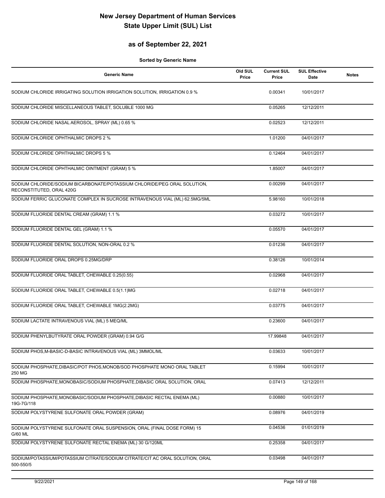#### **as of September 22, 2021**

| <b>Generic Name</b>                                                                                  | Old SUL<br>Price | <b>Current SUL</b><br>Price | <b>SUL Effective</b><br>Date | <b>Notes</b> |
|------------------------------------------------------------------------------------------------------|------------------|-----------------------------|------------------------------|--------------|
| SODIUM CHLORIDE IRRIGATING SOLUTION IRRIGATION SOLUTION, IRRIGATION 0.9 %                            |                  | 0.00341                     | 10/01/2017                   |              |
| SODIUM CHLORIDE MISCELLANEOUS TABLET, SOLUBLE 1000 MG                                                |                  | 0.05265                     | 12/12/2011                   |              |
| SODIUM CHLORIDE NASAL AEROSOL, SPRAY (ML) 0.65 %                                                     |                  | 0.02523                     | 12/12/2011                   |              |
| SODIUM CHLORIDE OPHTHALMIC DROPS 2 %                                                                 |                  | 1.01200                     | 04/01/2017                   |              |
| SODIUM CHLORIDE OPHTHALMIC DROPS 5 %                                                                 |                  | 0.12464                     | 04/01/2017                   |              |
| SODIUM CHLORIDE OPHTHALMIC OINTMENT (GRAM) 5 %                                                       |                  | 1.85007                     | 04/01/2017                   |              |
| SODIUM CHLORIDE/SODIUM BICARBONATE/POTASSIUM CHLORIDE/PEG ORAL SOLUTION,<br>RECONSTITUTED, ORAL 420G |                  | 0.00299                     | 04/01/2017                   |              |
| SODIUM FERRIC GLUCONATE COMPLEX IN SUCROSE INTRAVENOUS VIAL (ML) 62.5MG/5ML                          |                  | 5.98160                     | 10/01/2018                   |              |
| SODIUM FLUORIDE DENTAL CREAM (GRAM) 1.1 %                                                            |                  | 0.03272                     | 10/01/2017                   |              |
| SODIUM FLUORIDE DENTAL GEL (GRAM) 1.1 %                                                              |                  | 0.05570                     | 04/01/2017                   |              |
| SODIUM FLUORIDE DENTAL SOLUTION, NON-ORAL 0.2 %                                                      |                  | 0.01236                     | 04/01/2017                   |              |
| SODIUM FLUORIDE ORAL DROPS 0.25MG/DRP                                                                |                  | 0.38126                     | 10/01/2014                   |              |
| SODIUM FLUORIDE ORAL TABLET, CHEWABLE 0.25(0.55)                                                     |                  | 0.02968                     | 04/01/2017                   |              |
| SODIUM FLUORIDE ORAL TABLET, CHEWABLE 0.5(1.1)MG                                                     |                  | 0.02718                     | 04/01/2017                   |              |
| SODIUM FLUORIDE ORAL TABLET, CHEWABLE 1MG(2.2MG)                                                     |                  | 0.03775                     | 04/01/2017                   |              |
| SODIUM LACTATE INTRAVENOUS VIAL (ML) 5 MEQ/ML                                                        |                  | 0.23600                     | 04/01/2017                   |              |
| SODIUM PHENYLBUTYRATE ORAL POWDER (GRAM) 0.94 G/G                                                    |                  | 17.99848                    | 04/01/2017                   |              |
| SODIUM PHOS, M-BASIC-D-BASIC INTRAVENOUS VIAL (ML) 3MMOL/ML                                          |                  | 0.03633                     | 10/01/2017                   |              |
| SODIUM PHOSPHATE, DIBASIC/POT PHOS, MONOB/SOD PHOSPHATE MONO ORAL TABLET<br>250 MG                   |                  | 0.15994                     | 10/01/2017                   |              |
| SODIUM PHOSPHATE, MONOBASIC/SODIUM PHOSPHATE, DIBASIC ORAL SOLUTION, ORAL                            |                  | 0.07413                     | 12/12/2011                   |              |
| SODIUM PHOSPHATE, MONOBASIC/SODIUM PHOSPHATE, DIBASIC RECTAL ENEMA (ML)<br>19G-7G/118                |                  | 0.00880                     | 10/01/2017                   |              |
| SODIUM POLYSTYRENE SULFONATE ORAL POWDER (GRAM)                                                      |                  | 0.08976                     | 04/01/2019                   |              |
| SODIUM POLYSTYRENE SULFONATE ORAL SUSPENSION, ORAL (FINAL DOSE FORM) 15<br>G/60 ML                   |                  | 0.04536                     | 01/01/2019                   |              |
| SODIUM POLYSTYRENE SULFONATE RECTAL ENEMA (ML) 30 G/120ML                                            |                  | 0.25358                     | 04/01/2017                   |              |
| SODIUM/POTASSIUM/POTASSIUM CITRATE/SODIUM CITRATE/CIT AC ORAL SOLUTION, ORAL<br>500-550/5            |                  | 0.03498                     | 04/01/2017                   |              |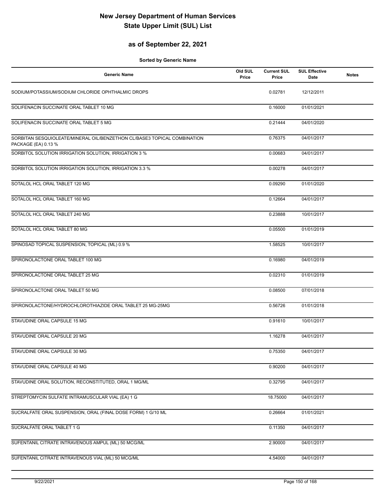#### **as of September 22, 2021**

| <b>Generic Name</b>                                                                             | Old SUL<br>Price | <b>Current SUL</b><br>Price | <b>SUL Effective</b><br>Date | <b>Notes</b> |
|-------------------------------------------------------------------------------------------------|------------------|-----------------------------|------------------------------|--------------|
| SODIUM/POTASSIUM/SODIUM CHLORIDE OPHTHALMIC DROPS                                               |                  | 0.02781                     | 12/12/2011                   |              |
| SOLIFENACIN SUCCINATE ORAL TABLET 10 MG                                                         |                  | 0.16000                     | 01/01/2021                   |              |
| SOLIFENACIN SUCCINATE ORAL TABLET 5 MG                                                          |                  | 0.21444                     | 04/01/2020                   |              |
| SORBITAN SESQUIOLEATE/MINERAL OIL/BENZETHON CL/BASE3 TOPICAL COMBINATION<br>PACKAGE (EA) 0.13 % |                  | 0.76375                     | 04/01/2017                   |              |
| SORBITOL SOLUTION IRRIGATION SOLUTION, IRRIGATION 3 %                                           |                  | 0.00683                     | 04/01/2017                   |              |
| SORBITOL SOLUTION IRRIGATION SOLUTION, IRRIGATION 3.3 %                                         |                  | 0.00278                     | 04/01/2017                   |              |
| SOTALOL HCL ORAL TABLET 120 MG                                                                  |                  | 0.09290                     | 01/01/2020                   |              |
| SOTALOL HCL ORAL TABLET 160 MG                                                                  |                  | 0.12664                     | 04/01/2017                   |              |
| SOTALOL HCL ORAL TABLET 240 MG                                                                  |                  | 0.23888                     | 10/01/2017                   |              |
| SOTALOL HCL ORAL TABLET 80 MG                                                                   |                  | 0.05500                     | 01/01/2019                   |              |
| SPINOSAD TOPICAL SUSPENSION, TOPICAL (ML) 0.9 %                                                 |                  | 1.58525                     | 10/01/2017                   |              |
| SPIRONOLACTONE ORAL TABLET 100 MG                                                               |                  | 0.16980                     | 04/01/2019                   |              |
| SPIRONOLACTONE ORAL TABLET 25 MG                                                                |                  | 0.02310                     | 01/01/2019                   |              |
| SPIRONOLACTONE ORAL TABLET 50 MG                                                                |                  | 0.08500                     | 07/01/2018                   |              |
| SPIRONOLACTONE/HYDROCHLOROTHIAZIDE ORAL TABLET 25 MG-25MG                                       |                  | 0.56726                     | 01/01/2018                   |              |
| STAVUDINE ORAL CAPSULE 15 MG                                                                    |                  | 0.91610                     | 10/01/2017                   |              |
| STAVUDINE ORAL CAPSULE 20 MG                                                                    |                  | 1.16278                     | 04/01/2017                   |              |
| STAVUDINE ORAL CAPSULE 30 MG                                                                    |                  | 0.75350                     | 04/01/2017                   |              |
| STAVUDINE ORAL CAPSULE 40 MG                                                                    |                  | 0.90200                     | 04/01/2017                   |              |
| STAVUDINE ORAL SOLUTION, RECONSTITUTED, ORAL 1 MG/ML                                            |                  | 0.32795                     | 04/01/2017                   |              |
| STREPTOMYCIN SULFATE INTRAMUSCULAR VIAL (EA) 1 G                                                |                  | 18.75000                    | 04/01/2017                   |              |
| SUCRALFATE ORAL SUSPENSION, ORAL (FINAL DOSE FORM) 1 G/10 ML                                    |                  | 0.26664                     | 01/01/2021                   |              |
| SUCRALFATE ORAL TABLET 1 G                                                                      |                  | 0.11350                     | 04/01/2017                   |              |
| SUFENTANIL CITRATE INTRAVENOUS AMPUL (ML) 50 MCG/ML                                             |                  | 2.90000                     | 04/01/2017                   |              |
| SUFENTANIL CITRATE INTRAVENOUS VIAL (ML) 50 MCG/ML                                              |                  | 4.54000                     | 04/01/2017                   |              |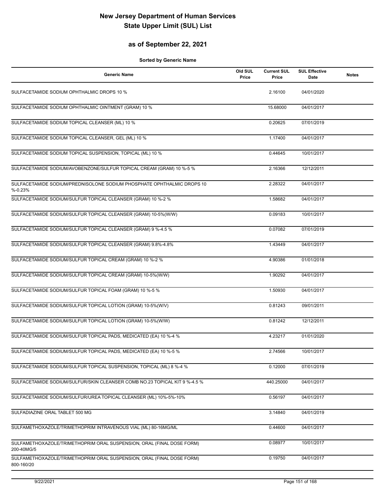#### **as of September 22, 2021**

| <b>Generic Name</b>                                                                  | Old SUL<br>Price | <b>Current SUL</b><br>Price | <b>SUL Effective</b><br>Date | <b>Notes</b> |
|--------------------------------------------------------------------------------------|------------------|-----------------------------|------------------------------|--------------|
| SULFACETAMIDE SODIUM OPHTHALMIC DROPS 10 %                                           |                  | 2.16100                     | 04/01/2020                   |              |
| SULFACETAMIDE SODIUM OPHTHALMIC OINTMENT (GRAM) 10 %                                 |                  | 15.68000                    | 04/01/2017                   |              |
| SULFACETAMIDE SODIUM TOPICAL CLEANSER (ML) 10 %                                      |                  | 0.20625                     | 07/01/2019                   |              |
| SULFACETAMIDE SODIUM TOPICAL CLEANSER, GEL (ML) 10 %                                 |                  | 1.17400                     | 04/01/2017                   |              |
| SULFACETAMIDE SODIUM TOPICAL SUSPENSION, TOPICAL (ML) 10 %                           |                  | 0.44645                     | 10/01/2017                   |              |
| SULFACETAMIDE SODIUM/AVOBENZONE/SULFUR TOPICAL CREAM (GRAM) 10 %-5 %                 |                  | 2.16366                     | 12/12/2011                   |              |
| SULFACETAMIDE SODIUM/PREDNISOLONE SODIUM PHOSPHATE OPHTHALMIC DROPS 10<br>$% -0.23%$ |                  | 2.28322                     | 04/01/2017                   |              |
| SULFACETAMIDE SODIUM/SULFUR TOPICAL CLEANSER (GRAM) 10 %-2 %                         |                  | 1.58682                     | 04/01/2017                   |              |
| SULFACETAMIDE SODIUM/SULFUR TOPICAL CLEANSER (GRAM) 10-5%(W/W)                       |                  | 0.09183                     | 10/01/2017                   |              |
| SULFACETAMIDE SODIUM/SULFUR TOPICAL CLEANSER (GRAM) 9 %-4.5 %                        |                  | 0.07082                     | 07/01/2019                   |              |
| SULFACETAMIDE SODIUM/SULFUR TOPICAL CLEANSER (GRAM) 9.8%-4.8%                        |                  | 1.43449                     | 04/01/2017                   |              |
| SULFACETAMIDE SODIUM/SULFUR TOPICAL CREAM (GRAM) 10 %-2 %                            |                  | 4.90386                     | 01/01/2018                   |              |
| SULFACETAMIDE SODIUM/SULFUR TOPICAL CREAM (GRAM) 10-5%(W/W)                          |                  | 1.90292                     | 04/01/2017                   |              |
| SULFACETAMIDE SODIUM/SULFUR TOPICAL FOAM (GRAM) 10 %-5 %                             |                  | 1.50930                     | 04/01/2017                   |              |
| SULFACETAMIDE SODIUM/SULFUR TOPICAL LOTION (GRAM) 10-5%(W/V)                         |                  | 0.81243                     | 09/01/2011                   |              |
| SULFACETAMIDE SODIUM/SULFUR TOPICAL LOTION (GRAM) 10-5%(W/W)                         |                  | 0.81242                     | 12/12/2011                   |              |
| SULFACETAMIDE SODIUM/SULFUR TOPICAL PADS, MEDICATED (EA) 10 %-4 %                    |                  | 4.23217                     | 01/01/2020                   |              |
| SULFACETAMIDE SODIUM/SULFUR TOPICAL PADS, MEDICATED (EA) 10 %-5 %                    |                  | 2.74566                     | 10/01/2017                   |              |
| SULFACETAMIDE SODIUM/SULFUR TOPICAL SUSPENSION, TOPICAL (ML) 8 %-4 %                 |                  | 0.12000                     | 07/01/2019                   |              |
| SULFACETAMIDE SODIUM/SULFUR/SKIN CLEANSER COMB NO.23 TOPICAL KIT 9 %-4.5 %           |                  | 440.25000                   | 04/01/2017                   |              |
| SULFACETAMIDE SODIUM/SULFUR/UREA TOPICAL CLEANSER (ML) 10%-5%-10%                    |                  | 0.56197                     | 04/01/2017                   |              |
| SULFADIAZINE ORAL TABLET 500 MG                                                      |                  | 3.14840                     | 04/01/2019                   |              |
| SULFAMETHOXAZOLE/TRIMETHOPRIM INTRAVENOUS VIAL (ML) 80-16MG/ML                       |                  | 0.44600                     | 04/01/2017                   |              |
| SULFAMETHOXAZOLE/TRIMETHOPRIM ORAL SUSPENSION, ORAL (FINAL DOSE FORM)<br>200-40MG/5  |                  | 0.08977                     | 10/01/2017                   |              |
| SULFAMETHOXAZOLE/TRIMETHOPRIM ORAL SUSPENSION, ORAL (FINAL DOSE FORM)<br>800-160/20  |                  | 0.19750                     | 04/01/2017                   |              |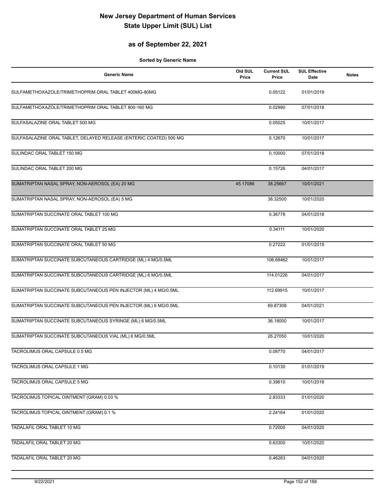#### **as of September 22, 2021**

| <b>Generic Name</b>                                                | Old SUL<br>Price | <b>Current SUL</b><br>Price | <b>SUL Effective</b><br>Date | <b>Notes</b> |
|--------------------------------------------------------------------|------------------|-----------------------------|------------------------------|--------------|
| SULFAMETHOXAZOLE/TRIMETHOPRIM ORAL TABLET 400MG-80MG               |                  | 0.05122                     | 01/01/2019                   |              |
| SULFAMETHOXAZOLE/TRIMETHOPRIM ORAL TABLET 800-160 MG               |                  | 0.02990                     | 07/01/2018                   |              |
| SULFASALAZINE ORAL TABLET 500 MG                                   |                  | 0.05025                     | 10/01/2017                   |              |
| SULFASALAZINE ORAL TABLET, DELAYED RELEASE (ENTERIC COATED) 500 MG |                  | 0.12670                     | 10/01/2017                   |              |
| SULINDAC ORAL TABLET 150 MG                                        |                  | 0.10000                     | 07/01/2018                   |              |
| SULINDAC ORAL TABLET 200 MG                                        |                  | 0.15726                     | 04/01/2017                   |              |
| SUMATRIPTAN NASAL SPRAY, NON-AEROSOL (EA) 20 MG                    | 45.17086         | 38.25667                    | 10/01/2021                   |              |
| SUMATRIPTAN NASAL SPRAY, NON-AEROSOL (EA) 5 MG                     |                  | 38.32500                    | 10/01/2020                   |              |
| SUMATRIPTAN SUCCINATE ORAL TABLET 100 MG                           |                  | 0.36778                     | 04/01/2018                   |              |
| SUMATRIPTAN SUCCINATE ORAL TABLET 25 MG                            |                  | 0.34111                     | 10/01/2020                   |              |
| SUMATRIPTAN SUCCINATE ORAL TABLET 50 MG                            |                  | 0.27222                     | 01/01/2019                   |              |
| SUMATRIPTAN SUCCINATE SUBCUTANEOUS CARTRIDGE (ML) 4 MG/0.5ML       |                  | 106.68462                   | 10/01/2017                   |              |
| SUMATRIPTAN SUCCINATE SUBCUTANEOUS CARTRIDGE (ML) 6 MG/0.5ML       |                  | 114.01226                   | 04/01/2017                   |              |
| SUMATRIPTAN SUCCINATE SUBCUTANEOUS PEN INJECTOR (ML) 4 MG/0.5ML    |                  | 112.69915                   | 10/01/2017                   |              |
| SUMATRIPTAN SUCCINATE SUBCUTANEOUS PEN INJECTOR (ML) 6 MG/0.5ML    |                  | 69.87308                    | 04/01/2021                   |              |
| SUMATRIPTAN SUCCINATE SUBCUTANEOUS SYRINGE (ML) 6 MG/0.5ML         |                  | 36.18000                    | 10/01/2017                   |              |
| SUMATRIPTAN SUCCINATE SUBCUTANEOUS VIAL (ML) 6 MG/0.5ML            |                  | 26.27050                    | 10/01/2020                   |              |
| TACROLIMUS ORAL CAPSULE 0.5 MG                                     |                  | 0.08770                     | 04/01/2017                   |              |
| TACROLIMUS ORAL CAPSULE 1 MG                                       |                  | 0.10130                     | 01/01/2019                   |              |
| TACROLIMUS ORAL CAPSULE 5 MG                                       |                  | 0.39610                     | 10/01/2018                   |              |
| TACROLIMUS TOPICAL OINTMENT (GRAM) 0.03 %                          |                  | 2.83333                     | 01/01/2020                   |              |
| TACROLIMUS TOPICAL OINTMENT (GRAM) 0.1 %                           |                  | 2.24164                     | 01/01/2020                   |              |
| TADALAFIL ORAL TABLET 10 MG                                        |                  | 0.72000                     | 04/01/2020                   |              |
| TADALAFIL ORAL TABLET 20 MG                                        |                  | 0.63300                     | 10/01/2020                   |              |
| TADALAFIL ORAL TABLET 20 MG                                        |                  | 0.46283                     | 04/01/2020                   |              |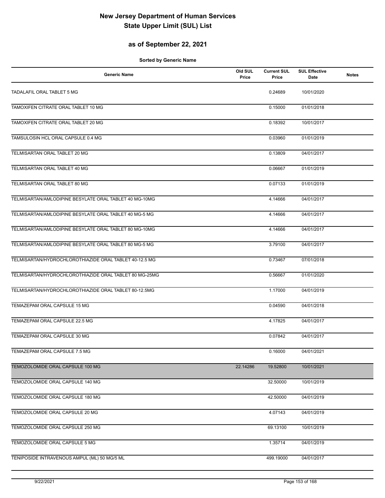#### **as of September 22, 2021**

| <b>Generic Name</b>                                    | Old SUL<br>Price | <b>Current SUL</b><br>Price | <b>SUL Effective</b><br>Date | <b>Notes</b> |
|--------------------------------------------------------|------------------|-----------------------------|------------------------------|--------------|
| TADALAFIL ORAL TABLET 5 MG                             |                  | 0.24689                     | 10/01/2020                   |              |
| TAMOXIFEN CITRATE ORAL TABLET 10 MG                    |                  | 0.15000                     | 01/01/2018                   |              |
| TAMOXIFEN CITRATE ORAL TABLET 20 MG                    |                  | 0.18392                     | 10/01/2017                   |              |
| TAMSULOSIN HCL ORAL CAPSULE 0.4 MG                     |                  | 0.03960                     | 01/01/2019                   |              |
| TELMISARTAN ORAL TABLET 20 MG                          |                  | 0.13809                     | 04/01/2017                   |              |
| TELMISARTAN ORAL TABLET 40 MG                          |                  | 0.06667                     | 01/01/2019                   |              |
| TELMISARTAN ORAL TABLET 80 MG                          |                  | 0.07133                     | 01/01/2019                   |              |
| TELMISARTAN/AMLODIPINE BESYLATE ORAL TABLET 40 MG-10MG |                  | 4.14666                     | 04/01/2017                   |              |
| TELMISARTAN/AMLODIPINE BESYLATE ORAL TABLET 40 MG-5 MG |                  | 4.14666                     | 04/01/2017                   |              |
| TELMISARTAN/AMLODIPINE BESYLATE ORAL TABLET 80 MG-10MG |                  | 4.14666                     | 04/01/2017                   |              |
| TELMISARTAN/AMLODIPINE BESYLATE ORAL TABLET 80 MG-5 MG |                  | 3.79100                     | 04/01/2017                   |              |
| TELMISARTAN/HYDROCHLOROTHIAZIDE ORAL TABLET 40-12.5 MG |                  | 0.73467                     | 07/01/2018                   |              |
| TELMISARTAN/HYDROCHLOROTHIAZIDE ORAL TABLET 80 MG-25MG |                  | 0.56667                     | 01/01/2020                   |              |
| TELMISARTAN/HYDROCHLOROTHIAZIDE ORAL TABLET 80-12.5MG  |                  | 1.17000                     | 04/01/2019                   |              |
| TEMAZEPAM ORAL CAPSULE 15 MG                           |                  | 0.04590                     | 04/01/2018                   |              |
| TEMAZEPAM ORAL CAPSULE 22.5 MG                         |                  | 4.17825                     | 04/01/2017                   |              |
| TEMAZEPAM ORAL CAPSULE 30 MG                           |                  | 0.07842                     | 04/01/2017                   |              |
| TEMAZEPAM ORAL CAPSULE 7.5 MG                          |                  | 0.16000                     | 04/01/2021                   |              |
| TEMOZOLOMIDE ORAL CAPSULE 100 MG                       | 22.14286         | 19.52800                    | 10/01/2021                   |              |
| TEMOZOLOMIDE ORAL CAPSULE 140 MG                       |                  | 32.50000                    | 10/01/2019                   |              |
| TEMOZOLOMIDE ORAL CAPSULE 180 MG                       |                  | 42.50000                    | 04/01/2019                   |              |
| TEMOZOLOMIDE ORAL CAPSULE 20 MG                        |                  | 4.07143                     | 04/01/2019                   |              |
| TEMOZOLOMIDE ORAL CAPSULE 250 MG                       |                  | 69.13100                    | 10/01/2019                   |              |
| TEMOZOLOMIDE ORAL CAPSULE 5 MG                         |                  | 1.35714                     | 04/01/2019                   |              |
| TENIPOSIDE INTRAVENOUS AMPUL (ML) 50 MG/5 ML           |                  | 499.19000                   | 04/01/2017                   |              |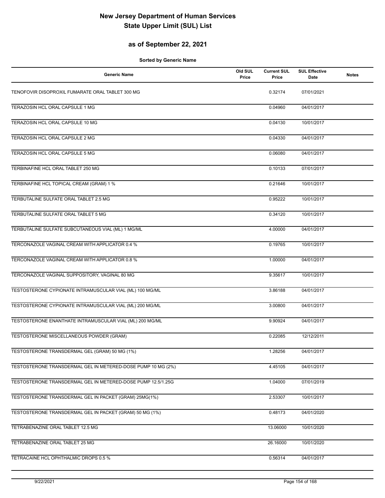#### **as of September 22, 2021**

| <b>Generic Name</b>                                          | Old SUL<br>Price | <b>Current SUL</b><br>Price | <b>SUL Effective</b><br>Date | <b>Notes</b> |
|--------------------------------------------------------------|------------------|-----------------------------|------------------------------|--------------|
| TENOFOVIR DISOPROXIL FUMARATE ORAL TABLET 300 MG             |                  | 0.32174                     | 07/01/2021                   |              |
| TERAZOSIN HCL ORAL CAPSULE 1 MG                              |                  | 0.04960                     | 04/01/2017                   |              |
| TERAZOSIN HCL ORAL CAPSULE 10 MG                             |                  | 0.04130                     | 10/01/2017                   |              |
| TERAZOSIN HCL ORAL CAPSULE 2 MG                              |                  | 0.04330                     | 04/01/2017                   |              |
| TERAZOSIN HCL ORAL CAPSULE 5 MG                              |                  | 0.06080                     | 04/01/2017                   |              |
| TERBINAFINE HCL ORAL TABLET 250 MG                           |                  | 0.10133                     | 07/01/2017                   |              |
| TERBINAFINE HCL TOPICAL CREAM (GRAM) 1 %                     |                  | 0.21646                     | 10/01/2017                   |              |
| TERBUTALINE SULFATE ORAL TABLET 2.5 MG                       |                  | 0.95222                     | 10/01/2017                   |              |
| TERBUTALINE SULFATE ORAL TABLET 5 MG                         |                  | 0.34120                     | 10/01/2017                   |              |
| TERBUTALINE SULFATE SUBCUTANEOUS VIAL (ML) 1 MG/ML           |                  | 4.00000                     | 04/01/2017                   |              |
| TERCONAZOLE VAGINAL CREAM WITH APPLICATOR 0.4 %              |                  | 0.19765                     | 10/01/2017                   |              |
| TERCONAZOLE VAGINAL CREAM WITH APPLICATOR 0.8 %              |                  | 1.00000                     | 04/01/2017                   |              |
| TERCONAZOLE VAGINAL SUPPOSITORY, VAGINAL 80 MG               |                  | 9.35617                     | 10/01/2017                   |              |
| TESTOSTERONE CYPIONATE INTRAMUSCULAR VIAL (ML) 100 MG/ML     |                  | 3.86188                     | 04/01/2017                   |              |
| TESTOSTERONE CYPIONATE INTRAMUSCULAR VIAL (ML) 200 MG/ML     |                  | 3.00800                     | 04/01/2017                   |              |
| TESTOSTERONE ENANTHATE INTRAMUSCULAR VIAL (ML) 200 MG/ML     |                  | 9.90924                     | 04/01/2017                   |              |
| TESTOSTERONE MISCELLANEOUS POWDER (GRAM)                     |                  | 0.22085                     | 12/12/2011                   |              |
| TESTOSTERONE TRANSDERMAL GEL (GRAM) 50 MG (1%)               |                  | 1.28256                     | 04/01/2017                   |              |
| TESTOSTERONE TRANSDERMAL GEL IN METERED-DOSE PUMP 10 MG (2%) |                  | 4.45105                     | 04/01/2017                   |              |
| TESTOSTERONE TRANSDERMAL GEL IN METERED-DOSE PUMP 12.5/1.25G |                  | 1.04000                     | 07/01/2019                   |              |
| TESTOSTERONE TRANSDERMAL GEL IN PACKET (GRAM) 25MG(1%)       |                  | 2.53307                     | 10/01/2017                   |              |
| TESTOSTERONE TRANSDERMAL GEL IN PACKET (GRAM) 50 MG (1%)     |                  | 0.48173                     | 04/01/2020                   |              |
| TETRABENAZINE ORAL TABLET 12.5 MG                            |                  | 13.06000                    | 10/01/2020                   |              |
| TETRABENAZINE ORAL TABLET 25 MG                              |                  | 26.16000                    | 10/01/2020                   |              |
| TETRACAINE HCL OPHTHALMIC DROPS 0.5 %                        |                  | 0.56314                     | 04/01/2017                   |              |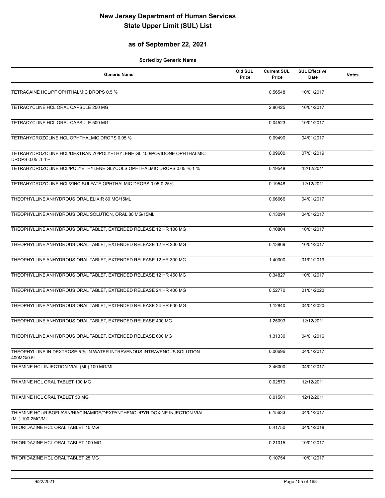#### **as of September 22, 2021**

| <b>Generic Name</b>                                                                           | Old SUL<br>Price | <b>Current SUL</b><br>Price | <b>SUL Effective</b><br>Date | <b>Notes</b> |
|-----------------------------------------------------------------------------------------------|------------------|-----------------------------|------------------------------|--------------|
| TETRACAINE HCL/PF OPHTHALMIC DROPS 0.5 %                                                      |                  | 0.56548                     | 10/01/2017                   |              |
| TETRACYCLINE HCL ORAL CAPSULE 250 MG                                                          |                  | 2.86425                     | 10/01/2017                   |              |
| TETRACYCLINE HCL ORAL CAPSULE 500 MG                                                          |                  | 0.04523                     | 10/01/2017                   |              |
| TETRAHYDROZOLINE HCL OPHTHALMIC DROPS 0.05 %                                                  |                  | 0.09490                     | 04/01/2017                   |              |
| TETRAHYDROZOLINE HCL/DEXTRAN 70/POLYETHYLENE GL 400/POVIDONE OPHTHALMIC<br>DROPS 0.05-.1-1%   |                  | 0.09600                     | 07/01/2019                   |              |
| TETRAHYDROZOLINE HCL/POLYETHYLENE GLYCOLS OPHTHALMIC DROPS 0.05 %-1 %                         |                  | 0.19548                     | 12/12/2011                   |              |
| TETRAHYDROZOLINE HCL/ZINC SULFATE OPHTHALMIC DROPS 0.05-0.25%                                 |                  | 0.19548                     | 12/12/2011                   |              |
| THEOPHYLLINE ANHYDROUS ORAL ELIXIR 80 MG/15ML                                                 |                  | 0.66666                     | 04/01/2017                   |              |
| THEOPHYLLINE ANHYDROUS ORAL SOLUTION, ORAL 80 MG/15ML                                         |                  | 0.13094                     | 04/01/2017                   |              |
| THEOPHYLLINE ANHYDROUS ORAL TABLET, EXTENDED RELEASE 12 HR 100 MG                             |                  | 0.10804                     | 10/01/2017                   |              |
| THEOPHYLLINE ANHYDROUS ORAL TABLET, EXTENDED RELEASE 12 HR 200 MG                             |                  | 0.13869                     | 10/01/2017                   |              |
| THEOPHYLLINE ANHYDROUS ORAL TABLET, EXTENDED RELEASE 12 HR 300 MG                             |                  | 1.40000                     | 01/01/2019                   |              |
| THEOPHYLLINE ANHYDROUS ORAL TABLET, EXTENDED RELEASE 12 HR 450 MG                             |                  | 0.34827                     | 10/01/2017                   |              |
| THEOPHYLLINE ANHYDROUS ORAL TABLET, EXTENDED RELEASE 24 HR 400 MG                             |                  | 0.52770                     | 01/01/2020                   |              |
| THEOPHYLLINE ANHYDROUS ORAL TABLET, EXTENDED RELEASE 24 HR 600 MG                             |                  | 1.12840                     | 04/01/2020                   |              |
| THEOPHYLLINE ANHYDROUS ORAL TABLET, EXTENDED RELEASE 400 MG                                   |                  | 1.25093                     | 12/12/2011                   |              |
| THEOPHYLLINE ANHYDROUS ORAL TABLET, EXTENDED RELEASE 600 MG                                   |                  | 1.31330                     | 04/01/2016                   |              |
| THEOPHYLLINE IN DEXTROSE 5 % IN WATER INTRAVENOUS INTRAVENOUS SOLUTION<br>400MG/0.5L          |                  | 0.00696                     | 04/01/2017                   |              |
| THIAMINE HCL INJECTION VIAL (ML) 100 MG/ML                                                    |                  | 3.46000                     | 04/01/2017                   |              |
| THIAMINE HCL ORAL TABLET 100 MG                                                               |                  | 0.02573                     | 12/12/2011                   |              |
| THIAMINE HCL ORAL TABLET 50 MG                                                                |                  | 0.01581                     | 12/12/2011                   |              |
| THIAMINE HCL/RIBOFLAVIN/NIACINAMIDE/DEXPANTHENOL/PYRIDOXINE INJECTION VIAL<br>(ML) 100-2MG/ML |                  | 6.15633                     | 04/01/2017                   |              |
| THIORIDAZINE HCL ORAL TABLET 10 MG                                                            |                  | 0.41750                     | 04/01/2018                   |              |
| THIORIDAZINE HCL ORAL TABLET 100 MG                                                           |                  | 0.21015                     | 10/01/2017                   |              |
| THIORIDAZINE HCL ORAL TABLET 25 MG                                                            |                  | 0.10754                     | 10/01/2017                   |              |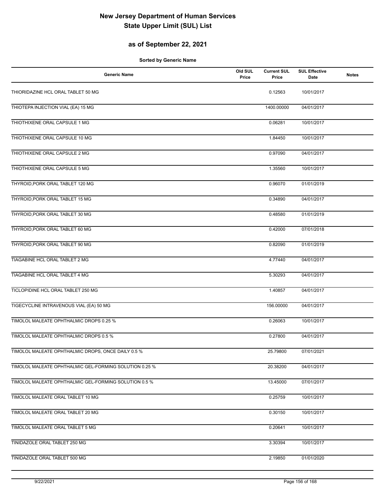#### **as of September 22, 2021**

| <b>Generic Name</b>                                    | Old SUL<br>Price | <b>Current SUL</b><br>Price | <b>SUL Effective</b><br>Date | <b>Notes</b> |
|--------------------------------------------------------|------------------|-----------------------------|------------------------------|--------------|
| THIORIDAZINE HCL ORAL TABLET 50 MG                     |                  | 0.12563                     | 10/01/2017                   |              |
| THIOTEPA INJECTION VIAL (EA) 15 MG                     |                  | 1400.00000                  | 04/01/2017                   |              |
| THIOTHIXENE ORAL CAPSULE 1 MG                          |                  | 0.06281                     | 10/01/2017                   |              |
| THIOTHIXENE ORAL CAPSULE 10 MG                         |                  | 1.84450                     | 10/01/2017                   |              |
| THIOTHIXENE ORAL CAPSULE 2 MG                          |                  | 0.97090                     | 04/01/2017                   |              |
| THIOTHIXENE ORAL CAPSULE 5 MG                          |                  | 1.35560                     | 10/01/2017                   |              |
| THYROID, PORK ORAL TABLET 120 MG                       |                  | 0.96070                     | 01/01/2019                   |              |
| THYROID, PORK ORAL TABLET 15 MG                        |                  | 0.34890                     | 04/01/2017                   |              |
| THYROID, PORK ORAL TABLET 30 MG                        |                  | 0.48580                     | 01/01/2019                   |              |
| THYROID, PORK ORAL TABLET 60 MG                        |                  | 0.42000                     | 07/01/2018                   |              |
| THYROID, PORK ORAL TABLET 90 MG                        |                  | 0.82090                     | 01/01/2019                   |              |
| TIAGABINE HCL ORAL TABLET 2 MG                         |                  | 4.77440                     | 04/01/2017                   |              |
| TIAGABINE HCL ORAL TABLET 4 MG                         |                  | 5.30293                     | 04/01/2017                   |              |
| TICLOPIDINE HCL ORAL TABLET 250 MG                     |                  | 1.40857                     | 04/01/2017                   |              |
| TIGECYCLINE INTRAVENOUS VIAL (EA) 50 MG                |                  | 156.00000                   | 04/01/2017                   |              |
| TIMOLOL MALEATE OPHTHALMIC DROPS 0.25 %                |                  | 0.26063                     | 10/01/2017                   |              |
| TIMOLOL MALEATE OPHTHALMIC DROPS 0.5 %                 |                  | 0.27800                     | 04/01/2017                   |              |
| TIMOLOL MALEATE OPHTHALMIC DROPS, ONCE DAILY 0.5 %     |                  | 25.79800                    | 07/01/2021                   |              |
| TIMOLOL MALEATE OPHTHALMIC GEL-FORMING SOLUTION 0.25 % |                  | 20.38200                    | 04/01/2017                   |              |
| TIMOLOL MALEATE OPHTHALMIC GEL-FORMING SOLUTION 0.5 %  |                  | 13.45000                    | 07/01/2017                   |              |
| TIMOLOL MALEATE ORAL TABLET 10 MG                      |                  | 0.25759                     | 10/01/2017                   |              |
| TIMOLOL MALEATE ORAL TABLET 20 MG                      |                  | 0.30150                     | 10/01/2017                   |              |
| TIMOLOL MALEATE ORAL TABLET 5 MG                       |                  | 0.20641                     | 10/01/2017                   |              |
| TINIDAZOLE ORAL TABLET 250 MG                          |                  | 3.30394                     | 10/01/2017                   |              |
| TINIDAZOLE ORAL TABLET 500 MG                          |                  | 2.19850                     | 01/01/2020                   |              |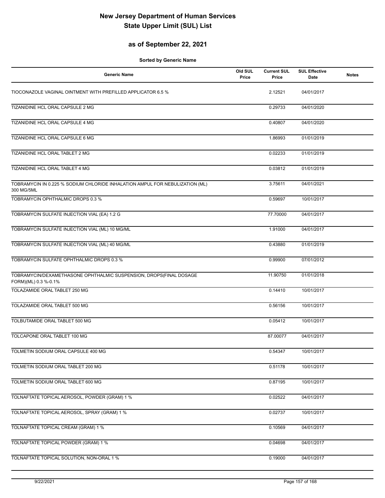#### **as of September 22, 2021**

| <b>Generic Name</b>                                                                        | Old SUL<br>Price | <b>Current SUL</b><br>Price | <b>SUL Effective</b><br>Date | <b>Notes</b> |
|--------------------------------------------------------------------------------------------|------------------|-----------------------------|------------------------------|--------------|
| TIOCONAZOLE VAGINAL OINTMENT WITH PREFILLED APPLICATOR 6.5 %                               |                  | 2.12521                     | 04/01/2017                   |              |
| TIZANIDINE HCL ORAL CAPSULE 2 MG                                                           |                  | 0.29733                     | 04/01/2020                   |              |
| TIZANIDINE HCL ORAL CAPSULE 4 MG                                                           |                  | 0.40807                     | 04/01/2020                   |              |
| TIZANIDINE HCL ORAL CAPSULE 6 MG                                                           |                  | 1.86993                     | 01/01/2019                   |              |
| TIZANIDINE HCL ORAL TABLET 2 MG                                                            |                  | 0.02233                     | 01/01/2019                   |              |
| TIZANIDINE HCL ORAL TABLET 4 MG                                                            |                  | 0.03812                     | 01/01/2019                   |              |
| TOBRAMYCIN IN 0.225 % SODIUM CHLORIDE INHALATION AMPUL FOR NEBULIZATION (ML)<br>300 MG/5ML |                  | 3.75611                     | 04/01/2021                   |              |
| <b>TOBRAMYCIN OPHTHALMIC DROPS 0.3 %</b>                                                   |                  | 0.59697                     | 10/01/2017                   |              |
| TOBRAMYCIN SULFATE INJECTION VIAL (EA) 1.2 G                                               |                  | 77.70000                    | 04/01/2017                   |              |
| TOBRAMYCIN SULFATE INJECTION VIAL (ML) 10 MG/ML                                            |                  | 1.91000                     | 04/01/2017                   |              |
| TOBRAMYCIN SULFATE INJECTION VIAL (ML) 40 MG/ML                                            |                  | 0.43880                     | 01/01/2019                   |              |
| TOBRAMYCIN SULFATE OPHTHALMIC DROPS 0.3 %                                                  |                  | 0.99900                     | 07/01/2012                   |              |
| TOBRAMYCIN/DEXAMETHASONE OPHTHALMIC SUSPENSION, DROPS(FINAL DOSAGE<br>FORM)(ML) 0.3 %-0.1% |                  | 11.90750                    | 01/01/2018                   |              |
| TOLAZAMIDE ORAL TABLET 250 MG                                                              |                  | 0.14410                     | 10/01/2017                   |              |
| TOLAZAMIDE ORAL TABLET 500 MG                                                              |                  | 0.56156                     | 10/01/2017                   |              |
| TOLBUTAMIDE ORAL TABLET 500 MG                                                             |                  | 0.05412                     | 10/01/2017                   |              |
| TOLCAPONE ORAL TABLET 100 MG                                                               |                  | 87.00077                    | 04/01/2017                   |              |
| TOLMETIN SODIUM ORAL CAPSULE 400 MG                                                        |                  | 0.54347                     | 10/01/2017                   |              |
| TOLMETIN SODIUM ORAL TABLET 200 MG                                                         |                  | 0.51178                     | 10/01/2017                   |              |
| TOLMETIN SODIUM ORAL TABLET 600 MG                                                         |                  | 0.87195                     | 10/01/2017                   |              |
| TOLNAFTATE TOPICAL AEROSOL, POWDER (GRAM) 1 %                                              |                  | 0.02522                     | 04/01/2017                   |              |
| TOLNAFTATE TOPICAL AEROSOL, SPRAY (GRAM) 1 %                                               |                  | 0.02737                     | 10/01/2017                   |              |
| TOLNAFTATE TOPICAL CREAM (GRAM) 1 %                                                        |                  | 0.10569                     | 04/01/2017                   |              |
| TOLNAFTATE TOPICAL POWDER (GRAM) 1 %                                                       |                  | 0.04698                     | 04/01/2017                   |              |
| TOLNAFTATE TOPICAL SOLUTION, NON-ORAL 1 %                                                  |                  | 0.19000                     | 04/01/2017                   |              |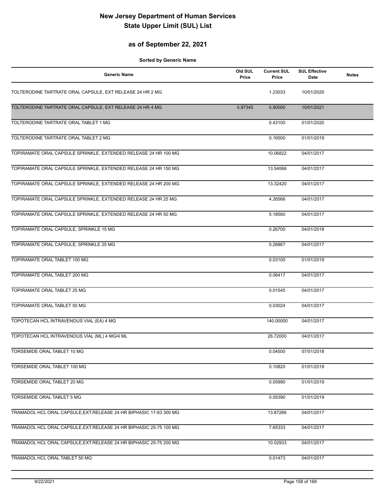#### **as of September 22, 2021**

| <b>Generic Name</b>                                                 | Old SUL<br>Price | <b>Current SUL</b><br>Price | <b>SUL Effective</b><br>Date | <b>Notes</b> |
|---------------------------------------------------------------------|------------------|-----------------------------|------------------------------|--------------|
| TOLTERODINE TARTRATE ORAL CAPSULE, EXT RELEASE 24 HR 2 MG           |                  | 1.23033                     | 10/01/2020                   |              |
| TOLTERODINE TARTRATE ORAL CAPSULE, EXT RELEASE 24 HR 4 MG           | 0.97345          | 0.90000                     | 10/01/2021                   |              |
| TOLTERODINE TARTRATE ORAL TABLET 1 MG                               |                  | 0.43100                     | 01/01/2020                   |              |
| TOLTERODINE TARTRATE ORAL TABLET 2 MG                               |                  | 0.16500                     | 01/01/2019                   |              |
| TOPIRAMATE ORAL CAPSULE SPRINKLE, EXTENDED RELEASE 24 HR 100 MG     |                  | 10.06822                    | 04/01/2017                   |              |
| TOPIRAMATE ORAL CAPSULE SPRINKLE, EXTENDED RELEASE 24 HR 150 MG     |                  | 13.54066                    | 04/01/2017                   |              |
| TOPIRAMATE ORAL CAPSULE SPRINKLE, EXTENDED RELEASE 24 HR 200 MG     |                  | 13.32420                    | 04/01/2017                   |              |
| TOPIRAMATE ORAL CAPSULE SPRINKLE, EXTENDED RELEASE 24 HR 25 MG      |                  | 4.26566                     | 04/01/2017                   |              |
| TOPIRAMATE ORAL CAPSULE SPRINKLE, EXTENDED RELEASE 24 HR 50 MG      |                  | 5.18560                     | 04/01/2017                   |              |
| TOPIRAMATE ORAL CAPSULE, SPRINKLE 15 MG                             |                  | 0.26700                     | 04/01/2018                   |              |
| TOPIRAMATE ORAL CAPSULE, SPRINKLE 25 MG                             |                  | 0.26867                     | 04/01/2017                   |              |
| TOPIRAMATE ORAL TABLET 100 MG                                       |                  | 0.03100                     | 01/01/2019                   |              |
| TOPIRAMATE ORAL TABLET 200 MG                                       |                  | 0.06417                     | 04/01/2017                   |              |
| TOPIRAMATE ORAL TABLET 25 MG                                        |                  | 0.01545                     | 04/01/2017                   |              |
| <b>TOPIRAMATE ORAL TABLET 50 MG</b>                                 |                  | 0.03024                     | 04/01/2017                   |              |
| TOPOTECAN HCL INTRAVENOUS VIAL (EA) 4 MG                            |                  | 140.00000                   | 04/01/2017                   |              |
| TOPOTECAN HCL INTRAVENOUS VIAL (ML) 4 MG/4 ML                       |                  | 26.72000                    | 04/01/2017                   |              |
| TORSEMIDE ORAL TABLET 10 MG                                         |                  | 0.04500                     | 07/01/2018                   |              |
| TORSEMIDE ORAL TABLET 100 MG                                        |                  | 0.10820                     | 01/01/2019                   |              |
| TORSEMIDE ORAL TABLET 20 MG                                         |                  | 0.05990                     | 01/01/2019                   |              |
| TORSEMIDE ORAL TABLET 5 MG                                          |                  | 0.05390                     | 01/01/2019                   |              |
| TRAMADOL HCL ORAL CAPSULE, EXT. RELEASE 24 HR BIPHASIC 17-83 300 MG |                  | 13.87266                    | 04/01/2017                   |              |
| TRAMADOL HCL ORAL CAPSULE, EXT. RELEASE 24 HR BIPHASIC 25-75 100 MG |                  | 7.65333                     | 04/01/2017                   |              |
| TRAMADOL HCL ORAL CAPSULE, EXT. RELEASE 24 HR BIPHASIC 25-75 200 MG |                  | 10.02933                    | 04/01/2017                   |              |
| TRAMADOL HCL ORAL TABLET 50 MG                                      |                  | 0.01473                     | 04/01/2017                   |              |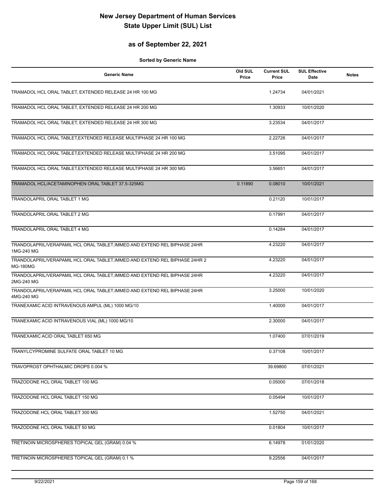#### **as of September 22, 2021**

| <b>Generic Name</b>                                                                            | Old SUL<br>Price | <b>Current SUL</b><br>Price | <b>SUL Effective</b><br><b>Date</b> | <b>Notes</b> |
|------------------------------------------------------------------------------------------------|------------------|-----------------------------|-------------------------------------|--------------|
| TRAMADOL HCL ORAL TABLET, EXTENDED RELEASE 24 HR 100 MG                                        |                  | 1.24734                     | 04/01/2021                          |              |
| TRAMADOL HCL ORAL TABLET, EXTENDED RELEASE 24 HR 200 MG                                        |                  | 1.30933                     | 10/01/2020                          |              |
| TRAMADOL HCL ORAL TABLET, EXTENDED RELEASE 24 HR 300 MG                                        |                  | 3.23534                     | 04/01/2017                          |              |
| TRAMADOL HCL ORAL TABLET, EXTENDED RELEASE MULTIPHASE 24 HR 100 MG                             |                  | 2.22726                     | 04/01/2017                          |              |
| TRAMADOL HCL ORAL TABLET, EXTENDED RELEASE MULTIPHASE 24 HR 200 MG                             |                  | 3.51095                     | 04/01/2017                          |              |
| TRAMADOL HCL ORAL TABLET, EXTENDED RELEASE MULTIPHASE 24 HR 300 MG                             |                  | 3.56651                     | 04/01/2017                          |              |
| TRAMADOL HCL/ACETAMINOPHEN ORAL TABLET 37.5-325MG                                              | 0.11890          | 0.08010                     | 10/01/2021                          |              |
| TRANDOLAPRIL ORAL TABLET 1 MG                                                                  |                  | 0.21120                     | 10/01/2017                          |              |
| TRANDOLAPRIL ORAL TABLET 2 MG                                                                  |                  | 0.17991                     | 04/01/2017                          |              |
| TRANDOLAPRIL ORAL TABLET 4 MG                                                                  |                  | 0.14284                     | 04/01/2017                          |              |
| TRANDOLAPRIL/VERAPAMIL HCL ORAL TABLET, IMMED AND EXTEND REL BIPHASE 24HR<br>1MG-240 MG        |                  | 4.23220                     | 04/01/2017                          |              |
| TRANDOLAPRIL/VERAPAMIL HCL ORAL TABLET, IMMED AND EXTEND REL BIPHASE 24HR 2<br><b>MG-180MG</b> |                  | 4.23220                     | 04/01/2017                          |              |
| TRANDOLAPRIL/VERAPAMIL HCL ORAL TABLET, IMMED AND EXTEND REL BIPHASE 24HR<br>2MG-240 MG        |                  | 4.23220                     | 04/01/2017                          |              |
| TRANDOLAPRIL/VERAPAMIL HCL ORAL TABLET, IMMED AND EXTEND REL BIPHASE 24HR<br>4MG-240 MG        |                  | 3.25000                     | 10/01/2020                          |              |
| TRANEXAMIC ACID INTRAVENOUS AMPUL (ML) 1000 MG/10                                              |                  | 1.40000                     | 04/01/2017                          |              |
| TRANEXAMIC ACID INTRAVENOUS VIAL (ML) 1000 MG/10                                               |                  | 2.30000                     | 04/01/2017                          |              |
| TRANEXAMIC ACID ORAL TABLET 650 MG                                                             |                  | 1.07400                     | 07/01/2019                          |              |
| TRANYLCYPROMINE SULFATE ORAL TABLET 10 MG                                                      |                  | 0.37108                     | 10/01/2017                          |              |
| TRAVOPROST OPHTHALMIC DROPS 0.004 %                                                            |                  | 39.69800                    | 07/01/2021                          |              |
| TRAZODONE HCL ORAL TABLET 100 MG                                                               |                  | 0.05000                     | 07/01/2018                          |              |
| TRAZODONE HCL ORAL TABLET 150 MG                                                               |                  | 0.05494                     | 10/01/2017                          |              |
| TRAZODONE HCL ORAL TABLET 300 MG                                                               |                  | 1.52750                     | 04/01/2021                          |              |
| TRAZODONE HCL ORAL TABLET 50 MG                                                                |                  | 0.01804                     | 10/01/2017                          |              |
| TRETINOIN MICROSPHERES TOPICAL GEL (GRAM) 0.04 %                                               |                  | 6.14978                     | 01/01/2020                          |              |
| TRETINOIN MICROSPHERES TOPICAL GEL (GRAM) 0.1 %                                                |                  | 9.22556                     | 04/01/2017                          |              |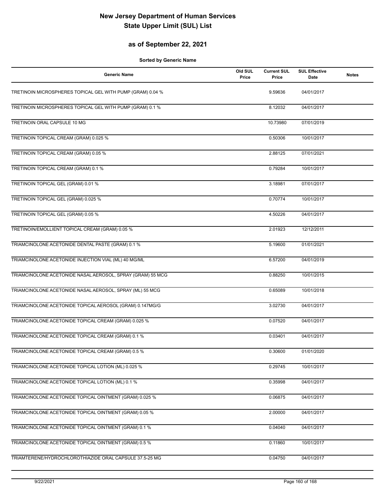#### **as of September 22, 2021**

| <b>Generic Name</b>                                        | Old SUL<br>Price | <b>Current SUL</b><br>Price | <b>SUL Effective</b><br>Date | <b>Notes</b> |
|------------------------------------------------------------|------------------|-----------------------------|------------------------------|--------------|
| TRETINOIN MICROSPHERES TOPICAL GEL WITH PUMP (GRAM) 0.04 % |                  | 9.59636                     | 04/01/2017                   |              |
| TRETINOIN MICROSPHERES TOPICAL GEL WITH PUMP (GRAM) 0.1 %  |                  | 8.12032                     | 04/01/2017                   |              |
| <b>TRETINOIN ORAL CAPSULE 10 MG</b>                        |                  | 10.73980                    | 07/01/2019                   |              |
| TRETINOIN TOPICAL CREAM (GRAM) 0.025 %                     |                  | 0.50306                     | 10/01/2017                   |              |
| TRETINOIN TOPICAL CREAM (GRAM) 0.05 %                      |                  | 2.88125                     | 07/01/2021                   |              |
| TRETINOIN TOPICAL CREAM (GRAM) 0.1 %                       |                  | 0.79284                     | 10/01/2017                   |              |
| TRETINOIN TOPICAL GEL (GRAM) 0.01 %                        |                  | 3.18981                     | 07/01/2017                   |              |
| TRETINOIN TOPICAL GEL (GRAM) 0.025 %                       |                  | 0.70774                     | 10/01/2017                   |              |
| TRETINOIN TOPICAL GEL (GRAM) 0.05 %                        |                  | 4.50226                     | 04/01/2017                   |              |
| TRETINOIN/EMOLLIENT TOPICAL CREAM (GRAM) 0.05 %            |                  | 2.01923                     | 12/12/2011                   |              |
| TRIAMCINOLONE ACETONIDE DENTAL PASTE (GRAM) 0.1 %          |                  | 5.19600                     | 01/01/2021                   |              |
| TRIAMCINOLONE ACETONIDE INJECTION VIAL (ML) 40 MG/ML       |                  | 6.57200                     | 04/01/2019                   |              |
| TRIAMCINOLONE ACETONIDE NASAL AEROSOL, SPRAY (GRAM) 55 MCG |                  | 0.88250                     | 10/01/2015                   |              |
| TRIAMCINOLONE ACETONIDE NASAL AEROSOL, SPRAY (ML) 55 MCG   |                  | 0.65089                     | 10/01/2018                   |              |
| TRIAMCINOLONE ACETONIDE TOPICAL AEROSOL (GRAM) 0.147MG/G   |                  | 3.02730                     | 04/01/2017                   |              |
| TRIAMCINOLONE ACETONIDE TOPICAL CREAM (GRAM) 0.025 %       |                  | 0.07520                     | 04/01/2017                   |              |
| TRIAMCINOLONE ACETONIDE TOPICAL CREAM (GRAM) 0.1 %         |                  | 0.03401                     | 04/01/2017                   |              |
| TRIAMCINOLONE ACETONIDE TOPICAL CREAM (GRAM) 0.5 %         |                  | 0.30600                     | 01/01/2020                   |              |
| TRIAMCINOLONE ACETONIDE TOPICAL LOTION (ML) 0.025 %        |                  | 0.29745                     | 10/01/2017                   |              |
| TRIAMCINOLONE ACETONIDE TOPICAL LOTION (ML) 0.1 %          |                  | 0.35998                     | 04/01/2017                   |              |
| TRIAMCINOLONE ACETONIDE TOPICAL OINTMENT (GRAM) 0.025 %    |                  | 0.06875                     | 04/01/2017                   |              |
| TRIAMCINOLONE ACETONIDE TOPICAL OINTMENT (GRAM) 0.05 %     |                  | 2.00000                     | 04/01/2017                   |              |
| TRIAMCINOLONE ACETONIDE TOPICAL OINTMENT (GRAM) 0.1 %      |                  | 0.04040                     | 04/01/2017                   |              |
| TRIAMCINOLONE ACETONIDE TOPICAL OINTMENT (GRAM) 0.5 %      |                  | 0.11860                     | 10/01/2017                   |              |
| TRIAMTERENE/HYDROCHLOROTHIAZIDE ORAL CAPSULE 37.5-25 MG    |                  | 0.04750                     | 04/01/2017                   |              |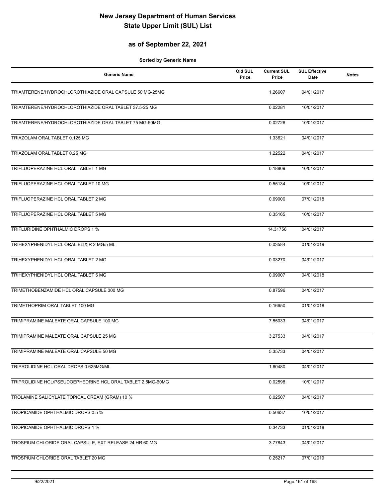#### **as of September 22, 2021**

| <b>Generic Name</b>                                         | Old SUL<br>Price | <b>Current SUL</b><br>Price | <b>SUL Effective</b><br>Date | <b>Notes</b> |
|-------------------------------------------------------------|------------------|-----------------------------|------------------------------|--------------|
| TRIAMTERENE/HYDROCHLOROTHIAZIDE ORAL CAPSULE 50 MG-25MG     |                  | 1.26607                     | 04/01/2017                   |              |
| TRIAMTERENE/HYDROCHLOROTHIAZIDE ORAL TABLET 37.5-25 MG      |                  | 0.02281                     | 10/01/2017                   |              |
| TRIAMTERENE/HYDROCHLOROTHIAZIDE ORAL TABLET 75 MG-50MG      |                  | 0.02726                     | 10/01/2017                   |              |
| TRIAZOLAM ORAL TABLET 0.125 MG                              |                  | 1.33621                     | 04/01/2017                   |              |
| TRIAZOLAM ORAL TABLET 0.25 MG                               |                  | 1.22522                     | 04/01/2017                   |              |
| TRIFLUOPERAZINE HCL ORAL TABLET 1 MG                        |                  | 0.18809                     | 10/01/2017                   |              |
| TRIFLUOPERAZINE HCL ORAL TABLET 10 MG                       |                  | 0.55134                     | 10/01/2017                   |              |
| TRIFLUOPERAZINE HCL ORAL TABLET 2 MG                        |                  | 0.69000                     | 07/01/2018                   |              |
| TRIFLUOPERAZINE HCL ORAL TABLET 5 MG                        |                  | 0.35165                     | 10/01/2017                   |              |
| TRIFLURIDINE OPHTHALMIC DROPS 1 %                           |                  | 14.31756                    | 04/01/2017                   |              |
| TRIHEXYPHENIDYL HCL ORAL ELIXIR 2 MG/5 ML                   |                  | 0.03584                     | 01/01/2019                   |              |
| TRIHEXYPHENIDYL HCL ORAL TABLET 2 MG                        |                  | 0.03270                     | 04/01/2017                   |              |
| TRIHEXYPHENIDYL HCL ORAL TABLET 5 MG                        |                  | 0.09007                     | 04/01/2018                   |              |
| TRIMETHOBENZAMIDE HCL ORAL CAPSULE 300 MG                   |                  | 0.87596                     | 04/01/2017                   |              |
| TRIMETHOPRIM ORAL TABLET 100 MG                             |                  | 0.16650                     | 01/01/2018                   |              |
| TRIMIPRAMINE MALEATE ORAL CAPSULE 100 MG                    |                  | 7.55033                     | 04/01/2017                   |              |
| TRIMIPRAMINE MALEATE ORAL CAPSULE 25 MG                     |                  | 3.27533                     | 04/01/2017                   |              |
| TRIMIPRAMINE MALEATE ORAL CAPSULE 50 MG                     |                  | 5.35733                     | 04/01/2017                   |              |
| TRIPROLIDINE HCL ORAL DROPS 0.625MG/ML                      |                  | 1.60480                     | 04/01/2017                   |              |
| TRIPROLIDINE HCL/PSEUDOEPHEDRINE HCL ORAL TABLET 2.5MG-60MG |                  | 0.02598                     | 10/01/2017                   |              |
| TROLAMINE SALICYLATE TOPICAL CREAM (GRAM) 10 %              |                  | 0.02507                     | 04/01/2017                   |              |
| TROPICAMIDE OPHTHALMIC DROPS 0.5 %                          |                  | 0.50637                     | 10/01/2017                   |              |
| TROPICAMIDE OPHTHALMIC DROPS 1 %                            |                  | 0.34733                     | 01/01/2018                   |              |
| TROSPIUM CHLORIDE ORAL CAPSULE, EXT RELEASE 24 HR 60 MG     |                  | 3.77843                     | 04/01/2017                   |              |
| TROSPIUM CHLORIDE ORAL TABLET 20 MG                         |                  | 0.25217                     | 07/01/2019                   |              |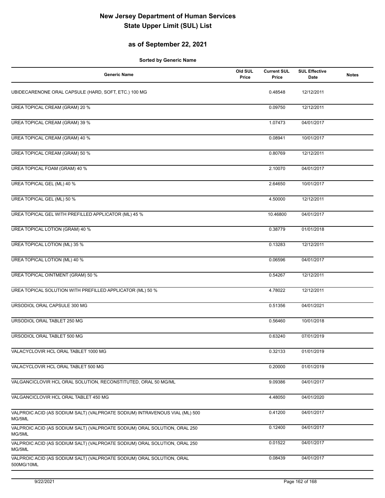#### **as of September 22, 2021**

| <b>Generic Name</b>                                                                   | Old SUL<br>Price | <b>Current SUL</b><br>Price | <b>SUL Effective</b><br>Date | <b>Notes</b> |
|---------------------------------------------------------------------------------------|------------------|-----------------------------|------------------------------|--------------|
| UBIDECARENONE ORAL CAPSULE (HARD, SOFT, ETC.) 100 MG                                  |                  | 0.48548                     | 12/12/2011                   |              |
| UREA TOPICAL CREAM (GRAM) 20 %                                                        |                  | 0.09750                     | 12/12/2011                   |              |
| <b>UREA TOPICAL CREAM (GRAM) 39 %</b>                                                 |                  | 1.07473                     | 04/01/2017                   |              |
| UREA TOPICAL CREAM (GRAM) 40 %                                                        |                  | 0.08941                     | 10/01/2017                   |              |
| UREA TOPICAL CREAM (GRAM) 50 %                                                        |                  | 0.80769                     | 12/12/2011                   |              |
| UREA TOPICAL FOAM (GRAM) 40 %                                                         |                  | 2.10070                     | 04/01/2017                   |              |
| UREA TOPICAL GEL (ML) 40 %                                                            |                  | 2.64650                     | 10/01/2017                   |              |
| UREA TOPICAL GEL (ML) 50 %                                                            |                  | 4.50000                     | 12/12/2011                   |              |
| UREA TOPICAL GEL WITH PREFILLED APPLICATOR (ML) 45 %                                  |                  | 10.46800                    | 04/01/2017                   |              |
| UREA TOPICAL LOTION (GRAM) 40 %                                                       |                  | 0.38779                     | 01/01/2018                   |              |
| UREA TOPICAL LOTION (ML) 35 %                                                         |                  | 0.13283                     | 12/12/2011                   |              |
| <b>UREA TOPICAL LOTION (ML) 40 %</b>                                                  |                  | 0.06596                     | 04/01/2017                   |              |
| <b>UREA TOPICAL OINTMENT (GRAM) 50 %</b>                                              |                  | 0.54267                     | 12/12/2011                   |              |
| UREA TOPICAL SOLUTION WITH PREFILLED APPLICATOR (ML) 50 %                             |                  | 4.78022                     | 12/12/2011                   |              |
| URSODIOL ORAL CAPSULE 300 MG                                                          |                  | 0.51356                     | 04/01/2021                   |              |
| URSODIOL ORAL TABLET 250 MG                                                           |                  | 0.56460                     | 10/01/2018                   |              |
| URSODIOL ORAL TABLET 500 MG                                                           |                  | 0.63240                     | 07/01/2019                   |              |
| VALACYCLOVIR HCL ORAL TABLET 1000 MG                                                  |                  | 0.32133                     | 01/01/2019                   |              |
| VALACYCLOVIR HCL ORAL TABLET 500 MG                                                   |                  | 0.20000                     | 01/01/2019                   |              |
| VALGANCICLOVIR HCL ORAL SOLUTION, RECONSTITUTED, ORAL 50 MG/ML                        |                  | 9.09386                     | 04/01/2017                   |              |
| VALGANCICLOVIR HCL ORAL TABLET 450 MG                                                 |                  | 4.48050                     | 04/01/2020                   |              |
| VALPROIC ACID (AS SODIUM SALT) (VALPROATE SODIUM) INTRAVENOUS VIAL (ML) 500<br>MG/5ML |                  | 0.41200                     | 04/01/2017                   |              |
| VALPROIC ACID (AS SODIUM SALT) (VALPROATE SODIUM) ORAL SOLUTION, ORAL 250<br>MG/5ML   |                  | 0.12400                     | 04/01/2017                   |              |
| VALPROIC ACID (AS SODIUM SALT) (VALPROATE SODIUM) ORAL SOLUTION, ORAL 250<br>MG/5ML   |                  | 0.01522                     | 04/01/2017                   |              |
| VALPROIC ACID (AS SODIUM SALT) (VALPROATE SODIUM) ORAL SOLUTION, ORAL<br>500MG/10ML   |                  | 0.08439                     | 04/01/2017                   |              |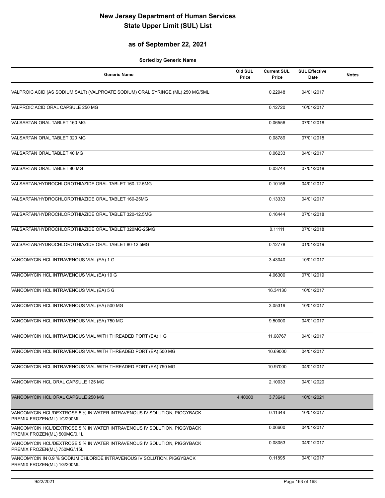#### **as of September 22, 2021**

| <b>Generic Name</b>                                                                                     | Old SUL<br>Price | <b>Current SUL</b><br>Price | <b>SUL Effective</b><br>Date | <b>Notes</b> |
|---------------------------------------------------------------------------------------------------------|------------------|-----------------------------|------------------------------|--------------|
| VALPROIC ACID (AS SODIUM SALT) (VALPROATE SODIUM) ORAL SYRINGE (ML) 250 MG/5ML                          |                  | 0.22948                     | 04/01/2017                   |              |
| VALPROIC ACID ORAL CAPSULE 250 MG                                                                       |                  | 0.12720                     | 10/01/2017                   |              |
| VALSARTAN ORAL TABLET 160 MG                                                                            |                  | 0.06556                     | 07/01/2018                   |              |
| VALSARTAN ORAL TABLET 320 MG                                                                            |                  | 0.08789                     | 07/01/2018                   |              |
| VALSARTAN ORAL TABLET 40 MG                                                                             |                  | 0.06233                     | 04/01/2017                   |              |
| VALSARTAN ORAL TABLET 80 MG                                                                             |                  | 0.03744                     | 07/01/2018                   |              |
| VALSARTAN/HYDROCHLOROTHIAZIDE ORAL TABLET 160-12.5MG                                                    |                  | 0.10156                     | 04/01/2017                   |              |
| VALSARTAN/HYDROCHLOROTHIAZIDE ORAL TABLET 160-25MG                                                      |                  | 0.13333                     | 04/01/2017                   |              |
| VALSARTAN/HYDROCHLOROTHIAZIDE ORAL TABLET 320-12.5MG                                                    |                  | 0.16444                     | 07/01/2018                   |              |
| VALSARTAN/HYDROCHLOROTHIAZIDE ORAL TABLET 320MG-25MG                                                    |                  | 0.11111                     | 07/01/2018                   |              |
| VALSARTAN/HYDROCHLOROTHIAZIDE ORAL TABLET 80-12.5MG                                                     |                  | 0.12778                     | 01/01/2019                   |              |
| VANCOMYCIN HCL INTRAVENOUS VIAL (EA) 1 G                                                                |                  | 3.43040                     | 10/01/2017                   |              |
| VANCOMYCIN HCL INTRAVENOUS VIAL (EA) 10 G                                                               |                  | 4.06300                     | 07/01/2019                   |              |
| VANCOMYCIN HCL INTRAVENOUS VIAL (EA) 5 G                                                                |                  | 16.34130                    | 10/01/2017                   |              |
| VANCOMYCIN HCL INTRAVENOUS VIAL (EA) 500 MG                                                             |                  | 3.05319                     | 10/01/2017                   |              |
| VANCOMYCIN HCL INTRAVENOUS VIAL (EA) 750 MG                                                             |                  | 9.50000                     | 04/01/2017                   |              |
| VANCOMYCIN HCL INTRAVENOUS VIAL WITH THREADED PORT (EA) 1 G                                             |                  | 11.68767                    | 04/01/2017                   |              |
| VANCOMYCIN HCL INTRAVENOUS VIAL WITH THREADED PORT (EA) 500 MG                                          |                  | 10.69000                    | 04/01/2017                   |              |
| VANCOMYCIN HCL INTRAVENOUS VIAL WITH THREADED PORT (EA) 750 MG                                          |                  | 10.97000                    | 04/01/2017                   |              |
| VANCOMYCIN HCL ORAL CAPSULE 125 MG                                                                      |                  | 2.10033                     | 04/01/2020                   |              |
| VANCOMYCIN HCL ORAL CAPSULE 250 MG                                                                      | 4.40000          | 3.73646                     | 10/01/2021                   |              |
| VANCOMYCIN HCL/DEXTROSE 5 % IN WATER INTRAVENOUS IV SOLUTION, PIGGYBACK<br>PREMIX FROZEN(ML) 1G/200ML   |                  | 0.11348                     | 10/01/2017                   |              |
| VANCOMYCIN HCL/DEXTROSE 5 % IN WATER INTRAVENOUS IV SOLUTION, PIGGYBACK<br>PREMIX FROZEN(ML) 500MG/0.1L |                  | 0.06600                     | 04/01/2017                   |              |
| VANCOMYCIN HCL/DEXTROSE 5 % IN WATER INTRAVENOUS IV SOLUTION, PIGGYBACK<br>PREMIX FROZEN(ML) 750MG/.15L |                  | 0.08053                     | 04/01/2017                   |              |
| VANCOMYCIN IN 0.9 % SODIUM CHLORIDE INTRAVENOUS IV SOLUTION, PIGGYBACK<br>PREMIX FROZEN(ML) 1G/200ML    |                  | 0.11895                     | 04/01/2017                   |              |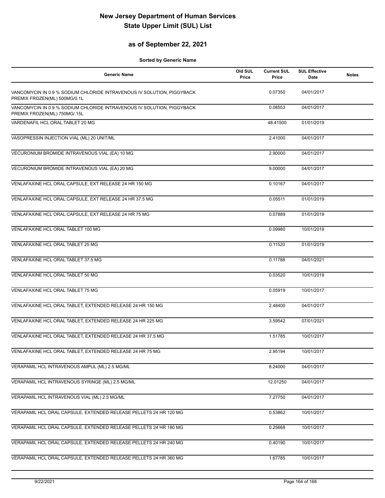#### **as of September 22, 2021**

| <b>Generic Name</b>                                                                                    | Old SUL<br>Price | <b>Current SUL</b><br>Price | <b>SUL Effective</b><br>Date | <b>Notes</b> |
|--------------------------------------------------------------------------------------------------------|------------------|-----------------------------|------------------------------|--------------|
| VANCOMYCIN IN 0.9 % SODIUM CHLORIDE INTRAVENOUS IV SOLUTION, PIGGYBACK<br>PREMIX FROZEN(ML) 500MG/0.1L |                  | 0.07350                     | 04/01/2017                   |              |
| VANCOMYCIN IN 0.9 % SODIUM CHLORIDE INTRAVENOUS IV SOLUTION, PIGGYBACK<br>PREMIX FROZEN(ML) 750MG/.15L |                  | 0.08553                     | 04/01/2017                   |              |
| VARDENAFIL HCL ORAL TABLET 20 MG                                                                       |                  | 48.41500                    | 01/01/2019                   |              |
| VASOPRESSIN INJECTION VIAL (ML) 20 UNIT/ML                                                             |                  | 2.41000                     | 04/01/2017                   |              |
| VECURONIUM BROMIDE INTRAVENOUS VIAL (EA) 10 MG                                                         |                  | 2.90000                     | 04/01/2017                   |              |
| VECURONIUM BROMIDE INTRAVENOUS VIAL (EA) 20 MG                                                         |                  | 9.00000                     | 04/01/2017                   |              |
| VENLAFAXINE HCL ORAL CAPSULE, EXT RELEASE 24 HR 150 MG                                                 |                  | 0.10167                     | 04/01/2017                   |              |
| VENLAFAXINE HCL ORAL CAPSULE, EXT RELEASE 24 HR 37.5 MG                                                |                  | 0.05511                     | 01/01/2019                   |              |
| VENLAFAXINE HCL ORAL CAPSULE, EXT RELEASE 24 HR 75 MG                                                  |                  | 0.07889                     | 01/01/2019                   |              |
| VENLAFAXINE HCL ORAL TABLET 100 MG                                                                     |                  | 0.09980                     | 10/01/2019                   |              |
| VENLAFAXINE HCL ORAL TABLET 25 MG                                                                      |                  | 0.11520                     | 01/01/2019                   |              |
| VENLAFAXINE HCL ORAL TABLET 37.5 MG                                                                    |                  | 0.11788                     | 04/01/2021                   |              |
| VENLAFAXINE HCL ORAL TABLET 50 MG                                                                      |                  | 0.03520                     | 10/01/2019                   |              |
| VENLAFAXINE HCL ORAL TABLET 75 MG                                                                      |                  | 0.05919                     | 10/01/2017                   |              |
| VENLAFAXINE HCL ORAL TABLET, EXTENDED RELEASE 24 HR 150 MG                                             |                  | 2.48400                     | 04/01/2017                   |              |
| VENLAFAXINE HCL ORAL TABLET, EXTENDED RELEASE 24 HR 225 MG                                             |                  | 3.59542                     | 07/01/2021                   |              |
| VENLAFAXINE HCL ORAL TABLET, EXTENDED RELEASE 24 HR 37.5 MG                                            |                  | 1.51785                     | 10/01/2017                   |              |
| VENLAFAXINE HCL ORAL TABLET, EXTENDED RELEASE 24 HR 75 MG                                              |                  | 2.95194                     | 10/01/2017                   |              |
| VERAPAMIL HCL INTRAVENOUS AMPUL (ML) 2.5 MG/ML                                                         |                  | 8.24000                     | 04/01/2017                   |              |
| VERAPAMIL HCL INTRAVENOUS SYRINGE (ML) 2.5 MG/ML                                                       |                  | 12.01250                    | 04/01/2017                   |              |
| VERAPAMIL HCL INTRAVENOUS VIAL (ML) 2.5 MG/ML                                                          |                  | 7.27750                     | 04/01/2017                   |              |
| VERAPAMIL HCL ORAL CAPSULE, EXTENDED RELEASE PELLETS 24 HR 120 MG                                      |                  | 0.53862                     | 10/01/2017                   |              |
| VERAPAMIL HCL ORAL CAPSULE, EXTENDED RELEASE PELLETS 24 HR 180 MG                                      |                  | 0.25668                     | 10/01/2017                   |              |
| VERAPAMIL HCL ORAL CAPSULE, EXTENDED RELEASE PELLETS 24 HR 240 MG                                      |                  | 0.40190                     | 10/01/2017                   |              |
| VERAPAMIL HCL ORAL CAPSULE, EXTENDED RELEASE PELLETS 24 HR 360 MG                                      |                  | 1.67785                     | 10/01/2017                   |              |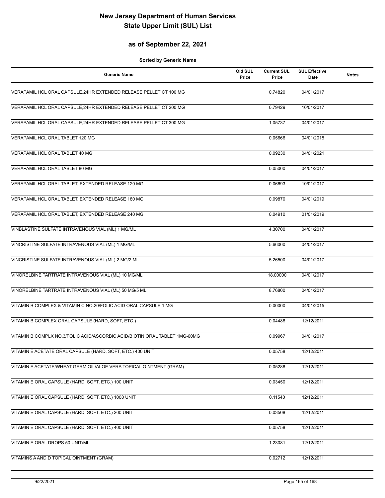#### **as of September 22, 2021**

| <b>Generic Name</b>                                                        | Old SUL<br>Price | <b>Current SUL</b><br>Price | <b>SUL Effective</b><br>Date | <b>Notes</b> |
|----------------------------------------------------------------------------|------------------|-----------------------------|------------------------------|--------------|
| VERAPAMIL HCL ORAL CAPSULE, 24HR EXTENDED RELEASE PELLET CT 100 MG         |                  | 0.74820                     | 04/01/2017                   |              |
| VERAPAMIL HCL ORAL CAPSULE, 24HR EXTENDED RELEASE PELLET CT 200 MG         |                  | 0.79429                     | 10/01/2017                   |              |
| VERAPAMIL HCL ORAL CAPSULE, 24HR EXTENDED RELEASE PELLET CT 300 MG         |                  | 1.05737                     | 04/01/2017                   |              |
| VERAPAMIL HCL ORAL TABLET 120 MG                                           |                  | 0.05666                     | 04/01/2018                   |              |
| VERAPAMIL HCL ORAL TABLET 40 MG                                            |                  | 0.09230                     | 04/01/2021                   |              |
| VERAPAMIL HCL ORAL TABLET 80 MG                                            |                  | 0.05000                     | 04/01/2017                   |              |
| VERAPAMIL HCL ORAL TABLET, EXTENDED RELEASE 120 MG                         |                  | 0.06693                     | 10/01/2017                   |              |
| VERAPAMIL HCL ORAL TABLET, EXTENDED RELEASE 180 MG                         |                  | 0.09870                     | 04/01/2019                   |              |
| VERAPAMIL HCL ORAL TABLET, EXTENDED RELEASE 240 MG                         |                  | 0.04910                     | 01/01/2019                   |              |
| VINBLASTINE SULFATE INTRAVENOUS VIAL (ML) 1 MG/ML                          |                  | 4.30700                     | 04/01/2017                   |              |
| VINCRISTINE SULFATE INTRAVENOUS VIAL (ML) 1 MG/ML                          |                  | 5.66000                     | 04/01/2017                   |              |
| VINCRISTINE SULFATE INTRAVENOUS VIAL (ML) 2 MG/2 ML                        |                  | 5.26500                     | 04/01/2017                   |              |
| VINORELBINE TARTRATE INTRAVENOUS VIAL (ML) 10 MG/ML                        |                  | 18.00000                    | 04/01/2017                   |              |
| VINORELBINE TARTRATE INTRAVENOUS VIAL (ML) 50 MG/5 ML                      |                  | 8.76800                     | 04/01/2017                   |              |
| VITAMIN B COMPLEX & VITAMIN C NO.20/FOLIC ACID ORAL CAPSULE 1 MG           |                  | 0.00000                     | 04/01/2015                   |              |
| VITAMIN B COMPLEX ORAL CAPSULE (HARD, SOFT, ETC.)                          |                  | 0.04488                     | 12/12/2011                   |              |
| VITAMIN B COMPLX NO.3/FOLIC ACID/ASCORBIC ACID/BIOTIN ORAL TABLET 1MG-60MG |                  | 0.09967                     | 04/01/2017                   |              |
| VITAMIN E ACETATE ORAL CAPSULE (HARD, SOFT, ETC.) 400 UNIT                 |                  | 0.05758                     | 12/12/2011                   |              |
| VITAMIN E ACETATE/WHEAT GERM OIL/ALOE VERA TOPICAL OINTMENT (GRAM)         |                  | 0.05288                     | 12/12/2011                   |              |
| VITAMIN E ORAL CAPSULE (HARD, SOFT, ETC.) 100 UNIT                         |                  | 0.03450                     | 12/12/2011                   |              |
| VITAMIN E ORAL CAPSULE (HARD, SOFT, ETC.) 1000 UNIT                        |                  | 0.11540                     | 12/12/2011                   |              |
| VITAMIN E ORAL CAPSULE (HARD, SOFT, ETC.) 200 UNIT                         |                  | 0.03508                     | 12/12/2011                   |              |
| VITAMIN E ORAL CAPSULE (HARD, SOFT, ETC.) 400 UNIT                         |                  | 0.05758                     | 12/12/2011                   |              |
| VITAMIN E ORAL DROPS 50 UNIT/ML                                            |                  | 1.23081                     | 12/12/2011                   |              |
| VITAMINS A AND D TOPICAL OINTMENT (GRAM)                                   |                  | 0.02712                     | 12/12/2011                   |              |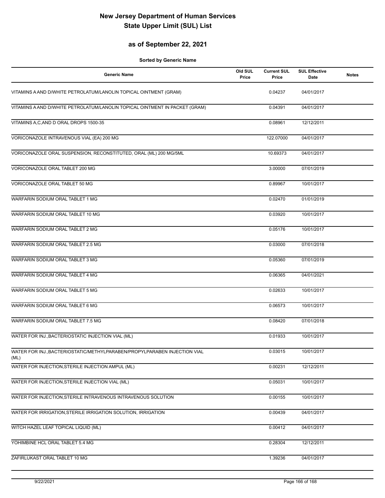#### **as of September 22, 2021**

| <b>Generic Name</b>                                                               | Old SUL<br>Price | <b>Current SUL</b><br>Price | <b>SUL Effective</b><br>Date | <b>Notes</b> |
|-----------------------------------------------------------------------------------|------------------|-----------------------------|------------------------------|--------------|
| VITAMINS A AND D/WHITE PETROLATUM/LANOLIN TOPICAL OINTMENT (GRAM)                 |                  | 0.04237                     | 04/01/2017                   |              |
| VITAMINS A AND D/WHITE PETROLATUM/LANOLIN TOPICAL OINTMENT IN PACKET (GRAM)       |                  | 0.04391                     | 04/01/2017                   |              |
| VITAMINS A, C, AND D ORAL DROPS 1500-35                                           |                  | 0.08961                     | 12/12/2011                   |              |
| VORICONAZOLE INTRAVENOUS VIAL (EA) 200 MG                                         |                  | 122.07000                   | 04/01/2017                   |              |
| VORICONAZOLE ORAL SUSPENSION, RECONSTITUTED, ORAL (ML) 200 MG/5ML                 |                  | 10.69373                    | 04/01/2017                   |              |
| VORICONAZOLE ORAL TABLET 200 MG                                                   |                  | 3.00000                     | 07/01/2019                   |              |
| VORICONAZOLE ORAL TABLET 50 MG                                                    |                  | 0.89967                     | 10/01/2017                   |              |
| WARFARIN SODIUM ORAL TABLET 1 MG                                                  |                  | 0.02470                     | 01/01/2019                   |              |
| WARFARIN SODIUM ORAL TABLET 10 MG                                                 |                  | 0.03920                     | 10/01/2017                   |              |
| WARFARIN SODIUM ORAL TABLET 2 MG                                                  |                  | 0.05176                     | 10/01/2017                   |              |
| WARFARIN SODIUM ORAL TABLET 2.5 MG                                                |                  | 0.03000                     | 07/01/2018                   |              |
| WARFARIN SODIUM ORAL TABLET 3 MG                                                  |                  | 0.05360                     | 07/01/2019                   |              |
| WARFARIN SODIUM ORAL TABLET 4 MG                                                  |                  | 0.06365                     | 04/01/2021                   |              |
| WARFARIN SODIUM ORAL TABLET 5 MG                                                  |                  | 0.02633                     | 10/01/2017                   |              |
| WARFARIN SODIUM ORAL TABLET 6 MG                                                  |                  | 0.06573                     | 10/01/2017                   |              |
| WARFARIN SODIUM ORAL TABLET 7.5 MG                                                |                  | 0.08420                     | 07/01/2018                   |              |
| WATER FOR INJ., BACTERIOSTATIC INJECTION VIAL (ML)                                |                  | 0.01933                     | 10/01/2017                   |              |
| WATER FOR INJ., BACTERIOSTATIC/METHYLPARABEN/PROPYLPARABEN INJECTION VIAL<br>(ML) |                  | 0.03015                     | 10/01/2017                   |              |
| WATER FOR INJECTION, STERILE INJECTION AMPUL (ML)                                 |                  | 0.00231                     | 12/12/2011                   |              |
| WATER FOR INJECTION, STERILE INJECTION VIAL (ML)                                  |                  | 0.05031                     | 10/01/2017                   |              |
| WATER FOR INJECTION, STERILE INTRAVENOUS INTRAVENOUS SOLUTION                     |                  | 0.00155                     | 10/01/2017                   |              |
| WATER FOR IRRIGATION, STERILE IRRIGATION SOLUTION, IRRIGATION                     |                  | 0.00439                     | 04/01/2017                   |              |
| WITCH HAZEL LEAF TOPICAL LIQUID (ML)                                              |                  | 0.00412                     | 04/01/2017                   |              |
| YOHIMBINE HCL ORAL TABLET 5.4 MG                                                  |                  | 0.28304                     | 12/12/2011                   |              |
| ZAFIRLUKAST ORAL TABLET 10 MG                                                     |                  | 1.39236                     | 04/01/2017                   |              |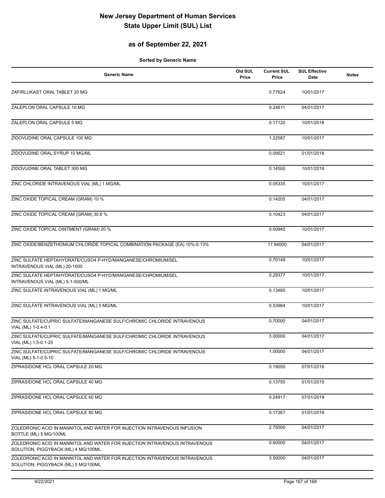#### **as of September 22, 2021**

| <b>Generic Name</b>                                                                                                | Old SUL<br>Price | <b>Current SUL</b><br>Price | <b>SUL Effective</b><br><b>Date</b> | <b>Notes</b> |
|--------------------------------------------------------------------------------------------------------------------|------------------|-----------------------------|-------------------------------------|--------------|
| ZAFIRLUKAST ORAL TABLET 20 MG                                                                                      |                  | 0.77624                     | 10/01/2017                          |              |
| ZALEPLON ORAL CAPSULE 10 MG                                                                                        |                  | 0.24611                     | 04/01/2017                          |              |
| ZALEPLON ORAL CAPSULE 5 MG                                                                                         |                  | 0.17120                     | 10/01/2018                          |              |
| ZIDOVUDINE ORAL CAPSULE 100 MG                                                                                     |                  | 1.22587                     | 10/01/2017                          |              |
| ZIDOVUDINE ORAL SYRUP 10 MG/ML                                                                                     |                  | 0.09521                     | 01/01/2018                          |              |
| ZIDOVUDINE ORAL TABLET 300 MG                                                                                      |                  | 0.14500                     | 10/01/2018                          |              |
| ZINC CHLORIDE INTRAVENOUS VIAL (ML) 1 MG/ML                                                                        |                  | 0.05335                     | 10/01/2017                          |              |
| ZINC OXIDE TOPICAL CREAM (GRAM) 10 %                                                                               |                  | 0.14205                     | 04/01/2017                          |              |
| ZINC OXIDE TOPICAL CREAM (GRAM) 30.6 %                                                                             |                  | 0.10423                     | 04/01/2017                          |              |
| ZINC OXIDE TOPICAL OINTMENT (GRAM) 20 %                                                                            |                  | 0.00945                     | 10/01/2017                          |              |
| ZINC OXIDE/BENZETHONIUM CHLORIDE TOPICAL COMBINATION PACKAGE (EA) 10%-0.13%                                        |                  | 17.94000                    | 04/01/2017                          |              |
| ZINC SULFATE HEPTAHYDRATE/CUSO4 P-HYD/MANGANESE/CHROMIUM/SEL<br>INTRAVENOUS VIAL (ML) 20-1000                      |                  | 0.70149                     | 10/01/2017                          |              |
| ZINC SULFATE HEPTAHYDRATE/CUSO4 P-HYD/MANGANESE/CHROMIUM/SEL<br>INTRAVENOUS VIAL (ML) 5-1-500/ML                   |                  | 0.29377                     | 10/01/2017                          |              |
| ZINC SULFATE INTRAVENOUS VIAL (ML) 1 MG/ML                                                                         |                  | 0.13460                     | 10/01/2017                          |              |
| ZINC SULFATE INTRAVENOUS VIAL (ML) 5 MG/ML                                                                         |                  | 0.53984                     | 10/01/2017                          |              |
| ZINC SULFATE/CUPRIC SULFATE/MANGANESE SULF/CHROMIC CHLORIDE INTRAVENOUS<br>VIAL (ML) 1-0.4-0.1                     |                  | 0.70000                     | 04/01/2017                          |              |
| ZINC SULFATE/CUPRIC SULFATE/MANGANESE SULF/CHROMIC CHLORIDE INTRAVENOUS<br>VIAL (ML) 1.5-0.1-25                    |                  | 3.00000                     | 04/01/2017                          |              |
| ZINC SULFATE/CUPRIC SULFATE/MANGANESE SULF/CHROMIC CHLORIDE INTRAVENOUS<br>VIAL (ML) 5-1-0.5-10                    |                  | 1.00000                     | 04/01/2017                          |              |
| ZIPRASIDONE HCL ORAL CAPSULE 20 MG                                                                                 |                  | 0.19050                     | 07/01/2018                          |              |
| ZIPRASIDONE HCL ORAL CAPSULE 40 MG                                                                                 |                  | 0.13750                     | 01/01/2019                          |              |
| ZIPRASIDONE HCL ORAL CAPSULE 60 MG                                                                                 |                  | 0.24917                     | 07/01/2019                          |              |
| ZIPRASIDONE HCL ORAL CAPSULE 80 MG                                                                                 |                  | 0.17367                     | 01/01/2019                          |              |
| ZOLEDRONIC ACID IN MANNITOL AND WATER FOR INJECTION INTRAVENOUS INFUSION<br>BOTTLE (ML) 5 MG/100ML                 |                  | 2.75000                     | 04/01/2017                          |              |
| ZOLEDRONIC ACID IN MANNITOL AND WATER FOR INJECTION INTRAVENOUS INTRAVENOUS<br>SOLUTION, PIGGYBACK (ML) 4 MG/100ML |                  | 0.60000                     | 04/01/2017                          |              |
| ZOLEDRONIC ACID IN MANNITOL AND WATER FOR INJECTION INTRAVENOUS INTRAVENOUS<br>SOLUTION, PIGGYBACK (ML) 5 MG/100ML |                  | 3.50000                     | 04/01/2017                          |              |